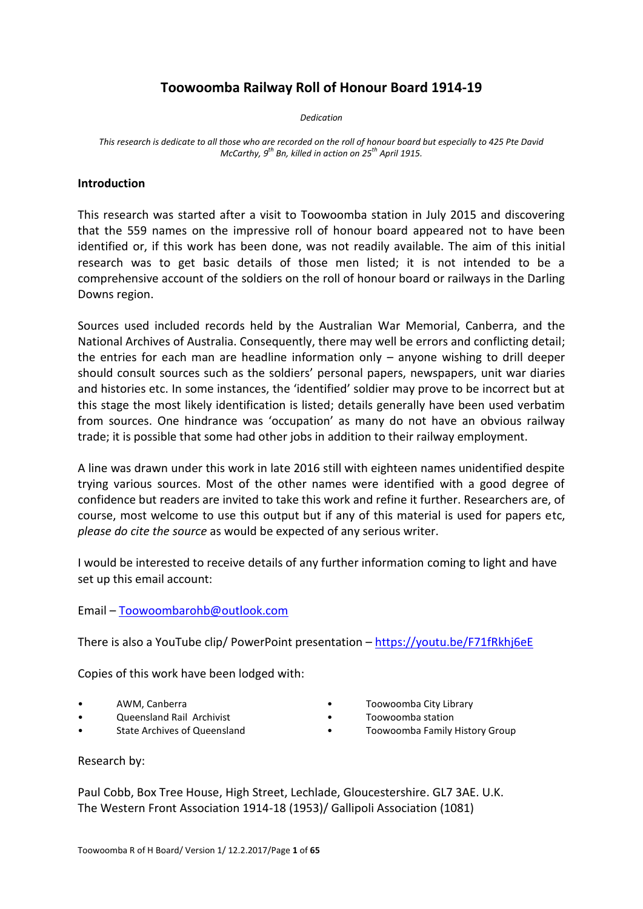# **Toowoomba Railway Roll of Honour Board 1914-19**

*Dedication*

*This research is dedicate to all those who are recorded on the roll of honour board but especially to 425 Pte David McCarthy, 9th Bn, killed in action on 25th April 1915.*

# **Introduction**

This research was started after a visit to Toowoomba station in July 2015 and discovering that the 559 names on the impressive roll of honour board appeared not to have been identified or, if this work has been done, was not readily available. The aim of this initial research was to get basic details of those men listed; it is not intended to be a comprehensive account of the soldiers on the roll of honour board or railways in the Darling Downs region.

Sources used included records held by the Australian War Memorial, Canberra, and the National Archives of Australia. Consequently, there may well be errors and conflicting detail; the entries for each man are headline information only – anyone wishing to drill deeper should consult sources such as the soldiers' personal papers, newspapers, unit war diaries and histories etc. In some instances, the 'identified' soldier may prove to be incorrect but at this stage the most likely identification is listed; details generally have been used verbatim from sources. One hindrance was 'occupation' as many do not have an obvious railway trade; it is possible that some had other jobs in addition to their railway employment.

A line was drawn under this work in late 2016 still with eighteen names unidentified despite trying various sources. Most of the other names were identified with a good degree of confidence but readers are invited to take this work and refine it further. Researchers are, of course, most welcome to use this output but if any of this material is used for papers etc, *please do cite the source* as would be expected of any serious writer.

I would be interested to receive details of any further information coming to light and have set up this email account:

Email – [Toowoombarohb@outlook.com](mailto:Toowoombarohb@outlook.com)

There is also a YouTube clip/ PowerPoint presentation – <https://youtu.be/F71fRkhj6eE>

Copies of this work have been lodged with:

- 
- 
- 
- AWM, Canberra Toowoomba City Library
- Queensland Rail Archivist Toowoomba station
	- State Archives of Queensland **•** Toowoomba Family History Group

Research by:

Paul Cobb, Box Tree House, High Street, Lechlade, Gloucestershire. GL7 3AE. U.K. The Western Front Association 1914-18 (1953)/ Gallipoli Association (1081)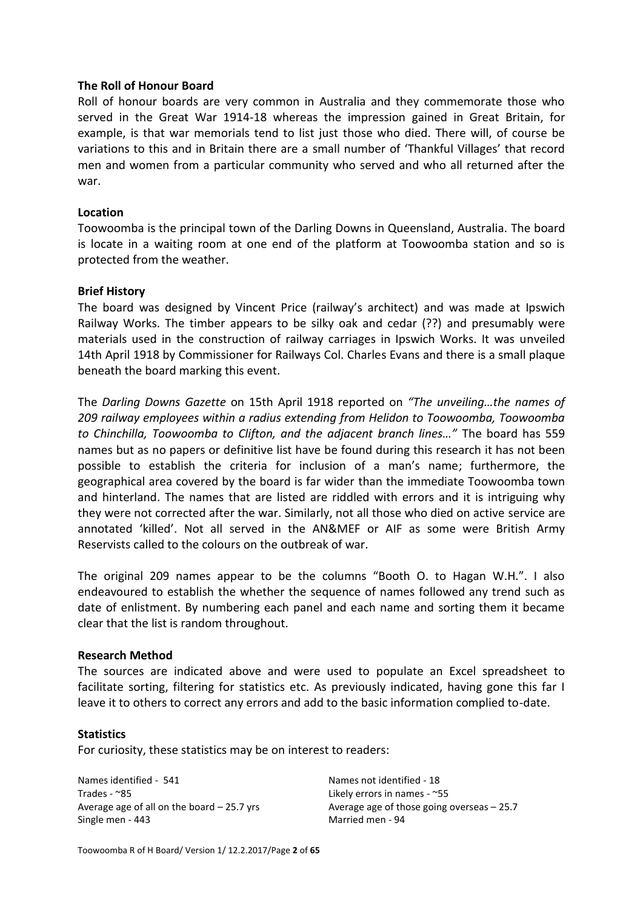# **The Roll of Honour Board**

Roll of honour boards are very common in Australia and they commemorate those who served in the Great War 1914-18 whereas the impression gained in Great Britain, for example, is that war memorials tend to list just those who died. There will, of course be variations to this and in Britain there are a small number of 'Thankful Villages' that record men and women from a particular community who served and who all returned after the war.

### **Location**

Toowoomba is the principal town of the Darling Downs in Queensland, Australia. The board is locate in a waiting room at one end of the platform at Toowoomba station and so is protected from the weather.

# **Brief History**

The board was designed by Vincent Price (railway's architect) and was made at Ipswich Railway Works. The timber appears to be silky oak and cedar (??) and presumably were materials used in the construction of railway carriages in Ipswich Works. It was unveiled 14th April 1918 by Commissioner for Railways Col. Charles Evans and there is a small plaque beneath the board marking this event.

The *Darling Downs Gazette* on 15th April 1918 reported on *"The unveiling…the names of 209 railway employees within a radius extending from Helidon to Toowoomba, Toowoomba to Chinchilla, Toowoomba to Clifton, and the adjacent branch lines…"* The board has 559 names but as no papers or definitive list have be found during this research it has not been possible to establish the criteria for inclusion of a man's name; furthermore, the geographical area covered by the board is far wider than the immediate Toowoomba town and hinterland. The names that are listed are riddled with errors and it is intriguing why they were not corrected after the war. Similarly, not all those who died on active service are annotated 'killed'. Not all served in the AN&MEF or AIF as some were British Army Reservists called to the colours on the outbreak of war.

The original 209 names appear to be the columns "Booth O. to Hagan W.H.". I also endeavoured to establish the whether the sequence of names followed any trend such as date of enlistment. By numbering each panel and each name and sorting them it became clear that the list is random throughout.

#### **Research Method**

The sources are indicated above and were used to populate an Excel spreadsheet to facilitate sorting, filtering for statistics etc. As previously indicated, having gone this far I leave it to others to correct any errors and add to the basic information complied to-date.

#### **Statistics**

For curiosity, these statistics may be on interest to readers:

Names identified - 541 Names not identified - 18 Trades - ~85 Likely errors in names - ~55 Single men - 443 Married men - 94

Average age of all on the board  $-25.7$  yrs Average age of those going overseas  $-25.7$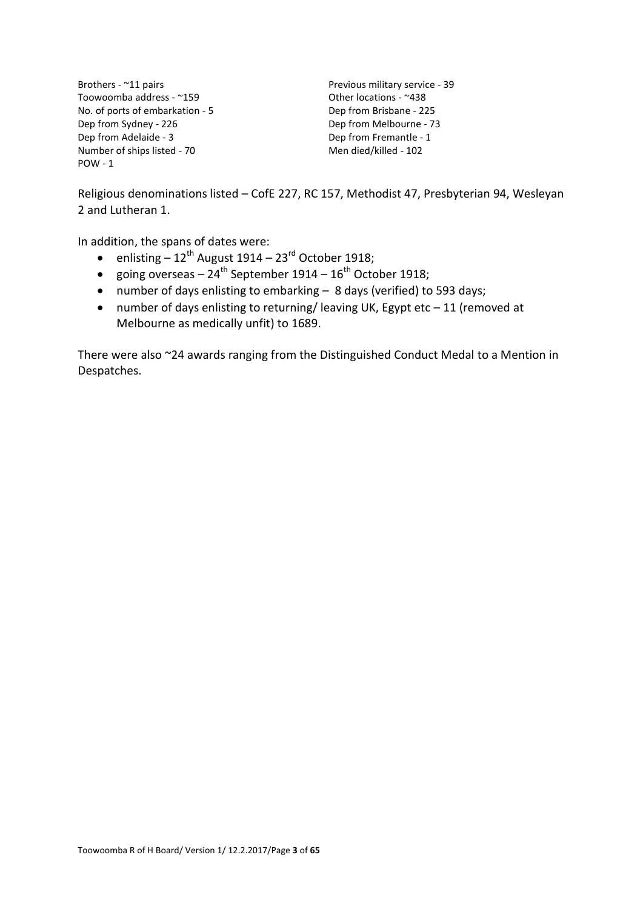Brothers - ~11 pairs Previous military service - 39<br>Toowoomba address - ~159 Previous military service - 39 Toowoomba address - ~159 No. of ports of embarkation - 5 Dep from Brisbane - 225 Dep from Sydney - 226 Dep from Melbourne - 73 Dep from Adelaide - 3 Dep from Fremantle - 1 Number of ships listed - 70 Men died/killed - 102 POW - 1

Religious denominations listed – CofE 227, RC 157, Methodist 47, Presbyterian 94, Wesleyan 2 and Lutheran 1.

In addition, the spans of dates were:

- enlisting  $-12^{th}$  August 1914 23<sup>rd</sup> October 1918;
- going overseas  $24^{th}$  September 1914  $16^{th}$  October 1918;
- number of days enlisting to embarking 8 days (verified) to 593 days;
- number of days enlisting to returning/ leaving UK, Egypt etc 11 (removed at Melbourne as medically unfit) to 1689.

There were also ~24 awards ranging from the Distinguished Conduct Medal to a Mention in Despatches.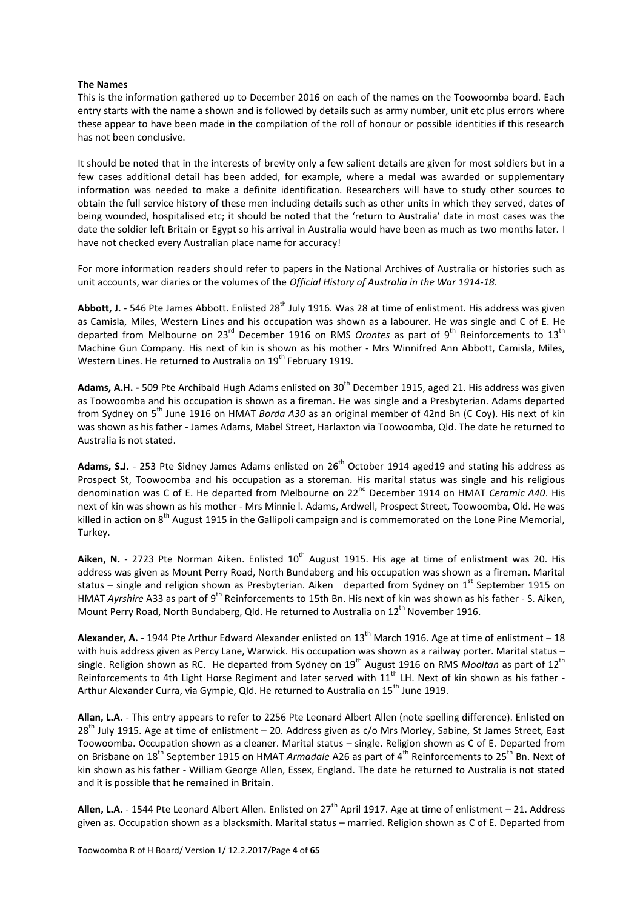#### **The Names**

This is the information gathered up to December 2016 on each of the names on the Toowoomba board. Each entry starts with the name a shown and is followed by details such as army number, unit etc plus errors where these appear to have been made in the compilation of the roll of honour or possible identities if this research has not been conclusive.

It should be noted that in the interests of brevity only a few salient details are given for most soldiers but in a few cases additional detail has been added, for example, where a medal was awarded or supplementary information was needed to make a definite identification. Researchers will have to study other sources to obtain the full service history of these men including details such as other units in which they served, dates of being wounded, hospitalised etc; it should be noted that the 'return to Australia' date in most cases was the date the soldier left Britain or Egypt so his arrival in Australia would have been as much as two months later. I have not checked every Australian place name for accuracy!

For more information readers should refer to papers in the National Archives of Australia or histories such as unit accounts, war diaries or the volumes of the *Official History of Australia in the War 1914-18*.

Abbott, J. - 546 Pte James Abbott. Enlisted 28<sup>th</sup> July 1916. Was 28 at time of enlistment. His address was given as Camisla, Miles, Western Lines and his occupation was shown as a labourer. He was single and C of E. He departed from Melbourne on 23<sup>rd</sup> December 1916 on RMS *Orontes* as part of 9<sup>th</sup> Reinforcements to 13<sup>th</sup> Machine Gun Company. His next of kin is shown as his mother - Mrs Winnifred Ann Abbott, Camisla, Miles, Western Lines. He returned to Australia on 19<sup>th</sup> February 1919.

**Adams, A.H. -** 509 Pte Archibald Hugh Adams enlisted on 30th December 1915, aged 21. His address was given as Toowoomba and his occupation is shown as a fireman. He was single and a Presbyterian. Adams departed from Sydney on 5<sup>th</sup> June 1916 on HMAT *Borda A30* as an original member of 42nd Bn (C Coy). His next of kin was shown as his father - James Adams, Mabel Street, Harlaxton via Toowoomba, Qld. The date he returned to Australia is not stated.

Adams, S.J. - 253 Pte Sidney James Adams enlisted on 26<sup>th</sup> October 1914 aged19 and stating his address as Prospect St, Toowoomba and his occupation as a storeman. His marital status was single and his religious denomination was C of E. He departed from Melbourne on 22<sup>nd</sup> December 1914 on HMAT *Ceramic A40*. His next of kin was shown as his mother - Mrs Minnie l. Adams, Ardwell, Prospect Street, Toowoomba, Old. He was killed in action on 8<sup>th</sup> August 1915 in the Gallipoli campaign and is commemorated on the Lone Pine Memorial, Turkey.

Aiken, N. - 2723 Pte Norman Aiken. Enlisted 10<sup>th</sup> August 1915. His age at time of enlistment was 20. His address was given as Mount Perry Road, North Bundaberg and his occupation was shown as a fireman. Marital status – single and religion shown as Presbyterian. Aiken departed from Sydney on 1<sup>st</sup> September 1915 on HMAT *Ayrshire* A33 as part of 9<sup>th</sup> Reinforcements to 15th Bn. His next of kin was shown as his father - S. Aiken, Mount Perry Road, North Bundaberg, Qld. He returned to Australia on 12<sup>th</sup> November 1916.

**Alexander, A.** - 1944 Pte Arthur Edward Alexander enlisted on  $13<sup>th</sup>$  March 1916. Age at time of enlistment – 18 with huis address given as Percy Lane, Warwick. His occupation was shown as a railway porter. Marital status single. Religion shown as RC. He departed from Sydney on 19<sup>th</sup> August 1916 on RMS *Mooltan* as part of 12<sup>th</sup> Reinforcements to 4th Light Horse Regiment and later served with 11<sup>th</sup> LH. Next of kin shown as his father -Arthur Alexander Curra, via Gympie, Qld. He returned to Australia on 15<sup>th</sup> June 1919.

**Allan, L.A.** - This entry appears to refer to 2256 Pte Leonard Albert Allen (note spelling difference). Enlisted on 28<sup>th</sup> July 1915. Age at time of enlistment – 20. Address given as c/o Mrs Morley, Sabine, St James Street, East Toowoomba. Occupation shown as a cleaner. Marital status – single. Religion shown as C of E. Departed from on Brisbane on 18<sup>th</sup> September 1915 on HMAT *Armadale* A26 as part of 4<sup>th</sup> Reinforcements to 25<sup>th</sup> Bn. Next of kin shown as his father - William George Allen, Essex, England. The date he returned to Australia is not stated and it is possible that he remained in Britain.

**Allen, L.A.** - 1544 Pte Leonard Albert Allen. Enlisted on  $27<sup>th</sup>$  April 1917. Age at time of enlistment – 21. Address given as. Occupation shown as a blacksmith. Marital status – married. Religion shown as C of E. Departed from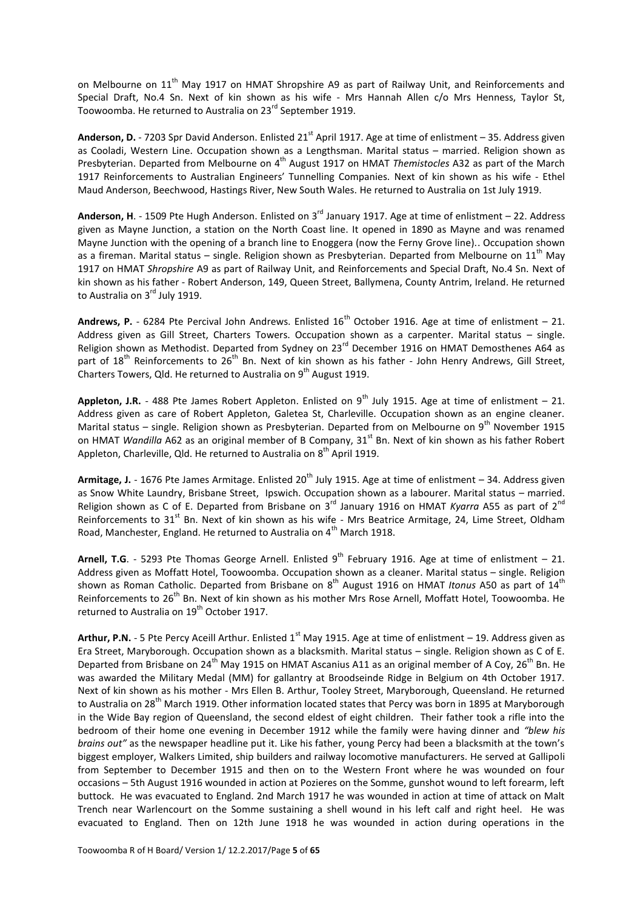on Melbourne on 11<sup>th</sup> May 1917 on HMAT Shropshire A9 as part of Railway Unit, and Reinforcements and Special Draft, No.4 Sn. Next of kin shown as his wife - Mrs Hannah Allen c/o Mrs Henness, Taylor St, Toowoomba. He returned to Australia on 23<sup>rd</sup> September 1919.

**Anderson, D.** - 7203 Spr David Anderson. Enlisted 21<sup>st</sup> April 1917. Age at time of enlistment – 35. Address given as Cooladi, Western Line. Occupation shown as a Lengthsman. Marital status – married. Religion shown as Presbyterian. Departed from Melbourne on 4<sup>th</sup> August 1917 on HMAT *Themistocles* A32 as part of the March 1917 Reinforcements to Australian Engineers' Tunnelling Companies. Next of kin shown as his wife - Ethel Maud Anderson, Beechwood, Hastings River, New South Wales. He returned to Australia on 1st July 1919.

**Anderson, H**. - 1509 Pte Hugh Anderson. Enlisted on 3rd January 1917. Age at time of enlistment – 22. Address given as Mayne Junction, a station on the North Coast line. It opened in 1890 as Mayne and was renamed Mayne Junction with the opening of a branch line to Enoggera (now the Ferny Grove line).. Occupation shown as a fireman. Marital status – single. Religion shown as Presbyterian. Departed from Melbourne on 11<sup>th</sup> May 1917 on HMAT *Shropshire* A9 as part of Railway Unit, and Reinforcements and Special Draft, No.4 Sn. Next of kin shown as his father - Robert Anderson, 149, Queen Street, Ballymena, County Antrim, Ireland. He returned to Australia on 3<sup>rd</sup> July 1919.

Andrews, P. - 6284 Pte Percival John Andrews. Enlisted 16<sup>th</sup> October 1916. Age at time of enlistment – 21. Address given as Gill Street, Charters Towers. Occupation shown as a carpenter. Marital status - single. Religion shown as Methodist. Departed from Sydney on 23<sup>rd</sup> December 1916 on HMAT Demosthenes A64 as part of 18<sup>th</sup> Reinforcements to 26<sup>th</sup> Bn. Next of kin shown as his father - John Henry Andrews, Gill Street, Charters Towers, Qld. He returned to Australia on  $9<sup>th</sup>$  August 1919.

**Appleton, J.R.** - 488 Pte James Robert Appleton. Enlisted on 9<sup>th</sup> July 1915. Age at time of enlistment – 21. Address given as care of Robert Appleton, Galetea St, Charleville. Occupation shown as an engine cleaner. Marital status – single. Religion shown as Presbyterian. Departed from on Melbourne on  $9^{th}$  November 1915 on HMAT *Wandilla* A62 as an original member of B Company, 31<sup>st</sup> Bn. Next of kin shown as his father Robert Appleton, Charleville, Qld. He returned to Australia on 8<sup>th</sup> April 1919.

**Armitage, J.** - 1676 Pte James Armitage. Enlisted 20th July 1915. Age at time of enlistment – 34. Address given as Snow White Laundry, Brisbane Street, Ipswich. Occupation shown as a labourer. Marital status – married. Religion shown as C of E. Departed from Brisbane on 3rd January 1916 on HMAT *Kyarra* A55 as part of 2nd Reinforcements to 31<sup>st</sup> Bn. Next of kin shown as his wife - Mrs Beatrice Armitage, 24, Lime Street, Oldham Road, Manchester, England. He returned to Australia on 4<sup>th</sup> March 1918.

Arnell, T.G. - 5293 Pte Thomas George Arnell. Enlisted 9<sup>th</sup> February 1916. Age at time of enlistment – 21. Address given as Moffatt Hotel, Toowoomba. Occupation shown as a cleaner. Marital status – single. Religion shown as Roman Catholic. Departed from Brisbane on 8<sup>th</sup> August 1916 on HMAT Itonus A50 as part of 14<sup>th</sup> Reinforcements to 26<sup>th</sup> Bn. Next of kin shown as his mother Mrs Rose Arnell, Moffatt Hotel, Toowoomba. He returned to Australia on 19<sup>th</sup> October 1917.

Arthur, P.N. - 5 Pte Percy Aceill Arthur. Enlisted 1<sup>st</sup> May 1915. Age at time of enlistment – 19. Address given as Era Street, Maryborough. Occupation shown as a blacksmith. Marital status – single. Religion shown as C of E. Departed from Brisbane on 24<sup>th</sup> May 1915 on HMAT Ascanius A11 as an original member of A Coy, 26<sup>th</sup> Bn. He was awarded the Military Medal (MM) for gallantry at Broodseinde Ridge in Belgium on 4th October 1917. Next of kin shown as his mother - Mrs Ellen B. Arthur, Tooley Street, Maryborough, Queensland. He returned to Australia on 28<sup>th</sup> March 1919. Other information located states that Percy was born in 1895 at Maryborough in the Wide Bay region of Queensland, the second eldest of eight children. Their father took a rifle into the bedroom of their home one evening in December 1912 while the family were having dinner and *"blew his brains out"* as the newspaper headline put it. Like his father, young Percy had been a blacksmith at the town's biggest employer, Walkers Limited, ship builders and railway locomotive manufacturers. He served at Gallipoli from September to December 1915 and then on to the Western Front where he was wounded on four occasions – 5th August 1916 wounded in action at Pozieres on the Somme, gunshot wound to left forearm, left buttock. He was evacuated to England. 2nd March 1917 he was wounded in action at time of attack on Malt Trench near Warlencourt on the Somme sustaining a shell wound in his left calf and right heel. He was evacuated to England. Then on 12th June 1918 he was wounded in action during operations in the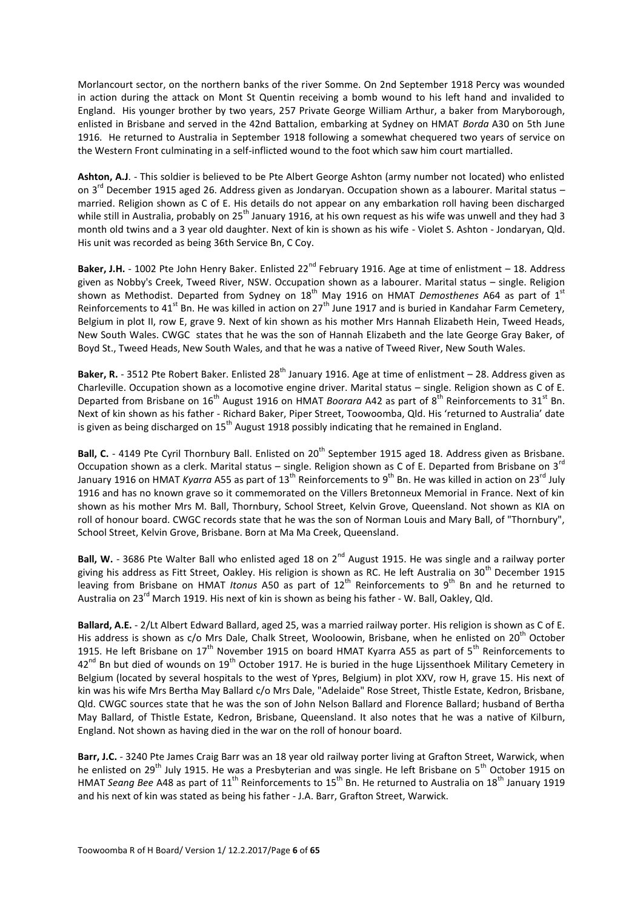Morlancourt sector, on the northern banks of the river Somme. On 2nd September 1918 Percy was wounded in action during the attack on Mont St Quentin receiving a bomb wound to his left hand and invalided to England. His younger brother by two years, 257 Private George William Arthur, a baker from Maryborough, enlisted in Brisbane and served in the 42nd Battalion, embarking at Sydney on HMAT *Borda* A30 on 5th June 1916. He returned to Australia in September 1918 following a somewhat chequered two years of service on the Western Front culminating in a self-inflicted wound to the foot which saw him court martialled.

**Ashton, A.J**. - This soldier is believed to be Pte Albert George Ashton (army number not located) who enlisted on  $3^{rd}$  December 1915 aged 26. Address given as Jondaryan. Occupation shown as a labourer. Marital status – married. Religion shown as C of E. His details do not appear on any embarkation roll having been discharged while still in Australia, probably on 25<sup>th</sup> January 1916, at his own request as his wife was unwell and they had 3 month old twins and a 3 year old daughter. Next of kin is shown as his wife - Violet S. Ashton - Jondaryan, Qld. His unit was recorded as being 36th Service Bn, C Coy.

**Baker, J.H.** - 1002 Pte John Henry Baker. Enlisted  $22^{nd}$  February 1916. Age at time of enlistment – 18. Address given as Nobby's Creek, Tweed River, NSW. Occupation shown as a labourer. Marital status – single. Religion shown as Methodist. Departed from Sydney on 18<sup>th</sup> May 1916 on HMAT *Demosthenes* A64 as part of 1<sup>st</sup> Reinforcements to 41<sup>st</sup> Bn. He was killed in action on 27<sup>th</sup> June 1917 and is buried in Kandahar Farm Cemetery, Belgium in plot II, row E, grave 9. Next of kin shown as his mother Mrs Hannah Elizabeth Hein, Tweed Heads, New South Wales. CWGC states that he was the son of Hannah Elizabeth and the late George Gray Baker, of Boyd St., Tweed Heads, New South Wales, and that he was a native of Tweed River, New South Wales.

**Baker, R.** - 3512 Pte Robert Baker. Enlisted 28<sup>th</sup> January 1916. Age at time of enlistment – 28. Address given as Charleville. Occupation shown as a locomotive engine driver. Marital status – single. Religion shown as C of E. Departed from Brisbane on 16<sup>th</sup> August 1916 on HMAT *Boorara* A42 as part of 8<sup>th</sup> Reinforcements to 31<sup>st</sup> Bn. Next of kin shown as his father - Richard Baker, Piper Street, Toowoomba, Qld. His 'returned to Australia' date is given as being discharged on  $15<sup>th</sup>$  August 1918 possibly indicating that he remained in England.

Ball, C. - 4149 Pte Cyril Thornbury Ball. Enlisted on 20<sup>th</sup> September 1915 aged 18. Address given as Brisbane. Occupation shown as a clerk. Marital status – single. Religion shown as C of E. Departed from Brisbane on 3<sup>rd</sup> January 1916 on HMAT *Kyarra* A55 as part of 13<sup>th</sup> Reinforcements to 9<sup>th</sup> Bn. He was killed in action on 23<sup>rd</sup> July 1916 and has no known grave so it commemorated on the Villers Bretonneux Memorial in France. Next of kin shown as his mother Mrs M. Ball, Thornbury, School Street, Kelvin Grove, Queensland. Not shown as KIA on roll of honour board. CWGC records state that he was the son of Norman Louis and Mary Ball, of "Thornbury", School Street, Kelvin Grove, Brisbane. Born at Ma Ma Creek, Queensland.

**Ball, W.** - 3686 Pte Walter Ball who enlisted aged 18 on 2<sup>nd</sup> August 1915. He was single and a railway porter giving his address as Fitt Street, Oakley. His religion is shown as RC. He left Australia on 30<sup>th</sup> December 1915 leaving from Brisbane on HMAT *Itonus* A50 as part of 12<sup>th</sup> Reinforcements to 9<sup>th</sup> Bn and he returned to Australia on 23<sup>rd</sup> March 1919. His next of kin is shown as being his father - W. Ball, Oakley, Qld.

**Ballard, A.E.** - 2/Lt Albert Edward Ballard, aged 25, was a married railway porter. His religion is shown as C of E. His address is shown as c/o Mrs Dale, Chalk Street, Wooloowin, Brisbane, when he enlisted on 20<sup>th</sup> October 1915. He left Brisbane on  $17<sup>th</sup>$  November 1915 on board HMAT Kyarra A55 as part of  $5<sup>th</sup>$  Reinforcements to  $42^{nd}$  Bn but died of wounds on  $19^{th}$  October 1917. He is buried in the huge Lijssenthoek Military Cemetery in Belgium (located by several hospitals to the west of Ypres, Belgium) in plot XXV, row H, grave 15. His next of kin was his wife Mrs Bertha May Ballard c/o Mrs Dale, "Adelaide" Rose Street, Thistle Estate, Kedron, Brisbane, Qld. CWGC sources state that he was the son of John Nelson Ballard and Florence Ballard; husband of Bertha May Ballard, of Thistle Estate, Kedron, Brisbane, Queensland. It also notes that he was a native of Kilburn, England. Not shown as having died in the war on the roll of honour board.

**Barr, J.C.** - 3240 Pte James Craig Barr was an 18 year old railway porter living at Grafton Street, Warwick, when he enlisted on 29<sup>th</sup> July 1915. He was a Presbyterian and was single. He left Brisbane on 5<sup>th</sup> October 1915 on HMAT *Seang Bee* A48 as part of 11<sup>th</sup> Reinforcements to 15<sup>th</sup> Bn. He returned to Australia on 18<sup>th</sup> January 1919 and his next of kin was stated as being his father - J.A. Barr, Grafton Street, Warwick.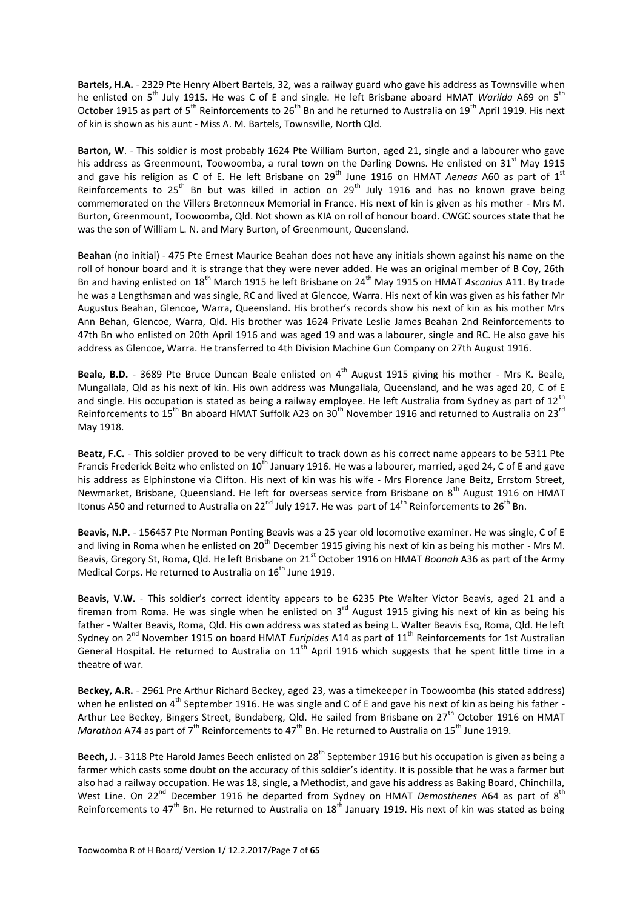**Bartels, H.A.** - 2329 Pte Henry Albert Bartels, 32, was a railway guard who gave his address as Townsville when he enlisted on 5<sup>th</sup> July 1915. He was C of E and single. He left Brisbane aboard HMAT *Warilda* A69 on 5<sup>th</sup> October 1915 as part of  $5^{th}$  Reinforcements to  $26^{th}$  Bn and he returned to Australia on 19<sup>th</sup> April 1919. His next of kin is shown as his aunt - Miss A. M. Bartels, Townsville, North Qld.

**Barton, W**. - This soldier is most probably 1624 Pte William Burton, aged 21, single and a labourer who gave his address as Greenmount. Toowoomba, a rural town on the Darling Downs. He enlisted on  $31<sup>st</sup>$  May 1915 and gave his religion as C of E. He left Brisbane on 29<sup>th</sup> June 1916 on HMAT *Aeneas* A60 as part of 1<sup>st</sup> Reinforcements to 25<sup>th</sup> Bn but was killed in action on 29<sup>th</sup> July 1916 and has no known grave being commemorated on the Villers Bretonneux Memorial in France. His next of kin is given as his mother - Mrs M. Burton, Greenmount, Toowoomba, Qld. Not shown as KIA on roll of honour board. CWGC sources state that he was the son of William L. N. and Mary Burton, of Greenmount, Queensland.

**Beahan** (no initial) - 475 Pte Ernest Maurice Beahan does not have any initials shown against his name on the roll of honour board and it is strange that they were never added. He was an original member of B Coy, 26th Bn and having enlisted on 18th March 1915 he left Brisbane on 24th May 1915 on HMAT *Ascanius* A11. By trade he was a Lengthsman and was single, RC and lived at Glencoe, Warra. His next of kin was given as his father Mr Augustus Beahan, Glencoe, Warra, Queensland. His brother's records show his next of kin as his mother Mrs Ann Behan, Glencoe, Warra, Qld. His brother was 1624 Private Leslie James Beahan 2nd Reinforcements to 47th Bn who enlisted on 20th April 1916 and was aged 19 and was a labourer, single and RC. He also gave his address as Glencoe, Warra. He transferred to 4th Division Machine Gun Company on 27th August 1916.

**Beale, B.D.** - 3689 Pte Bruce Duncan Beale enlisted on 4<sup>th</sup> August 1915 giving his mother - Mrs K. Beale, Mungallala, Qld as his next of kin. His own address was Mungallala, Queensland, and he was aged 20, C of E and single. His occupation is stated as being a railway employee. He left Australia from Sydney as part of  $12<sup>th</sup>$ Reinforcements to 15<sup>th</sup> Bn aboard HMAT Suffolk A23 on 30<sup>th</sup> November 1916 and returned to Australia on 23<sup>rd</sup> May 1918.

**Beatz, F.C.** - This soldier proved to be very difficult to track down as his correct name appears to be 5311 Pte Francis Frederick Beitz who enlisted on  $10^{th}$  January 1916. He was a labourer, married, aged 24, C of E and gave his address as Elphinstone via Clifton. His next of kin was his wife - Mrs Florence Jane Beitz, Errstom Street, Newmarket, Brisbane, Queensland. He left for overseas service from Brisbane on 8<sup>th</sup> August 1916 on HMAT Itonus A50 and returned to Australia on 22<sup>nd</sup> July 1917. He was part of 14<sup>th</sup> Reinforcements to 26<sup>th</sup> Bn.

**Beavis, N.P**. - 156457 Pte Norman Ponting Beavis was a 25 year old locomotive examiner. He was single, C of E and living in Roma when he enlisted on  $20^{th}$  December 1915 giving his next of kin as being his mother - Mrs M. Beavis, Gregory St, Roma, Qld. He left Brisbane on 21<sup>st</sup> October 1916 on HMAT *Boonah* A36 as part of the Army Medical Corps. He returned to Australia on  $16^{th}$  June 1919.

**Beavis, V.W.** - This soldier's correct identity appears to be 6235 Pte Walter Victor Beavis, aged 21 and a fireman from Roma. He was single when he enlisted on  $3^{rd}$  August 1915 giving his next of kin as being his father - Walter Beavis, Roma, Qld. His own address was stated as being L. Walter Beavis Esq, Roma, Qld. He left Sydney on 2nd November 1915 on board HMAT *Euripides* A14 as part of 11th Reinforcements for 1st Australian General Hospital. He returned to Australia on  $11<sup>th</sup>$  April 1916 which suggests that he spent little time in a theatre of war.

**Beckey, A.R.** - 2961 Pre Arthur Richard Beckey, aged 23, was a timekeeper in Toowoomba (his stated address) when he enlisted on 4<sup>th</sup> September 1916. He was single and C of E and gave his next of kin as being his father -Arthur Lee Beckey, Bingers Street, Bundaberg, Qld. He sailed from Brisbane on 27<sup>th</sup> October 1916 on HMAT *Marathon* A74 as part of 7<sup>th</sup> Reinforcements to 47<sup>th</sup> Bn. He returned to Australia on 15<sup>th</sup> June 1919.

**Beech, J.** - 3118 Pte Harold James Beech enlisted on 28<sup>th</sup> September 1916 but his occupation is given as being a farmer which casts some doubt on the accuracy of this soldier's identity. It is possible that he was a farmer but also had a railway occupation. He was 18, single, a Methodist, and gave his address as Baking Board, Chinchilla, West Line. On 22<sup>nd</sup> December 1916 he departed from Sydney on HMAT *Demosthenes* A64 as part of 8<sup>th</sup> Reinforcements to  $47^{\text{th}}$  Bn. He returned to Australia on  $18^{\text{th}}$  January 1919. His next of kin was stated as being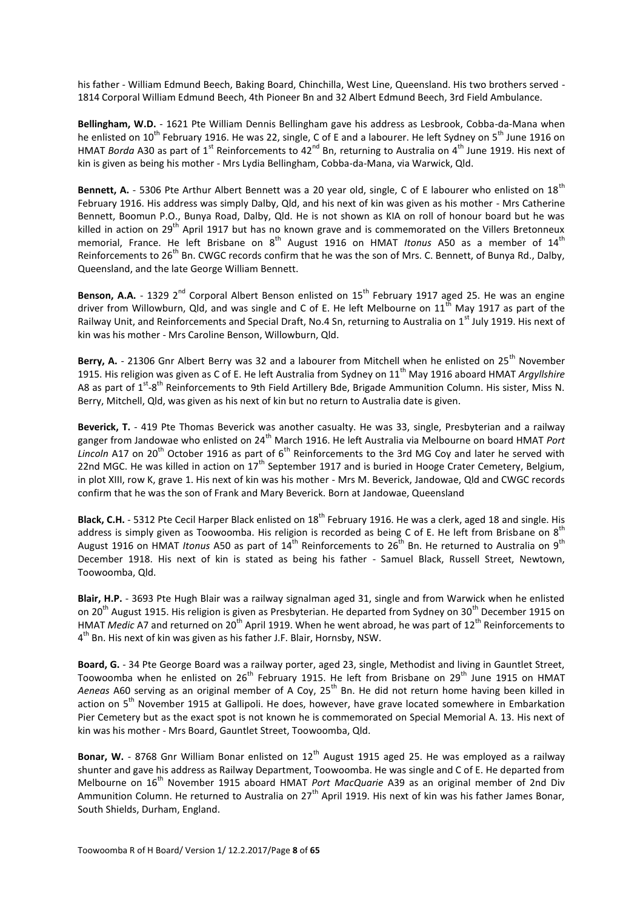his father - William Edmund Beech, Baking Board, Chinchilla, West Line, Queensland. His two brothers served - 1814 Corporal William Edmund Beech, 4th Pioneer Bn and 32 Albert Edmund Beech, 3rd Field Ambulance.

**Bellingham, W.D.** - 1621 Pte William Dennis Bellingham gave his address as Lesbrook, Cobba-da-Mana when he enlisted on 10<sup>th</sup> February 1916. He was 22, single, C of E and a labourer. He left Sydney on 5<sup>th</sup> June 1916 on HMAT *Borda* A30 as part of 1<sup>st</sup> Reinforcements to 42<sup>nd</sup> Bn, returning to Australia on 4<sup>th</sup> June 1919. His next of kin is given as being his mother - Mrs Lydia Bellingham, Cobba-da-Mana, via Warwick, Qld.

Bennett, A. - 5306 Pte Arthur Albert Bennett was a 20 year old, single, C of E labourer who enlisted on 18<sup>th</sup> February 1916. His address was simply Dalby, Qld, and his next of kin was given as his mother - Mrs Catherine Bennett, Boomun P.O., Bunya Road, Dalby, Qld. He is not shown as KIA on roll of honour board but he was killed in action on 29<sup>th</sup> April 1917 but has no known grave and is commemorated on the Villers Bretonneux memorial, France. He left Brisbane on 8<sup>th</sup> August 1916 on HMAT *Itonus* A50 as a member of 14<sup>th</sup> Reinforcements to 26<sup>th</sup> Bn. CWGC records confirm that he was the son of Mrs. C. Bennett, of Bunya Rd., Dalby, Queensland, and the late George William Bennett.

Benson, A.A. - 1329 2<sup>nd</sup> Corporal Albert Benson enlisted on 15<sup>th</sup> February 1917 aged 25. He was an engine driver from Willowburn, Qld, and was single and C of E. He left Melbourne on  $11^{\text{th}}$  May 1917 as part of the Railway Unit, and Reinforcements and Special Draft, No.4 Sn, returning to Australia on 1<sup>st</sup> July 1919. His next of kin was his mother - Mrs Caroline Benson, Willowburn, Qld.

**Berry, A.** - 21306 Gnr Albert Berry was 32 and a labourer from Mitchell when he enlisted on 25<sup>th</sup> November 1915. His religion was given as C of E. He left Australia from Sydney on 11th May 1916 aboard HMAT *Argyllshire* A8 as part of  $1^{st}$ -8<sup>th</sup> Reinforcements to 9th Field Artillery Bde, Brigade Ammunition Column. His sister, Miss N. Berry, Mitchell, Qld, was given as his next of kin but no return to Australia date is given.

**Beverick, T.** - 419 Pte Thomas Beverick was another casualty. He was 33, single, Presbyterian and a railway ganger from Jandowae who enlisted on 24<sup>th</sup> March 1916. He left Australia via Melbourne on board HMAT *Port* Lincoln A17 on 20<sup>th</sup> October 1916 as part of 6<sup>th</sup> Reinforcements to the 3rd MG Coy and later he served with 22nd MGC. He was killed in action on  $17<sup>th</sup>$  September 1917 and is buried in Hooge Crater Cemetery, Belgium, in plot XIII, row K, grave 1. His next of kin was his mother - Mrs M. Beverick, Jandowae, Qld and CWGC records confirm that he was the son of Frank and Mary Beverick. Born at Jandowae, Queensland

**Black, C.H.** - 5312 Pte Cecil Harper Black enlisted on 18<sup>th</sup> February 1916. He was a clerk, aged 18 and single. His address is simply given as Toowoomba. His religion is recorded as being C of E. He left from Brisbane on  $8^{th}$ August 1916 on HMAT *Itonus* A50 as part of 14<sup>th</sup> Reinforcements to 26<sup>th</sup> Bn. He returned to Australia on 9<sup>th</sup> December 1918. His next of kin is stated as being his father - Samuel Black, Russell Street, Newtown, Toowoomba, Qld.

**Blair, H.P.** - 3693 Pte Hugh Blair was a railway signalman aged 31, single and from Warwick when he enlisted on 20<sup>th</sup> August 1915. His religion is given as Presbyterian. He departed from Sydney on 30<sup>th</sup> December 1915 on HMAT *Medic* A7 and returned on 20<sup>th</sup> April 1919. When he went abroad, he was part of 12<sup>th</sup> Reinforcements to 4<sup>th</sup> Bn. His next of kin was given as his father J.F. Blair, Hornsby, NSW.

**Board, G.** - 34 Pte George Board was a railway porter, aged 23, single, Methodist and living in Gauntlet Street, Toowoomba when he enlisted on 26<sup>th</sup> February 1915. He left from Brisbane on 29<sup>th</sup> June 1915 on HMAT Aeneas A60 serving as an original member of A Coy, 25<sup>th</sup> Bn. He did not return home having been killed in action on 5<sup>th</sup> November 1915 at Gallipoli. He does, however, have grave located somewhere in Embarkation Pier Cemetery but as the exact spot is not known he is commemorated on Special Memorial A. 13. His next of kin was his mother - Mrs Board, Gauntlet Street, Toowoomba, Qld.

Bonar, W. - 8768 Gnr William Bonar enlisted on 12<sup>th</sup> August 1915 aged 25. He was employed as a railway shunter and gave his address as Railway Department, Toowoomba. He was single and C of E. He departed from Melbourne on 16th November 1915 aboard HMAT *Port MacQuarie* A39 as an original member of 2nd Div Ammunition Column. He returned to Australia on 27<sup>th</sup> April 1919. His next of kin was his father James Bonar, South Shields, Durham, England.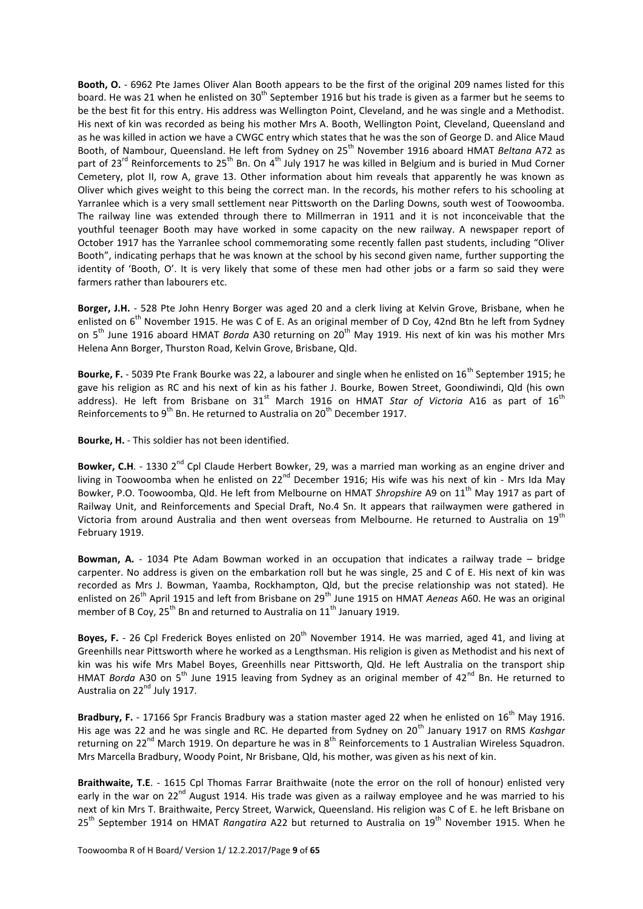**Booth, O.** - 6962 Pte James Oliver Alan Booth appears to be the first of the original 209 names listed for this board. He was 21 when he enlisted on  $30<sup>th</sup>$  September 1916 but his trade is given as a farmer but he seems to be the best fit for this entry. His address was Wellington Point, Cleveland, and he was single and a Methodist. His next of kin was recorded as being his mother Mrs A. Booth, Wellington Point, Cleveland, Queensland and as he was killed in action we have a CWGC entry which states that he was the son of George D. and Alice Maud Booth, of Nambour, Queensland. He left from Sydney on 25th November 1916 aboard HMAT *Beltana* A72 as part of 23<sup>rd</sup> Reinforcements to 25<sup>th</sup> Bn. On 4<sup>th</sup> July 1917 he was killed in Belgium and is buried in Mud Corner Cemetery, plot II, row A, grave 13. Other information about him reveals that apparently he was known as Oliver which gives weight to this being the correct man. In the records, his mother refers to his schooling at Yarranlee which is a very small settlement near Pittsworth on the Darling Downs, south west of Toowoomba. The railway line was extended through there to Millmerran in 1911 and it is not inconceivable that the youthful teenager Booth may have worked in some capacity on the new railway. A newspaper report of October 1917 has the Yarranlee school commemorating some recently fallen past students, including "Oliver Booth", indicating perhaps that he was known at the school by his second given name, further supporting the identity of 'Booth, O'. It is very likely that some of these men had other jobs or a farm so said they were farmers rather than labourers etc.

**Borger, J.H.** - 528 Pte John Henry Borger was aged 20 and a clerk living at Kelvin Grove, Brisbane, when he enlisted on 6<sup>th</sup> November 1915. He was C of E. As an original member of D Coy, 42nd Btn he left from Sydney on 5<sup>th</sup> June 1916 aboard HMAT *Borda* A30 returning on 20<sup>th</sup> May 1919. His next of kin was his mother Mrs Helena Ann Borger, Thurston Road, Kelvin Grove, Brisbane, Qld.

Bourke, F. - 5039 Pte Frank Bourke was 22, a labourer and single when he enlisted on 16<sup>th</sup> September 1915; he gave his religion as RC and his next of kin as his father J. Bourke, Bowen Street, Goondiwindi, Qld (his own address). He left from Brisbane on 31<sup>st</sup> March 1916 on HMAT *Star of Victoria* A16 as part of 16<sup>th</sup> Reinforcements to  $9^{th}$  Bn. He returned to Australia on 20<sup>th</sup> December 1917.

**Bourke, H.** - This soldier has not been identified.

**Bowker, C.H.** - 1330 2<sup>nd</sup> Cpl Claude Herbert Bowker, 29, was a married man working as an engine driver and living in Toowoomba when he enlisted on 22<sup>nd</sup> December 1916; His wife was his next of kin - Mrs Ida May Bowker, P.O. Toowoomba, Qld. He left from Melbourne on HMAT *Shropshire* A9 on 11th May 1917 as part of Railway Unit, and Reinforcements and Special Draft, No.4 Sn. It appears that railwaymen were gathered in Victoria from around Australia and then went overseas from Melbourne. He returned to Australia on 19<sup>th</sup> February 1919.

**Bowman, A.** - 1034 Pte Adam Bowman worked in an occupation that indicates a railway trade – bridge carpenter. No address is given on the embarkation roll but he was single, 25 and C of E. His next of kin was recorded as Mrs J. Bowman, Yaamba, Rockhampton, Qld, but the precise relationship was not stated). He enlisted on 26<sup>th</sup> April 1915 and left from Brisbane on 29<sup>th</sup> June 1915 on HMAT *Aeneas* A60. He was an original member of B Coy, 25<sup>th</sup> Bn and returned to Australia on 11<sup>th</sup> January 1919.

**Boyes, F.** - 26 Cpl Frederick Boyes enlisted on 20<sup>th</sup> November 1914. He was married, aged 41, and living at Greenhills near Pittsworth where he worked as a Lengthsman. His religion is given as Methodist and his next of kin was his wife Mrs Mabel Boyes, Greenhills near Pittsworth, Qld. He left Australia on the transport ship HMAT *Borda* A30 on 5<sup>th</sup> June 1915 leaving from Sydney as an original member of 42<sup>nd</sup> Bn. He returned to Australia on 22<sup>nd</sup> July 1917.

**Bradbury, F.** - 17166 Spr Francis Bradbury was a station master aged 22 when he enlisted on 16<sup>th</sup> May 1916. His age was 22 and he was single and RC. He departed from Sydney on 20th January 1917 on RMS *Kashgar* returning on 22<sup>nd</sup> March 1919. On departure he was in  $8^{th}$  Reinforcements to 1 Australian Wireless Squadron. Mrs Marcella Bradbury, Woody Point, Nr Brisbane, Qld, his mother, was given as his next of kin.

**Braithwaite, T.E**. - 1615 Cpl Thomas Farrar Braithwaite (note the error on the roll of honour) enlisted very early in the war on 22<sup>nd</sup> August 1914. His trade was given as a railway employee and he was married to his next of kin Mrs T. Braithwaite, Percy Street, Warwick, Queensland. His religion was C of E. he left Brisbane on 25<sup>th</sup> September 1914 on HMAT *Rangatira* A22 but returned to Australia on 19<sup>th</sup> November 1915. When he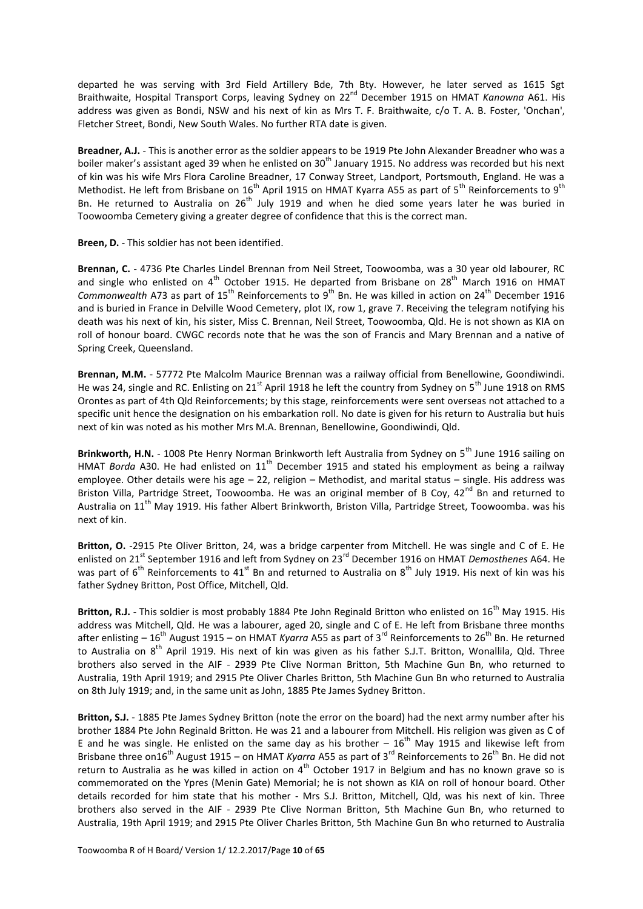departed he was serving with 3rd Field Artillery Bde, 7th Bty. However, he later served as 1615 Sgt Braithwaite, Hospital Transport Corps, leaving Sydney on 22nd December 1915 on HMAT *Kanowna* A61. His address was given as Bondi, NSW and his next of kin as Mrs T. F. Braithwaite, c/o T. A. B. Foster, 'Onchan', Fletcher Street, Bondi, New South Wales. No further RTA date is given.

**Breadner, A.J.** - This is another error as the soldier appears to be 1919 Pte John Alexander Breadner who was a boiler maker's assistant aged 39 when he enlisted on 30<sup>th</sup> January 1915. No address was recorded but his next of kin was his wife Mrs Flora Caroline Breadner, 17 Conway Street, Landport, Portsmouth, England. He was a Methodist. He left from Brisbane on  $16<sup>th</sup>$  April 1915 on HMAT Kyarra A55 as part of  $5<sup>th</sup>$  Reinforcements to  $9<sup>th</sup>$ Bn. He returned to Australia on 26<sup>th</sup> July 1919 and when he died some vears later he was buried in Toowoomba Cemetery giving a greater degree of confidence that this is the correct man.

**Breen, D.** - This soldier has not been identified.

**Brennan, C.** - 4736 Pte Charles Lindel Brennan from Neil Street, Toowoomba, was a 30 year old labourer, RC and single who enlisted on  $4<sup>th</sup>$  October 1915. He departed from Brisbane on 28<sup>th</sup> March 1916 on HMAT *Commonwealth* A73 as part of 15<sup>th</sup> Reinforcements to 9<sup>th</sup> Bn. He was killed in action on 24<sup>th</sup> December 1916 and is buried in France in Delville Wood Cemetery, plot IX, row 1, grave 7. Receiving the telegram notifying his death was his next of kin, his sister, Miss C. Brennan, Neil Street, Toowoomba, Qld. He is not shown as KIA on roll of honour board. CWGC records note that he was the son of Francis and Mary Brennan and a native of Spring Creek, Queensland.

**Brennan, M.M.** - 57772 Pte Malcolm Maurice Brennan was a railway official from Benellowine, Goondiwindi. He was 24, single and RC. Enlisting on 21<sup>st</sup> April 1918 he left the country from Sydney on 5<sup>th</sup> June 1918 on RMS Orontes as part of 4th Qld Reinforcements; by this stage, reinforcements were sent overseas not attached to a specific unit hence the designation on his embarkation roll. No date is given for his return to Australia but huis next of kin was noted as his mother Mrs M.A. Brennan, Benellowine, Goondiwindi, Qld.

Brinkworth, H.N. - 1008 Pte Henry Norman Brinkworth left Australia from Sydney on 5<sup>th</sup> June 1916 sailing on HMAT *Borda* A30. He had enlisted on 11<sup>th</sup> December 1915 and stated his employment as being a railway employee. Other details were his age – 22, religion – Methodist, and marital status – single. His address was Briston Villa, Partridge Street, Toowoomba. He was an original member of B Coy, 42<sup>nd</sup> Bn and returned to Australia on 11<sup>th</sup> May 1919. His father Albert Brinkworth, Briston Villa, Partridge Street, Toowoomba. was his next of kin.

**Britton, O.** -2915 Pte Oliver Britton, 24, was a bridge carpenter from Mitchell. He was single and C of E. He enlisted on 21<sup>st</sup> September 1916 and left from Sydney on 23<sup>rd</sup> December 1916 on HMAT *Demosthenes* A64. He was part of  $6<sup>th</sup>$  Reinforcements to 41<sup>st</sup> Bn and returned to Australia on  $8<sup>th</sup>$  July 1919. His next of kin was his father Sydney Britton, Post Office, Mitchell, Qld.

**Britton, R.J.** - This soldier is most probably 1884 Pte John Reginald Britton who enlisted on 16<sup>th</sup> May 1915. His address was Mitchell, Qld. He was a labourer, aged 20, single and C of E. He left from Brisbane three months after enlisting – 16<sup>th</sup> August 1915 – on HMAT *Kyarra* A55 as part of 3<sup>rd</sup> Reinforcements to 26<sup>th</sup> Bn. He returned to Australia on 8<sup>th</sup> April 1919. His next of kin was given as his father S.J.T. Britton, Wonallila, Qld. Three brothers also served in the AIF - 2939 Pte Clive Norman Britton, 5th Machine Gun Bn, who returned to Australia, 19th April 1919; and 2915 Pte Oliver Charles Britton, 5th Machine Gun Bn who returned to Australia on 8th July 1919; and, in the same unit as John, 1885 Pte James Sydney Britton.

**Britton, S.J.** - 1885 Pte James Sydney Britton (note the error on the board) had the next army number after his brother 1884 Pte John Reginald Britton. He was 21 and a labourer from Mitchell. His religion was given as C of E and he was single. He enlisted on the same day as his brother  $-16<sup>th</sup>$  May 1915 and likewise left from Brisbane three on16<sup>th</sup> August 1915 – on HMAT *Kyarra* A55 as part of 3<sup>rd</sup> Reinforcements to 26<sup>th</sup> Bn. He did not return to Australia as he was killed in action on 4<sup>th</sup> October 1917 in Belgium and has no known grave so is commemorated on the Ypres (Menin Gate) Memorial; he is not shown as KIA on roll of honour board. Other details recorded for him state that his mother - Mrs S.J. Britton, Mitchell, Qld, was his next of kin. Three brothers also served in the AIF - 2939 Pte Clive Norman Britton, 5th Machine Gun Bn, who returned to Australia, 19th April 1919; and 2915 Pte Oliver Charles Britton, 5th Machine Gun Bn who returned to Australia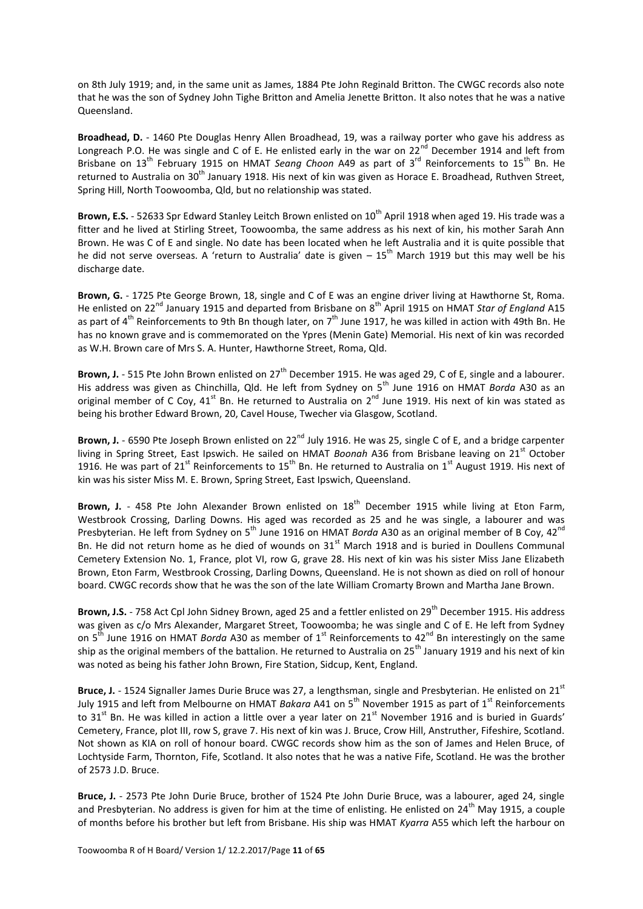on 8th July 1919; and, in the same unit as James, 1884 Pte John Reginald Britton. The CWGC records also note that he was the son of Sydney John Tighe Britton and Amelia Jenette Britton. It also notes that he was a native Queensland.

**Broadhead, D.** - 1460 Pte Douglas Henry Allen Broadhead, 19, was a railway porter who gave his address as Longreach P.O. He was single and C of E. He enlisted early in the war on  $22^{nd}$  December 1914 and left from Brisbane on 13<sup>th</sup> February 1915 on HMAT *Seang Choon* A49 as part of 3<sup>rd</sup> Reinforcements to 15<sup>th</sup> Bn. He returned to Australia on 30<sup>th</sup> January 1918. His next of kin was given as Horace E. Broadhead, Ruthven Street, Spring Hill, North Toowoomba, Qld, but no relationship was stated.

**Brown, E.S.** - 52633 Spr Edward Stanley Leitch Brown enlisted on 10<sup>th</sup> April 1918 when aged 19. His trade was a fitter and he lived at Stirling Street, Toowoomba, the same address as his next of kin, his mother Sarah Ann Brown. He was C of E and single. No date has been located when he left Australia and it is quite possible that he did not serve overseas. A 'return to Australia' date is given  $-15^{th}$  March 1919 but this may well be his discharge date.

**Brown, G.** - 1725 Pte George Brown, 18, single and C of E was an engine driver living at Hawthorne St, Roma. He enlisted on 22nd January 1915 and departed from Brisbane on 8th April 1915 on HMAT *Star of England* A15 as part of  $4^{th}$  Reinforcements to 9th Bn though later, on  $7^{th}$  June 1917, he was killed in action with 49th Bn. He has no known grave and is commemorated on the Ypres (Menin Gate) Memorial. His next of kin was recorded as W.H. Brown care of Mrs S. A. Hunter, Hawthorne Street, Roma, Qld.

**Brown, J.** - 515 Pte John Brown enlisted on 27<sup>th</sup> December 1915. He was aged 29, C of E, single and a labourer. His address was given as Chinchilla, Qld. He left from Sydney on 5<sup>th</sup> June 1916 on HMAT *Borda* A30 as an original member of C Coy, 41<sup>st</sup> Bn. He returned to Australia on 2<sup>nd</sup> June 1919. His next of kin was stated as being his brother Edward Brown, 20, Cavel House, Twecher via Glasgow, Scotland.

Brown, J. - 6590 Pte Joseph Brown enlisted on 22<sup>nd</sup> July 1916. He was 25, single C of E, and a bridge carpenter living in Spring Street, East Ipswich. He sailed on HMAT *Boonah* A36 from Brisbane leaving on 21<sup>st</sup> October 1916. He was part of 21<sup>st</sup> Reinforcements to 15<sup>th</sup> Bn. He returned to Australia on 1<sup>st</sup> August 1919. His next of kin was his sister Miss M. E. Brown, Spring Street, East Ipswich, Queensland.

Brown, J. - 458 Pte John Alexander Brown enlisted on 18<sup>th</sup> December 1915 while living at Eton Farm, Westbrook Crossing, Darling Downs. His aged was recorded as 25 and he was single, a labourer and was Presbyterian. He left from Sydney on 5<sup>th</sup> June 1916 on HMAT *Borda* A30 as an original member of B Coy, 42<sup>nd</sup> Bn. He did not return home as he died of wounds on 31<sup>st</sup> March 1918 and is buried in Doullens Communal Cemetery Extension No. 1, France, plot VI, row G, grave 28. His next of kin was his sister Miss Jane Elizabeth Brown, Eton Farm, Westbrook Crossing, Darling Downs, Queensland. He is not shown as died on roll of honour board. CWGC records show that he was the son of the late William Cromarty Brown and Martha Jane Brown.

**Brown, J.S.** - 758 Act Cpl John Sidney Brown, aged 25 and a fettler enlisted on 29<sup>th</sup> December 1915. His address was given as c/o Mrs Alexander, Margaret Street, Toowoomba; he was single and C of E. He left from Sydney on 5<sup>th</sup> June 1916 on HMAT *Borda* A30 as member of 1<sup>st</sup> Reinforcements to 42<sup>nd</sup> Bn interestingly on the same ship as the original members of the battalion. He returned to Australia on 25<sup>th</sup> January 1919 and his next of kin was noted as being his father John Brown, Fire Station, Sidcup, Kent, England.

Bruce, J. - 1524 Signaller James Durie Bruce was 27, a lengthsman, single and Presbyterian. He enlisted on 21<sup>st</sup> July 1915 and left from Melbourne on HMAT *Bakara* A41 on 5<sup>th</sup> November 1915 as part of 1<sup>st</sup> Reinforcements to 31 $^{\rm st}$  Bn. He was killed in action a little over a year later on 21 $^{\rm st}$  November 1916 and is buried in Guards' Cemetery, France, plot III, row S, grave 7. His next of kin was J. Bruce, Crow Hill, Anstruther, Fifeshire, Scotland. Not shown as KIA on roll of honour board. CWGC records show him as the son of James and Helen Bruce, of Lochtyside Farm, Thornton, Fife, Scotland. It also notes that he was a native Fife, Scotland. He was the brother of 2573 J.D. Bruce.

**Bruce, J.** - 2573 Pte John Durie Bruce, brother of 1524 Pte John Durie Bruce, was a labourer, aged 24, single and Presbyterian. No address is given for him at the time of enlisting. He enlisted on 24<sup>th</sup> May 1915, a couple of months before his brother but left from Brisbane. His ship was HMAT *Kyarra* A55 which left the harbour on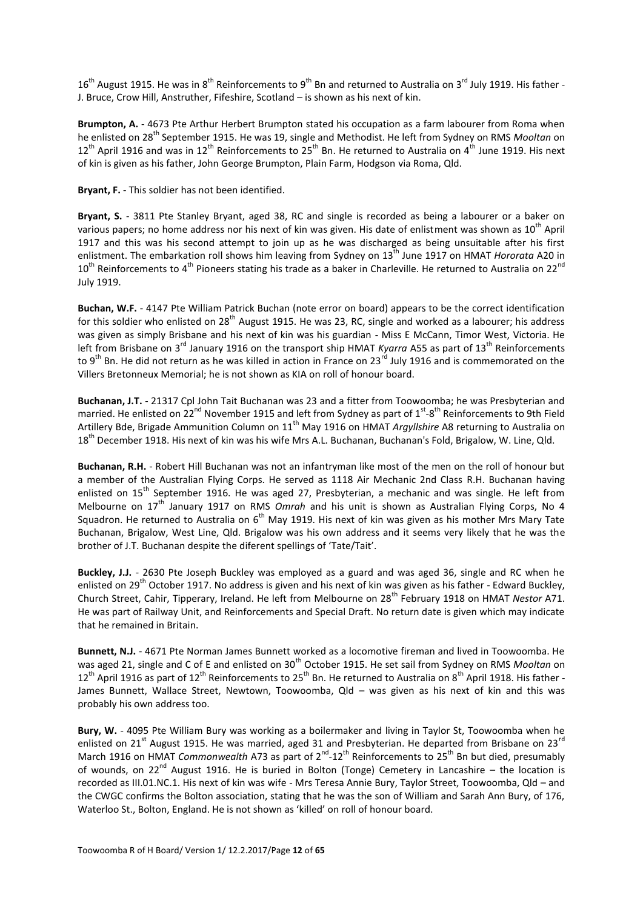$16<sup>th</sup>$  August 1915. He was in  $8<sup>th</sup>$  Reinforcements to  $9<sup>th</sup>$  Bn and returned to Australia on  $3<sup>rd</sup>$  July 1919. His father -J. Bruce, Crow Hill, Anstruther, Fifeshire, Scotland – is shown as his next of kin.

**Brumpton, A.** - 4673 Pte Arthur Herbert Brumpton stated his occupation as a farm labourer from Roma when he enlisted on 28th September 1915. He was 19, single and Methodist. He left from Sydney on RMS *Mooltan* on  $12^{th}$  April 1916 and was in  $12^{th}$  Reinforcements to  $25^{th}$  Bn. He returned to Australia on  $4^{th}$  June 1919. His next of kin is given as his father, John George Brumpton, Plain Farm, Hodgson via Roma, Qld.

**Bryant, F.** - This soldier has not been identified.

**Bryant, S.** - 3811 Pte Stanley Bryant, aged 38, RC and single is recorded as being a labourer or a baker on various papers; no home address nor his next of kin was given. His date of enlistment was shown as 10<sup>th</sup> April 1917 and this was his second attempt to join up as he was discharged as being unsuitable after his first enlistment. The embarkation roll shows him leaving from Sydney on 13<sup>th</sup> June 1917 on HMAT *Hororata* A20 in  $10^{th}$  Reinforcements to 4<sup>th</sup> Pioneers stating his trade as a baker in Charleville. He returned to Australia on 22<sup>nd</sup> July 1919.

**Buchan, W.F.** - 4147 Pte William Patrick Buchan (note error on board) appears to be the correct identification for this soldier who enlisted on  $28^{th}$  August 1915. He was 23, RC, single and worked as a labourer; his address was given as simply Brisbane and his next of kin was his guardian - Miss E McCann, Timor West, Victoria. He left from Brisbane on 3<sup>rd</sup> January 1916 on the transport ship HMAT *Kyarra* A55 as part of 13<sup>th</sup> Reinforcements to 9<sup>th</sup> Bn. He did not return as he was killed in action in France on 23<sup>rd</sup> July 1916 and is commemorated on the Villers Bretonneux Memorial; he is not shown as KIA on roll of honour board.

**Buchanan, J.T.** - 21317 Cpl John Tait Buchanan was 23 and a fitter from Toowoomba; he was Presbyterian and married. He enlisted on 22<sup>nd</sup> November 1915 and left from Sydney as part of 1<sup>st</sup>-8<sup>th</sup> Reinforcements to 9th Field Artillery Bde, Brigade Ammunition Column on 11th May 1916 on HMAT *Argyllshire* A8 returning to Australia on 18<sup>th</sup> December 1918. His next of kin was his wife Mrs A.L. Buchanan, Buchanan's Fold, Brigalow, W. Line, Qld.

**Buchanan, R.H.** - Robert Hill Buchanan was not an infantryman like most of the men on the roll of honour but a member of the Australian Flying Corps. He served as 1118 Air Mechanic 2nd Class R.H. Buchanan having enlisted on 15<sup>th</sup> September 1916. He was aged 27, Presbyterian, a mechanic and was single. He left from Melbourne on 17<sup>th</sup> January 1917 on RMS *Omrah* and his unit is shown as Australian Flying Corps, No 4 Squadron. He returned to Australia on  $6<sup>th</sup>$  May 1919. His next of kin was given as his mother Mrs Mary Tate Buchanan, Brigalow, West Line, Qld. Brigalow was his own address and it seems very likely that he was the brother of J.T. Buchanan despite the diferent spellings of 'Tate/Tait'.

**Buckley, J.J.** - 2630 Pte Joseph Buckley was employed as a guard and was aged 36, single and RC when he enlisted on 29<sup>th</sup> October 1917. No address is given and his next of kin was given as his father - Edward Buckley, Church Street, Cahir, Tipperary, Ireland. He left from Melbourne on 28<sup>th</sup> February 1918 on HMAT *Nestor* A71. He was part of Railway Unit, and Reinforcements and Special Draft. No return date is given which may indicate that he remained in Britain.

**Bunnett, N.J.** - 4671 Pte Norman James Bunnett worked as a locomotive fireman and lived in Toowoomba. He was aged 21, single and C of E and enlisted on 30<sup>th</sup> October 1915. He set sail from Sydney on RMS *Mooltan* on  $12^{th}$  April 1916 as part of  $12^{th}$  Reinforcements to  $25^{th}$  Bn. He returned to Australia on  $8^{th}$  April 1918. His father -James Bunnett, Wallace Street, Newtown, Toowoomba, Qld – was given as his next of kin and this was probably his own address too.

**Bury, W.** - 4095 Pte William Bury was working as a boilermaker and living in Taylor St, Toowoomba when he enlisted on 21<sup>st</sup> August 1915. He was married, aged 31 and Presbyterian. He departed from Brisbane on 23<sup>rd</sup> March 1916 on HMAT *Commonwealth* A73 as part of 2<sup>nd</sup>-12<sup>th</sup> Reinforcements to 25<sup>th</sup> Bn but died, presumably of wounds, on 22<sup>nd</sup> August 1916. He is buried in Bolton (Tonge) Cemetery in Lancashire – the location is recorded as III.01.NC.1. His next of kin was wife - Mrs Teresa Annie Bury, Taylor Street, Toowoomba, Qld – and the CWGC confirms the Bolton association, stating that he was the son of William and Sarah Ann Bury, of 176, Waterloo St., Bolton, England. He is not shown as 'killed' on roll of honour board.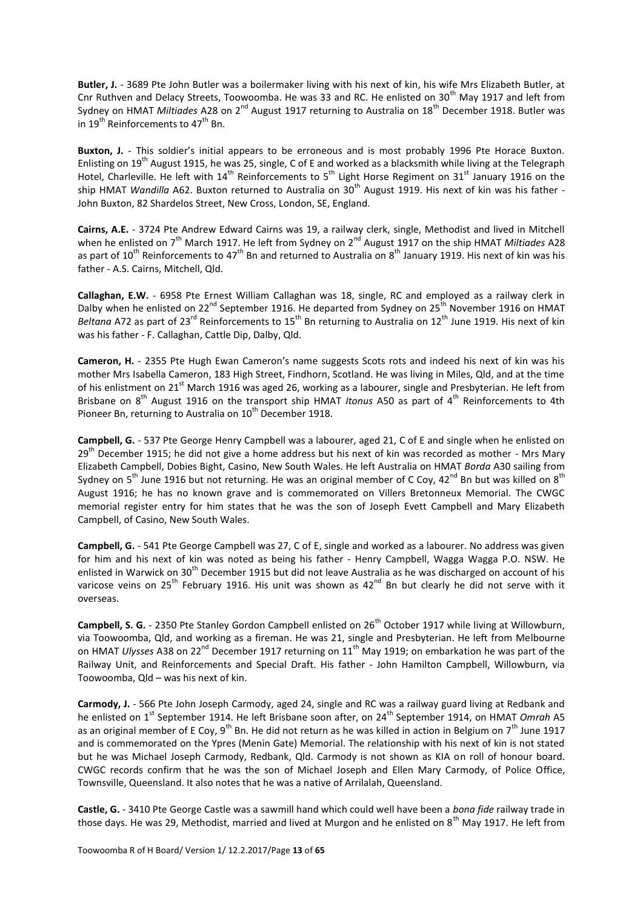**Butler, J.** - 3689 Pte John Butler was a boilermaker living with his next of kin, his wife Mrs Elizabeth Butler, at Cnr Ruthven and Delacy Streets, Toowoomba. He was 33 and RC. He enlisted on 30<sup>th</sup> May 1917 and left from Sydney on HMAT Miltiades A28 on 2<sup>nd</sup> August 1917 returning to Australia on 18<sup>th</sup> December 1918. Butler was in 19<sup>th</sup> Reinforcements to 47<sup>th</sup> Bn.

**Buxton, J.** - This soldier's initial appears to be erroneous and is most probably 1996 Pte Horace Buxton. Enlisting on 19<sup>th</sup> August 1915, he was 25, single, C of E and worked as a blacksmith while living at the Telegraph Hotel, Charleville. He left with 14<sup>th</sup> Reinforcements to 5<sup>th</sup> Light Horse Regiment on 31<sup>st</sup> January 1916 on the ship HMAT *Wandilla* A62. Buxton returned to Australia on 30<sup>th</sup> August 1919. His next of kin was his father -John Buxton, 82 Shardelos Street, New Cross, London, SE, England.

**Cairns, A.E.** - 3724 Pte Andrew Edward Cairns was 19, a railway clerk, single, Methodist and lived in Mitchell when he enlisted on 7<sup>th</sup> March 1917. He left from Sydney on 2<sup>nd</sup> August 1917 on the ship HMAT *Miltiades* A28 as part of 10<sup>th</sup> Reinforcements to 47<sup>th</sup> Bn and returned to Australia on 8<sup>th</sup> January 1919. His next of kin was his father - A.S. Cairns, Mitchell, Qld.

**Callaghan, E.W.** - 6958 Pte Ernest William Callaghan was 18, single, RC and employed as a railway clerk in Dalby when he enlisted on 22<sup>nd</sup> September 1916. He departed from Sydney on 25<sup>th</sup> November 1916 on HMAT *Beltana* A72 as part of 23<sup>rd</sup> Reinforcements to 15<sup>th</sup> Bn returning to Australia on 12<sup>th</sup> June 1919. His next of kin was his father - F. Callaghan, Cattle Dip, Dalby, Qld.

**Cameron, H.** - 2355 Pte Hugh Ewan Cameron's name suggests Scots rots and indeed his next of kin was his mother Mrs Isabella Cameron, 183 High Street, Findhorn, Scotland. He was living in Miles, Qld, and at the time of his enlistment on 21<sup>st</sup> March 1916 was aged 26, working as a labourer, single and Presbyterian. He left from Brisbane on 8<sup>th</sup> August 1916 on the transport ship HMAT *Itonus* A50 as part of 4<sup>th</sup> Reinforcements to 4th Pioneer Bn, returning to Australia on 10<sup>th</sup> December 1918.

**Campbell, G.** - 537 Pte George Henry Campbell was a labourer, aged 21, C of E and single when he enlisted on  $29<sup>th</sup>$  December 1915; he did not give a home address but his next of kin was recorded as mother - Mrs Mary Elizabeth Campbell, Dobies Bight, Casino, New South Wales. He left Australia on HMAT *Borda* A30 sailing from Sydney on 5<sup>th</sup> June 1916 but not returning. He was an original member of C Coy, 42<sup>nd</sup> Bn but was killed on 8<sup>th</sup> August 1916; he has no known grave and is commemorated on Villers Bretonneux Memorial. The CWGC memorial register entry for him states that he was the son of Joseph Evett Campbell and Mary Elizabeth Campbell, of Casino, New South Wales.

**Campbell, G.** - 541 Pte George Campbell was 27, C of E, single and worked as a labourer. No address was given for him and his next of kin was noted as being his father - Henry Campbell, Wagga Wagga P.O. NSW. He enlisted in Warwick on 30<sup>th</sup> December 1915 but did not leave Australia as he was discharged on account of his varicose veins on 25<sup>th</sup> February 1916. His unit was shown as  $42^{nd}$  Bn but clearly he did not serve with it overseas.

**Campbell, S. G.** - 2350 Pte Stanley Gordon Campbell enlisted on 26<sup>th</sup> October 1917 while living at Willowburn, via Toowoomba, Qld, and working as a fireman. He was 21, single and Presbyterian. He left from Melbourne on HMAT *Ulysses* A38 on 22<sup>nd</sup> December 1917 returning on 11<sup>th</sup> May 1919; on embarkation he was part of the Railway Unit, and Reinforcements and Special Draft. His father - John Hamilton Campbell, Willowburn, via Toowoomba, Qld – was his next of kin.

**Carmody, J.** - 566 Pte John Joseph Carmody, aged 24, single and RC was a railway guard living at Redbank and he enlisted on 1<sup>st</sup> September 1914. He left Brisbane soon after, on 24<sup>th</sup> September 1914, on HMAT *Omrah* A5 as an original member of E Coy,  $9<sup>th</sup>$  Bn. He did not return as he was killed in action in Belgium on  $7<sup>th</sup>$  June 1917 and is commemorated on the Ypres (Menin Gate) Memorial. The relationship with his next of kin is not stated but he was Michael Joseph Carmody, Redbank, Qld. Carmody is not shown as KIA on roll of honour board. CWGC records confirm that he was the son of Michael Joseph and Ellen Mary Carmody, of Police Office, Townsville, Queensland. It also notes that he was a native of Arrilalah, Queensland.

**Castle, G.** - 3410 Pte George Castle was a sawmill hand which could well have been a *bona fide* railway trade in those days. He was 29, Methodist, married and lived at Murgon and he enlisted on  $8<sup>th</sup>$  May 1917. He left from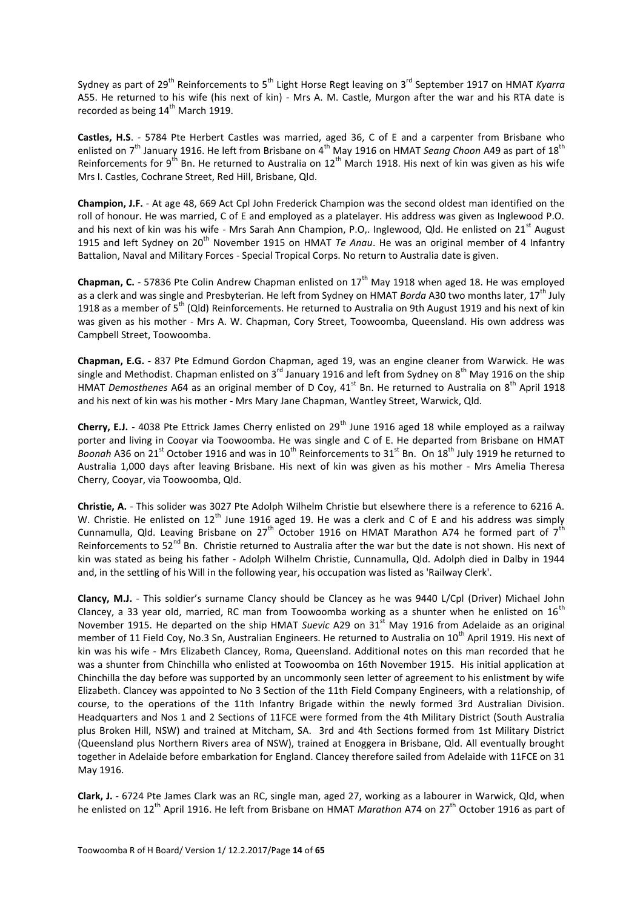Sydney as part of 29<sup>th</sup> Reinforcements to 5<sup>th</sup> Light Horse Regt leaving on 3<sup>rd</sup> September 1917 on HMAT *Kyarra* A55. He returned to his wife (his next of kin) - Mrs A. M. Castle, Murgon after the war and his RTA date is recorded as being  $14<sup>th</sup>$  March 1919.

**Castles, H.S**. - 5784 Pte Herbert Castles was married, aged 36, C of E and a carpenter from Brisbane who enlisted on 7<sup>th</sup> January 1916. He left from Brisbane on 4<sup>th</sup> May 1916 on HMAT *Seang Choon* A49 as part of 18<sup>th</sup> Reinforcements for 9<sup>th</sup> Bn. He returned to Australia on 12<sup>th</sup> March 1918. His next of kin was given as his wife Mrs I. Castles, Cochrane Street, Red Hill, Brisbane, Qld.

**Champion, J.F.** - At age 48, 669 Act Cpl John Frederick Champion was the second oldest man identified on the roll of honour. He was married, C of E and employed as a platelayer. His address was given as Inglewood P.O. and his next of kin was his wife - Mrs Sarah Ann Champion, P.O.. Inglewood, Qld. He enlisted on 21<sup>st</sup> August 1915 and left Sydney on 20<sup>th</sup> November 1915 on HMAT *Te Anau*. He was an original member of 4 Infantry Battalion, Naval and Military Forces - Special Tropical Corps. No return to Australia date is given.

**Chapman, C.** - 57836 Pte Colin Andrew Chapman enlisted on 17<sup>th</sup> May 1918 when aged 18. He was employed as a clerk and was single and Presbyterian. He left from Sydney on HMAT *Borda* A30 two months later, 17th July 1918 as a member of  $5^{th}$  (Qld) Reinforcements. He returned to Australia on 9th August 1919 and his next of kin was given as his mother - Mrs A. W. Chapman, Cory Street, Toowoomba, Queensland. His own address was Campbell Street, Toowoomba.

**Chapman, E.G.** - 837 Pte Edmund Gordon Chapman, aged 19, was an engine cleaner from Warwick. He was single and Methodist. Chapman enlisted on 3<sup>rd</sup> January 1916 and left from Sydney on 8<sup>th</sup> May 1916 on the ship HMAT *Demosthenes* A64 as an original member of D Coy, 41<sup>st</sup> Bn. He returned to Australia on 8<sup>th</sup> April 1918 and his next of kin was his mother - Mrs Mary Jane Chapman, Wantley Street, Warwick, Qld.

**Cherry, E.J.** - 4038 Pte Ettrick James Cherry enlisted on 29<sup>th</sup> June 1916 aged 18 while employed as a railway porter and living in Cooyar via Toowoomba. He was single and C of E. He departed from Brisbane on HMAT *Boonah* A36 on 21<sup>st</sup> October 1916 and was in 10<sup>th</sup> Reinforcements to 31<sup>st</sup> Bn. On 18<sup>th</sup> July 1919 he returned to Australia 1,000 days after leaving Brisbane. His next of kin was given as his mother - Mrs Amelia Theresa Cherry, Cooyar, via Toowoomba, Qld.

**Christie, A.** - This solider was 3027 Pte Adolph Wilhelm Christie but elsewhere there is a reference to 6216 A. W. Christie. He enlisted on  $12<sup>th</sup>$  June 1916 aged 19. He was a clerk and C of E and his address was simply Cunnamulla, Qld. Leaving Brisbane on 27<sup>th</sup> October 1916 on HMAT Marathon A74 he formed part of 7<sup>th</sup> Reinforcements to 52<sup>nd</sup> Bn. Christie returned to Australia after the war but the date is not shown. His next of kin was stated as being his father - Adolph Wilhelm Christie, Cunnamulla, Qld. Adolph died in Dalby in 1944 and, in the settling of his Will in the following year, his occupation was listed as 'Railway Clerk'.

**Clancy, M.J.** - This soldier's surname Clancy should be Clancey as he was 9440 L/Cpl (Driver) Michael John Clancey, a 33 year old, married, RC man from Toowoomba working as a shunter when he enlisted on  $16^{th}$ November 1915. He departed on the ship HMAT *Suevic* A29 on 31<sup>st</sup> May 1916 from Adelaide as an original member of 11 Field Coy, No.3 Sn, Australian Engineers. He returned to Australia on 10<sup>th</sup> April 1919. His next of kin was his wife - Mrs Elizabeth Clancey, Roma, Queensland. Additional notes on this man recorded that he was a shunter from Chinchilla who enlisted at Toowoomba on 16th November 1915. His initial application at Chinchilla the day before was supported by an uncommonly seen letter of agreement to his enlistment by wife Elizabeth. Clancey was appointed to No 3 Section of the 11th Field Company Engineers, with a relationship, of course, to the operations of the 11th Infantry Brigade within the newly formed 3rd Australian Division. Headquarters and Nos 1 and 2 Sections of 11FCE were formed from the 4th Military District (South Australia plus Broken Hill, NSW) and trained at Mitcham, SA. 3rd and 4th Sections formed from 1st Military District (Queensland plus Northern Rivers area of NSW), trained at Enoggera in Brisbane, Qld. All eventually brought together in Adelaide before embarkation for England. Clancey therefore sailed from Adelaide with 11FCE on 31 May 1916.

**Clark, J.** - 6724 Pte James Clark was an RC, single man, aged 27, working as a labourer in Warwick, Qld, when he enlisted on 12th April 1916. He left from Brisbane on HMAT *Marathon* A74 on 27th October 1916 as part of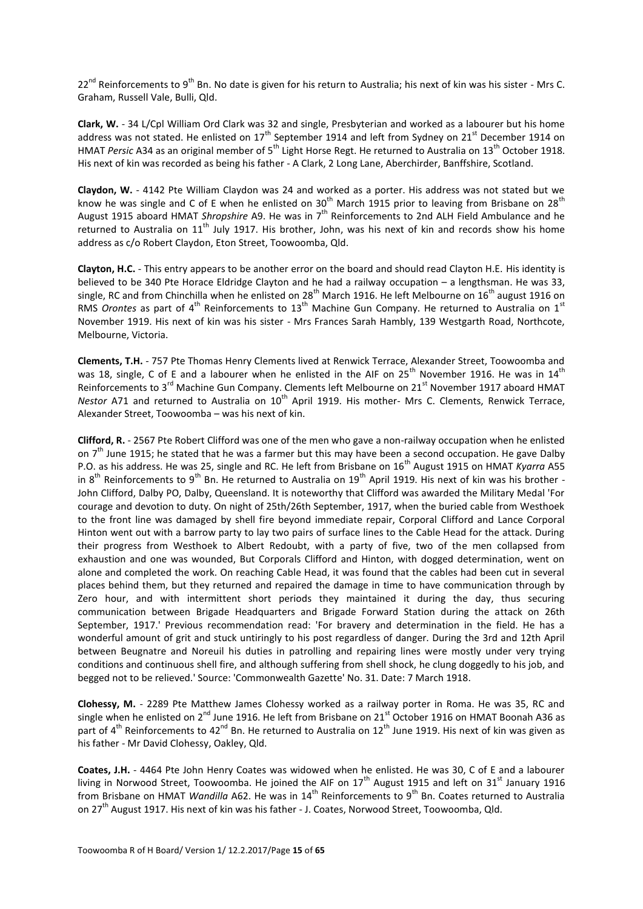$22^{nd}$  Reinforcements to 9<sup>th</sup> Bn. No date is given for his return to Australia; his next of kin was his sister - Mrs C. Graham, Russell Vale, Bulli, Qld.

**Clark, W.** - 34 L/Cpl William Ord Clark was 32 and single, Presbyterian and worked as a labourer but his home address was not stated. He enlisted on  $17^{\text{th}}$  September 1914 and left from Sydney on 21<sup>st</sup> December 1914 on HMAT *Persic* A34 as an original member of 5th Light Horse Regt. He returned to Australia on 13th October 1918. His next of kin was recorded as being his father - A Clark, 2 Long Lane, Aberchirder, Banffshire, Scotland.

**Claydon, W.** - 4142 Pte William Claydon was 24 and worked as a porter. His address was not stated but we know he was single and C of E when he enlisted on  $30^{th}$  March 1915 prior to leaving from Brisbane on 28<sup>th</sup> August 1915 aboard HMAT *Shropshire* A9. He was in 7th Reinforcements to 2nd ALH Field Ambulance and he returned to Australia on 11<sup>th</sup> July 1917. His brother, John, was his next of kin and records show his home address as c/o Robert Claydon, Eton Street, Toowoomba, Qld.

**Clayton, H.C.** - This entry appears to be another error on the board and should read Clayton H.E. His identity is believed to be 340 Pte Horace Eldridge Clayton and he had a railway occupation – a lengthsman. He was 33, single, RC and from Chinchilla when he enlisted on 28<sup>th</sup> March 1916. He left Melbourne on 16<sup>th</sup> august 1916 on RMS *Orontes* as part of 4<sup>th</sup> Reinforcements to 13<sup>th</sup> Machine Gun Company. He returned to Australia on 1<sup>st</sup> November 1919. His next of kin was his sister - Mrs Frances Sarah Hambly, 139 Westgarth Road, Northcote, Melbourne, Victoria.

**Clements, T.H.** - 757 Pte Thomas Henry Clements lived at Renwick Terrace, Alexander Street, Toowoomba and was 18, single, C of E and a labourer when he enlisted in the AIF on  $25^{th}$  November 1916. He was in  $14^{th}$ Reinforcements to 3<sup>rd</sup> Machine Gun Company. Clements left Melbourne on 21<sup>st</sup> November 1917 aboard HMAT *Nestor* A71 and returned to Australia on 10<sup>th</sup> April 1919. His mother- Mrs C. Clements, Renwick Terrace, Alexander Street, Toowoomba – was his next of kin.

**Clifford, R.** - 2567 Pte Robert Clifford was one of the men who gave a non-railway occupation when he enlisted on  $7<sup>th</sup>$  June 1915; he stated that he was a farmer but this may have been a second occupation. He gave Dalby P.O. as his address. He was 25, single and RC. He left from Brisbane on 16<sup>th</sup> August 1915 on HMAT *Kyarra* A55 in  $8^{th}$  Reinforcements to  $9^{th}$  Bn. He returned to Australia on  $19^{th}$  April 1919. His next of kin was his brother -John Clifford, Dalby PO, Dalby, Queensland. It is noteworthy that Clifford was awarded the Military Medal 'For courage and devotion to duty. On night of 25th/26th September, 1917, when the buried cable from Westhoek to the front line was damaged by shell fire beyond immediate repair, Corporal Clifford and Lance Corporal Hinton went out with a barrow party to lay two pairs of surface lines to the Cable Head for the attack. During their progress from Westhoek to Albert Redoubt, with a party of five, two of the men collapsed from exhaustion and one was wounded, But Corporals Clifford and Hinton, with dogged determination, went on alone and completed the work. On reaching Cable Head, it was found that the cables had been cut in several places behind them, but they returned and repaired the damage in time to have communication through by Zero hour, and with intermittent short periods they maintained it during the day, thus securing communication between Brigade Headquarters and Brigade Forward Station during the attack on 26th September, 1917.' Previous recommendation read: 'For bravery and determination in the field. He has a wonderful amount of grit and stuck untiringly to his post regardless of danger. During the 3rd and 12th April between Beugnatre and Noreuil his duties in patrolling and repairing lines were mostly under very trying conditions and continuous shell fire, and although suffering from shell shock, he clung doggedly to his job, and begged not to be relieved.' Source: 'Commonwealth Gazette' No. 31. Date: 7 March 1918.

**Clohessy, M.** - 2289 Pte Matthew James Clohessy worked as a railway porter in Roma. He was 35, RC and single when he enlisted on 2<sup>nd</sup> June 1916. He left from Brisbane on 21<sup>st</sup> October 1916 on HMAT Boonah A36 as part of 4<sup>th</sup> Reinforcements to 42<sup>nd</sup> Bn. He returned to Australia on 12<sup>th</sup> June 1919. His next of kin was given as his father - Mr David Clohessy, Oakley, Qld.

**Coates, J.H.** - 4464 Pte John Henry Coates was widowed when he enlisted. He was 30, C of E and a labourer living in Norwood Street, Toowoomba. He joined the AIF on  $17<sup>th</sup>$  August 1915 and left on 31 $<sup>st</sup>$  January 1916</sup> from Brisbane on HMAT *Wandilla* A62. He was in 14<sup>th</sup> Reinforcements to 9<sup>th</sup> Bn. Coates returned to Australia on 27<sup>th</sup> August 1917. His next of kin was his father - J. Coates, Norwood Street, Toowoomba, Qld.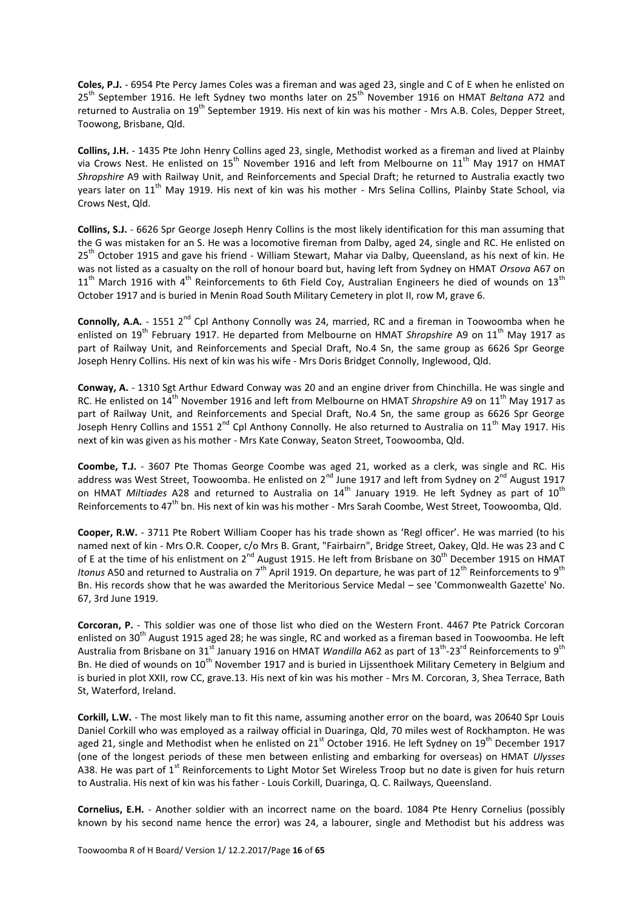**Coles, P.J.** - 6954 Pte Percy James Coles was a fireman and was aged 23, single and C of E when he enlisted on 25<sup>th</sup> September 1916. He left Sydney two months later on 25<sup>th</sup> November 1916 on HMAT *Beltana* A72 and returned to Australia on 19<sup>th</sup> September 1919. His next of kin was his mother - Mrs A.B. Coles, Depper Street, Toowong, Brisbane, Qld.

**Collins, J.H.** - 1435 Pte John Henry Collins aged 23, single, Methodist worked as a fireman and lived at Plainby via Crows Nest. He enlisted on 15<sup>th</sup> November 1916 and left from Melbourne on 11<sup>th</sup> May 1917 on HMAT *Shropshire* A9 with Railway Unit, and Reinforcements and Special Draft; he returned to Australia exactly two years later on 11<sup>th</sup> May 1919. His next of kin was his mother - Mrs Selina Collins, Plainby State School, via Crows Nest, Qld.

**Collins, S.J.** - 6626 Spr George Joseph Henry Collins is the most likely identification for this man assuming that the G was mistaken for an S. He was a locomotive fireman from Dalby, aged 24, single and RC. He enlisted on 25<sup>th</sup> October 1915 and gave his friend - William Stewart, Mahar via Dalby, Queensland, as his next of kin. He was not listed as a casualty on the roll of honour board but, having left from Sydney on HMAT *Orsova* A67 on  $11<sup>th</sup>$  March 1916 with 4<sup>th</sup> Reinforcements to 6th Field Coy, Australian Engineers he died of wounds on 13<sup>th</sup> October 1917 and is buried in Menin Road South Military Cemetery in plot II, row M, grave 6.

**Connolly, A.A.** - 1551 2<sup>nd</sup> Cpl Anthony Connolly was 24, married, RC and a fireman in Toowoomba when he enlisted on 19<sup>th</sup> February 1917. He departed from Melbourne on HMAT *Shropshire* A9 on 11<sup>th</sup> May 1917 as part of Railway Unit, and Reinforcements and Special Draft, No.4 Sn, the same group as 6626 Spr George Joseph Henry Collins. His next of kin was his wife - Mrs Doris Bridget Connolly, Inglewood, Qld.

**Conway, A.** - 1310 Sgt Arthur Edward Conway was 20 and an engine driver from Chinchilla. He was single and RC. He enlisted on 14<sup>th</sup> November 1916 and left from Melbourne on HMAT *Shropshire* A9 on 11<sup>th</sup> May 1917 as part of Railway Unit, and Reinforcements and Special Draft, No.4 Sn, the same group as 6626 Spr George Joseph Henry Collins and 1551 2<sup>nd</sup> Cpl Anthony Connolly. He also returned to Australia on 11<sup>th</sup> May 1917. His next of kin was given as his mother - Mrs Kate Conway, Seaton Street, Toowoomba, Qld.

**Coombe, T.J.** - 3607 Pte Thomas George Coombe was aged 21, worked as a clerk, was single and RC. His address was West Street, Toowoomba. He enlisted on 2<sup>nd</sup> June 1917 and left from Sydney on 2<sup>nd</sup> August 1917 on HMAT Miltiades A28 and returned to Australia on 14<sup>th</sup> January 1919. He left Sydney as part of 10<sup>th</sup> Reinforcements to 47<sup>th</sup> bn. His next of kin was his mother - Mrs Sarah Coombe, West Street, Toowoomba, Qld.

**Cooper, R.W.** - 3711 Pte Robert William Cooper has his trade shown as 'Regl officer'. He was married (to his named next of kin - Mrs O.R. Cooper, c/o Mrs B. Grant, "Fairbairn", Bridge Street, Oakey, Qld. He was 23 and C of E at the time of his enlistment on 2<sup>nd</sup> August 1915. He left from Brisbane on 30<sup>th</sup> December 1915 on HMAT *Itonus* A50 and returned to Australia on 7<sup>th</sup> April 1919. On departure, he was part of 12<sup>th</sup> Reinforcements to 9<sup>th</sup> Bn. His records show that he was awarded the Meritorious Service Medal – see 'Commonwealth Gazette' No. 67, 3rd June 1919.

**Corcoran, P.** - This soldier was one of those list who died on the Western Front. 4467 Pte Patrick Corcoran enlisted on 30<sup>th</sup> August 1915 aged 28; he was single, RC and worked as a fireman based in Toowoomba. He left Australia from Brisbane on 31<sup>st</sup> January 1916 on HMAT *Wandilla* A62 as part of 13<sup>th</sup>-23<sup>rd</sup> Reinforcements to 9<sup>th</sup> Bn. He died of wounds on 10<sup>th</sup> November 1917 and is buried in Lijssenthoek Military Cemetery in Belgium and is buried in plot XXII, row CC, grave.13. His next of kin was his mother - Mrs M. Corcoran, 3, Shea Terrace, Bath St, Waterford, Ireland.

**Corkill, L.W.** - The most likely man to fit this name, assuming another error on the board, was 20640 Spr Louis Daniel Corkill who was employed as a railway official in Duaringa, Qld, 70 miles west of Rockhampton. He was aged 21, single and Methodist when he enlisted on  $21<sup>st</sup>$  October 1916. He left Sydney on  $19<sup>th</sup>$  December 1917 (one of the longest periods of these men between enlisting and embarking for overseas) on HMAT *Ulysses* A38. He was part of  $1<sup>st</sup>$  Reinforcements to Light Motor Set Wireless Troop but no date is given for huis return to Australia. His next of kin was his father - Louis Corkill, Duaringa, Q. C. Railways, Queensland.

**Cornelius, E.H.** - Another soldier with an incorrect name on the board. 1084 Pte Henry Cornelius (possibly known by his second name hence the error) was 24, a labourer, single and Methodist but his address was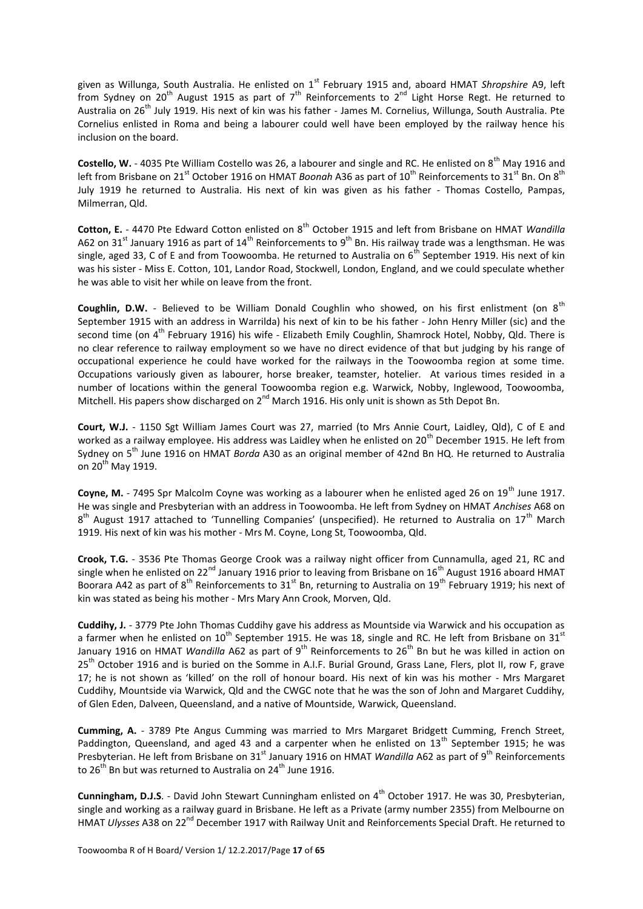given as Willunga, South Australia. He enlisted on 1<sup>st</sup> February 1915 and, aboard HMAT Shropshire A9, left from Sydney on 20<sup>th</sup> August 1915 as part of 7<sup>th</sup> Reinforcements to 2<sup>nd</sup> Light Horse Regt. He returned to Australia on 26<sup>th</sup> July 1919. His next of kin was his father - James M. Cornelius, Willunga, South Australia. Pte Cornelius enlisted in Roma and being a labourer could well have been employed by the railway hence his inclusion on the board.

**Costello, W.** - 4035 Pte William Costello was 26, a labourer and single and RC. He enlisted on 8<sup>th</sup> May 1916 and left from Brisbane on 21<sup>st</sup> October 1916 on HMAT *Boonah* A36 as part of 10<sup>th</sup> Reinforcements to 31<sup>st</sup> Bn. On 8<sup>th</sup> July 1919 he returned to Australia. His next of kin was given as his father - Thomas Costello, Pampas, Milmerran, Qld.

Cotton, E. - 4470 Pte Edward Cotton enlisted on 8<sup>th</sup> October 1915 and left from Brisbane on HMAT *Wandilla* A62 on 31<sup>st</sup> January 1916 as part of 14<sup>th</sup> Reinforcements to 9<sup>th</sup> Bn. His railway trade was a lengthsman. He was single, aged 33, C of E and from Toowoomba. He returned to Australia on  $6<sup>th</sup>$  September 1919. His next of kin was his sister - Miss E. Cotton, 101, Landor Road, Stockwell, London, England, and we could speculate whether he was able to visit her while on leave from the front.

**Coughlin, D.W.** - Believed to be William Donald Coughlin who showed, on his first enlistment (on 8<sup>th</sup>) September 1915 with an address in Warrilda) his next of kin to be his father - John Henry Miller (sic) and the second time (on 4<sup>th</sup> February 1916) his wife - Elizabeth Emily Coughlin, Shamrock Hotel, Nobby, Qld. There is no clear reference to railway employment so we have no direct evidence of that but judging by his range of occupational experience he could have worked for the railways in the Toowoomba region at some time. Occupations variously given as labourer, horse breaker, teamster, hotelier. At various times resided in a number of locations within the general Toowoomba region e.g. Warwick, Nobby, Inglewood, Toowoomba, Mitchell. His papers show discharged on  $2^{nd}$  March 1916. His only unit is shown as 5th Depot Bn.

**Court, W.J.** - 1150 Sgt William James Court was 27, married (to Mrs Annie Court, Laidley, Qld), C of E and worked as a railway employee. His address was Laidley when he enlisted on 20<sup>th</sup> December 1915. He left from Sydney on 5th June 1916 on HMAT *Borda* A30 as an original member of 42nd Bn HQ. He returned to Australia on  $20^{th}$  May 1919.

**Coyne, M.** - 7495 Spr Malcolm Coyne was working as a labourer when he enlisted aged 26 on 19<sup>th</sup> June 1917. He was single and Presbyterian with an address in Toowoomba. He left from Sydney on HMAT *Anchises* A68 on 8<sup>th</sup> August 1917 attached to 'Tunnelling Companies' (unspecified). He returned to Australia on 17<sup>th</sup> March 1919. His next of kin was his mother - Mrs M. Coyne, Long St, Toowoomba, Qld.

**Crook, T.G.** - 3536 Pte Thomas George Crook was a railway night officer from Cunnamulla, aged 21, RC and single when he enlisted on 22<sup>nd</sup> January 1916 prior to leaving from Brisbane on 16<sup>th</sup> August 1916 aboard HMAT Boorara A42 as part of 8<sup>th</sup> Reinforcements to 31<sup>st</sup> Bn, returning to Australia on 19<sup>th</sup> February 1919; his next of kin was stated as being his mother - Mrs Mary Ann Crook, Morven, Qld.

**Cuddihy, J.** - 3779 Pte John Thomas Cuddihy gave his address as Mountside via Warwick and his occupation as a farmer when he enlisted on  $10^{th}$  September 1915. He was 18, single and RC. He left from Brisbane on 31st January 1916 on HMAT *Wandilla* A62 as part of 9<sup>th</sup> Reinforcements to 26<sup>th</sup> Bn but he was killed in action on 25<sup>th</sup> October 1916 and is buried on the Somme in A.I.F. Burial Ground, Grass Lane, Flers, plot II, row F, grave 17; he is not shown as 'killed' on the roll of honour board. His next of kin was his mother - Mrs Margaret Cuddihy, Mountside via Warwick, Qld and the CWGC note that he was the son of John and Margaret Cuddihy, of Glen Eden, Dalveen, Queensland, and a native of Mountside, Warwick, Queensland.

**Cumming, A.** - 3789 Pte Angus Cumming was married to Mrs Margaret Bridgett Cumming, French Street, Paddington, Queensland, and aged 43 and a carpenter when he enlisted on  $13<sup>th</sup>$  September 1915; he was Presbyterian. He left from Brisbane on 31<sup>st</sup> January 1916 on HMAT *Wandilla* A62 as part of 9<sup>th</sup> Reinforcements to  $26^{th}$  Bn but was returned to Australia on  $24^{th}$  June 1916.

Cunningham, D.J.S. - David John Stewart Cunningham enlisted on 4<sup>th</sup> October 1917. He was 30, Presbvterian. single and working as a railway guard in Brisbane. He left as a Private (army number 2355) from Melbourne on HMAT *Ulysses* A38 on 22<sup>nd</sup> December 1917 with Railway Unit and Reinforcements Special Draft. He returned to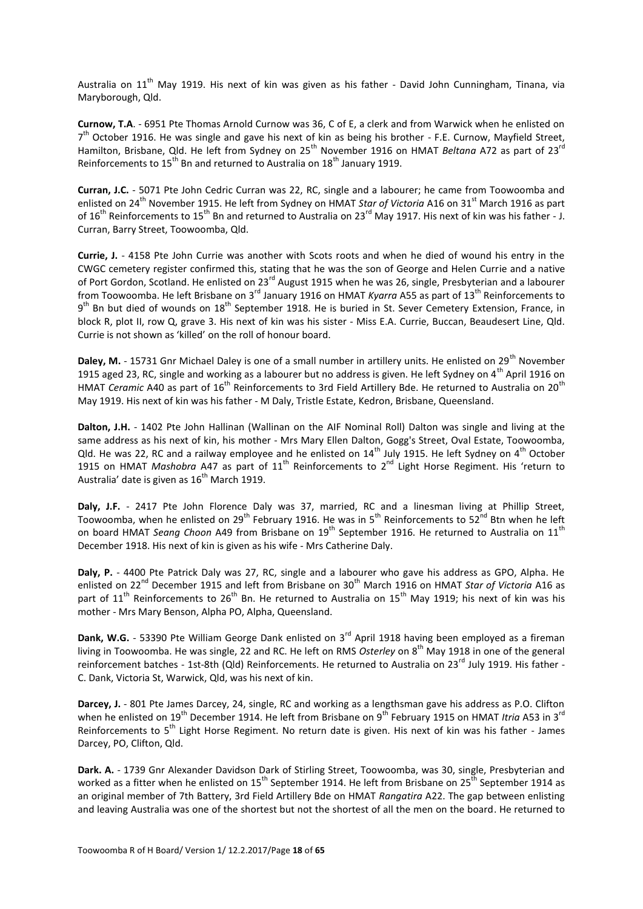Australia on  $11<sup>th</sup>$  May 1919. His next of kin was given as his father - David John Cunningham, Tinana, via Maryborough, Qld.

**Curnow, T.A**. - 6951 Pte Thomas Arnold Curnow was 36, C of E, a clerk and from Warwick when he enlisted on 7<sup>th</sup> October 1916. He was single and gave his next of kin as being his brother - F.E. Curnow, Mayfield Street, Hamilton, Brisbane, Qld. He left from Sydney on 25th November 1916 on HMAT *Beltana* A72 as part of 23rd Reinforcements to 15<sup>th</sup> Bn and returned to Australia on 18<sup>th</sup> January 1919.

**Curran, J.C.** - 5071 Pte John Cedric Curran was 22, RC, single and a labourer; he came from Toowoomba and enlisted on 24<sup>th</sup> November 1915. He left from Sydney on HMAT *Star of Victoria* A16 on 31<sup>st</sup> March 1916 as part of 16<sup>th</sup> Reinforcements to 15<sup>th</sup> Bn and returned to Australia on 23<sup>rd</sup> May 1917. His next of kin was his father - J. Curran, Barry Street, Toowoomba, Qld.

**Currie, J.** - 4158 Pte John Currie was another with Scots roots and when he died of wound his entry in the CWGC cemetery register confirmed this, stating that he was the son of George and Helen Currie and a native of Port Gordon, Scotland. He enlisted on 23<sup>rd</sup> August 1915 when he was 26, single, Presbyterian and a labourer from Toowoomba. He left Brisbane on 3<sup>rd</sup> January 1916 on HMAT *Kyarra* A55 as part of 13<sup>th</sup> Reinforcements to 9<sup>th</sup> Bn but died of wounds on 18<sup>th</sup> September 1918. He is buried in St. Sever Cemetery Extension, France, in block R, plot II, row Q, grave 3. His next of kin was his sister - Miss E.A. Currie, Buccan, Beaudesert Line, Qld. Currie is not shown as 'killed' on the roll of honour board.

Daley, M. - 15731 Gnr Michael Daley is one of a small number in artillery units. He enlisted on 29<sup>th</sup> November 1915 aged 23, RC, single and working as a labourer but no address is given. He left Sydney on  $4^{\text{th}}$  April 1916 on HMAT *Ceramic* A40 as part of 16<sup>th</sup> Reinforcements to 3rd Field Artillery Bde. He returned to Australia on 20<sup>th</sup> May 1919. His next of kin was his father - M Daly, Tristle Estate, Kedron, Brisbane, Queensland.

**Dalton, J.H.** - 1402 Pte John Hallinan (Wallinan on the AIF Nominal Roll) Dalton was single and living at the same address as his next of kin, his mother - Mrs Mary Ellen Dalton, Gogg's Street, Oval Estate, Toowoomba, Qld. He was 22, RC and a railway employee and he enlisted on  $14^{th}$  July 1915. He left Sydney on  $4^{th}$  October 1915 on HMAT *Mashobra* A47 as part of 11<sup>th</sup> Reinforcements to 2<sup>nd</sup> Light Horse Regiment. His 'return to Australia' date is given as  $16<sup>th</sup>$  March 1919.

**Daly, J.F.** - 2417 Pte John Florence Daly was 37, married, RC and a linesman living at Phillip Street, Toowoomba, when he enlisted on  $29^{th}$  February 1916. He was in  $5^{th}$  Reinforcements to  $52^{nd}$  Btn when he left on board HMAT *Seang Choon* A49 from Brisbane on 19<sup>th</sup> September 1916. He returned to Australia on 11<sup>th</sup> December 1918. His next of kin is given as his wife - Mrs Catherine Daly.

**Daly, P.** - 4400 Pte Patrick Daly was 27, RC, single and a labourer who gave his address as GPO, Alpha. He enlisted on 22nd December 1915 and left from Brisbane on 30th March 1916 on HMAT *Star of Victoria* A16 as part of  $11<sup>th</sup>$  Reinforcements to 26<sup>th</sup> Bn. He returned to Australia on  $15<sup>th</sup>$  May 1919; his next of kin was his mother - Mrs Mary Benson, Alpha PO, Alpha, Queensland.

Dank, W.G. - 53390 Pte William George Dank enlisted on 3<sup>rd</sup> April 1918 having been employed as a fireman living in Toowoomba. He was single, 22 and RC. He left on RMS *Osterley* on 8<sup>th</sup> May 1918 in one of the general reinforcement batches - 1st-8th (Qld) Reinforcements. He returned to Australia on 23<sup>rd</sup> July 1919. His father -C. Dank, Victoria St, Warwick, Qld, was his next of kin.

**Darcey, J.** - 801 Pte James Darcey, 24, single, RC and working as a lengthsman gave his address as P.O. Clifton when he enlisted on 19<sup>th</sup> December 1914. He left from Brisbane on 9<sup>th</sup> February 1915 on HMAT *Itrig* A53 in 3<sup>rd</sup> Reinforcements to 5<sup>th</sup> Light Horse Regiment. No return date is given. His next of kin was his father - James Darcey, PO, Clifton, Qld.

**Dark. A.** - 1739 Gnr Alexander Davidson Dark of Stirling Street, Toowoomba, was 30, single, Presbyterian and worked as a fitter when he enlisted on 15<sup>th</sup> September 1914. He left from Brisbane on 25<sup>th</sup> September 1914 as an original member of 7th Battery, 3rd Field Artillery Bde on HMAT *Rangatira* A22. The gap between enlisting and leaving Australia was one of the shortest but not the shortest of all the men on the board. He returned to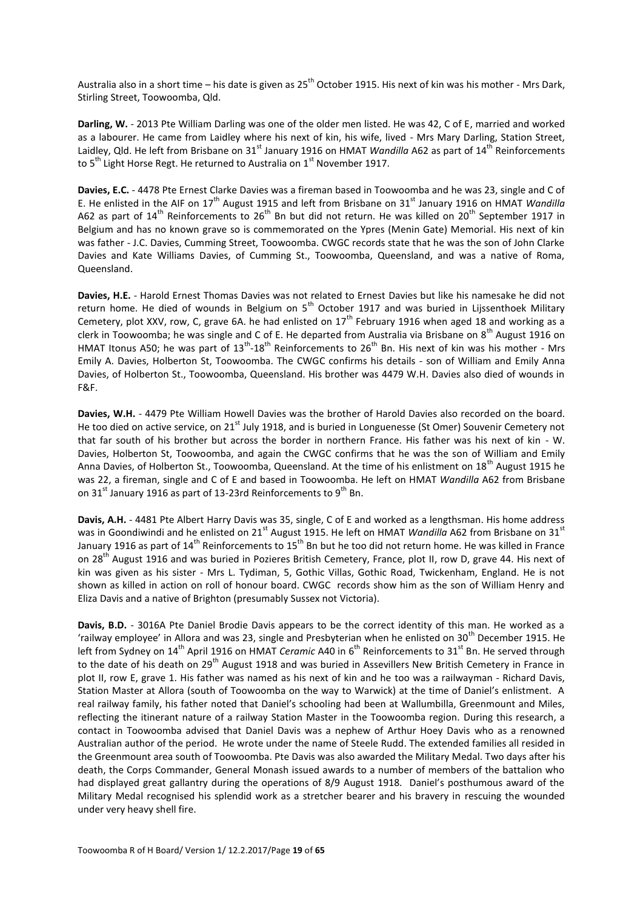Australia also in a short time – his date is given as  $25^{th}$  October 1915. His next of kin was his mother - Mrs Dark, Stirling Street, Toowoomba, Qld.

**Darling, W.** - 2013 Pte William Darling was one of the older men listed. He was 42, C of E, married and worked as a labourer. He came from Laidley where his next of kin, his wife, lived - Mrs Mary Darling, Station Street, Laidley, Qld. He left from Brisbane on 31<sup>st</sup> January 1916 on HMAT *Wandilla* A62 as part of 14<sup>th</sup> Reinforcements to 5<sup>th</sup> Light Horse Regt. He returned to Australia on  $1<sup>st</sup>$  November 1917.

**Davies, E.C.** - 4478 Pte Ernest Clarke Davies was a fireman based in Toowoomba and he was 23, single and C of E. He enlisted in the AIF on 17<sup>th</sup> August 1915 and left from Brisbane on 31<sup>st</sup> January 1916 on HMAT *Wandilla* A62 as part of  $14<sup>th</sup>$  Reinforcements to  $26<sup>th</sup>$  Bn but did not return. He was killed on  $20<sup>th</sup>$  September 1917 in Belgium and has no known grave so is commemorated on the Ypres (Menin Gate) Memorial. His next of kin was father - J.C. Davies, Cumming Street, Toowoomba. CWGC records state that he was the son of John Clarke Davies and Kate Williams Davies, of Cumming St., Toowoomba, Queensland, and was a native of Roma, Queensland.

**Davies, H.E.** - Harold Ernest Thomas Davies was not related to Ernest Davies but like his namesake he did not return home. He died of wounds in Belgium on  $5<sup>th</sup>$  October 1917 and was buried in Lijssenthoek Military Cemetery, plot XXV, row, C, grave 6A. he had enlisted on  $17<sup>th</sup>$  February 1916 when aged 18 and working as a clerk in Toowoomba; he was single and C of E. He departed from Australia via Brisbane on  $8<sup>th</sup>$  August 1916 on HMAT Itonus A50; he was part of  $13^{th}$ -18<sup>th</sup> Reinforcements to  $26^{th}$  Bn. His next of kin was his mother - Mrs Emily A. Davies, Holberton St, Toowoomba. The CWGC confirms his details - son of William and Emily Anna Davies, of Holberton St., Toowoomba, Queensland. His brother was 4479 W.H. Davies also died of wounds in F&F.

**Davies, W.H.** - 4479 Pte William Howell Davies was the brother of Harold Davies also recorded on the board. He too died on active service, on 21<sup>st</sup> July 1918, and is buried in Longuenesse (St Omer) Souvenir Cemetery not that far south of his brother but across the border in northern France. His father was his next of kin - W. Davies, Holberton St, Toowoomba, and again the CWGC confirms that he was the son of William and Emily Anna Davies, of Holberton St., Toowoomba, Queensland. At the time of his enlistment on 18<sup>th</sup> August 1915 he was 22, a fireman, single and C of E and based in Toowoomba. He left on HMAT *Wandilla* A62 from Brisbane on 31<sup>st</sup> January 1916 as part of 13-23rd Reinforcements to 9<sup>th</sup> Bn.

**Davis, A.H.** - 4481 Pte Albert Harry Davis was 35, single, C of E and worked as a lengthsman. His home address was in Goondiwindi and he enlisted on 21<sup>st</sup> August 1915. He left on HMAT *Wandilla* A62 from Brisbane on 31<sup>st</sup> January 1916 as part of 14<sup>th</sup> Reinforcements to 15<sup>th</sup> Bn but he too did not return home. He was killed in France on 28<sup>th</sup> August 1916 and was buried in Pozieres British Cemetery, France, plot II, row D, grave 44. His next of kin was given as his sister - Mrs L. Tydiman, 5, Gothic Villas, Gothic Road, Twickenham, England. He is not shown as killed in action on roll of honour board. CWGC records show him as the son of William Henry and Eliza Davis and a native of Brighton (presumably Sussex not Victoria).

**Davis, B.D.** - 3016A Pte Daniel Brodie Davis appears to be the correct identity of this man. He worked as a 'railway employee' in Allora and was 23, single and Presbyterian when he enlisted on 30<sup>th</sup> December 1915. He left from Sydney on 14<sup>th</sup> April 1916 on HMAT *Ceramic* A40 in 6<sup>th</sup> Reinforcements to 31<sup>st</sup> Bn. He served through to the date of his death on 29<sup>th</sup> August 1918 and was buried in Assevillers New British Cemetery in France in plot II, row E, grave 1. His father was named as his next of kin and he too was a railwayman - Richard Davis, Station Master at Allora (south of Toowoomba on the way to Warwick) at the time of Daniel's enlistment. A real railway family, his father noted that Daniel's schooling had been at Wallumbilla, Greenmount and Miles, reflecting the itinerant nature of a railway Station Master in the Toowoomba region. During this research, a contact in Toowoomba advised that Daniel Davis was a nephew of Arthur Hoey Davis who as a renowned Australian author of the period. He wrote under the name of Steele Rudd. The extended families all resided in the Greenmount area south of Toowoomba. Pte Davis was also awarded the Military Medal. Two days after his death, the Corps Commander, General Monash issued awards to a number of members of the battalion who had displayed great gallantry during the operations of 8/9 August 1918. Daniel's posthumous award of the Military Medal recognised his splendid work as a stretcher bearer and his bravery in rescuing the wounded under very heavy shell fire.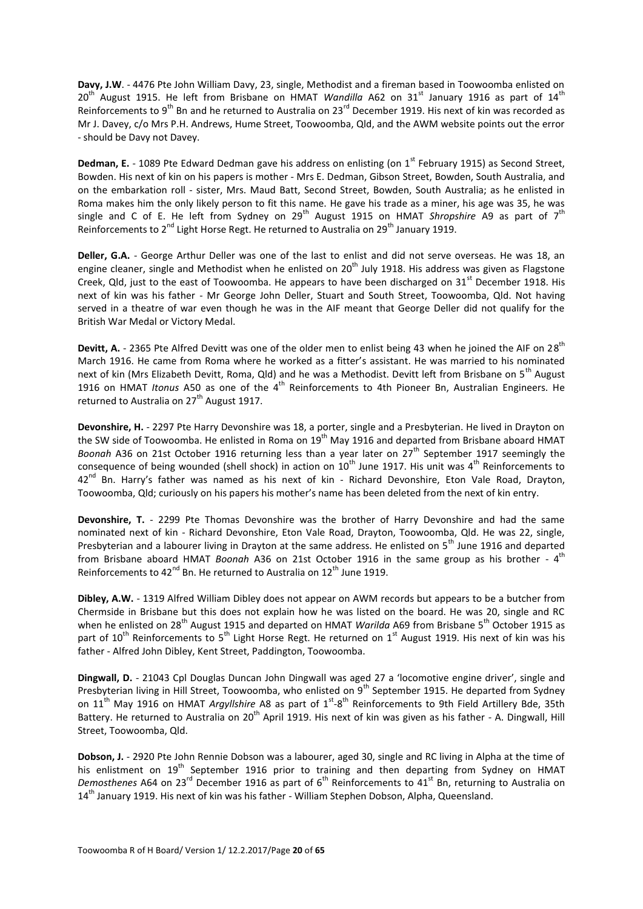**Davy, J.W**. - 4476 Pte John William Davy, 23, single, Methodist and a fireman based in Toowoomba enlisted on 20<sup>th</sup> August 1915. He left from Brisbane on HMAT *Wandilla* A62 on 31<sup>st</sup> January 1916 as part of 14<sup>th</sup> Reinforcements to 9<sup>th</sup> Bn and he returned to Australia on 23<sup>rd</sup> December 1919. His next of kin was recorded as Mr J. Davey, c/o Mrs P.H. Andrews, Hume Street, Toowoomba, Qld, and the AWM website points out the error - should be Davy not Davey.

**Dedman, E.** - 1089 Pte Edward Dedman gave his address on enlisting (on 1<sup>st</sup> February 1915) as Second Street, Bowden. His next of kin on his papers is mother - Mrs E. Dedman, Gibson Street, Bowden, South Australia, and on the embarkation roll - sister, Mrs. Maud Batt, Second Street, Bowden, South Australia; as he enlisted in Roma makes him the only likely person to fit this name. He gave his trade as a miner, his age was 35, he was single and C of E. He left from Sydney on 29<sup>th</sup> August 1915 on HMAT *Shropshire* A9 as part of 7<sup>th</sup> Reinforcements to  $2^{nd}$  Light Horse Regt. He returned to Australia on  $29^{th}$  January 1919.

**Deller, G.A.** - George Arthur Deller was one of the last to enlist and did not serve overseas. He was 18, an engine cleaner, single and Methodist when he enlisted on  $20<sup>th</sup>$  July 1918. His address was given as Flagstone Creek, Qld, just to the east of Toowoomba. He appears to have been discharged on  $31<sup>st</sup>$  December 1918. His next of kin was his father - Mr George John Deller, Stuart and South Street, Toowoomba, Qld. Not having served in a theatre of war even though he was in the AIF meant that George Deller did not qualify for the British War Medal or Victory Medal.

Devitt, A. - 2365 Pte Alfred Devitt was one of the older men to enlist being 43 when he joined the AIF on 28<sup>th</sup> March 1916. He came from Roma where he worked as a fitter's assistant. He was married to his nominated next of kin (Mrs Elizabeth Devitt, Roma, Qld) and he was a Methodist. Devitt left from Brisbane on 5<sup>th</sup> August 1916 on HMAT *Itonus* A50 as one of the 4th Reinforcements to 4th Pioneer Bn, Australian Engineers. He returned to Australia on  $27<sup>th</sup>$  August 1917.

**Devonshire, H.** - 2297 Pte Harry Devonshire was 18, a porter, single and a Presbyterian. He lived in Drayton on the SW side of Toowoomba. He enlisted in Roma on 19<sup>th</sup> May 1916 and departed from Brisbane aboard HMAT *Boonah* A36 on 21st October 1916 returning less than a year later on 27<sup>th</sup> September 1917 seemingly the consequence of being wounded (shell shock) in action on  $10^{th}$  June 1917. His unit was  $4^{th}$  Reinforcements to 42<sup>nd</sup> Bn. Harry's father was named as his next of kin - Richard Devonshire, Eton Vale Road, Drayton, Toowoomba, Qld; curiously on his papers his mother's name has been deleted from the next of kin entry.

**Devonshire, T.** - 2299 Pte Thomas Devonshire was the brother of Harry Devonshire and had the same nominated next of kin - Richard Devonshire, Eton Vale Road, Drayton, Toowoomba, Qld. He was 22, single, Presbyterian and a labourer living in Drayton at the same address. He enlisted on 5<sup>th</sup> June 1916 and departed from Brisbane aboard HMAT *Boonah* A36 on 21st October 1916 in the same group as his brother - 4<sup>th</sup> Reinforcements to  $42^{nd}$  Bn. He returned to Australia on  $12^{th}$  June 1919.

**Dibley, A.W.** - 1319 Alfred William Dibley does not appear on AWM records but appears to be a butcher from Chermside in Brisbane but this does not explain how he was listed on the board. He was 20, single and RC when he enlisted on 28<sup>th</sup> August 1915 and departed on HMAT *Warilda* A69 from Brisbane 5<sup>th</sup> October 1915 as part of 10<sup>th</sup> Reinforcements to 5<sup>th</sup> Light Horse Regt. He returned on 1<sup>st</sup> August 1919. His next of kin was his father - Alfred John Dibley, Kent Street, Paddington, Toowoomba.

**Dingwall, D.** - 21043 Cpl Douglas Duncan John Dingwall was aged 27 a 'locomotive engine driver', single and Presbyterian living in Hill Street, Toowoomba, who enlisted on 9<sup>th</sup> September 1915. He departed from Sydney on 11<sup>th</sup> May 1916 on HMAT *Argyllshire* A8 as part of 1<sup>st</sup>-8<sup>th</sup> Reinforcements to 9th Field Artillery Bde, 35th Battery. He returned to Australia on 20<sup>th</sup> April 1919. His next of kin was given as his father - A. Dingwall, Hill Street, Toowoomba, Qld.

**Dobson, J.** - 2920 Pte John Rennie Dobson was a labourer, aged 30, single and RC living in Alpha at the time of his enlistment on 19<sup>th</sup> September 1916 prior to training and then departing from Sydney on HMAT Demosthenes A64 on 23<sup>rd</sup> December 1916 as part of 6<sup>th</sup> Reinforcements to 41<sup>st</sup> Bn, returning to Australia on 14<sup>th</sup> January 1919. His next of kin was his father - William Stephen Dobson, Alpha, Queensland.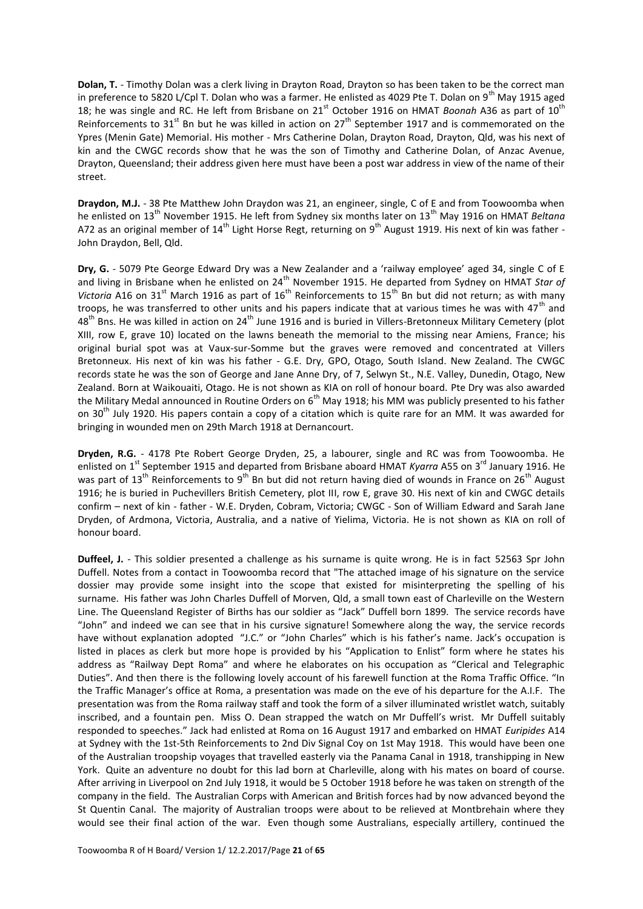**Dolan, T.** - Timothy Dolan was a clerk living in Drayton Road, Drayton so has been taken to be the correct man in preference to 5820 L/Cpl T. Dolan who was a farmer. He enlisted as 4029 Pte T. Dolan on 9<sup>th</sup> May 1915 aged 18; he was single and RC. He left from Brisbane on 21<sup>st</sup> October 1916 on HMAT *Boonah* A36 as part of 10<sup>th</sup> Reinforcements to  $31^{st}$  Bn but he was killed in action on  $27^{th}$  September 1917 and is commemorated on the Ypres (Menin Gate) Memorial. His mother - Mrs Catherine Dolan, Drayton Road, Drayton, Qld, was his next of kin and the CWGC records show that he was the son of Timothy and Catherine Dolan, of Anzac Avenue, Drayton, Queensland; their address given here must have been a post war address in view of the name of their street.

**Draydon, M.J.** - 38 Pte Matthew John Draydon was 21, an engineer, single, C of E and from Toowoomba when he enlisted on 13th November 1915. He left from Sydney six months later on 13th May 1916 on HMAT *Beltana* A72 as an original member of  $14^{\text{th}}$  Light Horse Regt, returning on 9<sup>th</sup> August 1919. His next of kin was father -John Draydon, Bell, Qld.

**Dry, G.** - 5079 Pte George Edward Dry was a New Zealander and a 'railway employee' aged 34, single C of E and living in Brisbane when he enlisted on 24<sup>th</sup> November 1915. He departed from Sydney on HMAT *Star of Victoria* A16 on 31<sup>st</sup> March 1916 as part of 16<sup>th</sup> Reinforcements to 15<sup>th</sup> Bn but did not return; as with many troops, he was transferred to other units and his papers indicate that at various times he was with  $47<sup>th</sup>$  and 48<sup>th</sup> Bns. He was killed in action on 24<sup>th</sup> June 1916 and is buried in Villers-Bretonneux Military Cemetery (plot XIII, row E, grave 10) located on the lawns beneath the memorial to the missing near Amiens, France; his original burial spot was at Vaux-sur-Somme but the graves were removed and concentrated at Villers Bretonneux. His next of kin was his father - G.E. Dry, GPO, Otago, South Island. New Zealand. The CWGC records state he was the son of George and Jane Anne Dry, of 7, Selwyn St., N.E. Valley, Dunedin, Otago, New Zealand. Born at Waikouaiti, Otago. He is not shown as KIA on roll of honour board. Pte Dry was also awarded the Military Medal announced in Routine Orders on 6<sup>th</sup> May 1918; his MM was publicly presented to his father on 30<sup>th</sup> July 1920. His papers contain a copy of a citation which is quite rare for an MM. It was awarded for bringing in wounded men on 29th March 1918 at Dernancourt.

**Dryden, R.G.** - 4178 Pte Robert George Dryden, 25, a labourer, single and RC was from Toowoomba. He enlisted on 1<sup>st</sup> September 1915 and departed from Brisbane aboard HMAT *Kyarra* A55 on 3<sup>rd</sup> January 1916. He was part of 13<sup>th</sup> Reinforcements to 9<sup>th</sup> Bn but did not return having died of wounds in France on 26<sup>th</sup> August 1916; he is buried in Puchevillers British Cemetery, plot III, row E, grave 30. His next of kin and CWGC details confirm – next of kin - father - W.E. Dryden, Cobram, Victoria; CWGC - Son of William Edward and Sarah Jane Dryden, of Ardmona, Victoria, Australia, and a native of Yielima, Victoria. He is not shown as KIA on roll of honour board.

**Duffeel, J.** - This soldier presented a challenge as his surname is quite wrong. He is in fact 52563 Spr John Duffell. Notes from a contact in Toowoomba record that "The attached image of his signature on the service dossier may provide some insight into the scope that existed for misinterpreting the spelling of his surname. His father was John Charles Duffell of Morven, Qld, a small town east of Charleville on the Western Line. The Queensland Register of Births has our soldier as "Jack" Duffell born 1899. The service records have "John" and indeed we can see that in his cursive signature! Somewhere along the way, the service records have without explanation adopted "J.C." or "John Charles" which is his father's name. Jack's occupation is listed in places as clerk but more hope is provided by his "Application to Enlist" form where he states his address as "Railway Dept Roma" and where he elaborates on his occupation as "Clerical and Telegraphic Duties". And then there is the following lovely account of his farewell function at the Roma Traffic Office. "In the Traffic Manager's office at Roma, a presentation was made on the eve of his departure for the A.I.F. The presentation was from the Roma railway staff and took the form of a silver illuminated wristlet watch, suitably inscribed, and a fountain pen. Miss O. Dean strapped the watch on Mr Duffell's wrist. Mr Duffell suitably responded to speeches." Jack had enlisted at Roma on 16 August 1917 and embarked on HMAT *Euripides* A14 at Sydney with the 1st-5th Reinforcements to 2nd Div Signal Coy on 1st May 1918. This would have been one of the Australian troopship voyages that travelled easterly via the Panama Canal in 1918, transhipping in New York. Quite an adventure no doubt for this lad born at Charleville, along with his mates on board of course. After arriving in Liverpool on 2nd July 1918, it would be 5 October 1918 before he was taken on strength of the company in the field. The Australian Corps with American and British forces had by now advanced beyond the St Quentin Canal. The majority of Australian troops were about to be relieved at Montbrehain where they would see their final action of the war. Even though some Australians, especially artillery, continued the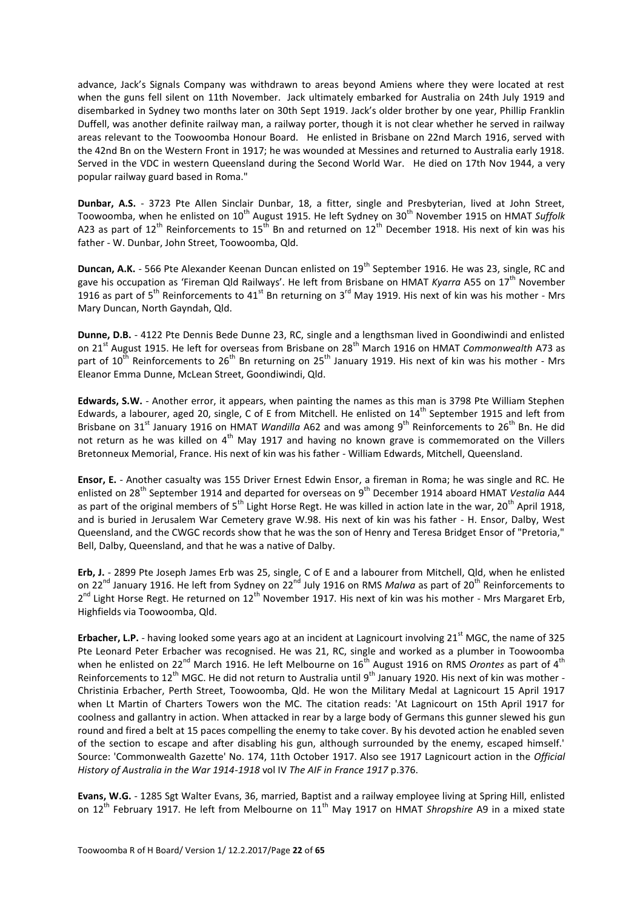advance, Jack's Signals Company was withdrawn to areas beyond Amiens where they were located at rest when the guns fell silent on 11th November. Jack ultimately embarked for Australia on 24th July 1919 and disembarked in Sydney two months later on 30th Sept 1919. Jack's older brother by one year, Phillip Franklin Duffell, was another definite railway man, a railway porter, though it is not clear whether he served in railway areas relevant to the Toowoomba Honour Board. He enlisted in Brisbane on 22nd March 1916, served with the 42nd Bn on the Western Front in 1917; he was wounded at Messines and returned to Australia early 1918. Served in the VDC in western Queensland during the Second World War. He died on 17th Nov 1944, a very popular railway guard based in Roma."

**Dunbar, A.S.** - 3723 Pte Allen Sinclair Dunbar, 18, a fitter, single and Presbyterian, lived at John Street, Toowoomba, when he enlisted on 10<sup>th</sup> August 1915. He left Sydney on 30<sup>th</sup> November 1915 on HMAT Suffolk A23 as part of 12<sup>th</sup> Reinforcements to 15<sup>th</sup> Bn and returned on 12<sup>th</sup> December 1918. His next of kin was his father - W. Dunbar, John Street, Toowoomba, Qld.

**Duncan, A.K.** - 566 Pte Alexander Keenan Duncan enlisted on 19<sup>th</sup> September 1916. He was 23, single, RC and gave his occupation as 'Fireman Qld Railways'. He left from Brisbane on HMAT *Kyarra* A55 on 17th November 1916 as part of 5<sup>th</sup> Reinforcements to 41<sup>st</sup> Bn returning on 3<sup>rd</sup> May 1919. His next of kin was his mother - Mrs Mary Duncan, North Gayndah, Qld.

**Dunne, D.B.** - 4122 Pte Dennis Bede Dunne 23, RC, single and a lengthsman lived in Goondiwindi and enlisted on 21<sup>st</sup> August 1915. He left for overseas from Brisbane on 28<sup>th</sup> March 1916 on HMAT *Commonwealth* A73 as part of  $10^{th}$  Reinforcements to  $26^{th}$  Bn returning on  $25^{th}$  January 1919. His next of kin was his mother - Mrs Eleanor Emma Dunne, McLean Street, Goondiwindi, Qld.

**Edwards, S.W.** - Another error, it appears, when painting the names as this man is 3798 Pte William Stephen Edwards, a labourer, aged 20, single, C of E from Mitchell. He enlisted on  $14<sup>th</sup>$  September 1915 and left from Brisbane on 31<sup>st</sup> January 1916 on HMAT *Wandilla* A62 and was among 9<sup>th</sup> Reinforcements to 26<sup>th</sup> Bn. He did not return as he was killed on  $4<sup>th</sup>$  May 1917 and having no known grave is commemorated on the Villers Bretonneux Memorial, France. His next of kin was his father - William Edwards, Mitchell, Queensland.

**Ensor, E.** - Another casualty was 155 Driver Ernest Edwin Ensor, a fireman in Roma; he was single and RC. He enlisted on 28<sup>th</sup> September 1914 and departed for overseas on 9<sup>th</sup> December 1914 aboard HMAT *Vestalia* A44 as part of the original members of  $5<sup>th</sup>$  Light Horse Regt. He was killed in action late in the war, 20<sup>th</sup> April 1918, and is buried in Jerusalem War Cemetery grave W.98. His next of kin was his father - H. Ensor, Dalby, West Queensland, and the CWGC records show that he was the son of Henry and Teresa Bridget Ensor of "Pretoria," Bell, Dalby, Queensland, and that he was a native of Dalby.

**Erb, J.** - 2899 Pte Joseph James Erb was 25, single, C of E and a labourer from Mitchell, Qld, when he enlisted on 22nd January 1916. He left from Sydney on 22nd July 1916 on RMS *Malwa* as part of 20th Reinforcements to 2<sup>nd</sup> Light Horse Regt. He returned on 12<sup>th</sup> November 1917. His next of kin was his mother - Mrs Margaret Erb, Highfields via Toowoomba, Qld.

**Erbacher, L.P.** - having looked some years ago at an incident at Lagnicourt involving 21<sup>st</sup> MGC, the name of 325 Pte Leonard Peter Erbacher was recognised. He was 21, RC, single and worked as a plumber in Toowoomba when he enlisted on 22<sup>nd</sup> March 1916. He left Melbourne on 16<sup>th</sup> August 1916 on RMS *Orontes* as part of 4<sup>th</sup> Reinforcements to 12<sup>th</sup> MGC. He did not return to Australia until 9<sup>th</sup> January 1920. His next of kin was mother -Christinia Erbacher, Perth Street, Toowoomba, Qld. He won the Military Medal at Lagnicourt 15 April 1917 when Lt Martin of Charters Towers won the MC. The citation reads: 'At Lagnicourt on 15th April 1917 for coolness and gallantry in action. When attacked in rear by a large body of Germans this gunner slewed his gun round and fired a belt at 15 paces compelling the enemy to take cover. By his devoted action he enabled seven of the section to escape and after disabling his gun, although surrounded by the enemy, escaped himself.' Source: 'Commonwealth Gazette' No. 174, 11th October 1917. Also see 1917 Lagnicourt action in the *Official History of Australia in the War 1914-1918* vol IV *The AIF in France 1917* p.376.

**Evans, W.G.** - 1285 Sgt Walter Evans, 36, married, Baptist and a railway employee living at Spring Hill, enlisted on 12<sup>th</sup> February 1917. He left from Melbourne on 11<sup>th</sup> May 1917 on HMAT *Shropshire* A9 in a mixed state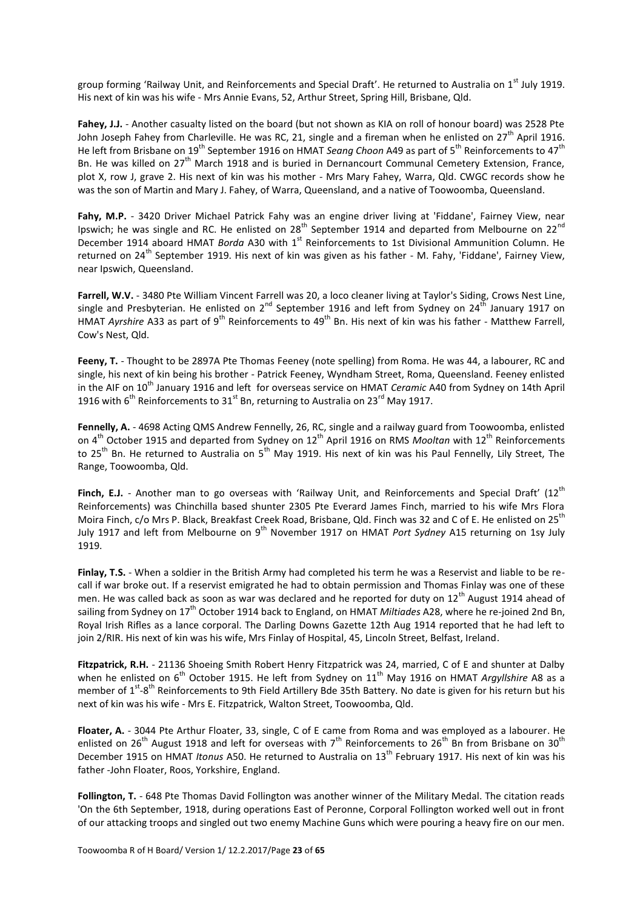group forming 'Railway Unit, and Reinforcements and Special Draft'. He returned to Australia on 1st July 1919. His next of kin was his wife - Mrs Annie Evans, 52, Arthur Street, Spring Hill, Brisbane, Qld.

**Fahey, J.J.** - Another casualty listed on the board (but not shown as KIA on roll of honour board) was 2528 Pte John Joseph Fahey from Charleville. He was RC, 21, single and a fireman when he enlisted on  $27<sup>th</sup>$  April 1916. He left from Brisbane on 19<sup>th</sup> September 1916 on HMAT *Seang Choon* A49 as part of 5<sup>th</sup> Reinforcements to 47<sup>th</sup> Bn. He was killed on 27<sup>th</sup> March 1918 and is buried in Dernancourt Communal Cemetery Extension, France, plot X, row J, grave 2. His next of kin was his mother - Mrs Mary Fahey, Warra, Qld. CWGC records show he was the son of Martin and Mary J. Fahey, of Warra, Queensland, and a native of Toowoomba, Queensland.

Fahy, M.P. - 3420 Driver Michael Patrick Fahy was an engine driver living at 'Fiddane', Fairney View, near Ipswich; he was single and RC. He enlisted on 28<sup>th</sup> September 1914 and departed from Melbourne on 22<sup>nd</sup> December 1914 aboard HMAT *Borda* A30 with 1<sup>st</sup> Reinforcements to 1st Divisional Ammunition Column. He returned on 24<sup>th</sup> September 1919. His next of kin was given as his father - M. Fahy, 'Fiddane', Fairney View, near Ipswich, Queensland.

**Farrell, W.V.** - 3480 Pte William Vincent Farrell was 20, a loco cleaner living at Taylor's Siding, Crows Nest Line, single and Presbyterian. He enlisted on  $2^{nd}$  September 1916 and left from Sydney on  $24<sup>th</sup>$  January 1917 on HMAT *Ayrshire* A33 as part of 9<sup>th</sup> Reinforcements to 49<sup>th</sup> Bn. His next of kin was his father - Matthew Farrell, Cow's Nest, Qld.

**Feeny, T.** - Thought to be 2897A Pte Thomas Feeney (note spelling) from Roma. He was 44, a labourer, RC and single, his next of kin being his brother - Patrick Feeney, Wyndham Street, Roma, Queensland. Feeney enlisted in the AIF on 10th January 1916 and left for overseas service on HMAT *Ceramic* A40 from Sydney on 14th April 1916 with  $6^{th}$  Reinforcements to  $31^{st}$  Bn, returning to Australia on  $23^{rd}$  May 1917.

**Fennelly, A.** - 4698 Acting QMS Andrew Fennelly, 26, RC, single and a railway guard from Toowoomba, enlisted on 4<sup>th</sup> October 1915 and departed from Sydney on 12<sup>th</sup> April 1916 on RMS *Mooltan* with 12<sup>th</sup> Reinforcements to 25<sup>th</sup> Bn. He returned to Australia on 5<sup>th</sup> May 1919. His next of kin was his Paul Fennelly, Lily Street, The Range, Toowoomba, Qld.

Finch, E.J. - Another man to go overseas with 'Railway Unit, and Reinforcements and Special Draft' (12<sup>th</sup> Reinforcements) was Chinchilla based shunter 2305 Pte Everard James Finch, married to his wife Mrs Flora Moira Finch, c/o Mrs P. Black, Breakfast Creek Road, Brisbane, Qld. Finch was 32 and C of E. He enlisted on 25<sup>th</sup> July 1917 and left from Melbourne on 9th November 1917 on HMAT *Port Sydney* A15 returning on 1sy July 1919.

**Finlay, T.S.** - When a soldier in the British Army had completed his term he was a Reservist and liable to be recall if war broke out. If a reservist emigrated he had to obtain permission and Thomas Finlay was one of these men. He was called back as soon as war was declared and he reported for duty on 12<sup>th</sup> August 1914 ahead of sailing from Sydney on 17th October 1914 back to England, on HMAT *Miltiades* A28, where he re-joined 2nd Bn, Royal Irish Rifles as a lance corporal. The Darling Downs Gazette 12th Aug 1914 reported that he had left to join 2/RIR. His next of kin was his wife, Mrs Finlay of Hospital, 45, Lincoln Street, Belfast, Ireland.

**Fitzpatrick, R.H.** - 21136 Shoeing Smith Robert Henry Fitzpatrick was 24, married, C of E and shunter at Dalby when he enlisted on 6<sup>th</sup> October 1915. He left from Sydney on 11<sup>th</sup> May 1916 on HMAT *Argyllshire* A8 as a member of 1<sup>st</sup>-8<sup>th</sup> Reinforcements to 9th Field Artillery Bde 35th Battery. No date is given for his return but his next of kin was his wife - Mrs E. Fitzpatrick, Walton Street, Toowoomba, Qld.

**Floater, A.** - 3044 Pte Arthur Floater, 33, single, C of E came from Roma and was employed as a labourer. He enlisted on 26<sup>th</sup> August 1918 and left for overseas with 7<sup>th</sup> Reinforcements to 26<sup>th</sup> Bn from Brisbane on 30<sup>th</sup> December 1915 on HMAT *Itonus* A50. He returned to Australia on 13th February 1917. His next of kin was his father -John Floater, Roos, Yorkshire, England.

**Follington, T.** - 648 Pte Thomas David Follington was another winner of the Military Medal. The citation reads 'On the 6th September, 1918, during operations East of Peronne, Corporal Follington worked well out in front of our attacking troops and singled out two enemy Machine Guns which were pouring a heavy fire on our men.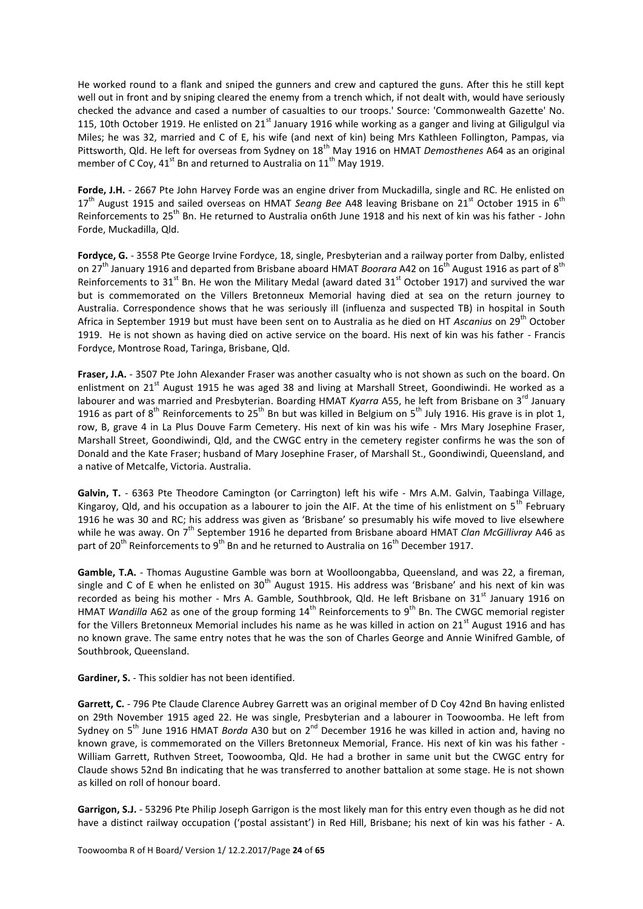He worked round to a flank and sniped the gunners and crew and captured the guns. After this he still kept well out in front and by sniping cleared the enemy from a trench which, if not dealt with, would have seriously checked the advance and cased a number of casualties to our troops.' Source: 'Commonwealth Gazette' No. 115, 10th October 1919. He enlisted on  $21<sup>st</sup>$  January 1916 while working as a ganger and living at Giligulgul via Miles; he was 32, married and C of E, his wife (and next of kin) being Mrs Kathleen Follington, Pampas, via Pittsworth, Qld. He left for overseas from Sydney on 18th May 1916 on HMAT *Demosthenes* A64 as an original member of C Coy,  $41^{\text{st}}$  Bn and returned to Australia on  $11^{\text{th}}$  May 1919.

Forde, J.H. - 2667 Pte John Harvey Forde was an engine driver from Muckadilla, single and RC. He enlisted on 17<sup>th</sup> August 1915 and sailed overseas on HMAT *Seang Bee* A48 leaving Brisbane on 21<sup>st</sup> October 1915 in 6<sup>th</sup> Reinforcements to 25th Bn. He returned to Australia on6th June 1918 and his next of kin was his father - John Forde, Muckadilla, Qld.

**Fordyce, G.** - 3558 Pte George Irvine Fordyce, 18, single, Presbyterian and a railway porter from Dalby, enlisted on 27<sup>th</sup> January 1916 and departed from Brisbane aboard HMAT *Boorara* A42 on 16<sup>th</sup> August 1916 as part of 8<sup>th</sup> Reinforcements to 31<sup>st</sup> Bn. He won the Military Medal (award dated 31<sup>st</sup> October 1917) and survived the war but is commemorated on the Villers Bretonneux Memorial having died at sea on the return journey to Australia. Correspondence shows that he was seriously ill (influenza and suspected TB) in hospital in South Africa in September 1919 but must have been sent on to Australia as he died on HT *Ascanius* on 29th October 1919. He is not shown as having died on active service on the board. His next of kin was his father - Francis Fordyce, Montrose Road, Taringa, Brisbane, Qld.

**Fraser, J.A.** - 3507 Pte John Alexander Fraser was another casualty who is not shown as such on the board. On enlistment on 21<sup>st</sup> August 1915 he was aged 38 and living at Marshall Street. Goondiwindi. He worked as a labourer and was married and Presbyterian. Boarding HMAT *Kyarra* A55, he left from Brisbane on 3<sup>rd</sup> January 1916 as part of  $8^{th}$  Reinforcements to  $25^{th}$  Bn but was killed in Belgium on  $5^{th}$  July 1916. His grave is in plot 1, row, B, grave 4 in La Plus Douve Farm Cemetery. His next of kin was his wife - Mrs Mary Josephine Fraser, Marshall Street, Goondiwindi, Qld, and the CWGC entry in the cemetery register confirms he was the son of Donald and the Kate Fraser; husband of Mary Josephine Fraser, of Marshall St., Goondiwindi, Queensland, and a native of Metcalfe, Victoria. Australia.

**Galvin, T.** - 6363 Pte Theodore Camington (or Carrington) left his wife - Mrs A.M. Galvin, Taabinga Village, Kingaroy, Qld, and his occupation as a labourer to join the AIF. At the time of his enlistment on  $5<sup>th</sup>$  February 1916 he was 30 and RC; his address was given as 'Brisbane' so presumably his wife moved to live elsewhere while he was away. On 7<sup>th</sup> September 1916 he departed from Brisbane aboard HMAT *Clan McGillivray* A46 as part of 20<sup>th</sup> Reinforcements to 9<sup>th</sup> Bn and he returned to Australia on  $16^{th}$  December 1917.

**Gamble, T.A.** - Thomas Augustine Gamble was born at Woolloongabba, Queensland, and was 22, a fireman, single and C of E when he enlisted on  $30<sup>th</sup>$  August 1915. His address was 'Brisbane' and his next of kin was recorded as being his mother - Mrs A. Gamble, Southbrook, Qld. He left Brisbane on 31<sup>st</sup> January 1916 on HMAT *Wandilla* A62 as one of the group forming 14<sup>th</sup> Reinforcements to 9<sup>th</sup> Bn. The CWGC memorial register for the Villers Bretonneux Memorial includes his name as he was killed in action on 21<sup>st</sup> August 1916 and has no known grave. The same entry notes that he was the son of Charles George and Annie Winifred Gamble, of Southbrook, Queensland.

**Gardiner, S.** - This soldier has not been identified.

**Garrett, C.** - 796 Pte Claude Clarence Aubrey Garrett was an original member of D Coy 42nd Bn having enlisted on 29th November 1915 aged 22. He was single, Presbyterian and a labourer in Toowoomba. He left from Sydney on 5<sup>th</sup> June 1916 HMAT *Borda* A30 but on 2<sup>nd</sup> December 1916 he was killed in action and, having no known grave, is commemorated on the Villers Bretonneux Memorial, France. His next of kin was his father - William Garrett, Ruthven Street, Toowoomba, Qld. He had a brother in same unit but the CWGC entry for Claude shows 52nd Bn indicating that he was transferred to another battalion at some stage. He is not shown as killed on roll of honour board.

**Garrigon, S.J.** - 53296 Pte Philip Joseph Garrigon is the most likely man for this entry even though as he did not have a distinct railway occupation ('postal assistant') in Red Hill, Brisbane; his next of kin was his father - A.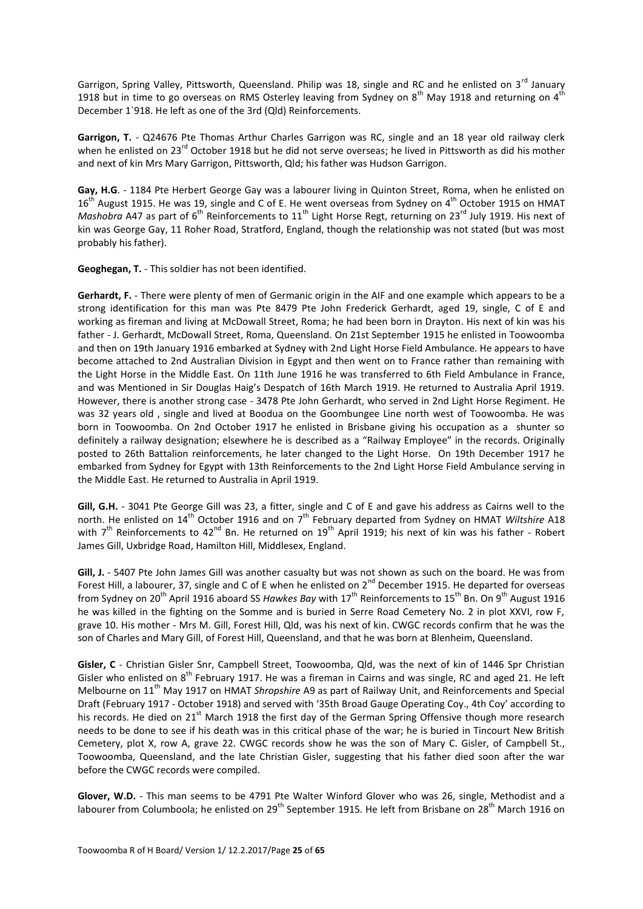Garrigon, Spring Valley, Pittsworth, Queensland. Philip was 18, single and RC and he enlisted on 3<sup>rd</sup> January 1918 but in time to go overseas on RMS Osterley leaving from Sydney on  $8<sup>th</sup>$  May 1918 and returning on  $4<sup>th</sup>$ December 1`918. He left as one of the 3rd (Qld) Reinforcements.

**Garrigon, T.** - Q24676 Pte Thomas Arthur Charles Garrigon was RC, single and an 18 year old railway clerk when he enlisted on 23<sup>rd</sup> October 1918 but he did not serve overseas; he lived in Pittsworth as did his mother and next of kin Mrs Mary Garrigon, Pittsworth, Qld; his father was Hudson Garrigon.

**Gay, H.G**. - 1184 Pte Herbert George Gay was a labourer living in Quinton Street, Roma, when he enlisted on 16<sup>th</sup> August 1915. He was 19, single and C of E. He went overseas from Sydney on 4<sup>th</sup> October 1915 on HMAT *Mashobra* A47 as part of 6<sup>th</sup> Reinforcements to 11<sup>th</sup> Light Horse Regt, returning on 23<sup>rd</sup> July 1919. His next of kin was George Gay, 11 Roher Road, Stratford, England, though the relationship was not stated (but was most probably his father).

**Geoghegan, T.** - This soldier has not been identified.

**Gerhardt, F.** - There were plenty of men of Germanic origin in the AIF and one example which appears to be a strong identification for this man was Pte 8479 Pte John Frederick Gerhardt, aged 19, single, C of E and working as fireman and living at McDowall Street, Roma; he had been born in Drayton. His next of kin was his father - J. Gerhardt, McDowall Street, Roma, Queensland. On 21st September 1915 he enlisted in Toowoomba and then on 19th January 1916 embarked at Sydney with 2nd Light Horse Field Ambulance. He appears to have become attached to 2nd Australian Division in Egypt and then went on to France rather than remaining with the Light Horse in the Middle East. On 11th June 1916 he was transferred to 6th Field Ambulance in France, and was Mentioned in Sir Douglas Haig's Despatch of 16th March 1919. He returned to Australia April 1919. However, there is another strong case - 3478 Pte John Gerhardt, who served in 2nd Light Horse Regiment. He was 32 years old , single and lived at Boodua on the Goombungee Line north west of Toowoomba. He was born in Toowoomba. On 2nd October 1917 he enlisted in Brisbane giving his occupation as a shunter so definitely a railway designation; elsewhere he is described as a "Railway Employee" in the records. Originally posted to 26th Battalion reinforcements, he later changed to the Light Horse. On 19th December 1917 he embarked from Sydney for Egypt with 13th Reinforcements to the 2nd Light Horse Field Ambulance serving in the Middle East. He returned to Australia in April 1919.

**Gill, G.H.** - 3041 Pte George Gill was 23, a fitter, single and C of E and gave his address as Cairns well to the north. He enlisted on 14<sup>th</sup> October 1916 and on 7<sup>th</sup> February departed from Sydney on HMAT *Wiltshire* A18 with  $7<sup>th</sup>$  Reinforcements to 42<sup>nd</sup> Bn. He returned on 19<sup>th</sup> April 1919; his next of kin was his father - Robert James Gill, Uxbridge Road, Hamilton Hill, Middlesex, England.

Gill, J. - 5407 Pte John James Gill was another casualty but was not shown as such on the board. He was from Forest Hill, a labourer, 37, single and C of E when he enlisted on 2<sup>nd</sup> December 1915. He departed for overseas from Sydney on 20<sup>th</sup> April 1916 aboard SS *Hawkes Bay* with 17<sup>th</sup> Reinforcements to 15<sup>th</sup> Bn. On 9<sup>th</sup> August 1916 he was killed in the fighting on the Somme and is buried in Serre Road Cemetery No. 2 in plot XXVI, row F, grave 10. His mother - Mrs M. Gill, Forest Hill, Qld, was his next of kin. CWGC records confirm that he was the son of Charles and Mary Gill, of Forest Hill, Queensland, and that he was born at Blenheim, Queensland.

**Gisler, C** - Christian Gisler Snr, Campbell Street, Toowoomba, Qld, was the next of kin of 1446 Spr Christian Gisler who enlisted on 8<sup>th</sup> February 1917. He was a fireman in Cairns and was single, RC and aged 21. He left Melbourne on 11th May 1917 on HMAT *Shropshire* A9 as part of Railway Unit, and Reinforcements and Special Draft (February 1917 - October 1918) and served with '35th Broad Gauge Operating Coy., 4th Coy' according to his records. He died on 21<sup>st</sup> March 1918 the first day of the German Spring Offensive though more research needs to be done to see if his death was in this critical phase of the war; he is buried in Tincourt New British Cemetery, plot X, row A, grave 22. CWGC records show he was the son of Mary C. Gisler, of Campbell St., Toowoomba, Queensland, and the late Christian Gisler, suggesting that his father died soon after the war before the CWGC records were compiled.

**Glover, W.D.** - This man seems to be 4791 Pte Walter Winford Glover who was 26, single, Methodist and a labourer from Columboola; he enlisted on 29<sup>th</sup> September 1915. He left from Brisbane on 28<sup>th</sup> March 1916 on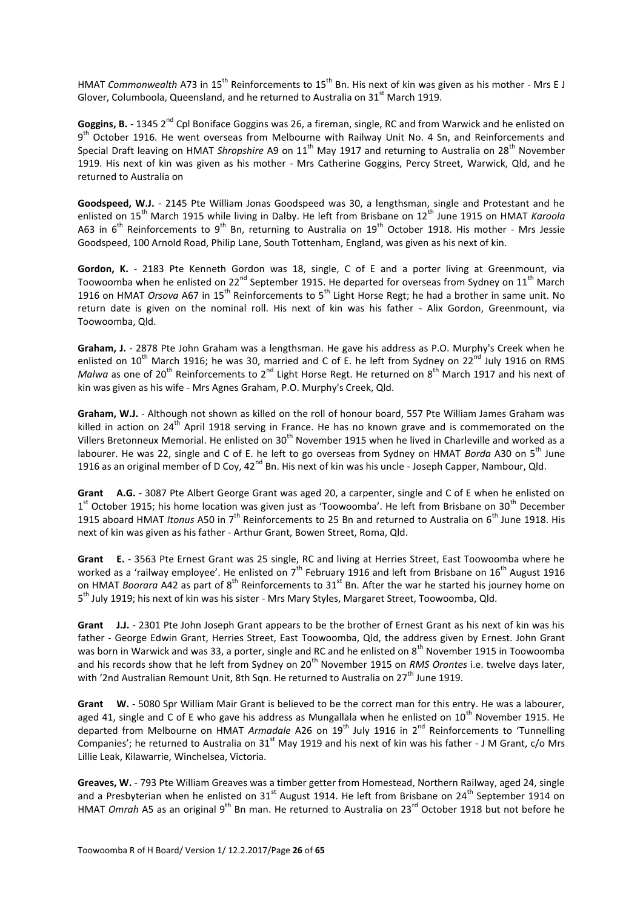HMAT *Commonwealth* A73 in 15<sup>th</sup> Reinforcements to 15<sup>th</sup> Bn. His next of kin was given as his mother - Mrs E J Glover, Columboola, Queensland, and he returned to Australia on  $31<sup>st</sup>$  March 1919.

Goggins, B. - 1345 2<sup>nd</sup> Cpl Boniface Goggins was 26, a fireman, single, RC and from Warwick and he enlisted on 9<sup>th</sup> October 1916. He went overseas from Melbourne with Railway Unit No. 4 Sn, and Reinforcements and Special Draft leaving on HMAT *Shropshire* A9 on 11<sup>th</sup> May 1917 and returning to Australia on 28<sup>th</sup> November 1919. His next of kin was given as his mother - Mrs Catherine Goggins, Percy Street, Warwick, Qld, and he returned to Australia on

**Goodspeed, W.J.** - 2145 Pte William Jonas Goodspeed was 30, a lengthsman, single and Protestant and he enlisted on 15<sup>th</sup> March 1915 while living in Dalby. He left from Brisbane on 12<sup>th</sup> June 1915 on HMAT *Karoola* A63 in 6<sup>th</sup> Reinforcements to 9<sup>th</sup> Bn, returning to Australia on 19<sup>th</sup> October 1918. His mother - Mrs Jessie Goodspeed, 100 Arnold Road, Philip Lane, South Tottenham, England, was given as his next of kin.

**Gordon, K.** - 2183 Pte Kenneth Gordon was 18, single, C of E and a porter living at Greenmount, via Toowoomba when he enlisted on 22<sup>nd</sup> September 1915. He departed for overseas from Sydney on 11<sup>th</sup> March 1916 on HMAT *Orsova* A67 in 15<sup>th</sup> Reinforcements to 5<sup>th</sup> Light Horse Regt; he had a brother in same unit. No return date is given on the nominal roll. His next of kin was his father - Alix Gordon, Greenmount, via Toowoomba, Qld.

**Graham, J.** - 2878 Pte John Graham was a lengthsman. He gave his address as P.O. Murphy's Creek when he enlisted on  $10^{th}$  March 1916; he was 30, married and C of E. he left from Sydney on  $22^{nd}$  July 1916 on RMS *Malwa* as one of 20<sup>th</sup> Reinforcements to 2<sup>nd</sup> Light Horse Regt. He returned on 8<sup>th</sup> March 1917 and his next of kin was given as his wife - Mrs Agnes Graham, P.O. Murphy's Creek, Qld.

**Graham, W.J.** - Although not shown as killed on the roll of honour board, 557 Pte William James Graham was killed in action on  $24<sup>th</sup>$  April 1918 serving in France. He has no known grave and is commemorated on the Villers Bretonneux Memorial. He enlisted on 30<sup>th</sup> November 1915 when he lived in Charleville and worked as a labourer. He was 22, single and C of E. he left to go overseas from Sydney on HMAT *Borda* A30 on 5<sup>th</sup> June 1916 as an original member of D Coy, 42<sup>nd</sup> Bn. His next of kin was his uncle - Joseph Capper, Nambour, Qld.

**Grant A.G.** - 3087 Pte Albert George Grant was aged 20, a carpenter, single and C of E when he enlisted on 1<sup>st</sup> October 1915; his home location was given just as 'Toowoomba'. He left from Brisbane on 30<sup>th</sup> December 1915 aboard HMAT *Itonus* A50 in 7<sup>th</sup> Reinforcements to 25 Bn and returned to Australia on 6<sup>th</sup> June 1918. His next of kin was given as his father - Arthur Grant, Bowen Street, Roma, Qld.

**Grant E.** - 3563 Pte Ernest Grant was 25 single, RC and living at Herries Street, East Toowoomba where he worked as a 'railway employee'. He enlisted on  $7<sup>th</sup>$  February 1916 and left from Brisbane on 16<sup>th</sup> August 1916 on HMAT *Boorara* A42 as part of 8<sup>th</sup> Reinforcements to 31<sup>st</sup> Bn. After the war he started his journey home on 5<sup>th</sup> July 1919; his next of kin was his sister - Mrs Mary Styles, Margaret Street, Toowoomba, Qld.

**Grant J.J.** - 2301 Pte John Joseph Grant appears to be the brother of Ernest Grant as his next of kin was his father - George Edwin Grant, Herries Street, East Toowoomba, Qld, the address given by Ernest. John Grant was born in Warwick and was 33, a porter, single and RC and he enlisted on 8<sup>th</sup> November 1915 in Toowoomba and his records show that he left from Sydney on 20<sup>th</sup> November 1915 on *RMS Orontes* i.e. twelve days later, with '2nd Australian Remount Unit, 8th Sqn. He returned to Australia on  $27^{th}$  June 1919.

**Grant W.** - 5080 Spr William Mair Grant is believed to be the correct man for this entry. He was a labourer, aged 41, single and C of E who gave his address as Mungallala when he enlisted on  $10^{th}$  November 1915. He departed from Melbourne on HMAT *Armadale* A26 on 19th July 1916 in 2nd Reinforcements to 'Tunnelling Companies'; he returned to Australia on  $31<sup>st</sup>$  May 1919 and his next of kin was his father - J M Grant, c/o Mrs Lillie Leak, Kilawarrie, Winchelsea, Victoria.

**Greaves, W.** - 793 Pte William Greaves was a timber getter from Homestead, Northern Railway, aged 24, single and a Presbyterian when he enlisted on  $31<sup>st</sup>$  August 1914. He left from Brisbane on  $24<sup>th</sup>$  September 1914 on HMAT *Omrah* A5 as an original 9<sup>th</sup> Bn man. He returned to Australia on 23<sup>rd</sup> October 1918 but not before he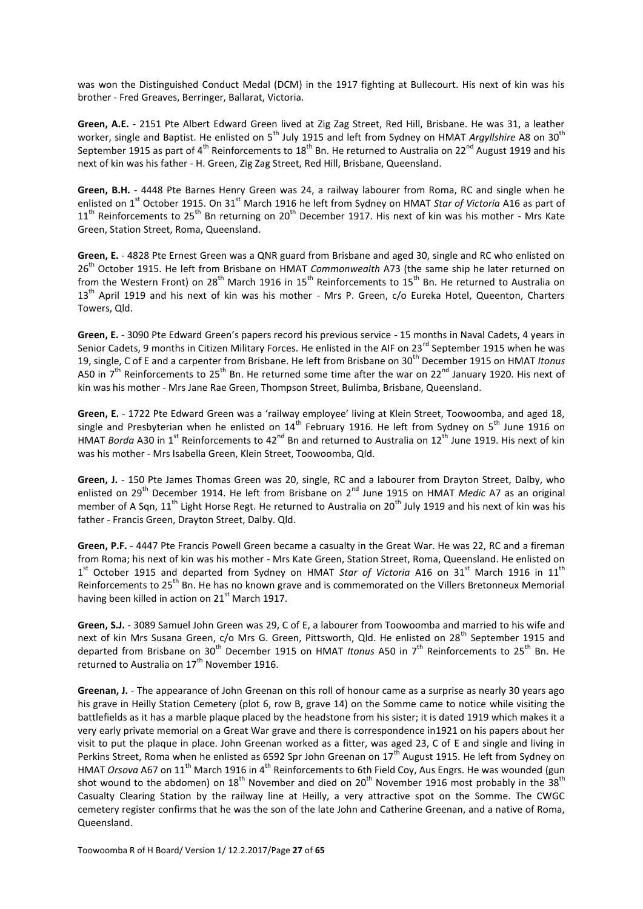was won the Distinguished Conduct Medal (DCM) in the 1917 fighting at Bullecourt. His next of kin was his brother - Fred Greaves, Berringer, Ballarat, Victoria.

**Green, A.E.** - 2151 Pte Albert Edward Green lived at Zig Zag Street, Red Hill, Brisbane. He was 31, a leather worker, single and Baptist. He enlisted on 5<sup>th</sup> July 1915 and left from Sydney on HMAT *Argyllshire* A8 on 30<sup>th</sup> September 1915 as part of 4<sup>th</sup> Reinforcements to 18<sup>th</sup> Bn. He returned to Australia on 22<sup>nd</sup> August 1919 and his next of kin was his father - H. Green, Zig Zag Street, Red Hill, Brisbane, Queensland.

**Green, B.H.** - 4448 Pte Barnes Henry Green was 24, a railway labourer from Roma, RC and single when he enlisted on 1<sup>st</sup> October 1915. On 31<sup>st</sup> March 1916 he left from Sydney on HMAT *Star of Victoria* A16 as part of  $11<sup>th</sup>$  Reinforcements to  $25<sup>th</sup>$  Bn returning on  $20<sup>th</sup>$  December 1917. His next of kin was his mother - Mrs Kate Green, Station Street, Roma, Queensland.

**Green, E.** - 4828 Pte Ernest Green was a QNR guard from Brisbane and aged 30, single and RC who enlisted on 26th October 1915. He left from Brisbane on HMAT *Commonwealth* A73 (the same ship he later returned on from the Western Front) on 28<sup>th</sup> March 1916 in 15<sup>th</sup> Reinforcements to 15<sup>th</sup> Bn. He returned to Australia on 13<sup>th</sup> April 1919 and his next of kin was his mother - Mrs P. Green, c/o Eureka Hotel, Queenton, Charters Towers, Qld.

**Green, E.** - 3090 Pte Edward Green's papers record his previous service - 15 months in Naval Cadets, 4 years in Senior Cadets, 9 months in Citizen Military Forces. He enlisted in the AIF on 23<sup>rd</sup> September 1915 when he was 19, single, C of E and a carpenter from Brisbane. He left from Brisbane on 30th December 1915 on HMAT *Itonus* A50 in  $7<sup>th</sup>$  Reinforcements to 25<sup>th</sup> Bn. He returned some time after the war on 22<sup>nd</sup> January 1920. His next of kin was his mother - Mrs Jane Rae Green, Thompson Street, Bulimba, Brisbane, Queensland.

**Green, E.** - 1722 Pte Edward Green was a 'railway employee' living at Klein Street, Toowoomba, and aged 18, single and Presbyterian when he enlisted on  $14^{th}$  February 1916. He left from Sydney on  $5^{th}$  June 1916 on HMAT *Borda* A30 in 1<sup>st</sup> Reinforcements to 42<sup>nd</sup> Bn and returned to Australia on 12<sup>th</sup> June 1919. His next of kin was his mother - Mrs Isabella Green, Klein Street, Toowoomba, Qld.

Green, J. - 150 Pte James Thomas Green was 20, single, RC and a labourer from Drayton Street, Dalby, who enlisted on 29<sup>th</sup> December 1914. He left from Brisbane on 2<sup>nd</sup> June 1915 on HMAT *Medic* A7 as an original member of A Sqn, 11<sup>th</sup> Light Horse Regt. He returned to Australia on 20<sup>th</sup> July 1919 and his next of kin was his father - Francis Green, Drayton Street, Dalby. Qld.

**Green, P.F.** - 4447 Pte Francis Powell Green became a casualty in the Great War. He was 22, RC and a fireman from Roma; his next of kin was his mother - Mrs Kate Green, Station Street, Roma, Queensland. He enlisted on 1<sup>st</sup> October 1915 and departed from Sydney on HMAT *Star of Victoria* A16 on 31<sup>st</sup> March 1916 in 11<sup>th</sup> Reinforcements to 25<sup>th</sup> Bn. He has no known grave and is commemorated on the Villers Bretonneux Memorial having been killed in action on  $21<sup>st</sup>$  March 1917.

**Green, S.J.** - 3089 Samuel John Green was 29, C of E, a labourer from Toowoomba and married to his wife and next of kin Mrs Susana Green, c/o Mrs G. Green, Pittsworth, Qld. He enlisted on 28<sup>th</sup> September 1915 and departed from Brisbane on 30<sup>th</sup> December 1915 on HMAT *Itonus* A50 in 7<sup>th</sup> Reinforcements to 25<sup>th</sup> Bn. He returned to Australia on 17<sup>th</sup> November 1916.

**Greenan, J.** - The appearance of John Greenan on this roll of honour came as a surprise as nearly 30 years ago his grave in Heilly Station Cemetery (plot 6, row B, grave 14) on the Somme came to notice while visiting the battlefields as it has a marble plaque placed by the headstone from his sister; it is dated 1919 which makes it a very early private memorial on a Great War grave and there is correspondence in1921 on his papers about her visit to put the plaque in place. John Greenan worked as a fitter, was aged 23, C of E and single and living in Perkins Street, Roma when he enlisted as 6592 Spr John Greenan on 17<sup>th</sup> August 1915. He left from Sydney on HMAT *Orsova* A67 on 11<sup>th</sup> March 1916 in 4<sup>th</sup> Reinforcements to 6th Field Coy, Aus Engrs. He was wounded (gun shot wound to the abdomen) on  $18^{th}$  November and died on  $20^{th}$  November 1916 most probably in the 38<sup>th</sup> Casualty Clearing Station by the railway line at Heilly, a very attractive spot on the Somme. The CWGC cemetery register confirms that he was the son of the late John and Catherine Greenan, and a native of Roma, Queensland.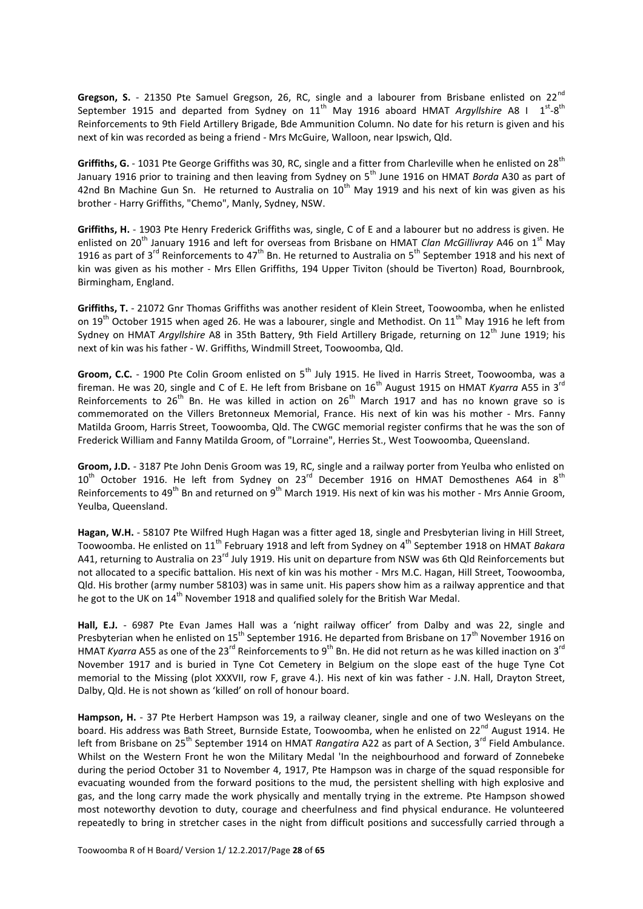Gregson, S. - 21350 Pte Samuel Gregson, 26, RC, single and a labourer from Brisbane enlisted on 22<sup>nd</sup> September 1915 and departed from Sydney on 11<sup>th</sup> May 1916 aboard HMAT Argyllshire A8 I 1<sup>st</sup>-8<sup>th</sup> Reinforcements to 9th Field Artillery Brigade, Bde Ammunition Column. No date for his return is given and his next of kin was recorded as being a friend - Mrs McGuire, Walloon, near Ipswich, Qld.

**Griffiths, G.** - 1031 Pte George Griffiths was 30, RC, single and a fitter from Charleville when he enlisted on 28<sup>th</sup> January 1916 prior to training and then leaving from Sydney on 5<sup>th</sup> June 1916 on HMAT *Borda* A30 as part of 42nd Bn Machine Gun Sn. He returned to Australia on  $10^{th}$  May 1919 and his next of kin was given as his brother - Harry Griffiths, "Chemo", Manly, Sydney, NSW.

**Griffiths, H.** - 1903 Pte Henry Frederick Griffiths was, single, C of E and a labourer but no address is given. He enlisted on 20<sup>th</sup> January 1916 and left for overseas from Brisbane on HMAT *Clan McGillivray* A46 on 1<sup>st</sup> May 1916 as part of 3<sup>rd</sup> Reinforcements to 47<sup>th</sup> Bn. He returned to Australia on 5<sup>th</sup> September 1918 and his next of kin was given as his mother - Mrs Ellen Griffiths, 194 Upper Tiviton (should be Tiverton) Road, Bournbrook, Birmingham, England.

**Griffiths, T.** - 21072 Gnr Thomas Griffiths was another resident of Klein Street, Toowoomba, when he enlisted on 19<sup>th</sup> October 1915 when aged 26. He was a labourer, single and Methodist. On 11<sup>th</sup> May 1916 he left from Sydney on HMAT *Argyllshire* A8 in 35th Battery, 9th Field Artillery Brigade, returning on 12<sup>th</sup> June 1919; his next of kin was his father - W. Griffiths, Windmill Street, Toowoomba, Qld.

**Groom, C.C.** - 1900 Pte Colin Groom enlisted on 5<sup>th</sup> July 1915. He lived in Harris Street, Toowoomba, was a fireman. He was 20, single and C of E. He left from Brisbane on 16<sup>th</sup> August 1915 on HMAT *Kyarra* A55 in 3<sup>rd</sup> Reinforcements to 26<sup>th</sup> Bn. He was killed in action on 26<sup>th</sup> March 1917 and has no known grave so is commemorated on the Villers Bretonneux Memorial, France. His next of kin was his mother - Mrs. Fanny Matilda Groom, Harris Street, Toowoomba, Qld. The CWGC memorial register confirms that he was the son of Frederick William and Fanny Matilda Groom, of "Lorraine", Herries St., West Toowoomba, Queensland.

**Groom, J.D.** - 3187 Pte John Denis Groom was 19, RC, single and a railway porter from Yeulba who enlisted on  $10^{th}$  October 1916. He left from Sydney on 23<sup>rd</sup> December 1916 on HMAT Demosthenes A64 in 8<sup>th</sup> Reinforcements to 49<sup>th</sup> Bn and returned on 9<sup>th</sup> March 1919. His next of kin was his mother - Mrs Annie Groom, Yeulba, Queensland.

**Hagan, W.H.** - 58107 Pte Wilfred Hugh Hagan was a fitter aged 18, single and Presbyterian living in Hill Street, Toowoomba. He enlisted on 11th February 1918 and left from Sydney on 4th September 1918 on HMAT *Bakara*  A41, returning to Australia on 23<sup>rd</sup> July 1919. His unit on departure from NSW was 6th Qld Reinforcements but not allocated to a specific battalion. His next of kin was his mother - Mrs M.C. Hagan, Hill Street, Toowoomba, Qld. His brother (army number 58103) was in same unit. His papers show him as a railway apprentice and that he got to the UK on 14<sup>th</sup> November 1918 and qualified solely for the British War Medal.

**Hall, E.J.** - 6987 Pte Evan James Hall was a 'night railway officer' from Dalby and was 22, single and Presbyterian when he enlisted on 15<sup>th</sup> September 1916. He departed from Brisbane on 17<sup>th</sup> November 1916 on HMAT *Kyarra* A55 as one of the 23<sup>rd</sup> Reinforcements to 9<sup>th</sup> Bn. He did not return as he was killed inaction on 3<sup>rd</sup> November 1917 and is buried in Tyne Cot Cemetery in Belgium on the slope east of the huge Tyne Cot memorial to the Missing (plot XXXVII, row F, grave 4.). His next of kin was father - J.N. Hall, Drayton Street, Dalby, Qld. He is not shown as 'killed' on roll of honour board.

**Hampson, H.** - 37 Pte Herbert Hampson was 19, a railway cleaner, single and one of two Wesleyans on the board. His address was Bath Street, Burnside Estate, Toowoomba, when he enlisted on 22nd August 1914. He left from Brisbane on 25<sup>th</sup> September 1914 on HMAT *Rangatira* A22 as part of A Section, 3<sup>rd</sup> Field Ambulance. Whilst on the Western Front he won the Military Medal 'In the neighbourhood and forward of Zonnebeke during the period October 31 to November 4, 1917, Pte Hampson was in charge of the squad responsible for evacuating wounded from the forward positions to the mud, the persistent shelling with high explosive and gas, and the long carry made the work physically and mentally trying in the extreme. Pte Hampson showed most noteworthy devotion to duty, courage and cheerfulness and find physical endurance. He volunteered repeatedly to bring in stretcher cases in the night from difficult positions and successfully carried through a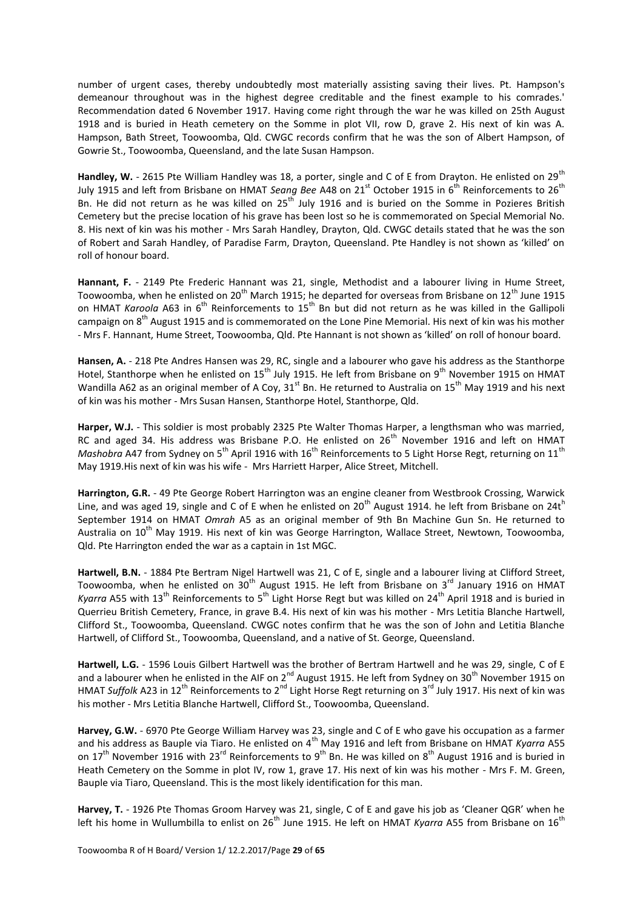number of urgent cases, thereby undoubtedly most materially assisting saving their lives. Pt. Hampson's demeanour throughout was in the highest degree creditable and the finest example to his comrades.' Recommendation dated 6 November 1917. Having come right through the war he was killed on 25th August 1918 and is buried in Heath cemetery on the Somme in plot VII, row D, grave 2. His next of kin was A. Hampson, Bath Street, Toowoomba, Qld. CWGC records confirm that he was the son of Albert Hampson, of Gowrie St., Toowoomba, Queensland, and the late Susan Hampson.

Handley, W. - 2615 Pte William Handley was 18, a porter, single and C of E from Drayton. He enlisted on 29<sup>th</sup> July 1915 and left from Brisbane on HMAT *Seang Bee* A48 on 21<sup>st</sup> October 1915 in 6<sup>th</sup> Reinforcements to 26<sup>th</sup> Bn. He did not return as he was killed on 25<sup>th</sup> July 1916 and is buried on the Somme in Pozieres British Cemetery but the precise location of his grave has been lost so he is commemorated on Special Memorial No. 8. His next of kin was his mother - Mrs Sarah Handley, Drayton, Qld. CWGC details stated that he was the son of Robert and Sarah Handley, of Paradise Farm, Drayton, Queensland. Pte Handley is not shown as 'killed' on roll of honour board.

Hannant, F. - 2149 Pte Frederic Hannant was 21, single, Methodist and a labourer living in Hume Street, Toowoomba, when he enlisted on  $20^{th}$  March 1915; he departed for overseas from Brisbane on  $12^{th}$  June 1915 on HMAT *Karoola* A63 in 6<sup>th</sup> Reinforcements to 15<sup>th</sup> Bn but did not return as he was killed in the Gallipoli campaign on 8<sup>th</sup> August 1915 and is commemorated on the Lone Pine Memorial. His next of kin was his mother - Mrs F. Hannant, Hume Street, Toowoomba, Qld. Pte Hannant is not shown as 'killed' on roll of honour board.

**Hansen, A.** - 218 Pte Andres Hansen was 29, RC, single and a labourer who gave his address as the Stanthorpe Hotel, Stanthorpe when he enlisted on 15<sup>th</sup> July 1915. He left from Brisbane on 9<sup>th</sup> November 1915 on HMAT Wandilla A62 as an original member of A Coy,  $31<sup>st</sup>$  Bn. He returned to Australia on  $15<sup>th</sup>$  May 1919 and his next of kin was his mother - Mrs Susan Hansen, Stanthorpe Hotel, Stanthorpe, Qld.

**Harper, W.J.** - This soldier is most probably 2325 Pte Walter Thomas Harper, a lengthsman who was married, RC and aged 34. His address was Brisbane P.O. He enlisted on 26<sup>th</sup> November 1916 and left on HMAT *Mashobra* A47 from Sydney on 5<sup>th</sup> April 1916 with 16<sup>th</sup> Reinforcements to 5 Light Horse Regt, returning on 11<sup>th</sup> May 1919.His next of kin was his wife - Mrs Harriett Harper, Alice Street, Mitchell.

**Harrington, G.R.** - 49 Pte George Robert Harrington was an engine cleaner from Westbrook Crossing, Warwick Line, and was aged 19, single and C of E when he enlisted on  $20^{th}$  August 1914. he left from Brisbane on 24th September 1914 on HMAT *Omrah* A5 as an original member of 9th Bn Machine Gun Sn. He returned to Australia on 10<sup>th</sup> May 1919. His next of kin was George Harrington, Wallace Street, Newtown, Toowoomba, Qld. Pte Harrington ended the war as a captain in 1st MGC.

**Hartwell, B.N.** - 1884 Pte Bertram Nigel Hartwell was 21, C of E, single and a labourer living at Clifford Street, Toowoomba, when he enlisted on 30<sup>th</sup> August 1915. He left from Brisbane on 3<sup>rd</sup> January 1916 on HMAT *Kyarra* A55 with 13<sup>th</sup> Reinforcements to 5<sup>th</sup> Light Horse Regt but was killed on 24<sup>th</sup> April 1918 and is buried in Querrieu British Cemetery, France, in grave B.4. His next of kin was his mother - Mrs Letitia Blanche Hartwell, Clifford St., Toowoomba, Queensland. CWGC notes confirm that he was the son of John and Letitia Blanche Hartwell, of Clifford St., Toowoomba, Queensland, and a native of St. George, Queensland.

**Hartwell, L.G.** - 1596 Louis Gilbert Hartwell was the brother of Bertram Hartwell and he was 29, single, C of E and a labourer when he enlisted in the AIF on 2<sup>nd</sup> August 1915. He left from Sydney on 30<sup>th</sup> November 1915 on HMAT Suffolk A23 in 12<sup>th</sup> Reinforcements to 2<sup>nd</sup> Light Horse Regt returning on 3<sup>rd</sup> July 1917. His next of kin was his mother - Mrs Letitia Blanche Hartwell, Clifford St., Toowoomba, Queensland.

**Harvey, G.W.** - 6970 Pte George William Harvey was 23, single and C of E who gave his occupation as a farmer and his address as Bauple via Tiaro. He enlisted on 4<sup>th</sup> May 1916 and left from Brisbane on HMAT *Kyarra* A55 on 17<sup>th</sup> November 1916 with 23<sup>rd</sup> Reinforcements to 9<sup>th</sup> Bn. He was killed on 8<sup>th</sup> August 1916 and is buried in Heath Cemetery on the Somme in plot IV, row 1, grave 17. His next of kin was his mother - Mrs F. M. Green, Bauple via Tiaro, Queensland. This is the most likely identification for this man.

**Harvey, T.** - 1926 Pte Thomas Groom Harvey was 21, single, C of E and gave his job as 'Cleaner QGR' when he left his home in Wullumbilla to enlist on 26<sup>th</sup> June 1915. He left on HMAT *Kyarra* A55 from Brisbane on 16<sup>th</sup>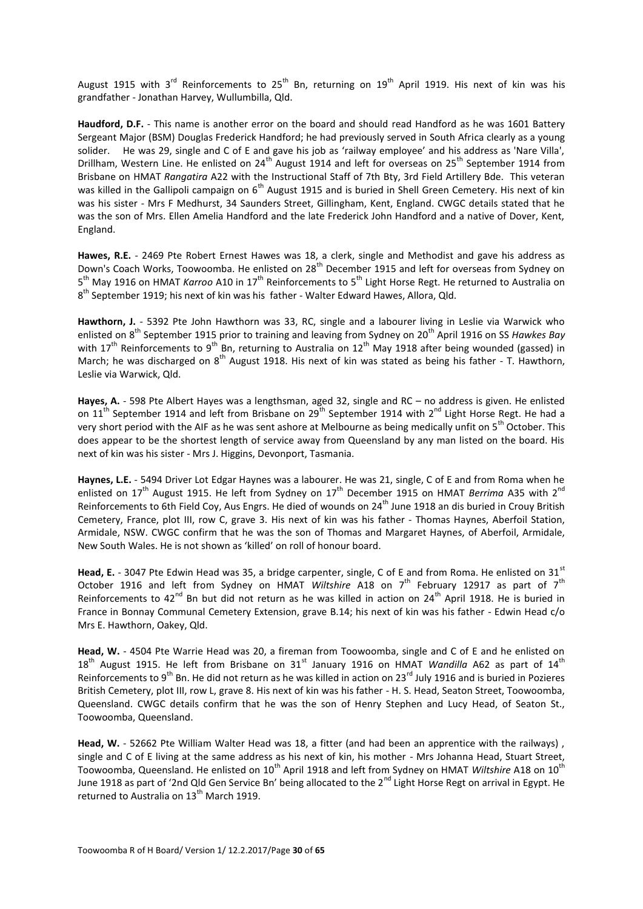August 1915 with 3<sup>rd</sup> Reinforcements to 25<sup>th</sup> Bn, returning on 19<sup>th</sup> April 1919. His next of kin was his grandfather - Jonathan Harvey, Wullumbilla, Qld.

**Haudford, D.F.** - This name is another error on the board and should read Handford as he was 1601 Battery Sergeant Major (BSM) Douglas Frederick Handford; he had previously served in South Africa clearly as a young solider. He was 29, single and C of E and gave his job as 'railway employee' and his address as 'Nare Villa', Drillham. Western Line. He enlisted on 24<sup>th</sup> August 1914 and left for overseas on 25<sup>th</sup> September 1914 from Brisbane on HMAT *Rangatira* A22 with the Instructional Staff of 7th Bty, 3rd Field Artillery Bde. This veteran was killed in the Gallipoli campaign on 6<sup>th</sup> August 1915 and is buried in Shell Green Cemetery. His next of kin was his sister - Mrs F Medhurst, 34 Saunders Street, Gillingham, Kent, England. CWGC details stated that he was the son of Mrs. Ellen Amelia Handford and the late Frederick John Handford and a native of Dover, Kent, England.

**Hawes, R.E.** - 2469 Pte Robert Ernest Hawes was 18, a clerk, single and Methodist and gave his address as Down's Coach Works, Toowoomba. He enlisted on 28<sup>th</sup> December 1915 and left for overseas from Sydney on 5<sup>th</sup> May 1916 on HMAT *Karroo* A10 in 17<sup>th</sup> Reinforcements to 5<sup>th</sup> Light Horse Regt. He returned to Australia on 8<sup>th</sup> September 1919; his next of kin was his father - Walter Edward Hawes, Allora, Qld.

**Hawthorn, J.** - 5392 Pte John Hawthorn was 33, RC, single and a labourer living in Leslie via Warwick who enlisted on 8<sup>th</sup> September 1915 prior to training and leaving from Sydney on 20<sup>th</sup> April 1916 on SS *Hawkes Bay* with  $17<sup>th</sup>$  Reinforcements to 9<sup>th</sup> Bn, returning to Australia on  $12<sup>th</sup>$  May 1918 after being wounded (gassed) in March; he was discharged on 8<sup>th</sup> August 1918. His next of kin was stated as being his father - T. Hawthorn, Leslie via Warwick, Qld.

**Hayes, A.** - 598 Pte Albert Hayes was a lengthsman, aged 32, single and RC – no address is given. He enlisted on 11<sup>th</sup> September 1914 and left from Brisbane on 29<sup>th</sup> September 1914 with 2<sup>nd</sup> Light Horse Regt. He had a very short period with the AIF as he was sent ashore at Melbourne as being medically unfit on 5<sup>th</sup> October. This does appear to be the shortest length of service away from Queensland by any man listed on the board. His next of kin was his sister - Mrs J. Higgins, Devonport, Tasmania.

**Haynes, L.E.** - 5494 Driver Lot Edgar Haynes was a labourer. He was 21, single, C of E and from Roma when he enlisted on 17<sup>th</sup> August 1915. He left from Sydney on 17<sup>th</sup> December 1915 on HMAT *Berrima* A35 with 2<sup>nd</sup> Reinforcements to 6th Field Coy, Aus Engrs. He died of wounds on 24<sup>th</sup> June 1918 an dis buried in Crouv British Cemetery, France, plot III, row C, grave 3. His next of kin was his father - Thomas Haynes, Aberfoil Station, Armidale, NSW. CWGC confirm that he was the son of Thomas and Margaret Haynes, of Aberfoil, Armidale, New South Wales. He is not shown as 'killed' on roll of honour board.

Head, E. - 3047 Pte Edwin Head was 35, a bridge carpenter, single, C of E and from Roma. He enlisted on 31<sup>st</sup> October 1916 and left from Sydney on HMAT *Wiltshire* A18 on 7<sup>th</sup> February 12917 as part of 7<sup>th</sup> Reinforcements to  $42^{nd}$  Bn but did not return as he was killed in action on  $24^{th}$  April 1918. He is buried in France in Bonnay Communal Cemetery Extension, grave B.14; his next of kin was his father - Edwin Head c/o Mrs E. Hawthorn, Oakey, Qld.

**Head, W.** - 4504 Pte Warrie Head was 20, a fireman from Toowoomba, single and C of E and he enlisted on 18<sup>th</sup> August 1915. He left from Brisbane on 31<sup>st</sup> January 1916 on HMAT *Wandilla* A62 as part of 14<sup>th</sup> Reinforcements to 9<sup>th</sup> Bn. He did not return as he was killed in action on 23<sup>rd</sup> July 1916 and is buried in Pozieres British Cemetery, plot III, row L, grave 8. His next of kin was his father - H. S. Head, Seaton Street, Toowoomba, Queensland. CWGC details confirm that he was the son of Henry Stephen and Lucy Head, of Seaton St., Toowoomba, Queensland.

**Head, W.** - 52662 Pte William Walter Head was 18, a fitter (and had been an apprentice with the railways), single and C of E living at the same address as his next of kin, his mother - Mrs Johanna Head, Stuart Street, Toowoomba, Queensland. He enlisted on 10<sup>th</sup> April 1918 and left from Sydney on HMAT *Wiltshire* A18 on 10<sup>th</sup> June 1918 as part of '2nd Qld Gen Service Bn' being allocated to the 2<sup>nd</sup> Light Horse Regt on arrival in Egypt. He returned to Australia on 13<sup>th</sup> March 1919.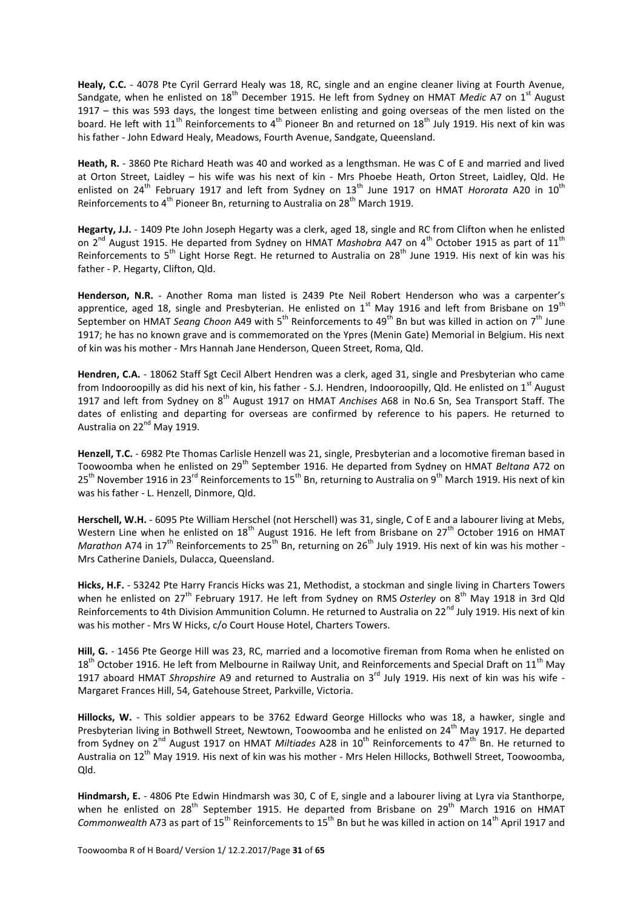**Healy, C.C.** - 4078 Pte Cyril Gerrard Healy was 18, RC, single and an engine cleaner living at Fourth Avenue, Sandgate, when he enlisted on 18<sup>th</sup> December 1915. He left from Sydney on HMAT *Medic* A7 on 1<sup>st</sup> August 1917 – this was 593 days, the longest time between enlisting and going overseas of the men listed on the board. He left with  $11<sup>th</sup>$  Reinforcements to 4<sup>th</sup> Pioneer Bn and returned on  $18<sup>th</sup>$  July 1919. His next of kin was his father - John Edward Healy, Meadows, Fourth Avenue, Sandgate, Queensland.

**Heath, R.** - 3860 Pte Richard Heath was 40 and worked as a lengthsman. He was C of E and married and lived at Orton Street, Laidley – his wife was his next of kin - Mrs Phoebe Heath, Orton Street, Laidley, Qld. He enlisted on 24<sup>th</sup> February 1917 and left from Sydney on 13<sup>th</sup> June 1917 on HMAT *Hororata* A20 in 10<sup>th</sup> Reinforcements to 4<sup>th</sup> Pioneer Bn, returning to Australia on 28<sup>th</sup> March 1919.

**Hegarty, J.J.** - 1409 Pte John Joseph Hegarty was a clerk, aged 18, single and RC from Clifton when he enlisted on 2<sup>nd</sup> August 1915. He departed from Sydney on HMAT *Mashobra* A47 on 4<sup>th</sup> October 1915 as part of 11<sup>th</sup> Reinforcements to 5<sup>th</sup> Light Horse Regt. He returned to Australia on 28<sup>th</sup> June 1919. His next of kin was his father - P. Hegarty, Clifton, Qld.

**Henderson, N.R.** - Another Roma man listed is 2439 Pte Neil Robert Henderson who was a carpenter's apprentice, aged 18, single and Presbyterian. He enlisted on  $1^{st}$  May 1916 and left from Brisbane on  $19^{th}$ September on HMAT *Seang Choon* A49 with 5<sup>th</sup> Reinforcements to 49<sup>th</sup> Bn but was killed in action on 7<sup>th</sup> June 1917; he has no known grave and is commemorated on the Ypres (Menin Gate) Memorial in Belgium. His next of kin was his mother - Mrs Hannah Jane Henderson, Queen Street, Roma, Qld.

**Hendren, C.A.** - 18062 Staff Sgt Cecil Albert Hendren was a clerk, aged 31, single and Presbyterian who came from Indooroopilly as did his next of kin, his father - S.J. Hendren, Indooroopilly, Qld. He enlisted on 1<sup>st</sup> August 1917 and left from Sydney on 8<sup>th</sup> August 1917 on HMAT *Anchises* A68 in No.6 Sn, Sea Transport Staff. The dates of enlisting and departing for overseas are confirmed by reference to his papers. He returned to Australia on 22<sup>nd</sup> May 1919.

**Henzell, T.C.** - 6982 Pte Thomas Carlisle Henzell was 21, single, Presbyterian and a locomotive fireman based in Toowoomba when he enlisted on 29<sup>th</sup> September 1916. He departed from Sydney on HMAT *Beltana* A72 on 25<sup>th</sup> November 1916 in 23<sup>rd</sup> Reinforcements to 15<sup>th</sup> Bn, returning to Australia on 9<sup>th</sup> March 1919. His next of kin was his father - L. Henzell, Dinmore, Qld.

**Herschell, W.H.** - 6095 Pte William Herschel (not Herschell) was 31, single, C of E and a labourer living at Mebs, Western Line when he enlisted on  $18<sup>th</sup>$  August 1916. He left from Brisbane on  $27<sup>th</sup>$  October 1916 on HMAT *Marathon* A74 in 17<sup>th</sup> Reinforcements to 25<sup>th</sup> Bn, returning on 26<sup>th</sup> July 1919. His next of kin was his mother -Mrs Catherine Daniels, Dulacca, Queensland.

**Hicks, H.F.** - 53242 Pte Harry Francis Hicks was 21, Methodist, a stockman and single living in Charters Towers when he enlisted on 27<sup>th</sup> February 1917. He left from Sydney on RMS Osterley on 8<sup>th</sup> May 1918 in 3rd Qld Reinforcements to 4th Division Ammunition Column. He returned to Australia on 22<sup>nd</sup> July 1919. His next of kin was his mother - Mrs W Hicks, c/o Court House Hotel, Charters Towers.

**Hill, G.** - 1456 Pte George Hill was 23, RC, married and a locomotive fireman from Roma when he enlisted on  $18<sup>th</sup>$  October 1916. He left from Melbourne in Railway Unit, and Reinforcements and Special Draft on 11<sup>th</sup> May 1917 aboard HMAT *Shropshire* A9 and returned to Australia on 3rd July 1919. His next of kin was his wife - Margaret Frances Hill, 54, Gatehouse Street, Parkville, Victoria.

**Hillocks, W.** - This soldier appears to be 3762 Edward George Hillocks who was 18, a hawker, single and Presbyterian living in Bothwell Street, Newtown, Toowoomba and he enlisted on 24<sup>th</sup> May 1917. He departed from Sydney on 2<sup>nd</sup> August 1917 on HMAT *Miltiades* A28 in 10<sup>th</sup> Reinforcements to 47<sup>th</sup> Bn. He returned to Australia on 12<sup>th</sup> May 1919. His next of kin was his mother - Mrs Helen Hillocks, Bothwell Street, Toowoomba, Qld.

**Hindmarsh, E.** - 4806 Pte Edwin Hindmarsh was 30, C of E, single and a labourer living at Lyra via Stanthorpe, when he enlisted on 28<sup>th</sup> September 1915. He departed from Brisbane on 29<sup>th</sup> March 1916 on HMAT *Commonwealth A73 as part of 15<sup>th</sup> Reinforcements to 15<sup>th</sup> Bn but he was killed in action on 14<sup>th</sup> April 1917 and*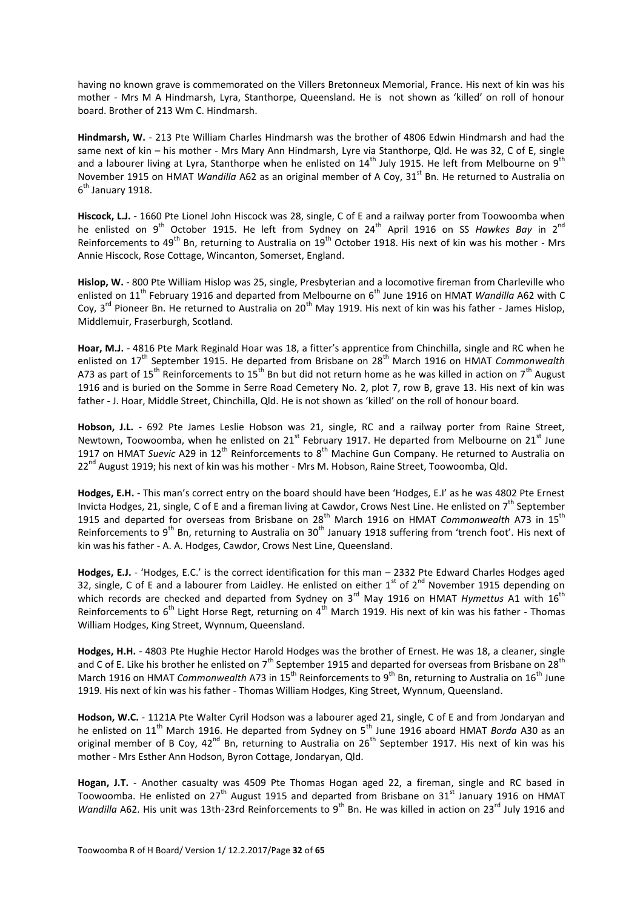having no known grave is commemorated on the Villers Bretonneux Memorial, France. His next of kin was his mother - Mrs M A Hindmarsh, Lyra, Stanthorpe, Queensland. He is not shown as 'killed' on roll of honour board. Brother of 213 Wm C. Hindmarsh.

**Hindmarsh, W.** - 213 Pte William Charles Hindmarsh was the brother of 4806 Edwin Hindmarsh and had the same next of kin – his mother - Mrs Mary Ann Hindmarsh, Lyre via Stanthorpe, Qld. He was 32, C of E, single and a labourer living at Lyra, Stanthorpe when he enlisted on  $14<sup>th</sup>$  July 1915. He left from Melbourne on  $9<sup>th</sup>$ November 1915 on HMAT *Wandilla* A62 as an original member of A Coy, 31<sup>st</sup> Bn. He returned to Australia on 6<sup>th</sup> January 1918.

**Hiscock, L.J.** - 1660 Pte Lionel John Hiscock was 28, single, C of E and a railway porter from Toowoomba when he enlisted on 9<sup>th</sup> October 1915. He left from Sydney on 24<sup>th</sup> April 1916 on SS Hawkes Bay in 2<sup>nd</sup> Reinforcements to 49<sup>th</sup> Bn, returning to Australia on 19<sup>th</sup> October 1918. His next of kin was his mother - Mrs Annie Hiscock, Rose Cottage, Wincanton, Somerset, England.

**Hislop, W.** - 800 Pte William Hislop was 25, single, Presbyterian and a locomotive fireman from Charleville who enlisted on 11<sup>th</sup> February 1916 and departed from Melbourne on 6<sup>th</sup> June 1916 on HMAT *Wandilla* A62 with C Coy,  $3^{rd}$  Pioneer Bn. He returned to Australia on  $20^{th}$  May 1919. His next of kin was his father - James Hislop, Middlemuir, Fraserburgh, Scotland.

**Hoar, M.J.** - 4816 Pte Mark Reginald Hoar was 18, a fitter's apprentice from Chinchilla, single and RC when he enlisted on 17<sup>th</sup> September 1915. He departed from Brisbane on 28<sup>th</sup> March 1916 on HMAT *Commonwealth* A73 as part of 15<sup>th</sup> Reinforcements to 15<sup>th</sup> Bn but did not return home as he was killed in action on 7<sup>th</sup> August 1916 and is buried on the Somme in Serre Road Cemetery No. 2, plot 7, row B, grave 13. His next of kin was father - J. Hoar, Middle Street, Chinchilla, Qld. He is not shown as 'killed' on the roll of honour board.

**Hobson, J.L.** - 692 Pte James Leslie Hobson was 21, single, RC and a railway porter from Raine Street, Newtown, Toowoomba, when he enlisted on 21<sup>st</sup> February 1917. He departed from Melbourne on 21<sup>st</sup> June 1917 on HMAT Suevic A29 in 12<sup>th</sup> Reinforcements to 8<sup>th</sup> Machine Gun Company. He returned to Australia on 22<sup>nd</sup> August 1919; his next of kin was his mother - Mrs M. Hobson, Raine Street, Toowoomba, Qld.

**Hodges, E.H.** - This man's correct entry on the board should have been 'Hodges, E.I' as he was 4802 Pte Ernest Invicta Hodges, 21, single, C of E and a fireman living at Cawdor, Crows Nest Line. He enlisted on  $7<sup>th</sup>$  September 1915 and departed for overseas from Brisbane on 28<sup>th</sup> March 1916 on HMAT *Commonwealth* A73 in 15<sup>th</sup> Reinforcements to 9<sup>th</sup> Bn, returning to Australia on 30<sup>th</sup> January 1918 suffering from 'trench foot'. His next of kin was his father - A. A. Hodges, Cawdor, Crows Nest Line, Queensland.

**Hodges, E.J.** - 'Hodges, E.C.' is the correct identification for this man – 2332 Pte Edward Charles Hodges aged 32, single, C of E and a labourer from Laidley. He enlisted on either  $1^{st}$  of  $2^{nd}$  November 1915 depending on which records are checked and departed from Sydney on 3<sup>rd</sup> May 1916 on HMAT *Hymettus* A1 with 16<sup>th</sup> Reinforcements to 6<sup>th</sup> Light Horse Regt, returning on 4<sup>th</sup> March 1919. His next of kin was his father - Thomas William Hodges, King Street, Wynnum, Queensland.

**Hodges, H.H.** - 4803 Pte Hughie Hector Harold Hodges was the brother of Ernest. He was 18, a cleaner, single and C of E. Like his brother he enlisted on 7<sup>th</sup> September 1915 and departed for overseas from Brisbane on 28<sup>th</sup> March 1916 on HMAT *Commonwealth* A73 in 15<sup>th</sup> Reinforcements to 9<sup>th</sup> Bn, returning to Australia on 16<sup>th</sup> June 1919. His next of kin was his father - Thomas William Hodges, King Street, Wynnum, Queensland.

**Hodson, W.C.** - 1121A Pte Walter Cyril Hodson was a labourer aged 21, single, C of E and from Jondaryan and he enlisted on 11<sup>th</sup> March 1916. He departed from Sydney on 5<sup>th</sup> June 1916 aboard HMAT *Borda* A30 as an original member of B Coy, 42<sup>nd</sup> Bn, returning to Australia on 26<sup>th</sup> September 1917. His next of kin was his mother - Mrs Esther Ann Hodson, Byron Cottage, Jondaryan, Qld.

**Hogan, J.T.** - Another casualty was 4509 Pte Thomas Hogan aged 22, a fireman, single and RC based in Toowoomba. He enlisted on 27<sup>th</sup> August 1915 and departed from Brisbane on 31<sup>st</sup> January 1916 on HMAT *Wandilla* A62. His unit was 13th-23rd Reinforcements to 9<sup>th</sup> Bn. He was killed in action on 23<sup>rd</sup> July 1916 and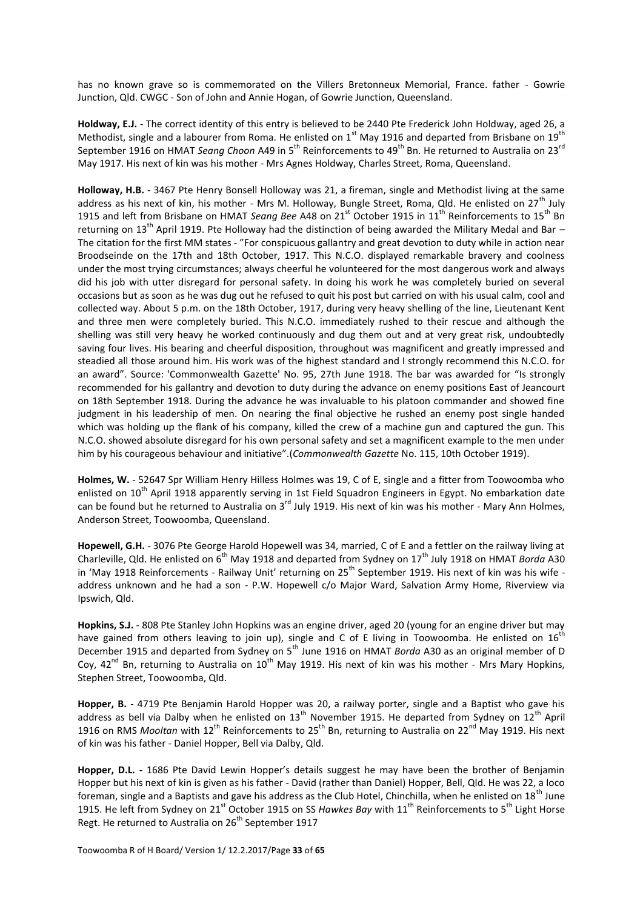has no known grave so is commemorated on the Villers Bretonneux Memorial, France. father - Gowrie Junction, Qld. CWGC - Son of John and Annie Hogan, of Gowrie Junction, Queensland.

**Holdway, E.J.** - The correct identity of this entry is believed to be 2440 Pte Frederick John Holdway, aged 26, a Methodist, single and a labourer from Roma. He enlisted on  $1^{\text{st}}$  May 1916 and departed from Brisbane on 19<sup>th</sup> September 1916 on HMAT *Seang Choon* A49 in 5<sup>th</sup> Reinforcements to 49<sup>th</sup> Bn. He returned to Australia on 23<sup>rd</sup> May 1917. His next of kin was his mother - Mrs Agnes Holdway, Charles Street, Roma, Queensland.

**Holloway, H.B.** - 3467 Pte Henry Bonsell Holloway was 21, a fireman, single and Methodist living at the same address as his next of kin, his mother - Mrs M. Holloway, Bungle Street, Roma, Qld. He enlisted on  $27<sup>th</sup>$  July 1915 and left from Brisbane on HMAT *Seang Bee* A48 on 21<sup>st</sup> October 1915 in 11<sup>th</sup> Reinforcements to 15<sup>th</sup> Bn returning on 13<sup>th</sup> April 1919. Pte Holloway had the distinction of being awarded the Military Medal and Bar – The citation for the first MM states - "For conspicuous gallantry and great devotion to duty while in action near Broodseinde on the 17th and 18th October, 1917. This N.C.O. displayed remarkable bravery and coolness under the most trying circumstances; always cheerful he volunteered for the most dangerous work and always did his job with utter disregard for personal safety. In doing his work he was completely buried on several occasions but as soon as he was dug out he refused to quit his post but carried on with his usual calm, cool and collected way. About 5 p.m. on the 18th October, 1917, during very heavy shelling of the line, Lieutenant Kent and three men were completely buried. This N.C.O. immediately rushed to their rescue and although the shelling was still very heavy he worked continuously and dug them out and at very great risk, undoubtedly saving four lives. His bearing and cheerful disposition, throughout was magnificent and greatly impressed and steadied all those around him. His work was of the highest standard and I strongly recommend this N.C.O. for an award". Source: 'Commonwealth Gazette' No. 95, 27th June 1918. The bar was awarded for "Is strongly recommended for his gallantry and devotion to duty during the advance on enemy positions East of Jeancourt on 18th September 1918. During the advance he was invaluable to his platoon commander and showed fine judgment in his leadership of men. On nearing the final objective he rushed an enemy post single handed which was holding up the flank of his company, killed the crew of a machine gun and captured the gun. This N.C.O. showed absolute disregard for his own personal safety and set a magnificent example to the men under him by his courageous behaviour and initiative".(*Commonwealth Gazette* No. 115, 10th October 1919).

**Holmes, W.** - 52647 Spr William Henry Hilless Holmes was 19, C of E, single and a fitter from Toowoomba who enlisted on 10<sup>th</sup> April 1918 apparently serving in 1st Field Squadron Engineers in Egypt. No embarkation date can be found but he returned to Australia on  $3<sup>rd</sup>$  July 1919. His next of kin was his mother - Mary Ann Holmes, Anderson Street, Toowoomba, Queensland.

**Hopewell, G.H.** - 3076 Pte George Harold Hopewell was 34, married, C of E and a fettler on the railway living at Charleville, Qld. He enlisted on 6<sup>th</sup> May 1918 and departed from Sydney on 17<sup>th</sup> July 1918 on HMAT *Borda* A30 in 'May 1918 Reinforcements - Railway Unit' returning on 25<sup>th</sup> September 1919. His next of kin was his wife address unknown and he had a son - P.W. Hopewell c/o Major Ward, Salvation Army Home, Riverview via Ipswich, Qld.

**Hopkins, S.J.** - 808 Pte Stanley John Hopkins was an engine driver, aged 20 (young for an engine driver but may have gained from others leaving to join up), single and C of E living in Toowoomba. He enlisted on  $16<sup>th</sup>$ December 1915 and departed from Sydney on 5<sup>th</sup> June 1916 on HMAT *Borda* A30 as an original member of D Coy,  $42^{nd}$  Bn, returning to Australia on  $10^{th}$  May 1919. His next of kin was his mother - Mrs Mary Hopkins, Stephen Street, Toowoomba, Qld.

**Hopper, B.** - 4719 Pte Benjamin Harold Hopper was 20, a railway porter, single and a Baptist who gave his address as bell via Dalby when he enlisted on  $13<sup>th</sup>$  November 1915. He departed from Sydney on  $12<sup>th</sup>$  April 1916 on RMS *Mooltan* with 12<sup>th</sup> Reinforcements to 25<sup>th</sup> Bn, returning to Australia on 22<sup>nd</sup> May 1919. His next of kin was his father - Daniel Hopper, Bell via Dalby, Qld.

**Hopper, D.L.** - 1686 Pte David Lewin Hopper's details suggest he may have been the brother of Benjamin Hopper but his next of kin is given as his father - David (rather than Daniel) Hopper, Bell, Qld. He was 22, a loco foreman, single and a Baptists and gave his address as the Club Hotel, Chinchilla, when he enlisted on 18<sup>th</sup> June 1915. He left from Sydney on 21<sup>st</sup> October 1915 on SS Hawkes Bay with 11<sup>th</sup> Reinforcements to 5<sup>th</sup> Light Horse Regt. He returned to Australia on 26<sup>th</sup> September 1917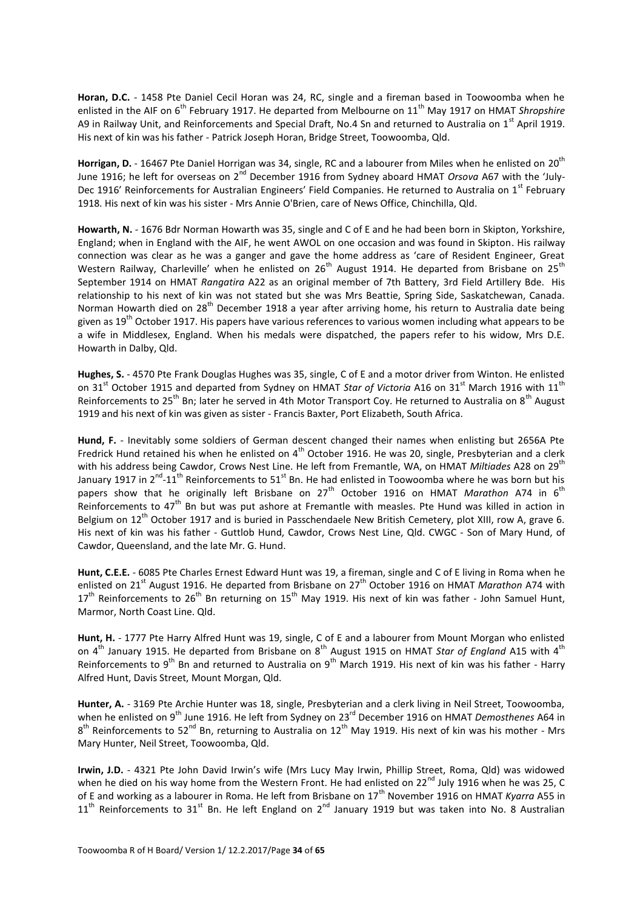**Horan, D.C.** - 1458 Pte Daniel Cecil Horan was 24, RC, single and a fireman based in Toowoomba when he enlisted in the AIF on 6<sup>th</sup> February 1917. He departed from Melbourne on 11<sup>th</sup> May 1917 on HMAT Shropshire A9 in Railway Unit, and Reinforcements and Special Draft, No.4 Sn and returned to Australia on 1<sup>st</sup> April 1919. His next of kin was his father - Patrick Joseph Horan, Bridge Street, Toowoomba, Qld.

**Horrigan, D.** - 16467 Pte Daniel Horrigan was 34, single, RC and a labourer from Miles when he enlisted on 20<sup>th</sup> June 1916; he left for overseas on 2<sup>nd</sup> December 1916 from Sydney aboard HMAT *Orsova* A67 with the 'July-Dec 1916' Reinforcements for Australian Engineers' Field Companies. He returned to Australia on 1st February 1918. His next of kin was his sister - Mrs Annie O'Brien, care of News Office, Chinchilla, Qld.

**Howarth, N.** - 1676 Bdr Norman Howarth was 35, single and C of E and he had been born in Skipton, Yorkshire, England; when in England with the AIF, he went AWOL on one occasion and was found in Skipton. His railway connection was clear as he was a ganger and gave the home address as 'care of Resident Engineer, Great Western Railway, Charleville' when he enlisted on 26<sup>th</sup> August 1914. He departed from Brisbane on 25<sup>th</sup> September 1914 on HMAT *Rangatira* A22 as an original member of 7th Battery, 3rd Field Artillery Bde. His relationship to his next of kin was not stated but she was Mrs Beattie, Spring Side, Saskatchewan, Canada. Norman Howarth died on 28<sup>th</sup> December 1918 a year after arriving home, his return to Australia date being given as  $19<sup>th</sup>$  October 1917. His papers have various references to various women including what appears to be a wife in Middlesex, England. When his medals were dispatched, the papers refer to his widow, Mrs D.E. Howarth in Dalby, Qld.

**Hughes, S.** - 4570 Pte Frank Douglas Hughes was 35, single, C of E and a motor driver from Winton. He enlisted on 31<sup>st</sup> October 1915 and departed from Sydney on HMAT *Star of Victoria* A16 on 31<sup>st</sup> March 1916 with 11<sup>th</sup> Reinforcements to 25<sup>th</sup> Bn; later he served in 4th Motor Transport Coy. He returned to Australia on 8<sup>th</sup> August 1919 and his next of kin was given as sister - Francis Baxter, Port Elizabeth, South Africa.

**Hund, F.** - Inevitably some soldiers of German descent changed their names when enlisting but 2656A Pte Fredrick Hund retained his when he enlisted on  $4<sup>th</sup>$  October 1916. He was 20, single, Presbyterian and a clerk with his address being Cawdor, Crows Nest Line. He left from Fremantle, WA, on HMAT Miltiades A28 on 29<sup>th</sup> January 1917 in 2<sup>nd</sup>-11<sup>th</sup> Reinforcements to 51<sup>st</sup> Bn. He had enlisted in Toowoomba where he was born but his papers show that he originally left Brisbane on 27<sup>th</sup> October 1916 on HMAT *Marathon* A74 in 6<sup>th</sup> Reinforcements to  $47<sup>th</sup>$  Bn but was put ashore at Fremantle with measles. Pte Hund was killed in action in Belgium on 12<sup>th</sup> October 1917 and is buried in Passchendaele New British Cemetery, plot XIII, row A, grave 6. His next of kin was his father - Guttlob Hund, Cawdor, Crows Nest Line, Qld. CWGC - Son of Mary Hund, of Cawdor, Queensland, and the late Mr. G. Hund.

**Hunt, C.E.E.** - 6085 Pte Charles Ernest Edward Hunt was 19, a fireman, single and C of E living in Roma when he enlisted on 21<sup>st</sup> August 1916. He departed from Brisbane on 27<sup>th</sup> October 1916 on HMAT *Marathon* A74 with  $17<sup>th</sup>$  Reinforcements to  $26<sup>th</sup>$  Bn returning on  $15<sup>th</sup>$  May 1919. His next of kin was father - John Samuel Hunt, Marmor, North Coast Line. Qld.

**Hunt, H.** - 1777 Pte Harry Alfred Hunt was 19, single, C of E and a labourer from Mount Morgan who enlisted on 4<sup>th</sup> January 1915. He departed from Brisbane on 8<sup>th</sup> August 1915 on HMAT Star of England A15 with 4<sup>th</sup> Reinforcements to 9<sup>th</sup> Bn and returned to Australia on 9<sup>th</sup> March 1919. His next of kin was his father - Harry Alfred Hunt, Davis Street, Mount Morgan, Qld.

**Hunter, A.** - 3169 Pte Archie Hunter was 18, single, Presbyterian and a clerk living in Neil Street, Toowoomba, when he enlisted on 9<sup>th</sup> June 1916. He left from Sydney on 23<sup>rd</sup> December 1916 on HMAT *Demosthenes* A64 in 8<sup>th</sup> Reinforcements to 52<sup>nd</sup> Bn, returning to Australia on 12<sup>th</sup> May 1919. His next of kin was his mother - Mrs Mary Hunter, Neil Street, Toowoomba, Qld.

**Irwin, J.D.** - 4321 Pte John David Irwin's wife (Mrs Lucy May Irwin, Phillip Street, Roma, Qld) was widowed when he died on his way home from the Western Front. He had enlisted on 22<sup>nd</sup> July 1916 when he was 25, C of E and working as a labourer in Roma. He left from Brisbane on 17<sup>th</sup> November 1916 on HMAT *Kyarra* A55 in  $11<sup>th</sup>$  Reinforcements to 31<sup>st</sup> Bn. He left England on 2<sup>nd</sup> January 1919 but was taken into No. 8 Australian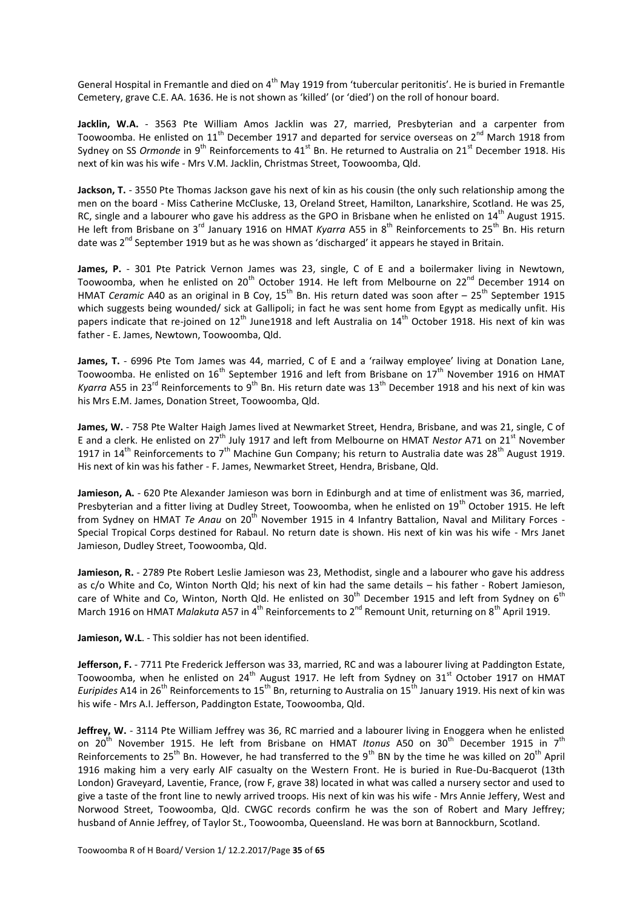General Hospital in Fremantle and died on  $4<sup>th</sup>$  May 1919 from 'tubercular peritonitis'. He is buried in Fremantle Cemetery, grave C.E. AA. 1636. He is not shown as 'killed' (or 'died') on the roll of honour board.

**Jacklin, W.A.** - 3563 Pte William Amos Jacklin was 27, married, Presbyterian and a carpenter from Toowoomba. He enlisted on  $11^{th}$  December 1917 and departed for service overseas on  $2^{nd}$  March 1918 from Sydney on SS *Ormonde* in 9<sup>th</sup> Reinforcements to 41<sup>st</sup> Bn. He returned to Australia on 21<sup>st</sup> December 1918. His next of kin was his wife - Mrs V.M. Jacklin, Christmas Street, Toowoomba, Qld.

**Jackson, T.** - 3550 Pte Thomas Jackson gave his next of kin as his cousin (the only such relationship among the men on the board - Miss Catherine McCluske, 13, Oreland Street, Hamilton, Lanarkshire, Scotland. He was 25, RC, single and a labourer who gave his address as the GPO in Brisbane when he enlisted on  $14<sup>th</sup>$  August 1915. He left from Brisbane on 3<sup>rd</sup> January 1916 on HMAT *Kyarra* A55 in 8<sup>th</sup> Reinforcements to 25<sup>th</sup> Bn. His return date was 2<sup>nd</sup> September 1919 but as he was shown as 'discharged' it appears he stayed in Britain.

**James, P.** - 301 Pte Patrick Vernon James was 23, single, C of E and a boilermaker living in Newtown, Toowoomba, when he enlisted on 20<sup>th</sup> October 1914. He left from Melbourne on 22<sup>nd</sup> December 1914 on HMAT *Ceramic* A40 as an original in B Coy, 15<sup>th</sup> Bn. His return dated was soon after – 25<sup>th</sup> September 1915 which suggests being wounded/ sick at Gallipoli; in fact he was sent home from Egypt as medically unfit. His papers indicate that re-joined on  $12^{th}$  June1918 and left Australia on  $14^{th}$  October 1918. His next of kin was father - E. James, Newtown, Toowoomba, Qld.

James, T. - 6996 Pte Tom James was 44, married, C of E and a 'railway employee' living at Donation Lane, Toowoomba. He enlisted on 16<sup>th</sup> September 1916 and left from Brisbane on 17<sup>th</sup> November 1916 on HMAT *Kyarra* A55 in 23<sup>rd</sup> Reinforcements to 9<sup>th</sup> Bn. His return date was 13<sup>th</sup> December 1918 and his next of kin was his Mrs E.M. James, Donation Street, Toowoomba, Qld.

**James, W.** - 758 Pte Walter Haigh James lived at Newmarket Street, Hendra, Brisbane, and was 21, single, C of E and a clerk. He enlisted on 27th July 1917 and left from Melbourne on HMAT *Nestor* A71 on 21st November 1917 in 14<sup>th</sup> Reinforcements to 7<sup>th</sup> Machine Gun Company; his return to Australia date was 28<sup>th</sup> August 1919. His next of kin was his father - F. James, Newmarket Street, Hendra, Brisbane, Qld.

**Jamieson, A.** - 620 Pte Alexander Jamieson was born in Edinburgh and at time of enlistment was 36, married, Presbyterian and a fitter living at Dudley Street, Toowoomba, when he enlisted on 19<sup>th</sup> October 1915. He left from Sydney on HMAT *Te Anau* on 20<sup>th</sup> November 1915 in 4 Infantry Battalion, Naval and Military Forces -Special Tropical Corps destined for Rabaul. No return date is shown. His next of kin was his wife - Mrs Janet Jamieson, Dudley Street, Toowoomba, Qld.

Jamieson, R. - 2789 Pte Robert Leslie Jamieson was 23, Methodist, single and a labourer who gave his address as c/o White and Co, Winton North Qld; his next of kin had the same details – his father - Robert Jamieson, care of White and Co, Winton, North Qld. He enlisted on 30<sup>th</sup> December 1915 and left from Sydney on 6<sup>th</sup> March 1916 on HMAT *Malakuta* A57 in 4<sup>th</sup> Reinforcements to 2<sup>nd</sup> Remount Unit, returning on 8<sup>th</sup> April 1919.

**Jamieson, W.L**. - This soldier has not been identified.

**Jefferson, F.** - 7711 Pte Frederick Jefferson was 33, married, RC and was a labourer living at Paddington Estate, Toowoomba, when he enlisted on 24<sup>th</sup> August 1917. He left from Sydney on 31<sup>st</sup> October 1917 on HMAT *Euripides* A14 in 26<sup>th</sup> Reinforcements to 15<sup>th</sup> Bn, returning to Australia on 15<sup>th</sup> January 1919. His next of kin was his wife - Mrs A.I. Jefferson, Paddington Estate, Toowoomba, Qld.

**Jeffrey, W.** - 3114 Pte William Jeffrey was 36, RC married and a labourer living in Enoggera when he enlisted on 20<sup>th</sup> November 1915. He left from Brisbane on HMAT *Itonus* A50 on 30<sup>th</sup> December 1915 in 7<sup>th</sup> Reinforcements to 25<sup>th</sup> Bn. However, he had transferred to the 9<sup>th</sup> BN by the time he was killed on 20<sup>th</sup> April 1916 making him a very early AIF casualty on the Western Front. He is buried in Rue-Du-Bacquerot (13th London) Graveyard, Laventie, France, (row F, grave 38) located in what was called a nursery sector and used to give a taste of the front line to newly arrived troops. His next of kin was his wife - Mrs Annie Jeffery, West and Norwood Street, Toowoomba, Qld. CWGC records confirm he was the son of Robert and Mary Jeffrey; husband of Annie Jeffrey, of Taylor St., Toowoomba, Queensland. He was born at Bannockburn, Scotland.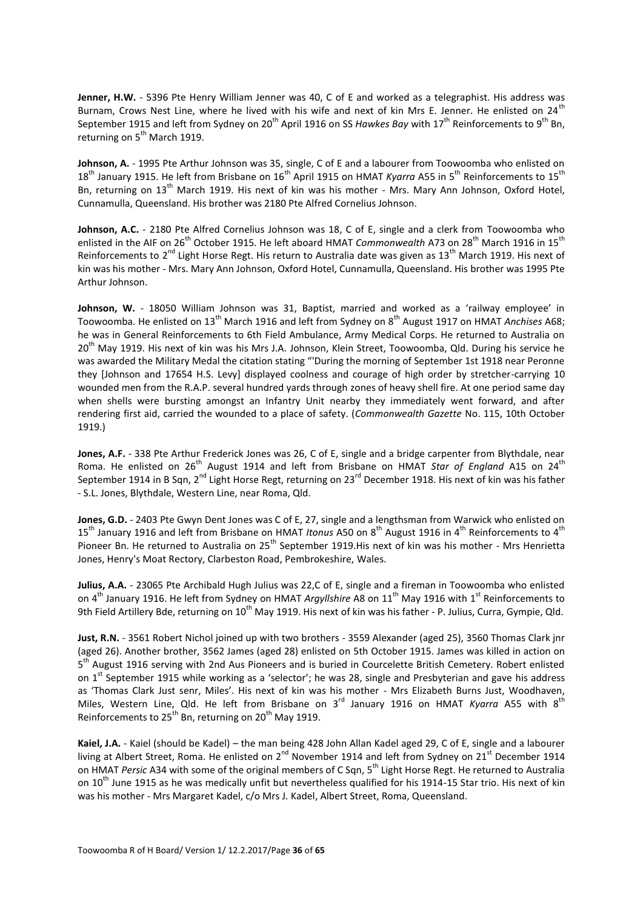**Jenner, H.W.** - 5396 Pte Henry William Jenner was 40, C of E and worked as a telegraphist. His address was Burnam, Crows Nest Line, where he lived with his wife and next of kin Mrs E. Jenner. He enlisted on 24<sup>th</sup> September 1915 and left from Sydney on 20<sup>th</sup> April 1916 on SS Hawkes Bay with 17<sup>th</sup> Reinforcements to 9<sup>th</sup> Bn, returning on  $5<sup>th</sup>$  March 1919.

**Johnson, A.** - 1995 Pte Arthur Johnson was 35, single, C of E and a labourer from Toowoomba who enlisted on 18th January 1915. He left from Brisbane on 16th April 1915 on HMAT *Kyarra* A55 in 5th Reinforcements to 15th Bn, returning on 13<sup>th</sup> March 1919. His next of kin was his mother - Mrs. Mary Ann Johnson, Oxford Hotel, Cunnamulla, Queensland. His brother was 2180 Pte Alfred Cornelius Johnson.

Johnson, A.C. - 2180 Pte Alfred Cornelius Johnson was 18, C of E, single and a clerk from Toowoomba who enlisted in the AIF on 26<sup>th</sup> October 1915. He left aboard HMAT *Commonwealth* A73 on 28<sup>th</sup> March 1916 in 15<sup>th</sup> Reinforcements to 2<sup>nd</sup> Light Horse Regt. His return to Australia date was given as 13<sup>th</sup> March 1919. His next of kin was his mother - Mrs. Mary Ann Johnson, Oxford Hotel, Cunnamulla, Queensland. His brother was 1995 Pte Arthur Johnson.

**Johnson, W.** - 18050 William Johnson was 31, Baptist, married and worked as a 'railway employee' in Toowoomba. He enlisted on 13<sup>th</sup> March 1916 and left from Sydney on 8<sup>th</sup> August 1917 on HMAT *Anchises* A68; he was in General Reinforcements to 6th Field Ambulance, Army Medical Corps. He returned to Australia on 20<sup>th</sup> May 1919. His next of kin was his Mrs J.A. Johnson, Klein Street, Toowoomba, Qld. During his service he was awarded the Military Medal the citation stating "'During the morning of September 1st 1918 near Peronne they [Johnson and 17654 H.S. Levy] displayed coolness and courage of high order by stretcher-carrying 10 wounded men from the R.A.P. several hundred yards through zones of heavy shell fire. At one period same day when shells were bursting amongst an Infantry Unit nearby they immediately went forward, and after rendering first aid, carried the wounded to a place of safety. (*Commonwealth Gazette* No. 115, 10th October 1919.)

**Jones, A.F.** - 338 Pte Arthur Frederick Jones was 26, C of E, single and a bridge carpenter from Blythdale, near Roma. He enlisted on 26<sup>th</sup> August 1914 and left from Brisbane on HMAT *Star of England* A15 on 24<sup>th</sup> September 1914 in B Sqn, 2<sup>nd</sup> Light Horse Regt, returning on 23<sup>rd</sup> December 1918. His next of kin was his father - S.L. Jones, Blythdale, Western Line, near Roma, Qld.

**Jones, G.D.** - 2403 Pte Gwyn Dent Jones was C of E, 27, single and a lengthsman from Warwick who enlisted on 15<sup>th</sup> January 1916 and left from Brisbane on HMAT *Itonus* A50 on 8<sup>th</sup> August 1916 in 4<sup>th</sup> Reinforcements to 4<sup>th</sup> Pioneer Bn. He returned to Australia on 25<sup>th</sup> September 1919.His next of kin was his mother - Mrs Henrietta Jones, Henry's Moat Rectory, Clarbeston Road, Pembrokeshire, Wales.

**Julius, A.A.** - 23065 Pte Archibald Hugh Julius was 22,C of E, single and a fireman in Toowoomba who enlisted on 4<sup>th</sup> January 1916. He left from Sydney on HMAT *Argyllshire* A8 on 11<sup>th</sup> May 1916 with 1<sup>st</sup> Reinforcements to 9th Field Artillery Bde, returning on 10<sup>th</sup> May 1919. His next of kin was his father - P. Julius, Curra, Gympie, Qld.

**Just, R.N.** - 3561 Robert Nichol joined up with two brothers - 3559 Alexander (aged 25), 3560 Thomas Clark jnr (aged 26). Another brother, 3562 James (aged 28) enlisted on 5th October 1915. James was killed in action on 5<sup>th</sup> August 1916 serving with 2nd Aus Pioneers and is buried in Courcelette British Cemetery. Robert enlisted on 1<sup>st</sup> September 1915 while working as a 'selector'; he was 28, single and Presbyterian and gave his address as 'Thomas Clark Just senr, Miles'. His next of kin was his mother - Mrs Elizabeth Burns Just, Woodhaven, Miles, Western Line, Qld. He left from Brisbane on 3rd January 1916 on HMAT *Kyarra* A55 with 8th Reinforcements to  $25<sup>th</sup>$  Bn, returning on  $20<sup>th</sup>$  May 1919.

**Kaiel, J.A.** - Kaiel (should be Kadel) – the man being 428 John Allan Kadel aged 29, C of E, single and a labourer living at Albert Street, Roma. He enlisted on 2<sup>nd</sup> November 1914 and left from Sydney on 21<sup>st</sup> December 1914 on HMAT *Persic* A34 with some of the original members of C Sqn, 5th Light Horse Regt. He returned to Australia on 10<sup>th</sup> June 1915 as he was medically unfit but nevertheless qualified for his 1914-15 Star trio. His next of kin was his mother - Mrs Margaret Kadel, c/o Mrs J. Kadel, Albert Street, Roma, Queensland.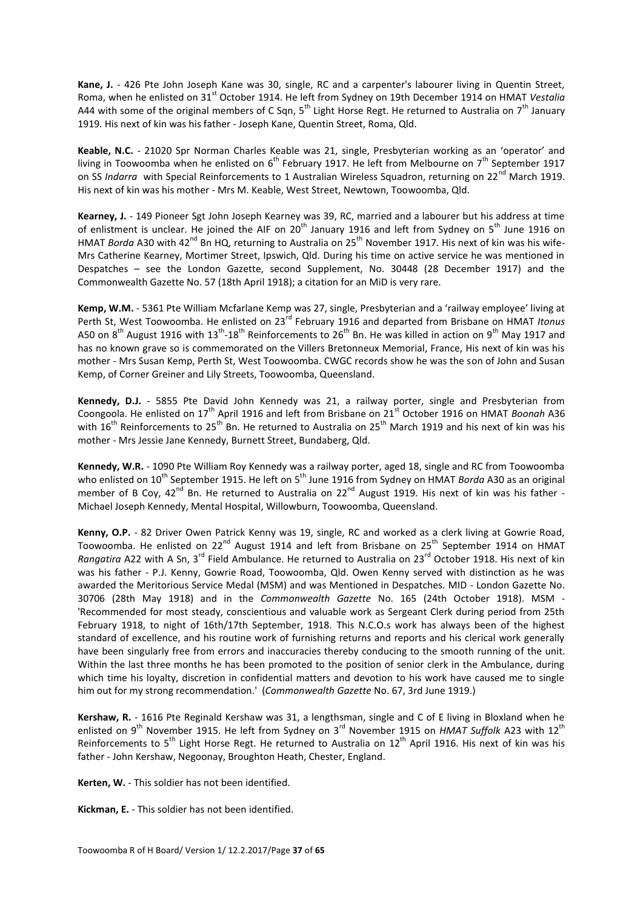**Kane, J.** - 426 Pte John Joseph Kane was 30, single, RC and a carpenter's labourer living in Quentin Street, Roma, when he enlisted on 31<sup>st</sup> October 1914. He left from Sydney on 19th December 1914 on HMAT Vestalia A44 with some of the original members of C Sqn,  $5<sup>th</sup>$  Light Horse Regt. He returned to Australia on  $7<sup>th</sup>$  January 1919. His next of kin was his father - Joseph Kane, Quentin Street, Roma, Qld.

**Keable, N.C.** - 21020 Spr Norman Charles Keable was 21, single, Presbyterian working as an 'operator' and living in Toowoomba when he enlisted on  $6^{th}$  February 1917. He left from Melbourne on  $7^{th}$  September 1917 on SS *Indarra* with Special Reinforcements to 1 Australian Wireless Squadron, returning on 22<sup>nd</sup> March 1919. His next of kin was his mother - Mrs M. Keable, West Street, Newtown, Toowoomba, Qld.

**Kearney, J.** - 149 Pioneer Sgt John Joseph Kearney was 39, RC, married and a labourer but his address at time of enlistment is unclear. He joined the AIF on 20<sup>th</sup> January 1916 and left from Sydney on 5<sup>th</sup> June 1916 on HMAT *Borda* A30 with 42<sup>nd</sup> Bn HQ, returning to Australia on 25<sup>th</sup> November 1917. His next of kin was his wife-Mrs Catherine Kearney, Mortimer Street, Ipswich, Qld. During his time on active service he was mentioned in Despatches – see the London Gazette, second Supplement, No. 30448 (28 December 1917) and the Commonwealth Gazette No. 57 (18th April 1918); a citation for an MiD is very rare.

**Kemp, W.M.** - 5361 Pte William Mcfarlane Kemp was 27, single, Presbyterian and a 'railway employee' living at Perth St, West Toowoomba. He enlisted on 23rd February 1916 and departed from Brisbane on HMAT *Itonus*  A50 on  $8^{th}$  August 1916 with 13<sup>th</sup>-18<sup>th</sup> Reinforcements to 26<sup>th</sup> Bn. He was killed in action on 9<sup>th</sup> May 1917 and has no known grave so is commemorated on the Villers Bretonneux Memorial, France, His next of kin was his mother - Mrs Susan Kemp, Perth St, West Toowoomba. CWGC records show he was the son of John and Susan Kemp, of Corner Greiner and Lily Streets, Toowoomba, Queensland.

**Kennedy, D.J.** - 5855 Pte David John Kennedy was 21, a railway porter, single and Presbyterian from Coongoola. He enlisted on 17<sup>th</sup> April 1916 and left from Brisbane on 21<sup>st</sup> October 1916 on HMAT *Boonah* A36 with 16<sup>th</sup> Reinforcements to 25<sup>th</sup> Bn. He returned to Australia on 25<sup>th</sup> March 1919 and his next of kin was his mother - Mrs Jessie Jane Kennedy, Burnett Street, Bundaberg, Qld.

**Kennedy, W.R.** - 1090 Pte William Roy Kennedy was a railway porter, aged 18, single and RC from Toowoomba who enlisted on 10<sup>th</sup> September 1915. He left on 5<sup>th</sup> June 1916 from Sydney on HMAT *Borda* A30 as an original member of B Coy,  $42^{nd}$  Bn. He returned to Australia on  $22^{nd}$  August 1919. His next of kin was his father -Michael Joseph Kennedy, Mental Hospital, Willowburn, Toowoomba, Queensland.

**Kenny, O.P.** - 82 Driver Owen Patrick Kenny was 19, single, RC and worked as a clerk living at Gowrie Road, Toowoomba. He enlisted on 22nd August 1914 and left from Brisbane on 25th September 1914 on HMAT *Rangatira* A22 with A Sn, 3<sup>rd</sup> Field Ambulance. He returned to Australia on 23<sup>rd</sup> October 1918. His next of kin was his father - P.J. Kenny, Gowrie Road, Toowoomba, Qld. Owen Kenny served with distinction as he was awarded the Meritorious Service Medal (MSM) and was Mentioned in Despatches. MID - London Gazette No. 30706 (28th May 1918) and in the *Commonwealth Gazette* No. 165 (24th October 1918). MSM - 'Recommended for most steady, conscientious and valuable work as Sergeant Clerk during period from 25th February 1918, to night of 16th/17th September, 1918. This N.C.O.s work has always been of the highest standard of excellence, and his routine work of furnishing returns and reports and his clerical work generally have been singularly free from errors and inaccuracies thereby conducing to the smooth running of the unit. Within the last three months he has been promoted to the position of senior clerk in the Ambulance, during which time his loyalty, discretion in confidential matters and devotion to his work have caused me to single him out for my strong recommendation.' (*Commonwealth Gazette* No. 67, 3rd June 1919.)

**Kershaw, R.** - 1616 Pte Reginald Kershaw was 31, a lengthsman, single and C of E living in Bloxland when he enlisted on 9th November 1915. He left from Sydney on 3rd November 1915 on *HMAT Suffolk* A23 with 12th Reinforcements to  $5<sup>th</sup>$  Light Horse Regt. He returned to Australia on  $12<sup>th</sup>$  April 1916. His next of kin was his father - John Kershaw, Negoonay, Broughton Heath, Chester, England.

**Kerten, W.** - This soldier has not been identified.

**Kickman, E.** - This soldier has not been identified.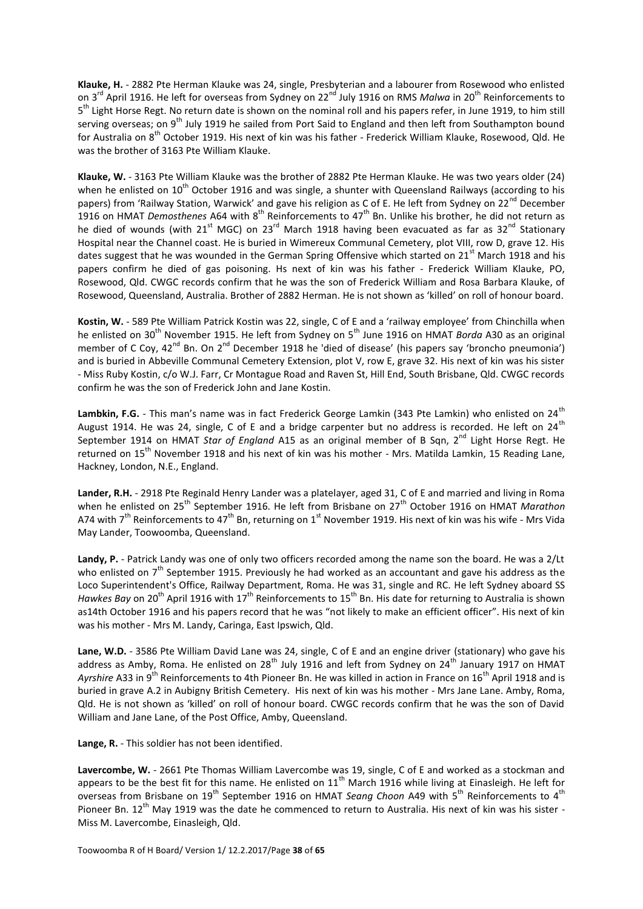**Klauke, H.** - 2882 Pte Herman Klauke was 24, single, Presbyterian and a labourer from Rosewood who enlisted on 3<sup>rd</sup> April 1916. He left for overseas from Sydney on 22<sup>nd</sup> July 1916 on RMS *Malwa* in 20<sup>th</sup> Reinforcements to 5<sup>th</sup> Light Horse Regt. No return date is shown on the nominal roll and his papers refer, in June 1919, to him still serving overseas; on 9<sup>th</sup> July 1919 he sailed from Port Said to England and then left from Southampton bound for Australia on 8th October 1919. His next of kin was his father - Frederick William Klauke, Rosewood, Qld. He was the brother of 3163 Pte William Klauke.

**Klauke, W.** - 3163 Pte William Klauke was the brother of 2882 Pte Herman Klauke. He was two years older (24) when he enlisted on  $10^{th}$  October 1916 and was single, a shunter with Queensland Railways (according to his papers) from 'Railway Station, Warwick' and gave his religion as C of E. He left from Sydney on 22<sup>nd</sup> December 1916 on HMAT *Demosthenes* A64 with 8<sup>th</sup> Reinforcements to 47<sup>th</sup> Bn. Unlike his brother, he did not return as he died of wounds (with  $21^{st}$  MGC) on  $23^{rd}$  March 1918 having been evacuated as far as  $32^{nd}$  Stationary Hospital near the Channel coast. He is buried in Wimereux Communal Cemetery, plot VIII, row D, grave 12. His dates suggest that he was wounded in the German Spring Offensive which started on 21<sup>st</sup> March 1918 and his papers confirm he died of gas poisoning. Hs next of kin was his father - Frederick William Klauke, PO, Rosewood, Qld. CWGC records confirm that he was the son of Frederick William and Rosa Barbara Klauke, of Rosewood, Queensland, Australia. Brother of 2882 Herman. He is not shown as 'killed' on roll of honour board.

**Kostin, W.** - 589 Pte William Patrick Kostin was 22, single, C of E and a 'railway employee' from Chinchilla when he enlisted on 30<sup>th</sup> November 1915. He left from Sydney on 5<sup>th</sup> June 1916 on HMAT *Borda* A30 as an original member of C Coy, 42<sup>nd</sup> Bn. On 2<sup>nd</sup> December 1918 he 'died of disease' (his papers say 'broncho pneumonia') and is buried in Abbeville Communal Cemetery Extension, plot V, row E, grave 32. His next of kin was his sister - Miss Ruby Kostin, c/o W.J. Farr, Cr Montague Road and Raven St, Hill End, South Brisbane, Qld. CWGC records confirm he was the son of Frederick John and Jane Kostin.

Lambkin, F.G. - This man's name was in fact Frederick George Lamkin (343 Pte Lamkin) who enlisted on 24<sup>th</sup> August 1914. He was 24, single, C of E and a bridge carpenter but no address is recorded. He left on 24<sup>th</sup> September 1914 on HMAT *Star of England* A15 as an original member of B Sqn, 2<sup>nd</sup> Light Horse Regt. He returned on 15<sup>th</sup> November 1918 and his next of kin was his mother - Mrs. Matilda Lamkin, 15 Reading Lane, Hackney, London, N.E., England.

**Lander, R.H.** - 2918 Pte Reginald Henry Lander was a platelayer, aged 31, C of E and married and living in Roma when he enlisted on 25th September 1916. He left from Brisbane on 27th October 1916 on HMAT *Marathon* A74 with  $7^{th}$  Reinforcements to  $47^{th}$  Bn, returning on  $1^{st}$  November 1919. His next of kin was his wife - Mrs Vida May Lander, Toowoomba, Queensland.

**Landy, P.** - Patrick Landy was one of only two officers recorded among the name son the board. He was a 2/Lt who enlisted on  $7<sup>th</sup>$  September 1915. Previously he had worked as an accountant and gave his address as the Loco Superintendent's Office, Railway Department, Roma. He was 31, single and RC. He left Sydney aboard SS *Hawkes Bay* on 20<sup>th</sup> April 1916 with 17<sup>th</sup> Reinforcements to 15<sup>th</sup> Bn. His date for returning to Australia is shown as14th October 1916 and his papers record that he was "not likely to make an efficient officer". His next of kin was his mother - Mrs M. Landy, Caringa, East Ipswich, Qld.

**Lane, W.D.** - 3586 Pte William David Lane was 24, single, C of E and an engine driver (stationary) who gave his address as Amby, Roma. He enlisted on 28<sup>th</sup> July 1916 and left from Sydney on 24<sup>th</sup> January 1917 on HMAT Ayrshire A33 in 9<sup>th</sup> Reinforcements to 4th Pioneer Bn. He was killed in action in France on 16<sup>th</sup> April 1918 and is buried in grave A.2 in Aubigny British Cemetery. His next of kin was his mother - Mrs Jane Lane. Amby, Roma, Qld. He is not shown as 'killed' on roll of honour board. CWGC records confirm that he was the son of David William and Jane Lane, of the Post Office, Amby, Queensland.

**Lange, R.** - This soldier has not been identified.

**Lavercombe, W.** - 2661 Pte Thomas William Lavercombe was 19, single, C of E and worked as a stockman and appears to be the best fit for this name. He enlisted on  $11<sup>th</sup>$  March 1916 while living at Einasleigh. He left for overseas from Brisbane on 19<sup>th</sup> September 1916 on HMAT *Seang Choon* A49 with 5<sup>th</sup> Reinforcements to 4<sup>th</sup> Pioneer Bn. 12<sup>th</sup> May 1919 was the date he commenced to return to Australia. His next of kin was his sister -Miss M. Lavercombe, Einasleigh, Qld.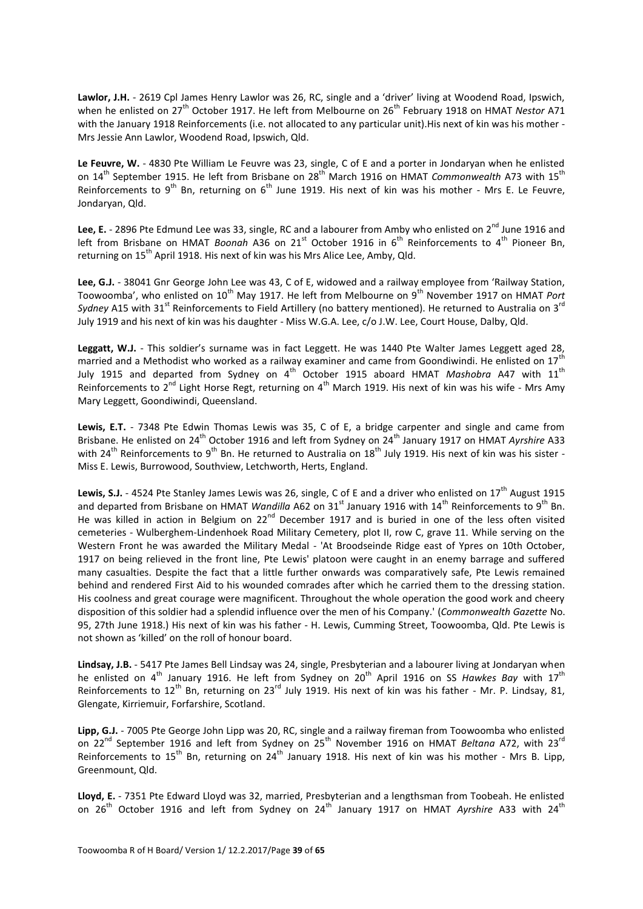**Lawlor, J.H.** - 2619 Cpl James Henry Lawlor was 26, RC, single and a 'driver' living at Woodend Road, Ipswich, when he enlisted on 27<sup>th</sup> October 1917. He left from Melbourne on 26<sup>th</sup> February 1918 on HMAT *Nestor* A71 with the January 1918 Reinforcements (i.e. not allocated to any particular unit). His next of kin was his mother -Mrs Jessie Ann Lawlor, Woodend Road, Ipswich, Qld.

**Le Feuvre, W.** - 4830 Pte William Le Feuvre was 23, single, C of E and a porter in Jondaryan when he enlisted on 14<sup>th</sup> September 1915. He left from Brisbane on 28<sup>th</sup> March 1916 on HMAT *Commonwealth* A73 with 15<sup>th</sup> Reinforcements to 9<sup>th</sup> Bn, returning on 6<sup>th</sup> June 1919. His next of kin was his mother - Mrs E. Le Feuvre, Jondaryan, Qld.

Lee, E. - 2896 Pte Edmund Lee was 33, single, RC and a labourer from Amby who enlisted on 2<sup>nd</sup> June 1916 and left from Brisbane on HMAT *Boonah* A36 on 21<sup>st</sup> October 1916 in 6<sup>th</sup> Reinforcements to 4<sup>th</sup> Pioneer Bn. returning on 15<sup>th</sup> April 1918. His next of kin was his Mrs Alice Lee, Amby, Qld.

**Lee, G.J.** - 38041 Gnr George John Lee was 43, C of E, widowed and a railway employee from 'Railway Station, Toowoomba', who enlisted on 10<sup>th</sup> May 1917. He left from Melbourne on 9<sup>th</sup> November 1917 on HMAT *Port* Sydney A15 with 31<sup>st</sup> Reinforcements to Field Artillery (no battery mentioned). He returned to Australia on 3<sup>rd</sup> July 1919 and his next of kin was his daughter - Miss W.G.A. Lee, c/o J.W. Lee, Court House, Dalby, Qld.

Leggatt, W.J. - This soldier's surname was in fact Leggett. He was 1440 Pte Walter James Leggett aged 28, married and a Methodist who worked as a railway examiner and came from Goondiwindi. He enlisted on 17<sup>th</sup> July 1915 and departed from Sydney on 4<sup>th</sup> October 1915 aboard HMAT *Mashobra* A47 with 11<sup>th</sup> Reinforcements to 2<sup>nd</sup> Light Horse Regt, returning on 4<sup>th</sup> March 1919. His next of kin was his wife - Mrs Amy Mary Leggett, Goondiwindi, Queensland.

**Lewis, E.T.** - 7348 Pte Edwin Thomas Lewis was 35, C of E, a bridge carpenter and single and came from Brisbane. He enlisted on 24<sup>th</sup> October 1916 and left from Sydney on 24<sup>th</sup> January 1917 on HMAT Ayrshire A33 with 24<sup>th</sup> Reinforcements to 9<sup>th</sup> Bn. He returned to Australia on  $18<sup>th</sup>$  July 1919. His next of kin was his sister -Miss E. Lewis, Burrowood, Southview, Letchworth, Herts, England.

Lewis, S.J. - 4524 Pte Stanley James Lewis was 26, single, C of E and a driver who enlisted on 17<sup>th</sup> August 1915 and departed from Brisbane on HMAT *Wandilla* A62 on 31<sup>st</sup> January 1916 with 14<sup>th</sup> Reinforcements to 9<sup>th</sup> Bn. He was killed in action in Belgium on 22<sup>nd</sup> December 1917 and is buried in one of the less often visited cemeteries - Wulberghem-Lindenhoek Road Military Cemetery, plot II, row C, grave 11. While serving on the Western Front he was awarded the Military Medal - 'At Broodseinde Ridge east of Ypres on 10th October, 1917 on being relieved in the front line, Pte Lewis' platoon were caught in an enemy barrage and suffered many casualties. Despite the fact that a little further onwards was comparatively safe, Pte Lewis remained behind and rendered First Aid to his wounded comrades after which he carried them to the dressing station. His coolness and great courage were magnificent. Throughout the whole operation the good work and cheery disposition of this soldier had a splendid influence over the men of his Company.' (*Commonwealth Gazette* No. 95, 27th June 1918.) His next of kin was his father - H. Lewis, Cumming Street, Toowoomba, Qld. Pte Lewis is not shown as 'killed' on the roll of honour board.

**Lindsay, J.B.** - 5417 Pte James Bell Lindsay was 24, single, Presbyterian and a labourer living at Jondaryan when he enlisted on 4<sup>th</sup> January 1916. He left from Sydney on 20<sup>th</sup> April 1916 on SS Hawkes Bay with 17<sup>th</sup> Reinforcements to 12<sup>th</sup> Bn, returning on 23<sup>rd</sup> July 1919. His next of kin was his father - Mr. P. Lindsay, 81, Glengate, Kirriemuir, Forfarshire, Scotland.

**Lipp, G.J.** - 7005 Pte George John Lipp was 20, RC, single and a railway fireman from Toowoomba who enlisted on 22<sup>nd</sup> September 1916 and left from Sydney on 25<sup>th</sup> November 1916 on HMAT *Beltana* A72, with 23<sup>rd</sup> Reinforcements to 15<sup>th</sup> Bn, returning on 24<sup>th</sup> January 1918. His next of kin was his mother - Mrs B. Lipp, Greenmount, Qld.

**Lloyd, E.** - 7351 Pte Edward Lloyd was 32, married, Presbyterian and a lengthsman from Toobeah. He enlisted on 26<sup>th</sup> October 1916 and left from Sydney on 24<sup>th</sup> January 1917 on HMAT Ayrshire A33 with 24<sup>th</sup>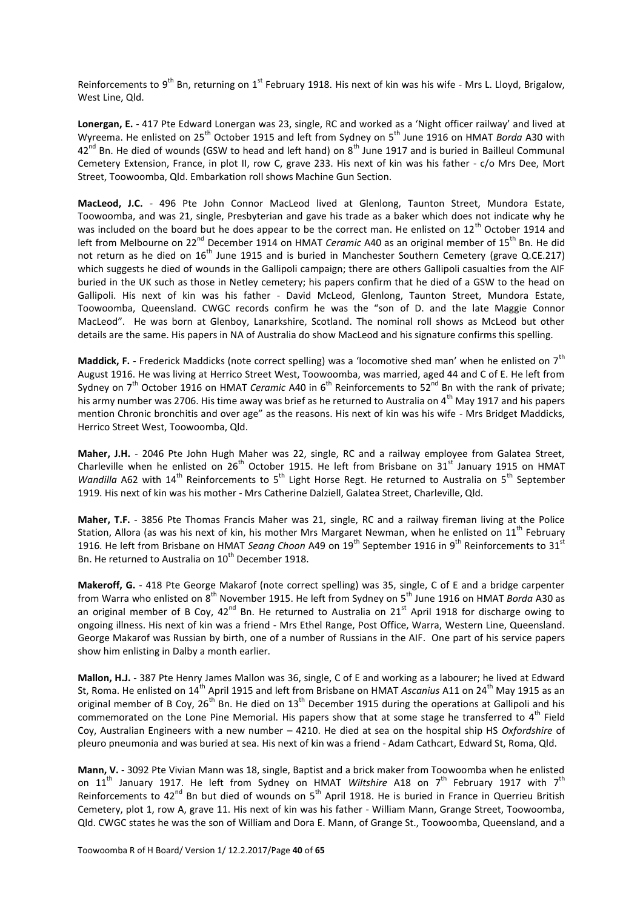Reinforcements to 9<sup>th</sup> Bn, returning on 1<sup>st</sup> February 1918. His next of kin was his wife - Mrs L. Lloyd, Brigalow, West Line, Qld.

**Lonergan, E.** - 417 Pte Edward Lonergan was 23, single, RC and worked as a 'Night officer railway' and lived at Wyreema. He enlisted on 25th October 1915 and left from Sydney on 5th June 1916 on HMAT *Borda* A30 with  $42^{nd}$  Bn. He died of wounds (GSW to head and left hand) on  $8^{th}$  June 1917 and is buried in Bailleul Communal Cemetery Extension, France, in plot II, row C, grave 233. His next of kin was his father - c/o Mrs Dee, Mort Street, Toowoomba, Qld. Embarkation roll shows Machine Gun Section.

**MacLeod, J.C.** - 496 Pte John Connor MacLeod lived at Glenlong, Taunton Street, Mundora Estate, Toowoomba, and was 21, single, Presbyterian and gave his trade as a baker which does not indicate why he was included on the board but he does appear to be the correct man. He enlisted on  $12<sup>th</sup>$  October 1914 and left from Melbourne on 22<sup>nd</sup> December 1914 on HMAT *Ceramic* A40 as an original member of 15<sup>th</sup> Bn. He did not return as he died on 16<sup>th</sup> June 1915 and is buried in Manchester Southern Cemetery (grave Q.CE.217) which suggests he died of wounds in the Gallipoli campaign; there are others Gallipoli casualties from the AIF buried in the UK such as those in Netley cemetery; his papers confirm that he died of a GSW to the head on Gallipoli. His next of kin was his father - David McLeod, Glenlong, Taunton Street, Mundora Estate, Toowoomba, Queensland. CWGC records confirm he was the "son of D. and the late Maggie Connor MacLeod". He was born at Glenboy, Lanarkshire, Scotland. The nominal roll shows as McLeod but other details are the same. His papers in NA of Australia do show MacLeod and his signature confirms this spelling.

Maddick, F. - Frederick Maddicks (note correct spelling) was a 'locomotive shed man' when he enlisted on 7<sup>th</sup> August 1916. He was living at Herrico Street West, Toowoomba, was married, aged 44 and C of E. He left from Sydney on 7<sup>th</sup> October 1916 on HMAT *Ceramic* A40 in 6<sup>th</sup> Reinforcements to 52<sup>nd</sup> Bn with the rank of private; his army number was 2706. His time away was brief as he returned to Australia on 4<sup>th</sup> May 1917 and his papers mention Chronic bronchitis and over age" as the reasons. His next of kin was his wife - Mrs Bridget Maddicks, Herrico Street West, Toowoomba, Qld.

**Maher, J.H.** - 2046 Pte John Hugh Maher was 22, single, RC and a railway employee from Galatea Street, Charleville when he enlisted on  $26<sup>th</sup>$  October 1915. He left from Brisbane on  $31<sup>st</sup>$  January 1915 on HMAT *Wandilla* A62 with 14<sup>th</sup> Reinforcements to 5<sup>th</sup> Light Horse Regt. He returned to Australia on 5<sup>th</sup> September 1919. His next of kin was his mother - Mrs Catherine Dalziell, Galatea Street, Charleville, Qld.

**Maher, T.F.** - 3856 Pte Thomas Francis Maher was 21, single, RC and a railway fireman living at the Police Station, Allora (as was his next of kin, his mother Mrs Margaret Newman, when he enlisted on 11<sup>th</sup> February 1916. He left from Brisbane on HMAT *Seang Choon* A49 on 19<sup>th</sup> September 1916 in 9<sup>th</sup> Reinforcements to 31<sup>st</sup> Bn. He returned to Australia on 10<sup>th</sup> December 1918.

**Makeroff, G.** - 418 Pte George Makarof (note correct spelling) was 35, single, C of E and a bridge carpenter from Warra who enlisted on 8<sup>th</sup> November 1915. He left from Sydney on 5<sup>th</sup> June 1916 on HMAT *Borda* A30 as an original member of B Coy,  $42^{nd}$  Bn. He returned to Australia on  $21^{st}$  April 1918 for discharge owing to ongoing illness. His next of kin was a friend - Mrs Ethel Range, Post Office, Warra, Western Line, Queensland. George Makarof was Russian by birth, one of a number of Russians in the AIF. One part of his service papers show him enlisting in Dalby a month earlier.

**Mallon, H.J.** - 387 Pte Henry James Mallon was 36, single, C of E and working as a labourer; he lived at Edward St, Roma. He enlisted on 14th April 1915 and left from Brisbane on HMAT *Ascanius* A11 on 24th May 1915 as an original member of B Coy,  $26<sup>th</sup>$  Bn. He died on  $13<sup>th</sup>$  December 1915 during the operations at Gallipoli and his commemorated on the Lone Pine Memorial. His papers show that at some stage he transferred to 4<sup>th</sup> Field Coy, Australian Engineers with a new number – 4210. He died at sea on the hospital ship HS *Oxfordshire* of pleuro pneumonia and was buried at sea. His next of kin was a friend - Adam Cathcart, Edward St, Roma, Qld.

**Mann, V.** - 3092 Pte Vivian Mann was 18, single, Baptist and a brick maker from Toowoomba when he enlisted on 11<sup>th</sup> January 1917. He left from Sydney on HMAT *Wiltshire* A18 on 7<sup>th</sup> February 1917 with 7<sup>th</sup> Reinforcements to 42<sup>nd</sup> Bn but died of wounds on 5<sup>th</sup> April 1918. He is buried in France in Querrieu British Cemetery, plot 1, row A, grave 11. His next of kin was his father - William Mann, Grange Street, Toowoomba, Qld. CWGC states he was the son of William and Dora E. Mann, of Grange St., Toowoomba, Queensland, and a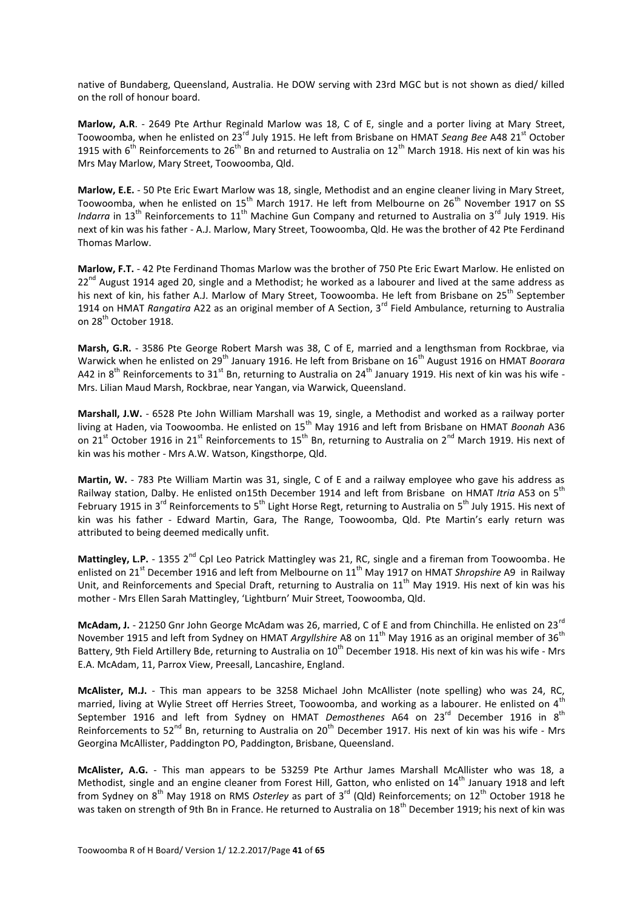native of Bundaberg, Queensland, Australia. He DOW serving with 23rd MGC but is not shown as died/ killed on the roll of honour board.

**Marlow, A.R**. - 2649 Pte Arthur Reginald Marlow was 18, C of E, single and a porter living at Mary Street, Toowoomba, when he enlisted on 23rd July 1915. He left from Brisbane on HMAT *Seang Bee* A48 21st October 1915 with  $6^{th}$  Reinforcements to 26<sup>th</sup> Bn and returned to Australia on 12<sup>th</sup> March 1918. His next of kin was his Mrs May Marlow, Mary Street, Toowoomba, Qld.

**Marlow, E.E.** - 50 Pte Eric Ewart Marlow was 18, single, Methodist and an engine cleaner living in Mary Street, Toowoomba, when he enlisted on 15<sup>th</sup> March 1917. He left from Melbourne on 26<sup>th</sup> November 1917 on SS *Indarra* in 13<sup>th</sup> Reinforcements to 11<sup>th</sup> Machine Gun Company and returned to Australia on 3<sup>rd</sup> July 1919. His next of kin was his father - A.J. Marlow, Mary Street, Toowoomba, Qld. He was the brother of 42 Pte Ferdinand Thomas Marlow.

**Marlow, F.T.** - 42 Pte Ferdinand Thomas Marlow was the brother of 750 Pte Eric Ewart Marlow. He enlisted on  $22^{nd}$  August 1914 aged 20, single and a Methodist; he worked as a labourer and lived at the same address as his next of kin, his father A.J. Marlow of Mary Street. Toowoomba. He left from Brisbane on 25<sup>th</sup> September 1914 on HMAT *Rangatira* A22 as an original member of A Section, 3rd Field Ambulance, returning to Australia on 28<sup>th</sup> October 1918.

**Marsh, G.R.** - 3586 Pte George Robert Marsh was 38, C of E, married and a lengthsman from Rockbrae, via Warwick when he enlisted on 29<sup>th</sup> January 1916. He left from Brisbane on 16<sup>th</sup> August 1916 on HMAT *Boorara* A42 in 8<sup>th</sup> Reinforcements to 31<sup>st</sup> Bn, returning to Australia on 24<sup>th</sup> January 1919. His next of kin was his wife -Mrs. Lilian Maud Marsh, Rockbrae, near Yangan, via Warwick, Queensland.

**Marshall, J.W.** - 6528 Pte John William Marshall was 19, single, a Methodist and worked as a railway porter living at Haden, via Toowoomba. He enlisted on 15th May 1916 and left from Brisbane on HMAT *Boonah* A36 on 21<sup>st</sup> October 1916 in 21<sup>st</sup> Reinforcements to 15<sup>th</sup> Bn, returning to Australia on 2<sup>nd</sup> March 1919. His next of kin was his mother - Mrs A.W. Watson, Kingsthorpe, Qld.

**Martin, W.** - 783 Pte William Martin was 31, single, C of E and a railway employee who gave his address as Railway station, Dalby. He enlisted on15th December 1914 and left from Brisbane on HMAT Itria A53 on 5<sup>th</sup> February 1915 in 3<sup>rd</sup> Reinforcements to 5<sup>th</sup> Light Horse Regt, returning to Australia on 5<sup>th</sup> July 1915. His next of kin was his father - Edward Martin, Gara, The Range, Toowoomba, Qld. Pte Martin's early return was attributed to being deemed medically unfit.

Mattingley, L.P. - 1355 2<sup>nd</sup> Cpl Leo Patrick Mattingley was 21, RC, single and a fireman from Toowoomba. He enlisted on 21<sup>st</sup> December 1916 and left from Melbourne on 11<sup>th</sup> May 1917 on HMAT *Shropshire* A9 in Railway Unit, and Reinforcements and Special Draft, returning to Australia on 11<sup>th</sup> May 1919. His next of kin was his mother - Mrs Ellen Sarah Mattingley, 'Lightburn' Muir Street, Toowoomba, Qld.

**McAdam, J.** - 21250 Gnr John George McAdam was 26, married, C of E and from Chinchilla. He enlisted on 23rd November 1915 and left from Sydney on HMAT *Argyllshire* A8 on 11<sup>th</sup> May 1916 as an original member of 36<sup>th</sup> Battery, 9th Field Artillery Bde, returning to Australia on 10<sup>th</sup> December 1918. His next of kin was his wife - Mrs E.A. McAdam, 11, Parrox View, Preesall, Lancashire, England.

**McAlister, M.J.** - This man appears to be 3258 Michael John McAllister (note spelling) who was 24, RC, married, living at Wylie Street off Herries Street, Toowoomba, and working as a labourer. He enlisted on  $4^{\text{th}}$ September 1916 and left from Sydney on HMAT *Demosthenes* A64 on 23<sup>rd</sup> December 1916 in 8<sup>th</sup> Reinforcements to 52<sup>nd</sup> Bn, returning to Australia on 20<sup>th</sup> December 1917. His next of kin was his wife - Mrs Georgina McAllister, Paddington PO, Paddington, Brisbane, Queensland.

**McAlister, A.G.** - This man appears to be 53259 Pte Arthur James Marshall McAllister who was 18, a Methodist, single and an engine cleaner from Forest Hill, Gatton, who enlisted on 14<sup>th</sup> January 1918 and left from Sydney on 8th May 1918 on RMS *Osterley* as part of 3rd (Qld) Reinforcements; on 12th October 1918 he was taken on strength of 9th Bn in France. He returned to Australia on 18<sup>th</sup> December 1919; his next of kin was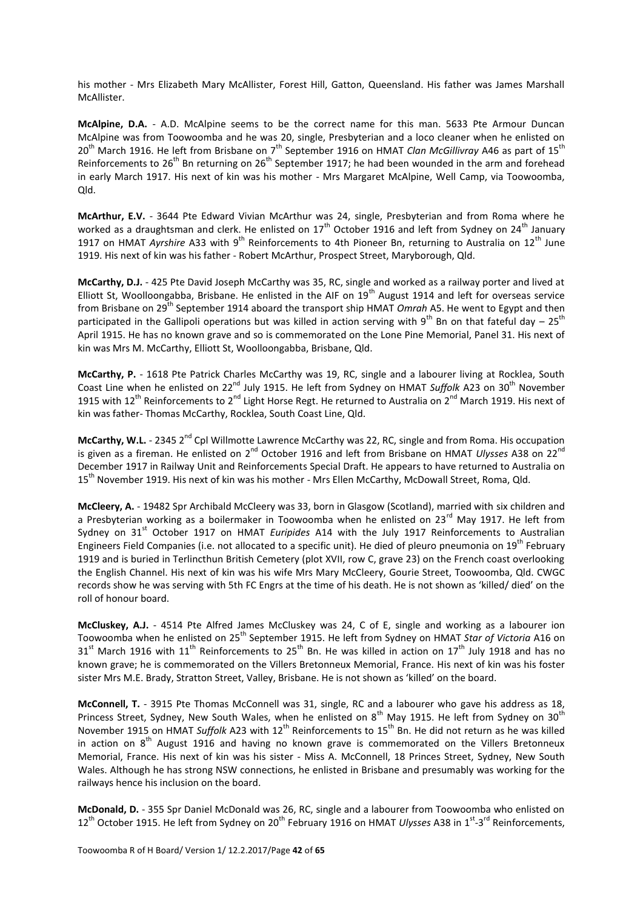his mother - Mrs Elizabeth Mary McAllister, Forest Hill, Gatton, Queensland. His father was James Marshall McAllister.

**McAlpine, D.A.** - A.D. McAlpine seems to be the correct name for this man. 5633 Pte Armour Duncan McAlpine was from Toowoomba and he was 20, single, Presbyterian and a loco cleaner when he enlisted on 20<sup>th</sup> March 1916. He left from Brisbane on 7<sup>th</sup> September 1916 on HMAT *Clan McGillivray* A46 as part of 15<sup>th</sup> Reinforcements to  $26^{th}$  Bn returning on  $26^{th}$  September 1917; he had been wounded in the arm and forehead in early March 1917. His next of kin was his mother - Mrs Margaret McAlpine, Well Camp, via Toowoomba, Qld.

**McArthur, E.V.** - 3644 Pte Edward Vivian McArthur was 24, single, Presbyterian and from Roma where he worked as a draughtsman and clerk. He enlisted on 17<sup>th</sup> October 1916 and left from Sydney on 24<sup>th</sup> January 1917 on HMAT Ayrshire A33 with 9<sup>th</sup> Reinforcements to 4th Pioneer Bn, returning to Australia on 12<sup>th</sup> June 1919. His next of kin was his father - Robert McArthur, Prospect Street, Maryborough, Qld.

**McCarthy, D.J.** - 425 Pte David Joseph McCarthy was 35, RC, single and worked as a railway porter and lived at Elliott St, Woolloongabba, Brisbane. He enlisted in the AIF on  $19<sup>th</sup>$  August 1914 and left for overseas service from Brisbane on 29th September 1914 aboard the transport ship HMAT *Omrah* A5. He went to Egypt and then participated in the Gallipoli operations but was killed in action serving with  $9^{th}$  Bn on that fateful day –  $25^{th}$ April 1915. He has no known grave and so is commemorated on the Lone Pine Memorial, Panel 31. His next of kin was Mrs M. McCarthy, Elliott St, Woolloongabba, Brisbane, Qld.

**McCarthy, P.** - 1618 Pte Patrick Charles McCarthy was 19, RC, single and a labourer living at Rocklea, South Coast Line when he enlisted on 22nd July 1915. He left from Sydney on HMAT *Suffolk* A23 on 30th November 1915 with 12<sup>th</sup> Reinforcements to 2<sup>nd</sup> Light Horse Regt. He returned to Australia on 2<sup>nd</sup> March 1919. His next of kin was father- Thomas McCarthy, Rocklea, South Coast Line, Qld.

**McCarthy, W.L.** - 2345 2<sup>nd</sup> Cpl Willmotte Lawrence McCarthy was 22, RC, single and from Roma. His occupation is given as a fireman. He enlisted on 2<sup>nd</sup> October 1916 and left from Brisbane on HMAT *Ulysses* A38 on 22<sup>nd</sup> December 1917 in Railway Unit and Reinforcements Special Draft. He appears to have returned to Australia on 15<sup>th</sup> November 1919. His next of kin was his mother - Mrs Ellen McCarthy, McDowall Street, Roma, Qld.

**McCleery, A.** - 19482 Spr Archibald McCleery was 33, born in Glasgow (Scotland), married with six children and a Presbyterian working as a boilermaker in Toowoomba when he enlisted on 23<sup>rd</sup> May 1917. He left from Sydney on 31<sup>st</sup> October 1917 on HMAT *Euripides* A14 with the July 1917 Reinforcements to Australian Engineers Field Companies (i.e. not allocated to a specific unit). He died of pleuro pneumonia on 19<sup>th</sup> February 1919 and is buried in Terlincthun British Cemetery (plot XVII, row C, grave 23) on the French coast overlooking the English Channel. His next of kin was his wife Mrs Mary McCleery, Gourie Street, Toowoomba, Qld. CWGC records show he was serving with 5th FC Engrs at the time of his death. He is not shown as 'killed/ died' on the roll of honour board.

**McCluskey, A.J.** - 4514 Pte Alfred James McCluskey was 24, C of E, single and working as a labourer ion Toowoomba when he enlisted on 25th September 1915. He left from Sydney on HMAT *Star of Victoria* A16 on  $31<sup>st</sup>$  March 1916 with 11<sup>th</sup> Reinforcements to 25<sup>th</sup> Bn. He was killed in action on 17<sup>th</sup> July 1918 and has no known grave; he is commemorated on the Villers Bretonneux Memorial, France. His next of kin was his foster sister Mrs M.E. Brady, Stratton Street, Valley, Brisbane. He is not shown as 'killed' on the board.

**McConnell, T.** - 3915 Pte Thomas McConnell was 31, single, RC and a labourer who gave his address as 18, Princess Street, Sydney, New South Wales, when he enlisted on 8<sup>th</sup> May 1915. He left from Sydney on 30<sup>th</sup> November 1915 on HMAT *Suffolk* A23 with 12<sup>th</sup> Reinforcements to 15<sup>th</sup> Bn. He did not return as he was killed in action on  $8<sup>th</sup>$  August 1916 and having no known grave is commemorated on the Villers Bretonneux Memorial, France. His next of kin was his sister - Miss A. McConnell, 18 Princes Street, Sydney, New South Wales. Although he has strong NSW connections, he enlisted in Brisbane and presumably was working for the railways hence his inclusion on the board.

**McDonald, D.** - 355 Spr Daniel McDonald was 26, RC, single and a labourer from Toowoomba who enlisted on 12<sup>th</sup> October 1915. He left from Sydney on 20<sup>th</sup> February 1916 on HMAT *Ulysses* A38 in 1<sup>st</sup>-3<sup>rd</sup> Reinforcements,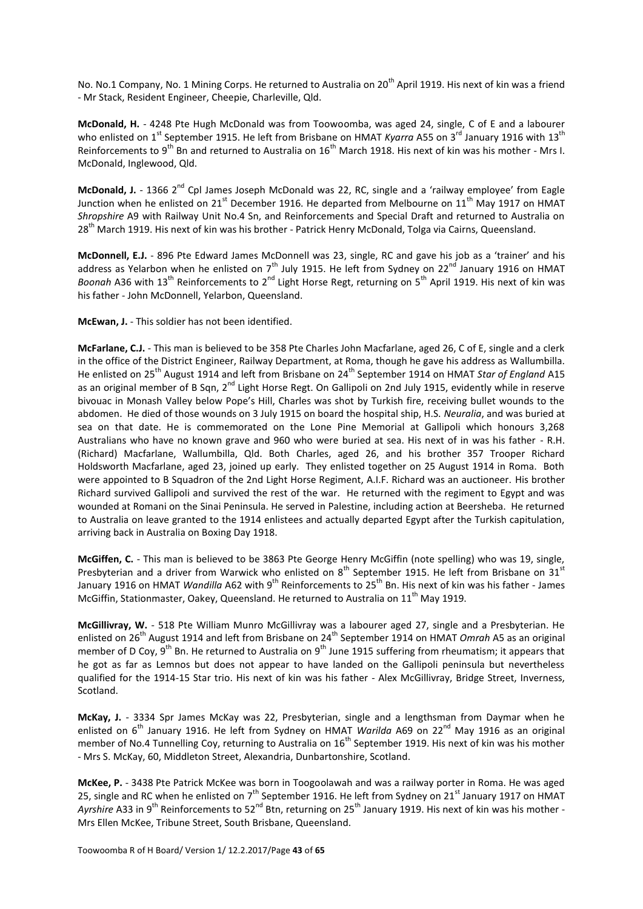No. No.1 Company, No. 1 Mining Corps. He returned to Australia on 20<sup>th</sup> April 1919. His next of kin was a friend - Mr Stack, Resident Engineer, Cheepie, Charleville, Qld.

**McDonald, H.** - 4248 Pte Hugh McDonald was from Toowoomba, was aged 24, single, C of E and a labourer who enlisted on 1<sup>st</sup> September 1915. He left from Brisbane on HMAT *Kyarra* A55 on 3<sup>rd</sup> January 1916 with 13<sup>th</sup> Reinforcements to 9<sup>th</sup> Bn and returned to Australia on 16<sup>th</sup> March 1918. His next of kin was his mother - Mrs I. McDonald, Inglewood, Qld.

**McDonald, J.** - 1366 2<sup>nd</sup> Cpl James Joseph McDonald was 22, RC, single and a 'railway employee' from Eagle Junction when he enlisted on 21<sup>st</sup> December 1916. He departed from Melbourne on 11<sup>th</sup> May 1917 on HMAT *Shropshire* A9 with Railway Unit No.4 Sn, and Reinforcements and Special Draft and returned to Australia on 28<sup>th</sup> March 1919. His next of kin was his brother - Patrick Henry McDonald, Tolga via Cairns, Queensland.

**McDonnell, E.J.** - 896 Pte Edward James McDonnell was 23, single, RC and gave his job as a 'trainer' and his address as Yelarbon when he enlisted on  $7<sup>th</sup>$  July 1915. He left from Sydney on 22<sup>nd</sup> January 1916 on HMAT *Boonah* A36 with 13<sup>th</sup> Reinforcements to 2<sup>nd</sup> Light Horse Regt, returning on 5<sup>th</sup> April 1919. His next of kin was his father - John McDonnell, Yelarbon, Queensland.

**McEwan, J.** - This soldier has not been identified.

**McFarlane, C.J.** - This man is believed to be 358 Pte Charles John Macfarlane, aged 26, C of E, single and a clerk in the office of the District Engineer, Railway Department, at Roma, though he gave his address as Wallumbilla. He enlisted on 25th August 1914 and left from Brisbane on 24th September 1914 on HMAT *Star of England* A15 as an original member of B Sqn, 2<sup>nd</sup> Light Horse Regt. On Gallipoli on 2nd July 1915, evidently while in reserve bivouac in Monash Valley below Pope's Hill, Charles was shot by Turkish fire, receiving bullet wounds to the abdomen. He died of those wounds on 3 July 1915 on board the hospital ship, H.S. *Neuralia*, and was buried at sea on that date. He is commemorated on the Lone Pine Memorial at Gallipoli which honours 3,268 Australians who have no known grave and 960 who were buried at sea. His next of in was his father - R.H. (Richard) Macfarlane, Wallumbilla, Qld. Both Charles, aged 26, and his brother 357 Trooper Richard Holdsworth Macfarlane, aged 23, joined up early. They enlisted together on 25 August 1914 in Roma. Both were appointed to B Squadron of the 2nd Light Horse Regiment, A.I.F. Richard was an auctioneer. His brother Richard survived Gallipoli and survived the rest of the war. He returned with the regiment to Egypt and was wounded at Romani on the Sinai Peninsula. He served in Palestine, including action at Beersheba. He returned to Australia on leave granted to the 1914 enlistees and actually departed Egypt after the Turkish capitulation, arriving back in Australia on Boxing Day 1918.

**McGiffen, C.** - This man is believed to be 3863 Pte George Henry McGiffin (note spelling) who was 19, single, Presbyterian and a driver from Warwick who enlisted on  $8<sup>th</sup>$  September 1915. He left from Brisbane on 31 $<sup>st</sup>$ </sup> January 1916 on HMAT *Wandilla* A62 with 9<sup>th</sup> Reinforcements to 25<sup>th</sup> Bn. His next of kin was his father - James McGiffin, Stationmaster, Oakey, Queensland. He returned to Australia on  $11<sup>th</sup>$  May 1919.

**McGillivray, W.** - 518 Pte William Munro McGillivray was a labourer aged 27, single and a Presbyterian. He enlisted on 26th August 1914 and left from Brisbane on 24th September 1914 on HMAT *Omrah* A5 as an original member of D Coy,  $9^{th}$  Bn. He returned to Australia on  $9^{th}$  June 1915 suffering from rheumatism; it appears that he got as far as Lemnos but does not appear to have landed on the Gallipoli peninsula but nevertheless qualified for the 1914-15 Star trio. His next of kin was his father - Alex McGillivray, Bridge Street, Inverness, Scotland.

**McKay, J.** - 3334 Spr James McKay was 22, Presbyterian, single and a lengthsman from Daymar when he enlisted on 6<sup>th</sup> January 1916. He left from Sydney on HMAT *Warilda* A69 on 22<sup>nd</sup> May 1916 as an original member of No.4 Tunnelling Coy, returning to Australia on  $16^{th}$  September 1919. His next of kin was his mother - Mrs S. McKay, 60, Middleton Street, Alexandria, Dunbartonshire, Scotland.

**McKee, P.** - 3438 Pte Patrick McKee was born in Toogoolawah and was a railway porter in Roma. He was aged 25, single and RC when he enlisted on  $7<sup>th</sup>$  September 1916. He left from Sydney on 21<sup>st</sup> January 1917 on HMAT *Ayrshire* A33 in 9<sup>th</sup> Reinforcements to 52<sup>nd</sup> Btn, returning on 25<sup>th</sup> January 1919. His next of kin was his mother -Mrs Ellen McKee, Tribune Street, South Brisbane, Queensland.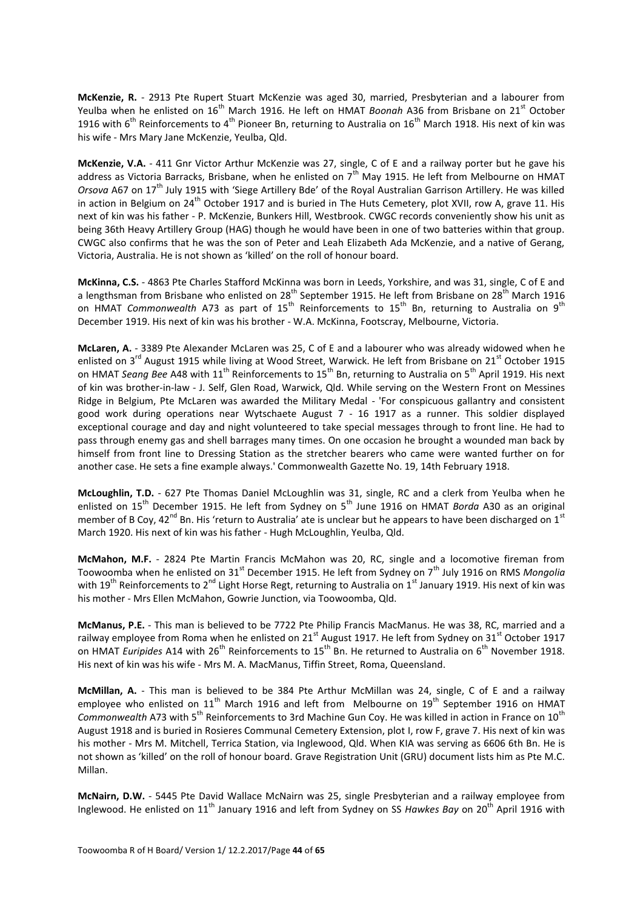**McKenzie, R.** - 2913 Pte Rupert Stuart McKenzie was aged 30, married, Presbyterian and a labourer from Yeulba when he enlisted on 16<sup>th</sup> March 1916. He left on HMAT *Boonah* A36 from Brisbane on 21<sup>st</sup> October 1916 with  $6<sup>th</sup>$  Reinforcements to 4<sup>th</sup> Pioneer Bn, returning to Australia on 16<sup>th</sup> March 1918. His next of kin was his wife - Mrs Mary Jane McKenzie, Yeulba, Qld.

**McKenzie, V.A.** - 411 Gnr Victor Arthur McKenzie was 27, single, C of E and a railway porter but he gave his address as Victoria Barracks, Brisbane, when he enlisted on  $7^{\text{th}}$  May 1915. He left from Melbourne on HMAT *Orsova* A67 on 17th July 1915 with 'Siege Artillery Bde' of the Royal Australian Garrison Artillery. He was killed in action in Belgium on  $24^{\text{th}}$  October 1917 and is buried in The Huts Cemetery, plot XVII, row A, grave 11. His next of kin was his father - P. McKenzie, Bunkers Hill, Westbrook. CWGC records conveniently show his unit as being 36th Heavy Artillery Group (HAG) though he would have been in one of two batteries within that group. CWGC also confirms that he was the son of Peter and Leah Elizabeth Ada McKenzie, and a native of Gerang, Victoria, Australia. He is not shown as 'killed' on the roll of honour board.

**McKinna, C.S.** - 4863 Pte Charles Stafford McKinna was born in Leeds, Yorkshire, and was 31, single, C of E and a lengthsman from Brisbane who enlisted on 28<sup>th</sup> September 1915. He left from Brisbane on 28<sup>th</sup> March 1916 on HMAT *Commonwealth* A73 as part of 15<sup>th</sup> Reinforcements to 15<sup>th</sup> Bn, returning to Australia on 9<sup>th</sup> December 1919. His next of kin was his brother - W.A. McKinna, Footscray, Melbourne, Victoria.

**McLaren, A.** - 3389 Pte Alexander McLaren was 25, C of E and a labourer who was already widowed when he enlisted on 3<sup>rd</sup> August 1915 while living at Wood Street, Warwick. He left from Brisbane on 21<sup>st</sup> October 1915 on HMAT *Seang Bee* A48 with 11<sup>th</sup> Reinforcements to 15<sup>th</sup> Bn, returning to Australia on 5<sup>th</sup> April 1919. His next of kin was brother-in-law - J. Self, Glen Road, Warwick, Qld. While serving on the Western Front on Messines Ridge in Belgium, Pte McLaren was awarded the Military Medal - 'For conspicuous gallantry and consistent good work during operations near Wytschaete August 7 - 16 1917 as a runner. This soldier displayed exceptional courage and day and night volunteered to take special messages through to front line. He had to pass through enemy gas and shell barrages many times. On one occasion he brought a wounded man back by himself from front line to Dressing Station as the stretcher bearers who came were wanted further on for another case. He sets a fine example always.' Commonwealth Gazette No. 19, 14th February 1918.

**McLoughlin, T.D.** - 627 Pte Thomas Daniel McLoughlin was 31, single, RC and a clerk from Yeulba when he enlisted on 15th December 1915. He left from Sydney on 5th June 1916 on HMAT *Borda* A30 as an original member of B Coy, 42<sup>nd</sup> Bn. His 'return to Australia' ate is unclear but he appears to have been discharged on 1<sup>st</sup> March 1920. His next of kin was his father - Hugh McLoughlin, Yeulba, Qld.

**McMahon, M.F.** - 2824 Pte Martin Francis McMahon was 20, RC, single and a locomotive fireman from Toowoomba when he enlisted on 31<sup>st</sup> December 1915. He left from Sydney on 7<sup>th</sup> July 1916 on RMS *Mongolia* with 19<sup>th</sup> Reinforcements to 2<sup>nd</sup> Light Horse Regt, returning to Australia on 1<sup>st</sup> January 1919. His next of kin was his mother - Mrs Ellen McMahon, Gowrie Junction, via Toowoomba, Qld.

**McManus, P.E.** - This man is believed to be 7722 Pte Philip Francis MacManus. He was 38, RC, married and a railway employee from Roma when he enlisted on 21<sup>st</sup> August 1917. He left from Sydney on 31<sup>st</sup> October 1917 on HMAT *Euripides* A14 with 26<sup>th</sup> Reinforcements to 15<sup>th</sup> Bn. He returned to Australia on 6<sup>th</sup> November 1918. His next of kin was his wife - Mrs M. A. MacManus, Tiffin Street, Roma, Queensland.

**McMillan, A.** - This man is believed to be 384 Pte Arthur McMillan was 24, single, C of E and a railway employee who enlisted on 11<sup>th</sup> March 1916 and left from Melbourne on 19<sup>th</sup> September 1916 on HMAT *Commonwealth* A73 with 5<sup>th</sup> Reinforcements to 3rd Machine Gun Coy. He was killed in action in France on 10<sup>th</sup> August 1918 and is buried in Rosieres Communal Cemetery Extension, plot I, row F, grave 7. His next of kin was his mother - Mrs M. Mitchell, Terrica Station, via Inglewood, Qld. When KIA was serving as 6606 6th Bn. He is not shown as 'killed' on the roll of honour board. Grave Registration Unit (GRU) document lists him as Pte M.C. Millan.

**McNairn, D.W.** - 5445 Pte David Wallace McNairn was 25, single Presbyterian and a railway employee from Inglewood. He enlisted on 11th January 1916 and left from Sydney on SS *Hawkes Bay* on 20th April 1916 with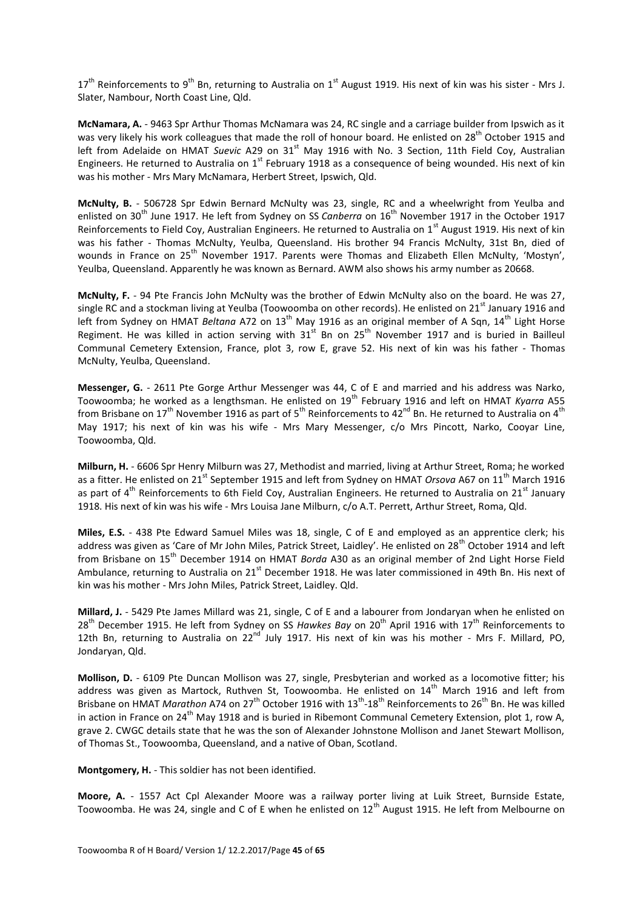$17<sup>th</sup>$  Reinforcements to 9<sup>th</sup> Bn, returning to Australia on 1<sup>st</sup> August 1919. His next of kin was his sister - Mrs J. Slater, Nambour, North Coast Line, Qld.

**McNamara, A.** - 9463 Spr Arthur Thomas McNamara was 24, RC single and a carriage builder from Ipswich as it was very likely his work colleagues that made the roll of honour board. He enlisted on 28<sup>th</sup> October 1915 and left from Adelaide on HMAT Suevic A29 on 31<sup>st</sup> May 1916 with No. 3 Section, 11th Field Coy, Australian Engineers. He returned to Australia on 1<sup>st</sup> February 1918 as a consequence of being wounded. His next of kin was his mother - Mrs Mary McNamara, Herbert Street, Ipswich, Qld.

**McNulty, B.** - 506728 Spr Edwin Bernard McNulty was 23, single, RC and a wheelwright from Yeulba and enlisted on 30th June 1917. He left from Sydney on SS *Canberra* on 16th November 1917 in the October 1917 Reinforcements to Field Coy, Australian Engineers. He returned to Australia on 1<sup>st</sup> August 1919. His next of kin was his father - Thomas McNulty, Yeulba, Queensland. His brother 94 Francis McNulty, 31st Bn, died of wounds in France on 25<sup>th</sup> November 1917. Parents were Thomas and Elizabeth Ellen McNulty, 'Mostyn', Yeulba, Queensland. Apparently he was known as Bernard. AWM also shows his army number as 20668.

**McNulty, F.** - 94 Pte Francis John McNulty was the brother of Edwin McNulty also on the board. He was 27, single RC and a stockman living at Yeulba (Toowoomba on other records). He enlisted on 21<sup>st</sup> January 1916 and left from Sydney on HMAT *Beltana* A72 on 13<sup>th</sup> May 1916 as an original member of A Sqn, 14<sup>th</sup> Light Horse Regiment. He was killed in action serving with  $31<sup>st</sup>$  Bn on  $25<sup>th</sup>$  November 1917 and is buried in Bailleul Communal Cemetery Extension, France, plot 3, row E, grave 52. His next of kin was his father - Thomas McNulty, Yeulba, Queensland.

**Messenger, G.** - 2611 Pte Gorge Arthur Messenger was 44, C of E and married and his address was Narko, Toowoomba; he worked as a lengthsman. He enlisted on 19th February 1916 and left on HMAT *Kyarra* A55 from Brisbane on 17<sup>th</sup> November 1916 as part of 5<sup>th</sup> Reinforcements to 42<sup>nd</sup> Bn. He returned to Australia on 4<sup>th</sup> May 1917; his next of kin was his wife - Mrs Mary Messenger, c/o Mrs Pincott, Narko, Cooyar Line, Toowoomba, Qld.

**Milburn, H.** - 6606 Spr Henry Milburn was 27, Methodist and married, living at Arthur Street, Roma; he worked as a fitter. He enlisted on 21<sup>st</sup> September 1915 and left from Sydney on HMAT *Orsova* A67 on 11<sup>th</sup> March 1916 as part of  $4^{th}$  Reinforcements to 6th Field Coy, Australian Engineers. He returned to Australia on 21<sup>st</sup> January 1918. His next of kin was his wife - Mrs Louisa Jane Milburn, c/o A.T. Perrett, Arthur Street, Roma, Qld.

**Miles, E.S.** - 438 Pte Edward Samuel Miles was 18, single, C of E and employed as an apprentice clerk; his address was given as 'Care of Mr John Miles, Patrick Street, Laidley'. He enlisted on 28<sup>th</sup> October 1914 and left from Brisbane on 15<sup>th</sup> December 1914 on HMAT *Borda* A30 as an original member of 2nd Light Horse Field Ambulance, returning to Australia on 21<sup>st</sup> December 1918. He was later commissioned in 49th Bn. His next of kin was his mother - Mrs John Miles, Patrick Street, Laidley. Qld.

**Millard, J.** - 5429 Pte James Millard was 21, single, C of E and a labourer from Jondaryan when he enlisted on 28<sup>th</sup> December 1915. He left from Sydney on SS Hawkes Bay on 20<sup>th</sup> April 1916 with 17<sup>th</sup> Reinforcements to 12th Bn, returning to Australia on  $22^{nd}$  July 1917. His next of kin was his mother - Mrs F. Millard, PO, Jondaryan, Qld.

**Mollison, D.** - 6109 Pte Duncan Mollison was 27, single, Presbyterian and worked as a locomotive fitter; his address was given as Martock, Ruthven St, Toowoomba. He enlisted on 14<sup>th</sup> March 1916 and left from Brisbane on HMAT *Marathon* A74 on 27<sup>th</sup> October 1916 with 13<sup>th</sup>-18<sup>th</sup> Reinforcements to 26<sup>th</sup> Bn. He was killed in action in France on 24<sup>th</sup> May 1918 and is buried in Ribemont Communal Cemetery Extension, plot 1, row A, grave 2. CWGC details state that he was the son of Alexander Johnstone Mollison and Janet Stewart Mollison, of Thomas St., Toowoomba, Queensland, and a native of Oban, Scotland.

**Montgomery, H.** - This soldier has not been identified.

**Moore, A.** - 1557 Act Cpl Alexander Moore was a railway porter living at Luik Street, Burnside Estate, Toowoomba. He was 24, single and C of E when he enlisted on  $12<sup>th</sup>$  August 1915. He left from Melbourne on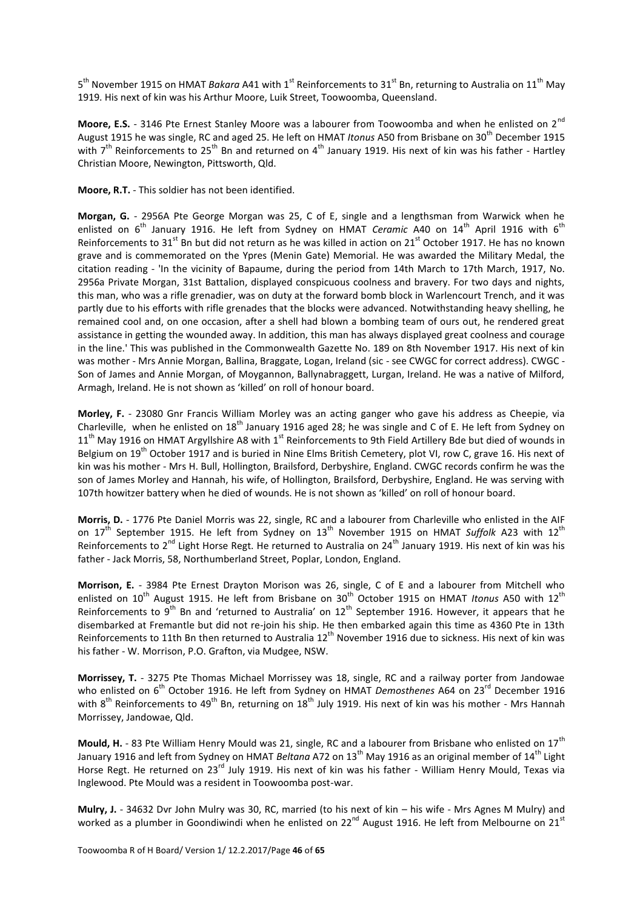5<sup>th</sup> November 1915 on HMAT *Bakara* A41 with 1<sup>st</sup> Reinforcements to 31<sup>st</sup> Bn, returning to Australia on 11<sup>th</sup> May 1919. His next of kin was his Arthur Moore, Luik Street, Toowoomba, Queensland.

**Moore, E.S.** - 3146 Pte Ernest Stanley Moore was a labourer from Toowoomba and when he enlisted on 2<sup>nd</sup> August 1915 he was single, RC and aged 25. He left on HMAT *Itonus* A50 from Brisbane on 30th December 1915 with 7<sup>th</sup> Reinforcements to 25<sup>th</sup> Bn and returned on 4<sup>th</sup> January 1919. His next of kin was his father - Hartley Christian Moore, Newington, Pittsworth, Qld.

**Moore, R.T.** - This soldier has not been identified.

**Morgan, G.** - 2956A Pte George Morgan was 25, C of E, single and a lengthsman from Warwick when he enlisted on 6<sup>th</sup> January 1916. He left from Sydney on HMAT *Ceramic* A40 on 14<sup>th</sup> April 1916 with 6<sup>th</sup> Reinforcements to 31<sup>st</sup> Bn but did not return as he was killed in action on 21<sup>st</sup> October 1917. He has no known grave and is commemorated on the Ypres (Menin Gate) Memorial. He was awarded the Military Medal, the citation reading - 'In the vicinity of Bapaume, during the period from 14th March to 17th March, 1917, No. 2956a Private Morgan, 31st Battalion, displayed conspicuous coolness and bravery. For two days and nights, this man, who was a rifle grenadier, was on duty at the forward bomb block in Warlencourt Trench, and it was partly due to his efforts with rifle grenades that the blocks were advanced. Notwithstanding heavy shelling, he remained cool and, on one occasion, after a shell had blown a bombing team of ours out, he rendered great assistance in getting the wounded away. In addition, this man has always displayed great coolness and courage in the line.' This was published in the Commonwealth Gazette No. 189 on 8th November 1917. His next of kin was mother - Mrs Annie Morgan, Ballina, Braggate, Logan, Ireland (sic - see CWGC for correct address). CWGC - Son of James and Annie Morgan, of Moygannon, Ballynabraggett, Lurgan, Ireland. He was a native of Milford, Armagh, Ireland. He is not shown as 'killed' on roll of honour board.

**Morley, F.** - 23080 Gnr Francis William Morley was an acting ganger who gave his address as Cheepie, via Charleville, when he enlisted on 18<sup>th</sup> January 1916 aged 28; he was single and C of E. He left from Sydney on  $11<sup>th</sup>$  May 1916 on HMAT Argyllshire A8 with  $1<sup>st</sup>$  Reinforcements to 9th Field Artillery Bde but died of wounds in Belgium on 19<sup>th</sup> October 1917 and is buried in Nine Elms British Cemetery, plot VI, row C, grave 16. His next of kin was his mother - Mrs H. Bull, Hollington, Brailsford, Derbyshire, England. CWGC records confirm he was the son of James Morley and Hannah, his wife, of Hollington, Brailsford, Derbyshire, England. He was serving with 107th howitzer battery when he died of wounds. He is not shown as 'killed' on roll of honour board.

**Morris, D.** - 1776 Pte Daniel Morris was 22, single, RC and a labourer from Charleville who enlisted in the AIF on 17<sup>th</sup> September 1915. He left from Sydney on 13<sup>th</sup> November 1915 on HMAT *Suffolk* A23 with 12<sup>th</sup> Reinforcements to 2<sup>nd</sup> Light Horse Regt. He returned to Australia on 24<sup>th</sup> January 1919. His next of kin was his father - Jack Morris, 58, Northumberland Street, Poplar, London, England.

**Morrison, E.** - 3984 Pte Ernest Drayton Morison was 26, single, C of E and a labourer from Mitchell who enlisted on 10<sup>th</sup> August 1915. He left from Brisbane on 30<sup>th</sup> October 1915 on HMAT *Itonus* A50 with 12<sup>th</sup> Reinforcements to 9<sup>th</sup> Bn and 'returned to Australia' on  $12^{th}$  September 1916. However, it appears that he disembarked at Fremantle but did not re-join his ship. He then embarked again this time as 4360 Pte in 13th Reinforcements to 11th Bn then returned to Australia 12<sup>th</sup> November 1916 due to sickness. His next of kin was his father - W. Morrison, P.O. Grafton, via Mudgee, NSW.

**Morrissey, T.** - 3275 Pte Thomas Michael Morrissey was 18, single, RC and a railway porter from Jandowae who enlisted on 6<sup>th</sup> October 1916. He left from Sydney on HMAT *Demosthenes* A64 on 23<sup>rd</sup> December 1916 with 8<sup>th</sup> Reinforcements to 49<sup>th</sup> Bn, returning on 18<sup>th</sup> July 1919. His next of kin was his mother - Mrs Hannah Morrissey, Jandowae, Qld.

**Mould, H.** - 83 Pte William Henry Mould was 21, single, RC and a labourer from Brisbane who enlisted on 17<sup>th</sup> January 1916 and left from Sydney on HMAT *Beltana* A72 on 13th May 1916 as an original member of 14th Light Horse Regt. He returned on 23<sup>rd</sup> July 1919. His next of kin was his father - William Henry Mould, Texas via Inglewood. Pte Mould was a resident in Toowoomba post-war.

**Mulry, J.** - 34632 Dvr John Mulry was 30, RC, married (to his next of kin – his wife - Mrs Agnes M Mulry) and worked as a plumber in Goondiwindi when he enlisted on 22<sup>nd</sup> August 1916. He left from Melbourne on 21<sup>st</sup>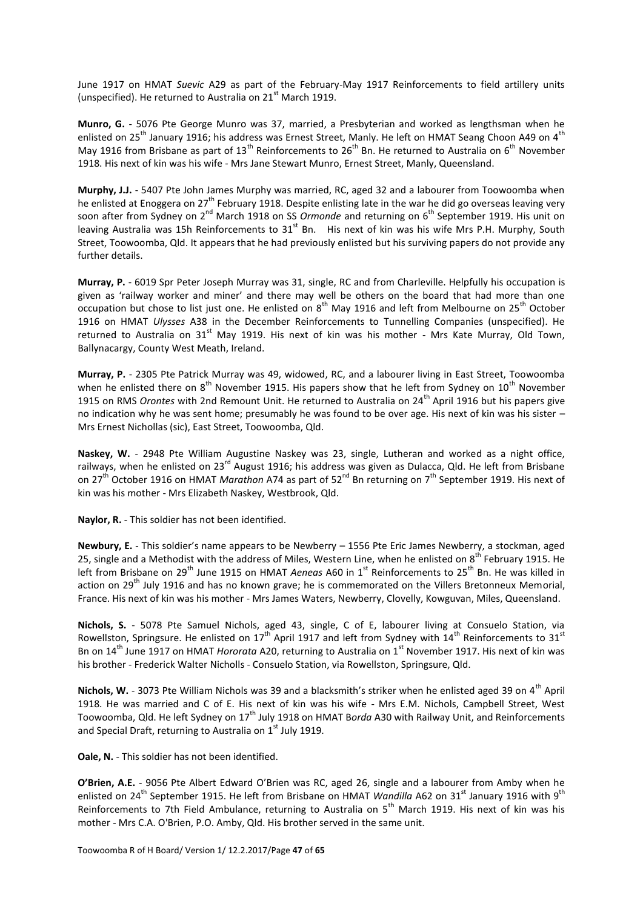June 1917 on HMAT *Suevic* A29 as part of the February-May 1917 Reinforcements to field artillery units (unspecified). He returned to Australia on  $21<sup>st</sup>$  March 1919.

**Munro, G.** - 5076 Pte George Munro was 37, married, a Presbyterian and worked as lengthsman when he enlisted on 25<sup>th</sup> January 1916; his address was Ernest Street, Manly. He left on HMAT Seang Choon A49 on 4<sup>th</sup> May 1916 from Brisbane as part of 13<sup>th</sup> Reinforcements to  $26<sup>th</sup>$  Bn. He returned to Australia on  $6<sup>th</sup>$  November 1918. His next of kin was his wife - Mrs Jane Stewart Munro, Ernest Street, Manly, Queensland.

**Murphy, J.J.** - 5407 Pte John James Murphy was married, RC, aged 32 and a labourer from Toowoomba when he enlisted at Enoggera on 27<sup>th</sup> February 1918. Despite enlisting late in the war he did go overseas leaving very soon after from Sydney on 2<sup>nd</sup> March 1918 on SS *Ormonde* and returning on 6<sup>th</sup> September 1919. His unit on leaving Australia was 15h Reinforcements to  $31<sup>st</sup>$  Bn. His next of kin was his wife Mrs P.H. Murphy, South Street, Toowoomba, Qld. It appears that he had previously enlisted but his surviving papers do not provide any further details.

**Murray, P.** - 6019 Spr Peter Joseph Murray was 31, single, RC and from Charleville. Helpfully his occupation is given as 'railway worker and miner' and there may well be others on the board that had more than one occupation but chose to list just one. He enlisted on 8<sup>th</sup> May 1916 and left from Melbourne on 25<sup>th</sup> October 1916 on HMAT *Ulysses* A38 in the December Reinforcements to Tunnelling Companies (unspecified). He returned to Australia on  $31<sup>st</sup>$  May 1919. His next of kin was his mother - Mrs Kate Murray, Old Town, Ballynacargy, County West Meath, Ireland.

**Murray, P.** - 2305 Pte Patrick Murray was 49, widowed, RC, and a labourer living in East Street, Toowoomba when he enlisted there on  $8^{th}$  November 1915. His papers show that he left from Sydney on  $10^{th}$  November 1915 on RMS *Orontes* with 2nd Remount Unit. He returned to Australia on 24<sup>th</sup> April 1916 but his papers give no indication why he was sent home; presumably he was found to be over age. His next of kin was his sister – Mrs Ernest Nichollas (sic), East Street, Toowoomba, Qld.

**Naskey, W.** - 2948 Pte William Augustine Naskey was 23, single, Lutheran and worked as a night office, railways, when he enlisted on 23<sup>rd</sup> August 1916; his address was given as Dulacca, Qld. He left from Brisbane on 27<sup>th</sup> October 1916 on HMAT *Marathon* A74 as part of 52<sup>nd</sup> Bn returning on 7<sup>th</sup> September 1919. His next of kin was his mother - Mrs Elizabeth Naskey, Westbrook, Qld.

**Naylor, R.** - This soldier has not been identified.

**Newbury, E.** - This soldier's name appears to be Newberry – 1556 Pte Eric James Newberry, a stockman, aged 25, single and a Methodist with the address of Miles, Western Line, when he enlisted on  $8^{th}$  February 1915. He left from Brisbane on 29<sup>th</sup> June 1915 on HMAT *Aeneas* A60 in 1<sup>st</sup> Reinforcements to 25<sup>th</sup> Bn. He was killed in action on 29<sup>th</sup> July 1916 and has no known grave; he is commemorated on the Villers Bretonneux Memorial, France. His next of kin was his mother - Mrs James Waters, Newberry, Clovelly, Kowguvan, Miles, Queensland.

**Nichols, S.** - 5078 Pte Samuel Nichols, aged 43, single, C of E, labourer living at Consuelo Station, via Rowellston, Springsure. He enlisted on  $17^{th}$  April 1917 and left from Sydney with  $14^{th}$  Reinforcements to  $31^{st}$ Bn on 14<sup>th</sup> June 1917 on HMAT *Hororata* A20, returning to Australia on 1<sup>st</sup> November 1917. His next of kin was his brother - Frederick Walter Nicholls - Consuelo Station, via Rowellston, Springsure, Qld.

Nichols, W. - 3073 Pte William Nichols was 39 and a blacksmith's striker when he enlisted aged 39 on 4<sup>th</sup> April 1918. He was married and C of E. His next of kin was his wife - Mrs E.M. Nichols, Campbell Street, West Toowoomba, Qld. He left Sydney on 17th July 1918 on HMAT B*orda* A30 with Railway Unit, and Reinforcements and Special Draft, returning to Australia on  $1<sup>st</sup>$  July 1919.

**Oale, N.** - This soldier has not been identified.

**O'Brien, A.E.** - 9056 Pte Albert Edward O'Brien was RC, aged 26, single and a labourer from Amby when he enlisted on 24<sup>th</sup> September 1915. He left from Brisbane on HMAT *Wandilla* A62 on 31<sup>st</sup> January 1916 with 9<sup>th</sup> Reinforcements to 7th Field Ambulance, returning to Australia on 5<sup>th</sup> March 1919. His next of kin was his mother - Mrs C.A. O'Brien, P.O. Amby, Qld. His brother served in the same unit.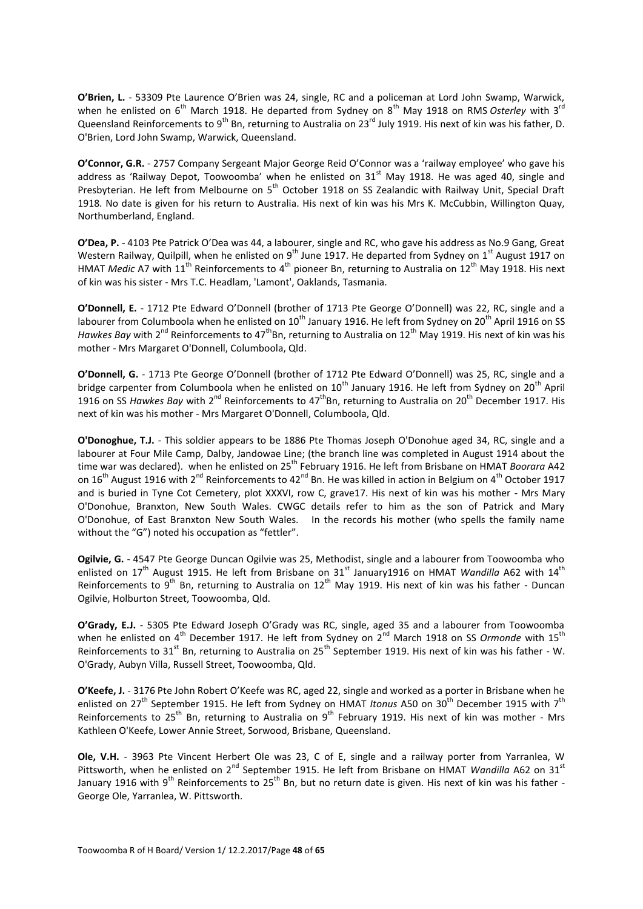**O'Brien, L.** - 53309 Pte Laurence O'Brien was 24, single, RC and a policeman at Lord John Swamp, Warwick, when he enlisted on 6<sup>th</sup> March 1918. He departed from Sydney on 8<sup>th</sup> May 1918 on RMS Osterley with 3<sup>rd</sup> Queensland Reinforcements to 9<sup>th</sup> Bn, returning to Australia on 23<sup>rd</sup> July 1919. His next of kin was his father, D. O'Brien, Lord John Swamp, Warwick, Queensland.

**O'Connor, G.R.** - 2757 Company Sergeant Major George Reid O'Connor was a 'railway employee' who gave his address as 'Railway Depot, Toowoomba' when he enlisted on  $31<sup>st</sup>$  May 1918. He was aged 40, single and Presbyterian. He left from Melbourne on 5th October 1918 on SS Zealandic with Railway Unit, Special Draft 1918. No date is given for his return to Australia. His next of kin was his Mrs K. McCubbin, Willington Quay, Northumberland, England.

**O'Dea, P.** - 4103 Pte Patrick O'Dea was 44, a labourer, single and RC, who gave his address as No.9 Gang, Great Western Railway, Quilpill, when he enlisted on  $9^{th}$  June 1917. He departed from Sydney on 1<sup>st</sup> August 1917 on HMAT *Medic* A7 with 11<sup>th</sup> Reinforcements to 4<sup>th</sup> pioneer Bn, returning to Australia on 12<sup>th</sup> May 1918. His next of kin was his sister - Mrs T.C. Headlam, 'Lamont', Oaklands, Tasmania.

**O'Donnell, E.** - 1712 Pte Edward O'Donnell (brother of 1713 Pte George O'Donnell) was 22, RC, single and a labourer from Columboola when he enlisted on 10<sup>th</sup> January 1916. He left from Sydney on 20<sup>th</sup> April 1916 on SS *Hawkes Bay* with 2<sup>nd</sup> Reinforcements to 47<sup>th</sup>Bn, returning to Australia on 12<sup>th</sup> May 1919. His next of kin was his mother - Mrs Margaret O'Donnell, Columboola, Qld.

**O'Donnell, G.** - 1713 Pte George O'Donnell (brother of 1712 Pte Edward O'Donnell) was 25, RC, single and a bridge carpenter from Columboola when he enlisted on  $10^{th}$  January 1916. He left from Sydney on 20<sup>th</sup> April 1916 on SS *Hawkes Bay* with 2<sup>nd</sup> Reinforcements to 47<sup>th</sup>Bn, returning to Australia on 20<sup>th</sup> December 1917. His next of kin was his mother - Mrs Margaret O'Donnell, Columboola, Qld.

**O'Donoghue, T.J.** - This soldier appears to be 1886 Pte Thomas Joseph O'Donohue aged 34, RC, single and a labourer at Four Mile Camp, Dalby, Jandowae Line; (the branch line was completed in August 1914 about the time war was declared). when he enlisted on 25<sup>th</sup> February 1916. He left from Brisbane on HMAT *Boorara* A42 on 16<sup>th</sup> August 1916 with 2<sup>nd</sup> Reinforcements to 42<sup>nd</sup> Bn. He was killed in action in Belgium on 4<sup>th</sup> October 1917 and is buried in Tyne Cot Cemetery, plot XXXVI, row C, grave17. His next of kin was his mother - Mrs Mary O'Donohue, Branxton, New South Wales. CWGC details refer to him as the son of Patrick and Mary O'Donohue, of East Branxton New South Wales. In the records his mother (who spells the family name without the "G") noted his occupation as "fettler".

**Ogilvie, G.** - 4547 Pte George Duncan Ogilvie was 25, Methodist, single and a labourer from Toowoomba who enlisted on 17<sup>th</sup> August 1915. He left from Brisbane on 31<sup>st</sup> January1916 on HMAT *Wandilla* A62 with 14<sup>th</sup> Reinforcements to  $9^{th}$  Bn, returning to Australia on  $12^{th}$  May 1919. His next of kin was his father - Duncan Ogilvie, Holburton Street, Toowoomba, Qld.

**O'Grady, E.J.** - 5305 Pte Edward Joseph O'Grady was RC, single, aged 35 and a labourer from Toowoomba when he enlisted on 4<sup>th</sup> December 1917. He left from Sydney on 2<sup>nd</sup> March 1918 on SS *Ormonde* with 15<sup>th</sup> Reinforcements to 31<sup>st</sup> Bn, returning to Australia on 25<sup>th</sup> September 1919. His next of kin was his father - W. O'Grady, Aubyn Villa, Russell Street, Toowoomba, Qld.

**O'Keefe, J.** - 3176 Pte John Robert O'Keefe was RC, aged 22, single and worked as a porter in Brisbane when he enlisted on 27<sup>th</sup> September 1915. He left from Sydney on HMAT *Itonus* A50 on 30<sup>th</sup> December 1915 with 7<sup>th</sup> Reinforcements to 25<sup>th</sup> Bn, returning to Australia on 9<sup>th</sup> February 1919. His next of kin was mother - Mrs Kathleen O'Keefe, Lower Annie Street, Sorwood, Brisbane, Queensland.

**Ole, V.H.** - 3963 Pte Vincent Herbert Ole was 23, C of E, single and a railway porter from Yarranlea, W Pittsworth, when he enlisted on 2<sup>nd</sup> September 1915. He left from Brisbane on HMAT *Wandilla* A62 on 31<sup>st</sup> January 1916 with 9<sup>th</sup> Reinforcements to 25<sup>th</sup> Bn, but no return date is given. His next of kin was his father -George Ole, Yarranlea, W. Pittsworth.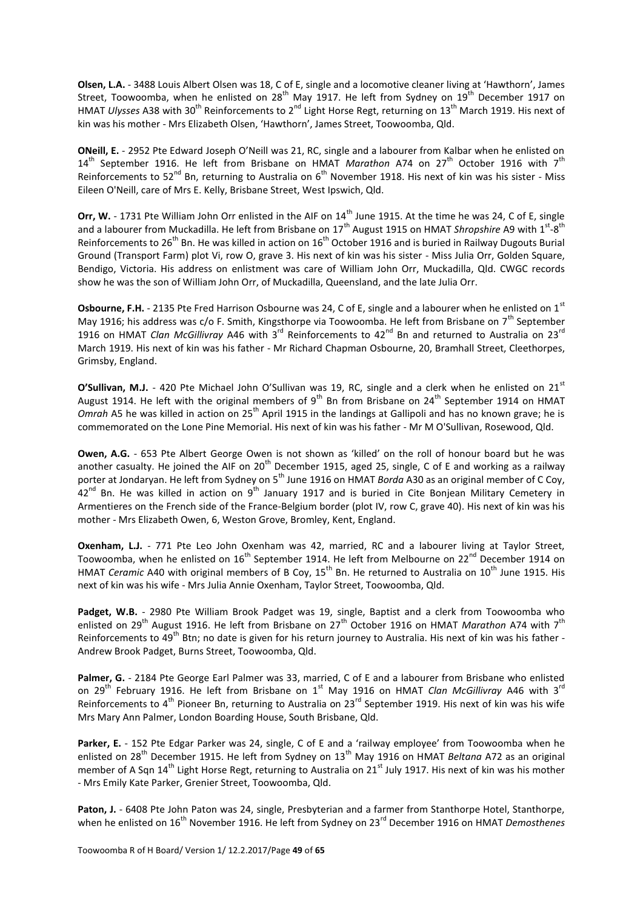**Olsen, L.A.** - 3488 Louis Albert Olsen was 18, C of E, single and a locomotive cleaner living at 'Hawthorn', James Street, Toowoomba, when he enlisted on 28<sup>th</sup> May 1917. He left from Sydney on 19<sup>th</sup> December 1917 on HMAT *Ulysses* A38 with 30<sup>th</sup> Reinforcements to 2<sup>nd</sup> Light Horse Regt, returning on 13<sup>th</sup> March 1919. His next of kin was his mother - Mrs Elizabeth Olsen, 'Hawthorn', James Street, Toowoomba, Qld.

**ONeill, E.** - 2952 Pte Edward Joseph O'Neill was 21, RC, single and a labourer from Kalbar when he enlisted on 14th September 1916. He left from Brisbane on HMAT *Marathon* A74 on 27th October 1916 with 7th Reinforcements to 52<sup>nd</sup> Bn, returning to Australia on 6<sup>th</sup> November 1918. His next of kin was his sister - Miss Eileen O'Neill, care of Mrs E. Kelly, Brisbane Street, West Ipswich, Qld.

**Orr, W.** - 1731 Pte William John Orr enlisted in the AIF on 14<sup>th</sup> June 1915. At the time he was 24, C of E, single and a labourer from Muckadilla. He left from Brisbane on 17<sup>th</sup> August 1915 on HMAT *Shropshire* A9 with 1<sup>st</sup>-8<sup>th</sup> Reinforcements to 26<sup>th</sup> Bn. He was killed in action on 16<sup>th</sup> October 1916 and is buried in Railway Dugouts Burial Ground (Transport Farm) plot Vi, row O, grave 3. His next of kin was his sister - Miss Julia Orr, Golden Square, Bendigo, Victoria. His address on enlistment was care of William John Orr, Muckadilla, Qld. CWGC records show he was the son of William John Orr, of Muckadilla, Queensland, and the late Julia Orr.

**Osbourne, F.H.** - 2135 Pte Fred Harrison Osbourne was 24, C of E, single and a labourer when he enlisted on 1<sup>st</sup> May 1916; his address was c/o F. Smith, Kingsthorpe via Toowoomba. He left from Brisbane on  $7<sup>th</sup>$  September 1916 on HMAT *Clan McGillivray* A46 with 3rd Reinforcements to 42nd Bn and returned to Australia on 23rd March 1919. His next of kin was his father - Mr Richard Chapman Osbourne, 20, Bramhall Street, Cleethorpes, Grimsby, England.

**O'Sullivan, M.J.** - 420 Pte Michael John O'Sullivan was 19, RC, single and a clerk when he enlisted on 21<sup>st</sup> August 1914. He left with the original members of 9<sup>th</sup> Bn from Brisbane on 24<sup>th</sup> September 1914 on HMAT *Omrah* A5 he was killed in action on 25<sup>th</sup> April 1915 in the landings at Gallipoli and has no known grave; he is commemorated on the Lone Pine Memorial. His next of kin was his father - Mr M O'Sullivan, Rosewood, Qld.

**Owen, A.G.** - 653 Pte Albert George Owen is not shown as 'killed' on the roll of honour board but he was another casualty. He joined the AIF on  $20<sup>th</sup>$  December 1915, aged 25, single, C of E and working as a railway porter at Jondaryan. He left from Sydney on 5<sup>th</sup> June 1916 on HMAT *Borda* A30 as an original member of C Coy,  $42<sup>nd</sup>$  Bn. He was killed in action on 9<sup>th</sup> January 1917 and is buried in Cite Boniean Military Cemetery in Armentieres on the French side of the France-Belgium border (plot IV, row C, grave 40). His next of kin was his mother - Mrs Elizabeth Owen, 6, Weston Grove, Bromley, Kent, England.

**Oxenham, L.J.** - 771 Pte Leo John Oxenham was 42, married, RC and a labourer living at Taylor Street, Toowoomba, when he enlisted on 16<sup>th</sup> September 1914. He left from Melbourne on 22<sup>nd</sup> December 1914 on HMAT *Ceramic* A40 with original members of B Coy, 15<sup>th</sup> Bn. He returned to Australia on 10<sup>th</sup> June 1915. His next of kin was his wife - Mrs Julia Annie Oxenham, Taylor Street, Toowoomba, Qld.

**Padget, W.B.** - 2980 Pte William Brook Padget was 19, single, Baptist and a clerk from Toowoomba who enlisted on 29<sup>th</sup> August 1916. He left from Brisbane on 27<sup>th</sup> October 1916 on HMAT *Marathon* A74 with 7<sup>th</sup> Reinforcements to  $49^{th}$  Btn; no date is given for his return journey to Australia. His next of kin was his father -Andrew Brook Padget, Burns Street, Toowoomba, Qld.

Palmer, G. - 2184 Pte George Earl Palmer was 33, married, C of E and a labourer from Brisbane who enlisted on 29<sup>th</sup> February 1916. He left from Brisbane on 1<sup>st</sup> May 1916 on HMAT *Clan McGillivray* A46 with 3<sup>rd</sup> Reinforcements to 4<sup>th</sup> Pioneer Bn, returning to Australia on 23<sup>rd</sup> September 1919. His next of kin was his wife Mrs Mary Ann Palmer, London Boarding House, South Brisbane, Qld.

Parker, E. - 152 Pte Edgar Parker was 24, single, C of E and a 'railway employee' from Toowoomba when he enlisted on 28th December 1915. He left from Sydney on 13th May 1916 on HMAT *Beltana* A72 as an original member of A Sqn 14<sup>th</sup> Light Horse Regt, returning to Australia on 21<sup>st</sup> July 1917. His next of kin was his mother - Mrs Emily Kate Parker, Grenier Street, Toowoomba, Qld.

Paton, J. - 6408 Pte John Paton was 24, single, Presbyterian and a farmer from Stanthorpe Hotel, Stanthorpe, when he enlisted on 16<sup>th</sup> November 1916. He left from Sydney on 23<sup>rd</sup> December 1916 on HMAT *Demosthenes*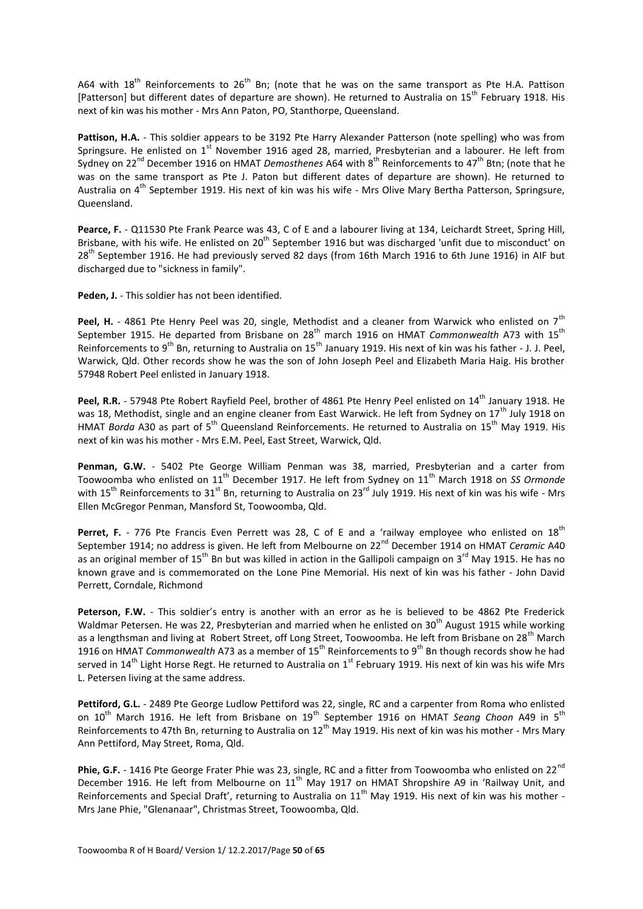A64 with  $18<sup>th</sup>$  Reinforcements to  $26<sup>th</sup>$  Bn; (note that he was on the same transport as Pte H.A. Pattison [Patterson] but different dates of departure are shown). He returned to Australia on 15<sup>th</sup> February 1918. His next of kin was his mother - Mrs Ann Paton, PO, Stanthorpe, Queensland.

**Pattison, H.A.** - This soldier appears to be 3192 Pte Harry Alexander Patterson (note spelling) who was from Springsure. He enlisted on 1<sup>st</sup> November 1916 aged 28, married, Presbyterian and a labourer. He left from Sydney on 22<sup>nd</sup> December 1916 on HMAT *Demosthenes* A64 with 8<sup>th</sup> Reinforcements to 47<sup>th</sup> Btn; (note that he was on the same transport as Pte J. Paton but different dates of departure are shown). He returned to Australia on 4<sup>th</sup> September 1919. His next of kin was his wife - Mrs Olive Mary Bertha Patterson, Springsure, Queensland.

Pearce, F. - Q11530 Pte Frank Pearce was 43, C of E and a labourer living at 134, Leichardt Street, Spring Hill, Brisbane, with his wife. He enlisted on 20<sup>th</sup> September 1916 but was discharged 'unfit due to misconduct' on 28<sup>th</sup> September 1916. He had previously served 82 days (from 16th March 1916 to 6th June 1916) in AIF but discharged due to "sickness in family".

**Peden, J.** - This soldier has not been identified.

Peel, H. - 4861 Pte Henry Peel was 20, single, Methodist and a cleaner from Warwick who enlisted on 7<sup>th</sup> September 1915. He departed from Brisbane on 28<sup>th</sup> march 1916 on HMAT *Commonwealth* A73 with 15<sup>th</sup> Reinforcements to 9<sup>th</sup> Bn, returning to Australia on 15<sup>th</sup> January 1919. His next of kin was his father - J. J. Peel, Warwick, Qld. Other records show he was the son of John Joseph Peel and Elizabeth Maria Haig. His brother 57948 Robert Peel enlisted in January 1918.

Peel, R.R. - 57948 Pte Robert Rayfield Peel, brother of 4861 Pte Henry Peel enlisted on 14<sup>th</sup> January 1918. He was 18, Methodist, single and an engine cleaner from East Warwick. He left from Sydney on 17<sup>th</sup> July 1918 on HMAT *Borda* A30 as part of 5<sup>th</sup> Queensland Reinforcements. He returned to Australia on 15<sup>th</sup> May 1919. His next of kin was his mother - Mrs E.M. Peel, East Street, Warwick, Qld.

**Penman, G.W.** - 5402 Pte George William Penman was 38, married, Presbyterian and a carter from Toowoomba who enlisted on 11<sup>th</sup> December 1917. He left from Sydney on 11<sup>th</sup> March 1918 on *SS Ormonde* with 15<sup>th</sup> Reinforcements to 31<sup>st</sup> Bn, returning to Australia on 23<sup>rd</sup> July 1919. His next of kin was his wife - Mrs Ellen McGregor Penman, Mansford St, Toowoomba, Qld.

**Perret, F.** - 776 Pte Francis Even Perrett was 28, C of E and a 'railway employee who enlisted on 18<sup>th</sup> September 1914; no address is given. He left from Melbourne on 22<sup>nd</sup> December 1914 on HMAT *Ceramic* A40 as an original member of 15<sup>th</sup> Bn but was killed in action in the Gallipoli campaign on 3<sup>rd</sup> May 1915. He has no known grave and is commemorated on the Lone Pine Memorial. His next of kin was his father - John David Perrett, Corndale, Richmond

**Peterson, F.W.** - This soldier's entry is another with an error as he is believed to be 4862 Pte Frederick Waldmar Petersen. He was 22, Presbyterian and married when he enlisted on 30<sup>th</sup> August 1915 while working as a lengthsman and living at Robert Street, off Long Street, Toowoomba. He left from Brisbane on 28<sup>th</sup> March 1916 on HMAT *Commonwealth* A73 as a member of 15th Reinforcements to 9th Bn though records show he had served in 14<sup>th</sup> Light Horse Regt. He returned to Australia on 1<sup>st</sup> February 1919. His next of kin was his wife Mrs L. Petersen living at the same address.

**Pettiford, G.L.** - 2489 Pte George Ludlow Pettiford was 22, single, RC and a carpenter from Roma who enlisted on 10<sup>th</sup> March 1916. He left from Brisbane on 19<sup>th</sup> September 1916 on HMAT *Seang Choon* A49 in 5<sup>th</sup> Reinforcements to 47th Bn, returning to Australia on 12<sup>th</sup> May 1919. His next of kin was his mother - Mrs Mary Ann Pettiford, May Street, Roma, Qld.

Phie, G.F. - 1416 Pte George Frater Phie was 23, single, RC and a fitter from Toowoomba who enlisted on 22<sup>nd</sup> December 1916. He left from Melbourne on  $11<sup>th</sup>$  May 1917 on HMAT Shropshire A9 in 'Railway Unit, and Reinforcements and Special Draft', returning to Australia on  $11<sup>th</sup>$  May 1919. His next of kin was his mother -Mrs Jane Phie, "Glenanaar", Christmas Street, Toowoomba, Qld.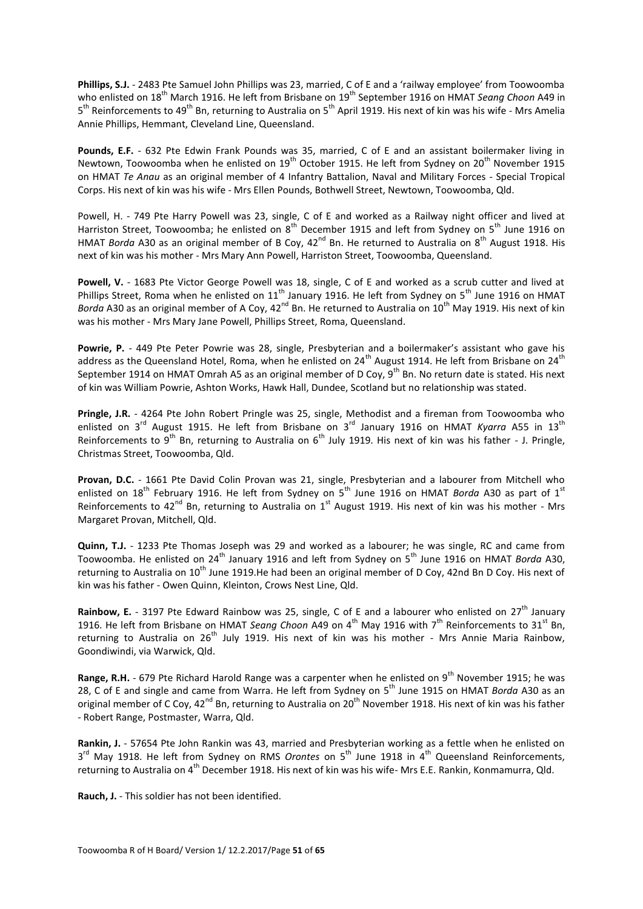**Phillips, S.J.** - 2483 Pte Samuel John Phillips was 23, married, C of E and a 'railway employee' from Toowoomba who enlisted on 18<sup>th</sup> March 1916. He left from Brisbane on 19<sup>th</sup> September 1916 on HMAT *Seang Choon* A49 in 5<sup>th</sup> Reinforcements to 49<sup>th</sup> Bn, returning to Australia on 5<sup>th</sup> April 1919. His next of kin was his wife - Mrs Amelia Annie Phillips, Hemmant, Cleveland Line, Queensland.

**Pounds, E.F.** - 632 Pte Edwin Frank Pounds was 35, married, C of E and an assistant boilermaker living in Newtown, Toowoomba when he enlisted on 19<sup>th</sup> October 1915. He left from Sydney on 20<sup>th</sup> November 1915 on HMAT *Te Anau* as an original member of 4 Infantry Battalion, Naval and Military Forces - Special Tropical Corps. His next of kin was his wife - Mrs Ellen Pounds, Bothwell Street, Newtown, Toowoomba, Qld.

Powell, H. - 749 Pte Harry Powell was 23, single, C of E and worked as a Railway night officer and lived at Harriston Street, Toowoomba; he enlisted on 8<sup>th</sup> December 1915 and left from Sydney on 5<sup>th</sup> June 1916 on HMAT *Borda* A30 as an original member of B Coy,  $42^{nd}$  Bn. He returned to Australia on 8<sup>th</sup> August 1918. His next of kin was his mother - Mrs Mary Ann Powell, Harriston Street, Toowoomba, Queensland.

**Powell, V.** - 1683 Pte Victor George Powell was 18, single, C of E and worked as a scrub cutter and lived at Phillips Street, Roma when he enlisted on  $11<sup>th</sup>$  January 1916. He left from Sydney on  $5<sup>th</sup>$  June 1916 on HMAT *Borda* A30 as an original member of A Coy, 42<sup>nd</sup> Bn. He returned to Australia on 10<sup>th</sup> May 1919. His next of kin was his mother - Mrs Mary Jane Powell, Phillips Street, Roma, Queensland.

Powrie, P. - 449 Pte Peter Powrie was 28, single, Presbyterian and a boilermaker's assistant who gave his address as the Queensland Hotel, Roma, when he enlisted on 24<sup>th</sup> August 1914. He left from Brisbane on 24<sup>th</sup> September 1914 on HMAT Omrah A5 as an original member of D Coy,  $9^{th}$  Bn. No return date is stated. His next of kin was William Powrie, Ashton Works, Hawk Hall, Dundee, Scotland but no relationship was stated.

**Pringle, J.R.** - 4264 Pte John Robert Pringle was 25, single, Methodist and a fireman from Toowoomba who enlisted on 3<sup>rd</sup> August 1915. He left from Brisbane on 3<sup>rd</sup> January 1916 on HMAT *Kyarra* A55 in 13<sup>th</sup> Reinforcements to  $9^{th}$  Bn, returning to Australia on  $6^{th}$  July 1919. His next of kin was his father - J. Pringle, Christmas Street, Toowoomba, Qld.

**Provan, D.C.** - 1661 Pte David Colin Provan was 21, single, Presbyterian and a labourer from Mitchell who enlisted on 18<sup>th</sup> February 1916. He left from Sydney on 5<sup>th</sup> June 1916 on HMAT *Borda* A30 as part of 1<sup>st</sup> Reinforcements to  $42^{nd}$  Bn, returning to Australia on  $1^{st}$  August 1919. His next of kin was his mother - Mrs Margaret Provan, Mitchell, Qld.

**Quinn, T.J.** - 1233 Pte Thomas Joseph was 29 and worked as a labourer; he was single, RC and came from Toowoomba. He enlisted on 24<sup>th</sup> January 1916 and left from Sydney on 5<sup>th</sup> June 1916 on HMAT *Borda* A30, returning to Australia on 10<sup>th</sup> June 1919. He had been an original member of D Coy, 42nd Bn D Coy. His next of kin was his father - Owen Quinn, Kleinton, Crows Nest Line, Qld.

**Rainbow, E.** - 3197 Pte Edward Rainbow was 25, single, C of E and a labourer who enlisted on 27<sup>th</sup> January 1916. He left from Brisbane on HMAT *Seang Choon* A49 on 4<sup>th</sup> May 1916 with 7<sup>th</sup> Reinforcements to 31<sup>st</sup> Bn, returning to Australia on 26<sup>th</sup> July 1919. His next of kin was his mother - Mrs Annie Maria Rainbow, Goondiwindi, via Warwick, Qld.

**Range, R.H.** - 679 Pte Richard Harold Range was a carpenter when he enlisted on 9<sup>th</sup> November 1915; he was 28, C of E and single and came from Warra. He left from Sydney on 5<sup>th</sup> June 1915 on HMAT *Borda* A30 as an original member of C Coy, 42<sup>nd</sup> Bn, returning to Australia on 20<sup>th</sup> November 1918. His next of kin was his father - Robert Range, Postmaster, Warra, Qld.

**Rankin, J.** - 57654 Pte John Rankin was 43, married and Presbyterian working as a fettle when he enlisted on 3<sup>rd</sup> May 1918. He left from Sydney on RMS *Orontes* on 5<sup>th</sup> June 1918 in 4<sup>th</sup> Queensland Reinforcements, returning to Australia on 4<sup>th</sup> December 1918. His next of kin was his wife- Mrs E.E. Rankin, Konmamurra, Qld.

**Rauch, J.** - This soldier has not been identified.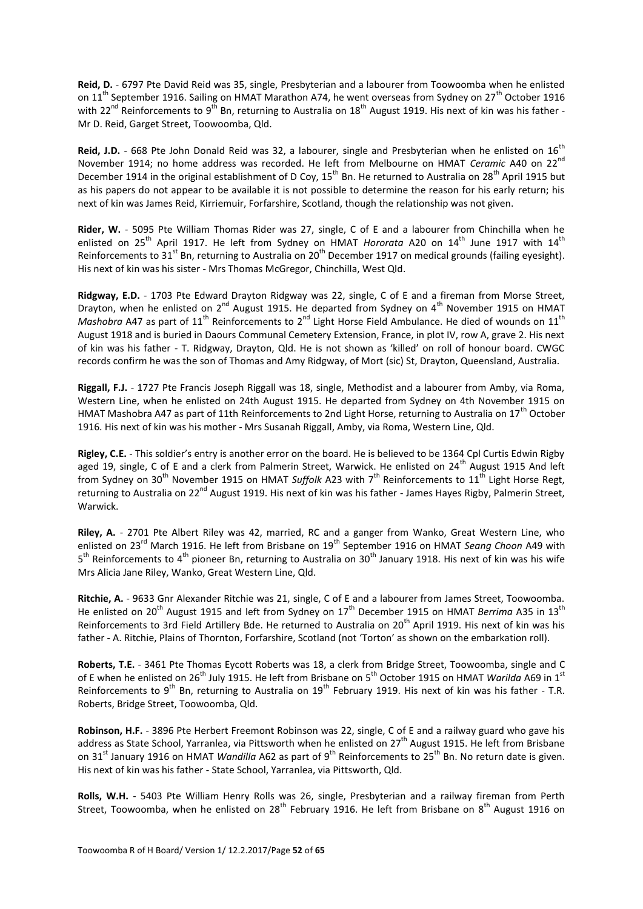**Reid, D.** - 6797 Pte David Reid was 35, single, Presbyterian and a labourer from Toowoomba when he enlisted on 11<sup>th</sup> September 1916. Sailing on HMAT Marathon A74, he went overseas from Sydney on 27<sup>th</sup> October 1916 with 22<sup>nd</sup> Reinforcements to 9<sup>th</sup> Bn, returning to Australia on 18<sup>th</sup> August 1919. His next of kin was his father -Mr D. Reid, Garget Street, Toowoomba, Qld.

Reid, J.D. - 668 Pte John Donald Reid was 32, a labourer, single and Presbyterian when he enlisted on 16<sup>th</sup> November 1914; no home address was recorded. He left from Melbourne on HMAT *Ceramic* A40 on 22nd December 1914 in the original establishment of D Coy, 15<sup>th</sup> Bn. He returned to Australia on 28<sup>th</sup> April 1915 but as his papers do not appear to be available it is not possible to determine the reason for his early return; his next of kin was James Reid, Kirriemuir, Forfarshire, Scotland, though the relationship was not given.

**Rider, W.** - 5095 Pte William Thomas Rider was 27, single, C of E and a labourer from Chinchilla when he enlisted on 25<sup>th</sup> April 1917. He left from Sydney on HMAT *Hororata* A20 on 14<sup>th</sup> June 1917 with 14<sup>th</sup> Reinforcements to 31<sup>st</sup> Bn, returning to Australia on 20<sup>th</sup> December 1917 on medical grounds (failing evesight). His next of kin was his sister - Mrs Thomas McGregor, Chinchilla, West Qld.

**Ridgway, E.D.** - 1703 Pte Edward Drayton Ridgway was 22, single, C of E and a fireman from Morse Street, Drayton, when he enlisted on 2<sup>nd</sup> August 1915. He departed from Sydney on 4<sup>th</sup> November 1915 on HMAT *Mashobra* A47 as part of 11<sup>th</sup> Reinforcements to 2<sup>nd</sup> Light Horse Field Ambulance. He died of wounds on 11<sup>th</sup> August 1918 and is buried in Daours Communal Cemetery Extension, France, in plot IV, row A, grave 2. His next of kin was his father - T. Ridgway, Drayton, Qld. He is not shown as 'killed' on roll of honour board. CWGC records confirm he was the son of Thomas and Amy Ridgway, of Mort (sic) St, Drayton, Queensland, Australia.

**Riggall, F.J.** - 1727 Pte Francis Joseph Riggall was 18, single, Methodist and a labourer from Amby, via Roma, Western Line, when he enlisted on 24th August 1915. He departed from Sydney on 4th November 1915 on HMAT Mashobra A47 as part of 11th Reinforcements to 2nd Light Horse, returning to Australia on 17<sup>th</sup> October 1916. His next of kin was his mother - Mrs Susanah Riggall, Amby, via Roma, Western Line, Qld.

**Rigley, C.E.** - This soldier's entry is another error on the board. He is believed to be 1364 Cpl Curtis Edwin Rigby aged 19, single, C of E and a clerk from Palmerin Street, Warwick. He enlisted on 24<sup>th</sup> August 1915 And left from Sydney on 30<sup>th</sup> November 1915 on HMAT *Suffolk* A23 with 7<sup>th</sup> Reinforcements to 11<sup>th</sup> Light Horse Regt, returning to Australia on 22nd August 1919. His next of kin was his father - James Hayes Rigby, Palmerin Street, Warwick.

**Riley, A.** - 2701 Pte Albert Riley was 42, married, RC and a ganger from Wanko, Great Western Line, who enlisted on 23rd March 1916. He left from Brisbane on 19th September 1916 on HMAT *Seang Choon* A49 with 5<sup>th</sup> Reinforcements to 4<sup>th</sup> pioneer Bn, returning to Australia on 30<sup>th</sup> January 1918. His next of kin was his wife Mrs Alicia Jane Riley, Wanko, Great Western Line, Qld.

**Ritchie, A.** - 9633 Gnr Alexander Ritchie was 21, single, C of E and a labourer from James Street, Toowoomba. He enlisted on 20<sup>th</sup> August 1915 and left from Sydney on 17<sup>th</sup> December 1915 on HMAT *Berrima* A35 in 13<sup>th</sup> Reinforcements to 3rd Field Artillery Bde. He returned to Australia on 20<sup>th</sup> April 1919. His next of kin was his father - A. Ritchie, Plains of Thornton, Forfarshire, Scotland (not 'Torton' as shown on the embarkation roll).

**Roberts, T.E.** - 3461 Pte Thomas Eycott Roberts was 18, a clerk from Bridge Street, Toowoomba, single and C of E when he enlisted on 26<sup>th</sup> July 1915. He left from Brisbane on 5<sup>th</sup> October 1915 on HMAT *Warilda* A69 in 1<sup>st</sup> Reinforcements to 9<sup>th</sup> Bn, returning to Australia on 19<sup>th</sup> February 1919. His next of kin was his father - T.R. Roberts, Bridge Street, Toowoomba, Qld.

**Robinson, H.F.** - 3896 Pte Herbert Freemont Robinson was 22, single, C of E and a railway guard who gave his address as State School, Yarranlea, via Pittsworth when he enlisted on 27<sup>th</sup> August 1915. He left from Brisbane on 31<sup>st</sup> January 1916 on HMAT *Wandilla* A62 as part of 9<sup>th</sup> Reinforcements to 25<sup>th</sup> Bn. No return date is given. His next of kin was his father - State School, Yarranlea, via Pittsworth, Qld.

**Rolls, W.H.** - 5403 Pte William Henry Rolls was 26, single, Presbyterian and a railway fireman from Perth Street, Toowoomba, when he enlisted on 28<sup>th</sup> February 1916. He left from Brisbane on 8<sup>th</sup> August 1916 on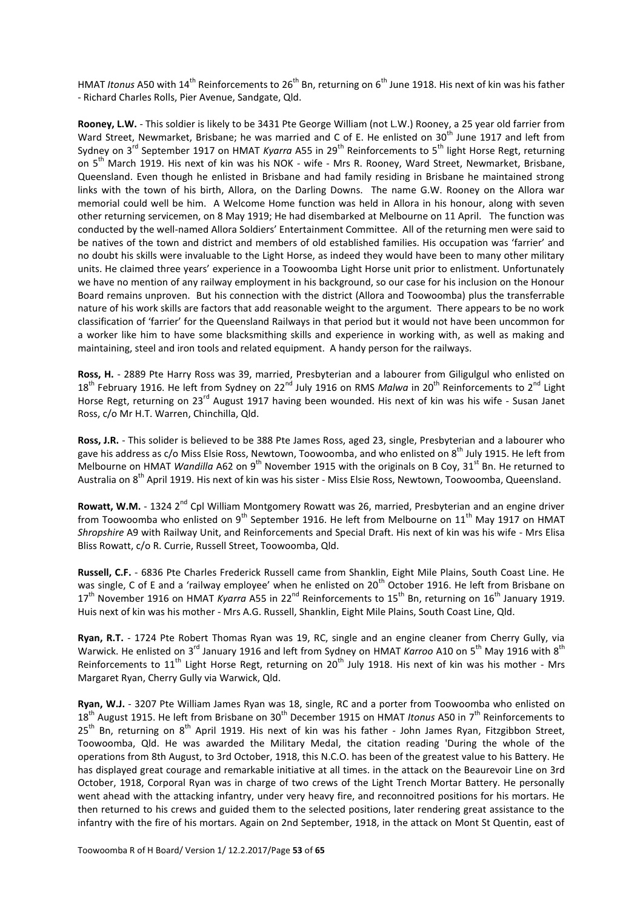HMAT *Itonus* A50 with 14<sup>th</sup> Reinforcements to 26<sup>th</sup> Bn, returning on 6<sup>th</sup> June 1918. His next of kin was his father - Richard Charles Rolls, Pier Avenue, Sandgate, Qld.

**Rooney, L.W.** - This soldier is likely to be 3431 Pte George William (not L.W.) Rooney, a 25 year old farrier from Ward Street, Newmarket, Brisbane; he was married and C of E. He enlisted on 30<sup>th</sup> June 1917 and left from Sydney on 3<sup>rd</sup> September 1917 on HMAT *Kyarra* A55 in 29<sup>th</sup> Reinforcements to 5<sup>th</sup> light Horse Regt, returning on 5<sup>th</sup> March 1919. His next of kin was his NOK - wife - Mrs R. Rooney, Ward Street, Newmarket, Brisbane, Queensland. Even though he enlisted in Brisbane and had family residing in Brisbane he maintained strong links with the town of his birth, Allora, on the Darling Downs. The name G.W. Rooney on the Allora war memorial could well be him. A Welcome Home function was held in Allora in his honour, along with seven other returning servicemen, on 8 May 1919; He had disembarked at Melbourne on 11 April. The function was conducted by the well-named Allora Soldiers' Entertainment Committee. All of the returning men were said to be natives of the town and district and members of old established families. His occupation was 'farrier' and no doubt his skills were invaluable to the Light Horse, as indeed they would have been to many other military units. He claimed three years' experience in a Toowoomba Light Horse unit prior to enlistment. Unfortunately we have no mention of any railway employment in his background, so our case for his inclusion on the Honour Board remains unproven. But his connection with the district (Allora and Toowoomba) plus the transferrable nature of his work skills are factors that add reasonable weight to the argument. There appears to be no work classification of 'farrier' for the Queensland Railways in that period but it would not have been uncommon for a worker like him to have some blacksmithing skills and experience in working with, as well as making and maintaining, steel and iron tools and related equipment. A handy person for the railways.

**Ross, H.** - 2889 Pte Harry Ross was 39, married, Presbyterian and a labourer from Giligulgul who enlisted on 18<sup>th</sup> February 1916. He left from Sydney on 22<sup>nd</sup> July 1916 on RMS Malwa in 20<sup>th</sup> Reinforcements to 2<sup>nd</sup> Light Horse Regt, returning on 23<sup>rd</sup> August 1917 having been wounded. His next of kin was his wife - Susan Janet Ross, c/o Mr H.T. Warren, Chinchilla, Qld.

**Ross, J.R.** - This solider is believed to be 388 Pte James Ross, aged 23, single, Presbyterian and a labourer who gave his address as c/o Miss Elsie Ross, Newtown, Toowoomba, and who enlisted on 8<sup>th</sup> July 1915. He left from Melbourne on HMAT *Wandilla* A62 on 9<sup>th</sup> November 1915 with the originals on B Coy, 31<sup>st</sup> Bn. He returned to Australia on 8<sup>th</sup> April 1919. His next of kin was his sister - Miss Elsie Ross, Newtown, Toowoomba, Queensland.

Rowatt, W.M. - 1324 2<sup>nd</sup> Cpl William Montgomery Rowatt was 26, married, Presbyterian and an engine driver from Toowoomba who enlisted on  $9^{th}$  September 1916. He left from Melbourne on 11<sup>th</sup> May 1917 on HMAT *Shropshire* A9 with Railway Unit, and Reinforcements and Special Draft. His next of kin was his wife - Mrs Elisa Bliss Rowatt, c/o R. Currie, Russell Street, Toowoomba, Qld.

**Russell, C.F.** - 6836 Pte Charles Frederick Russell came from Shanklin, Eight Mile Plains, South Coast Line. He was single, C of E and a 'railway employee' when he enlisted on 20<sup>th</sup> October 1916. He left from Brisbane on 17<sup>th</sup> November 1916 on HMAT *Kyarra* A55 in 22<sup>nd</sup> Reinforcements to 15<sup>th</sup> Bn, returning on 16<sup>th</sup> January 1919. Huis next of kin was his mother - Mrs A.G. Russell, Shanklin, Eight Mile Plains, South Coast Line, Qld.

**Ryan, R.T.** - 1724 Pte Robert Thomas Ryan was 19, RC, single and an engine cleaner from Cherry Gully, via Warwick. He enlisted on 3<sup>rd</sup> January 1916 and left from Sydney on HMAT *Karroo* A10 on 5<sup>th</sup> May 1916 with 8<sup>th</sup> Reinforcements to 11<sup>th</sup> Light Horse Regt, returning on 20<sup>th</sup> July 1918. His next of kin was his mother - Mrs Margaret Ryan, Cherry Gully via Warwick, Qld.

**Ryan, W.J.** - 3207 Pte William James Ryan was 18, single, RC and a porter from Toowoomba who enlisted on 18<sup>th</sup> August 1915. He left from Brisbane on 30<sup>th</sup> December 1915 on HMAT *Itonus* A50 in 7<sup>th</sup> Reinforcements to  $25<sup>th</sup>$  Bn, returning on  $8<sup>th</sup>$  April 1919. His next of kin was his father - John James Ryan, Fitzgibbon Street, Toowoomba, Qld. He was awarded the Military Medal, the citation reading 'During the whole of the operations from 8th August, to 3rd October, 1918, this N.C.O. has been of the greatest value to his Battery. He has displayed great courage and remarkable initiative at all times. in the attack on the Beaurevoir Line on 3rd October, 1918, Corporal Ryan was in charge of two crews of the Light Trench Mortar Battery. He personally went ahead with the attacking infantry, under very heavy fire, and reconnoitred positions for his mortars. He then returned to his crews and guided them to the selected positions, later rendering great assistance to the infantry with the fire of his mortars. Again on 2nd September, 1918, in the attack on Mont St Quentin, east of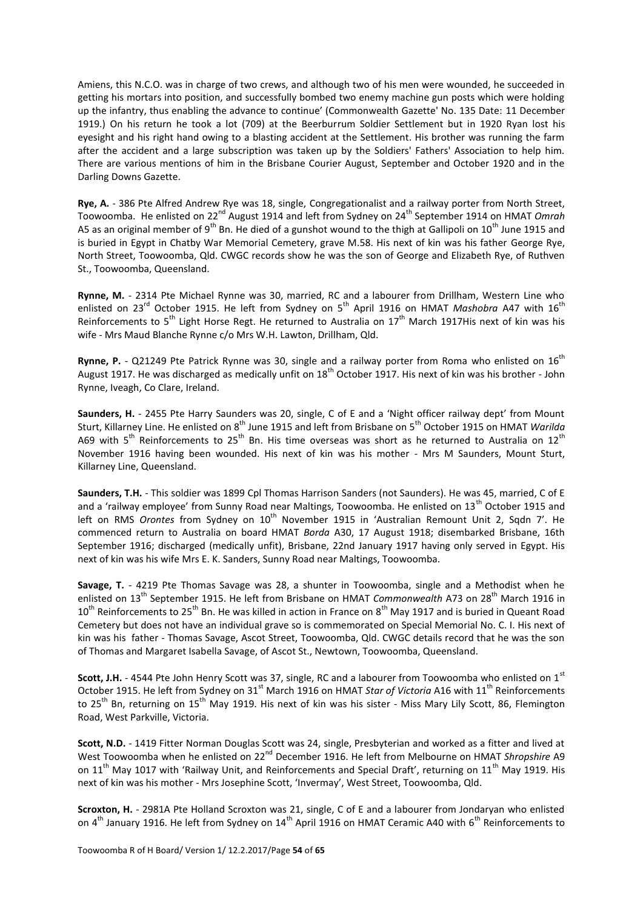Amiens, this N.C.O. was in charge of two crews, and although two of his men were wounded, he succeeded in getting his mortars into position, and successfully bombed two enemy machine gun posts which were holding up the infantry, thus enabling the advance to continue' (Commonwealth Gazette' No. 135 Date: 11 December 1919.) On his return he took a lot (709) at the Beerburrum Soldier Settlement but in 1920 Ryan lost his eyesight and his right hand owing to a blasting accident at the Settlement. His brother was running the farm after the accident and a large subscription was taken up by the Soldiers' Fathers' Association to help him. There are various mentions of him in the Brisbane Courier August, September and October 1920 and in the Darling Downs Gazette.

**Rye, A.** - 386 Pte Alfred Andrew Rye was 18, single, Congregationalist and a railway porter from North Street, Toowoomba. He enlisted on 22<sup>nd</sup> August 1914 and left from Sydney on 24<sup>th</sup> September 1914 on HMAT *Omrah* A5 as an original member of 9<sup>th</sup> Bn. He died of a gunshot wound to the thigh at Gallipoli on 10<sup>th</sup> June 1915 and is buried in Egypt in Chatby War Memorial Cemetery, grave M.58. His next of kin was his father George Rye, North Street, Toowoomba, Qld. CWGC records show he was the son of George and Elizabeth Rye, of Ruthven St., Toowoomba, Queensland.

**Rynne, M.** - 2314 Pte Michael Rynne was 30, married, RC and a labourer from Drillham, Western Line who enlisted on 23<sup>rd</sup> October 1915. He left from Sydney on 5<sup>th</sup> April 1916 on HMAT *Mashobra* A47 with 16<sup>th</sup> Reinforcements to  $5^{th}$  Light Horse Regt. He returned to Australia on  $17^{th}$  March 1917His next of kin was his wife - Mrs Maud Blanche Rynne c/o Mrs W.H. Lawton, Drillham, Qld.

Rynne, P. - Q21249 Pte Patrick Rynne was 30, single and a railway porter from Roma who enlisted on 16<sup>th</sup> August 1917. He was discharged as medically unfit on 18<sup>th</sup> October 1917. His next of kin was his brother - John Rynne, Iveagh, Co Clare, Ireland.

**Saunders, H.** - 2455 Pte Harry Saunders was 20, single, C of E and a 'Night officer railway dept' from Mount Sturt, Killarney Line. He enlisted on 8th June 1915 and left from Brisbane on 5th October 1915 on HMAT *Warilda* A69 with  $5^{th}$  Reinforcements to  $25^{th}$  Bn. His time overseas was short as he returned to Australia on  $12^{th}$ November 1916 having been wounded. His next of kin was his mother - Mrs M Saunders, Mount Sturt, Killarney Line, Queensland.

**Saunders, T.H.** - This soldier was 1899 Cpl Thomas Harrison Sanders (not Saunders). He was 45, married, C of E and a 'railway employee' from Sunny Road near Maltings, Toowoomba. He enlisted on  $13<sup>th</sup>$  October 1915 and left on RMS *Orontes* from Sydney on 10<sup>th</sup> November 1915 in 'Australian Remount Unit 2, Sqdn 7'. He commenced return to Australia on board HMAT *Borda* A30, 17 August 1918; disembarked Brisbane, 16th September 1916; discharged (medically unfit), Brisbane, 22nd January 1917 having only served in Egypt. His next of kin was his wife Mrs E. K. Sanders, Sunny Road near Maltings, Toowoomba.

**Savage, T.** - 4219 Pte Thomas Savage was 28, a shunter in Toowoomba, single and a Methodist when he enlisted on 13th September 1915. He left from Brisbane on HMAT *Commonwealth* A73 on 28th March 1916 in 10<sup>th</sup> Reinforcements to 25<sup>th</sup> Bn. He was killed in action in France on 8<sup>th</sup> May 1917 and is buried in Queant Road Cemetery but does not have an individual grave so is commemorated on Special Memorial No. C. I. His next of kin was his father - Thomas Savage, Ascot Street, Toowoomba, Qld. CWGC details record that he was the son of Thomas and Margaret Isabella Savage, of Ascot St., Newtown, Toowoomba, Queensland.

**Scott, J.H.** - 4544 Pte John Henry Scott was 37, single, RC and a labourer from Toowoomba who enlisted on 1<sup>st</sup> October 1915. He left from Sydney on 31<sup>st</sup> March 1916 on HMAT *Star of Victoria* A16 with 11<sup>th</sup> Reinforcements to 25<sup>th</sup> Bn, returning on 15<sup>th</sup> May 1919. His next of kin was his sister - Miss Mary Lily Scott, 86, Flemington Road, West Parkville, Victoria.

**Scott, N.D.** - 1419 Fitter Norman Douglas Scott was 24, single, Presbyterian and worked as a fitter and lived at West Toowoomba when he enlisted on 22<sup>nd</sup> December 1916. He left from Melbourne on HMAT *Shropshire* A9 on 11<sup>th</sup> May 1017 with 'Railway Unit, and Reinforcements and Special Draft', returning on 11<sup>th</sup> May 1919. His next of kin was his mother - Mrs Josephine Scott, 'Invermay', West Street, Toowoomba, Qld.

**Scroxton, H.** - 2981A Pte Holland Scroxton was 21, single, C of E and a labourer from Jondaryan who enlisted on 4<sup>th</sup> January 1916. He left from Sydney on 14<sup>th</sup> April 1916 on HMAT Ceramic A40 with 6<sup>th</sup> Reinforcements to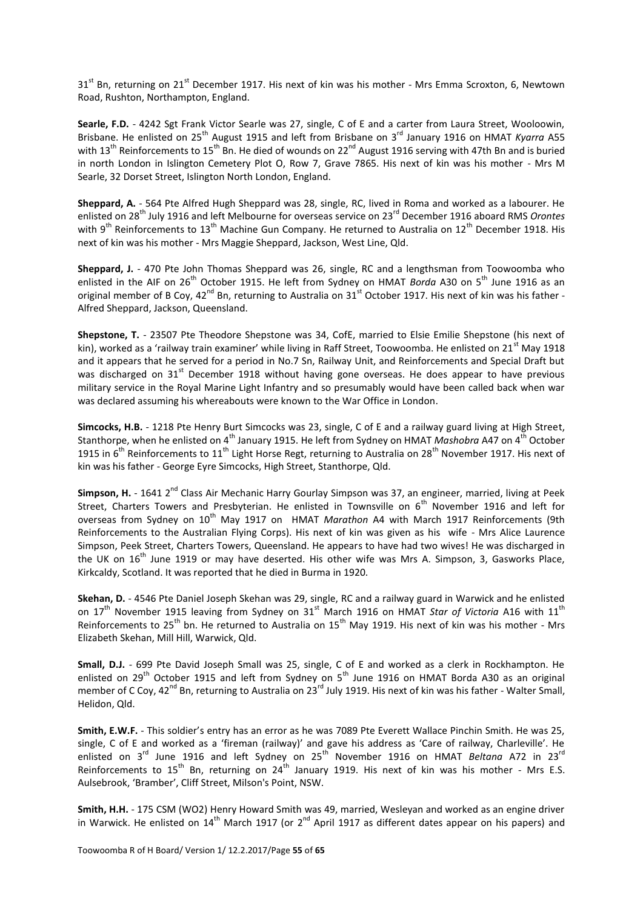31<sup>st</sup> Bn, returning on 21<sup>st</sup> December 1917. His next of kin was his mother - Mrs Emma Scroxton, 6, Newtown Road, Rushton, Northampton, England.

**Searle, F.D.** - 4242 Sgt Frank Victor Searle was 27, single, C of E and a carter from Laura Street, Wooloowin, Brisbane. He enlisted on 25<sup>th</sup> August 1915 and left from Brisbane on 3<sup>rd</sup> January 1916 on HMAT *Kyarra* A55 with 13<sup>th</sup> Reinforcements to 15<sup>th</sup> Bn. He died of wounds on 22<sup>nd</sup> August 1916 serving with 47th Bn and is buried in north London in Islington Cemetery Plot O, Row 7, Grave 7865. His next of kin was his mother - Mrs M Searle, 32 Dorset Street, Islington North London, England.

**Sheppard, A.** - 564 Pte Alfred Hugh Sheppard was 28, single, RC, lived in Roma and worked as a labourer. He enlisted on 28th July 1916 and left Melbourne for overseas service on 23rd December 1916 aboard RMS *Orontes* with  $9^{th}$  Reinforcements to 13<sup>th</sup> Machine Gun Company. He returned to Australia on 12<sup>th</sup> December 1918. His next of kin was his mother - Mrs Maggie Sheppard, Jackson, West Line, Qld.

**Sheppard, J.** - 470 Pte John Thomas Sheppard was 26, single, RC and a lengthsman from Toowoomba who enlisted in the AIF on 26<sup>th</sup> October 1915. He left from Sydney on HMAT *Borda* A30 on 5<sup>th</sup> June 1916 as an original member of B Coy,  $42^{nd}$  Bn, returning to Australia on  $31^{st}$  October 1917. His next of kin was his father -Alfred Sheppard, Jackson, Queensland.

**Shepstone, T.** - 23507 Pte Theodore Shepstone was 34, CofE, married to Elsie Emilie Shepstone (his next of kin), worked as a 'railway train examiner' while living in Raff Street, Toowoomba. He enlisted on 21<sup>st</sup> May 1918 and it appears that he served for a period in No.7 Sn, Railway Unit, and Reinforcements and Special Draft but was discharged on 31<sup>st</sup> December 1918 without having gone overseas. He does appear to have previous military service in the Royal Marine Light Infantry and so presumably would have been called back when war was declared assuming his whereabouts were known to the War Office in London.

**Simcocks, H.B.** - 1218 Pte Henry Burt Simcocks was 23, single, C of E and a railway guard living at High Street, Stanthorpe, when he enlisted on 4<sup>th</sup> January 1915. He left from Sydney on HMAT *Mashobra* A47 on 4<sup>th</sup> October 1915 in  $6^{th}$  Reinforcements to 11<sup>th</sup> Light Horse Regt, returning to Australia on 28<sup>th</sup> November 1917. His next of kin was his father - George Eyre Simcocks, High Street, Stanthorpe, Qld.

**Simpson, H.** - 1641 2<sup>nd</sup> Class Air Mechanic Harry Gourlay Simpson was 37, an engineer, married, living at Peek Street, Charters Towers and Presbyterian. He enlisted in Townsville on  $6<sup>th</sup>$  November 1916 and left for overseas from Sydney on 10<sup>th</sup> May 1917 on HMAT *Marathon* A4 with March 1917 Reinforcements (9th Reinforcements to the Australian Flying Corps). His next of kin was given as his wife - Mrs Alice Laurence Simpson, Peek Street, Charters Towers, Queensland. He appears to have had two wives! He was discharged in the UK on  $16<sup>th</sup>$  June 1919 or may have deserted. His other wife was Mrs A. Simpson, 3, Gasworks Place, Kirkcaldy, Scotland. It was reported that he died in Burma in 1920.

**Skehan, D.** - 4546 Pte Daniel Joseph Skehan was 29, single, RC and a railway guard in Warwick and he enlisted on 17<sup>th</sup> November 1915 leaving from Sydney on 31<sup>st</sup> March 1916 on HMAT *Star of Victoria* A16 with 11<sup>th</sup> Reinforcements to 25<sup>th</sup> bn. He returned to Australia on 15<sup>th</sup> May 1919. His next of kin was his mother - Mrs Elizabeth Skehan, Mill Hill, Warwick, Qld.

**Small, D.J.** - 699 Pte David Joseph Small was 25, single, C of E and worked as a clerk in Rockhampton. He enlisted on 29<sup>th</sup> October 1915 and left from Sydney on 5<sup>th</sup> June 1916 on HMAT Borda A30 as an original member of C Coy, 42<sup>nd</sup> Bn, returning to Australia on 23<sup>rd</sup> July 1919. His next of kin was his father - Walter Small, Helidon, Qld.

**Smith, E.W.F.** - This soldier's entry has an error as he was 7089 Pte Everett Wallace Pinchin Smith. He was 25, single, C of E and worked as a 'fireman (railway)' and gave his address as 'Care of railway, Charleville'. He enlisted on 3<sup>rd</sup> June 1916 and left Sydney on 25<sup>th</sup> November 1916 on HMAT *Beltana* A72 in 23<sup>rd</sup> Reinforcements to 15<sup>th</sup> Bn, returning on 24<sup>th</sup> January 1919. His next of kin was his mother - Mrs E.S. Aulsebrook, 'Bramber', Cliff Street, Milson's Point, NSW.

**Smith, H.H.** - 175 CSM (WO2) Henry Howard Smith was 49, married, Wesleyan and worked as an engine driver in Warwick. He enlisted on  $14^{\text{th}}$  March 1917 (or 2<sup>nd</sup> April 1917 as different dates appear on his papers) and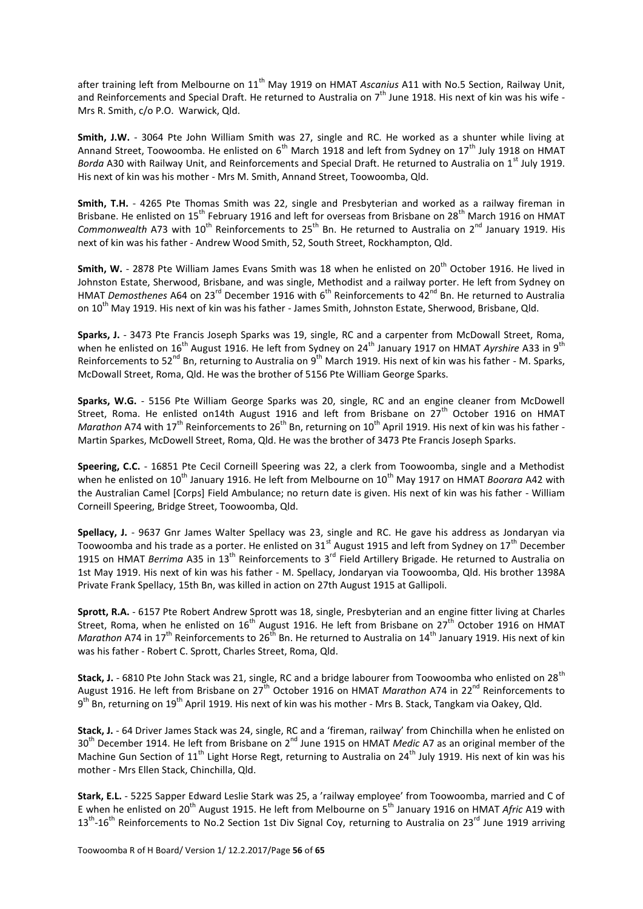after training left from Melbourne on 11<sup>th</sup> May 1919 on HMAT *Ascanius* A11 with No.5 Section, Railway Unit, and Reinforcements and Special Draft. He returned to Australia on 7<sup>th</sup> June 1918. His next of kin was his wife -Mrs R. Smith, c/o P.O. Warwick, Qld.

**Smith, J.W.** - 3064 Pte John William Smith was 27, single and RC. He worked as a shunter while living at Annand Street, Toowoomba. He enlisted on 6<sup>th</sup> March 1918 and left from Sydney on 17<sup>th</sup> July 1918 on HMAT *Borda* A30 with Railway Unit, and Reinforcements and Special Draft. He returned to Australia on 1<sup>st</sup> July 1919. His next of kin was his mother - Mrs M. Smith, Annand Street, Toowoomba, Qld.

**Smith, T.H.** - 4265 Pte Thomas Smith was 22, single and Presbyterian and worked as a railway fireman in Brisbane. He enlisted on 15<sup>th</sup> February 1916 and left for overseas from Brisbane on 28<sup>th</sup> March 1916 on HMAT *Commonwealth* A73 with 10<sup>th</sup> Reinforcements to 25<sup>th</sup> Bn. He returned to Australia on 2<sup>nd</sup> January 1919. His next of kin was his father - Andrew Wood Smith, 52, South Street, Rockhampton, Qld.

**Smith, W.** - 2878 Pte William James Evans Smith was 18 when he enlisted on 20<sup>th</sup> October 1916. He lived in Johnston Estate, Sherwood, Brisbane, and was single, Methodist and a railway porter. He left from Sydney on HMAT *Demosthenes* A64 on 23<sup>rd</sup> December 1916 with 6<sup>th</sup> Reinforcements to 42<sup>nd</sup> Bn. He returned to Australia on 10<sup>th</sup> May 1919. His next of kin was his father - James Smith, Johnston Estate, Sherwood, Brisbane, Qld.

**Sparks, J.** - 3473 Pte Francis Joseph Sparks was 19, single, RC and a carpenter from McDowall Street, Roma, when he enlisted on 16<sup>th</sup> August 1916. He left from Sydney on 24<sup>th</sup> January 1917 on HMAT *Ayrshire* A33 in 9<sup>th</sup> Reinforcements to 52<sup>nd</sup> Bn, returning to Australia on 9<sup>th</sup> March 1919. His next of kin was his father - M. Sparks, McDowall Street, Roma, Qld. He was the brother of 5156 Pte William George Sparks.

**Sparks, W.G.** - 5156 Pte William George Sparks was 20, single, RC and an engine cleaner from McDowell Street, Roma. He enlisted on14th August 1916 and left from Brisbane on 27<sup>th</sup> October 1916 on HMAT *Marathon* A74 with 17<sup>th</sup> Reinforcements to 26<sup>th</sup> Bn, returning on 10<sup>th</sup> April 1919. His next of kin was his father -Martin Sparkes, McDowell Street, Roma, Qld. He was the brother of 3473 Pte Francis Joseph Sparks.

**Speering, C.C.** - 16851 Pte Cecil Corneill Speering was 22, a clerk from Toowoomba, single and a Methodist when he enlisted on 10<sup>th</sup> January 1916. He left from Melbourne on 10<sup>th</sup> May 1917 on HMAT *Boorara* A42 with the Australian Camel [Corps] Field Ambulance; no return date is given. His next of kin was his father - William Corneill Speering, Bridge Street, Toowoomba, Qld.

**Spellacy, J.** - 9637 Gnr James Walter Spellacy was 23, single and RC. He gave his address as Jondaryan via Toowoomba and his trade as a porter. He enlisted on 31<sup>st</sup> August 1915 and left from Sydney on 17<sup>th</sup> December 1915 on HMAT *Berrima* A35 in 13<sup>th</sup> Reinforcements to 3<sup>rd</sup> Field Artillery Brigade. He returned to Australia on 1st May 1919. His next of kin was his father - M. Spellacy, Jondaryan via Toowoomba, Qld. His brother 1398A Private Frank Spellacy, 15th Bn, was killed in action on 27th August 1915 at Gallipoli.

**Sprott, R.A.** - 6157 Pte Robert Andrew Sprott was 18, single, Presbyterian and an engine fitter living at Charles Street, Roma, when he enlisted on 16<sup>th</sup> August 1916. He left from Brisbane on 27<sup>th</sup> October 1916 on HMAT *Marathon* A74 in 17<sup>th</sup> Reinforcements to 26<sup>th</sup> Bn. He returned to Australia on 14<sup>th</sup> January 1919. His next of kin was his father - Robert C. Sprott, Charles Street, Roma, Qld.

Stack, J. - 6810 Pte John Stack was 21, single, RC and a bridge labourer from Toowoomba who enlisted on 28<sup>th</sup> August 1916. He left from Brisbane on 27<sup>th</sup> October 1916 on HMAT *Marathon* A74 in 22<sup>nd</sup> Reinforcements to 9<sup>th</sup> Bn, returning on 19<sup>th</sup> April 1919. His next of kin was his mother - Mrs B. Stack, Tangkam via Oakey, Qld.

**Stack, J.** - 64 Driver James Stack was 24, single, RC and a 'fireman, railway' from Chinchilla when he enlisted on 30<sup>th</sup> December 1914. He left from Brisbane on 2<sup>nd</sup> June 1915 on HMAT *Medic* A7 as an original member of the Machine Gun Section of 11<sup>th</sup> Light Horse Regt, returning to Australia on 24<sup>th</sup> July 1919. His next of kin was his mother - Mrs Ellen Stack, Chinchilla, Qld.

**Stark, E.L.** - 5225 Sapper Edward Leslie Stark was 25, a 'railway employee' from Toowoomba, married and C of E when he enlisted on 20th August 1915. He left from Melbourne on 5th January 1916 on HMAT *Afric* A19 with  $13<sup>th</sup>$ -16<sup>th</sup> Reinforcements to No.2 Section 1st Div Signal Coy, returning to Australia on 23<sup>rd</sup> June 1919 arriving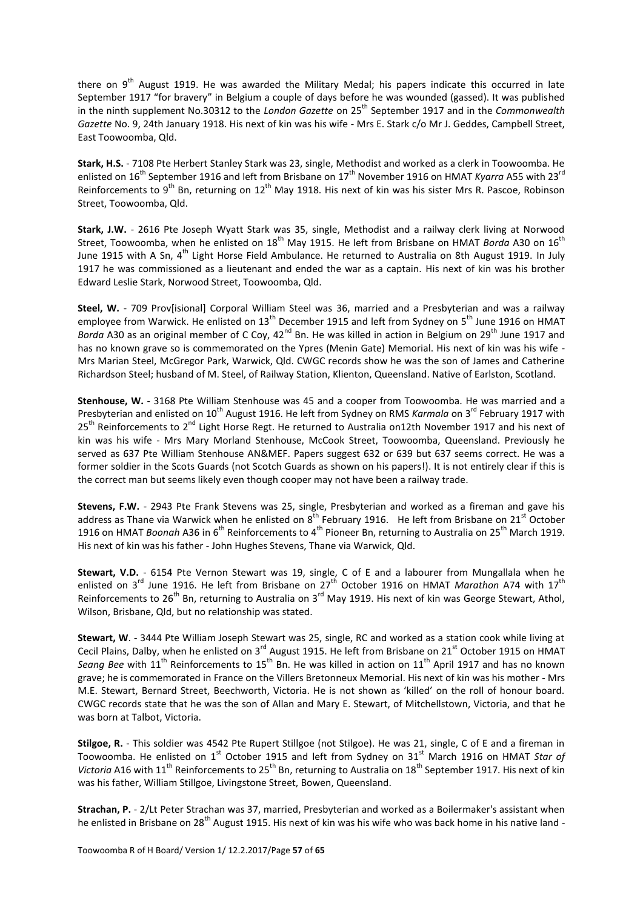there on  $9<sup>th</sup>$  August 1919. He was awarded the Military Medal; his papers indicate this occurred in late September 1917 "for bravery" in Belgium a couple of days before he was wounded (gassed). It was published in the ninth supplement No.30312 to the *London Gazette* on 25<sup>th</sup> September 1917 and in the *Commonwealth Gazette* No. 9, 24th January 1918. His next of kin was his wife - Mrs E. Stark c/o Mr J. Geddes, Campbell Street, East Toowoomba, Qld.

**Stark, H.S.** - 7108 Pte Herbert Stanley Stark was 23, single, Methodist and worked as a clerk in Toowoomba. He enlisted on 16<sup>th</sup> September 1916 and left from Brisbane on 17<sup>th</sup> November 1916 on HMAT *Kyarra* A55 with 23<sup>rd</sup> Reinforcements to 9<sup>th</sup> Bn, returning on 12<sup>th</sup> May 1918. His next of kin was his sister Mrs R. Pascoe, Robinson Street, Toowoomba, Qld.

**Stark, J.W.** - 2616 Pte Joseph Wyatt Stark was 35, single, Methodist and a railway clerk living at Norwood Street, Toowoomba, when he enlisted on 18<sup>th</sup> May 1915. He left from Brisbane on HMAT *Borda* A30 on 16<sup>th</sup> June 1915 with A Sn, 4<sup>th</sup> Light Horse Field Ambulance. He returned to Australia on 8th August 1919. In July 1917 he was commissioned as a lieutenant and ended the war as a captain. His next of kin was his brother Edward Leslie Stark, Norwood Street, Toowoomba, Qld.

**Steel, W.** - 709 Prov[isional] Corporal William Steel was 36, married and a Presbyterian and was a railway employee from Warwick. He enlisted on 13<sup>th</sup> December 1915 and left from Sydney on 5<sup>th</sup> June 1916 on HMAT Borda A30 as an original member of C Coy, 42<sup>nd</sup> Bn. He was killed in action in Belgium on 29<sup>th</sup> June 1917 and has no known grave so is commemorated on the Ypres (Menin Gate) Memorial. His next of kin was his wife - Mrs Marian Steel, McGregor Park, Warwick, Qld. CWGC records show he was the son of James and Catherine Richardson Steel; husband of M. Steel, of Railway Station, Klienton, Queensland. Native of Earlston, Scotland.

**Stenhouse, W.** - 3168 Pte William Stenhouse was 45 and a cooper from Toowoomba. He was married and a Presbyterian and enlisted on 10<sup>th</sup> August 1916. He left from Sydney on RMS *Karmala* on 3<sup>rd</sup> February 1917 with 25<sup>th</sup> Reinforcements to 2<sup>nd</sup> Light Horse Regt. He returned to Australia on12th November 1917 and his next of kin was his wife - Mrs Mary Morland Stenhouse, McCook Street, Toowoomba, Queensland. Previously he served as 637 Pte William Stenhouse AN&MEF. Papers suggest 632 or 639 but 637 seems correct. He was a former soldier in the Scots Guards (not Scotch Guards as shown on his papers!). It is not entirely clear if this is the correct man but seems likely even though cooper may not have been a railway trade.

**Stevens, F.W.** - 2943 Pte Frank Stevens was 25, single, Presbyterian and worked as a fireman and gave his address as Thane via Warwick when he enlisted on  $8^{th}$  February 1916. He left from Brisbane on 21<sup>st</sup> October 1916 on HMAT *Boonah* A36 in 6<sup>th</sup> Reinforcements to 4<sup>th</sup> Pioneer Bn, returning to Australia on 25<sup>th</sup> March 1919. His next of kin was his father - John Hughes Stevens, Thane via Warwick, Qld.

**Stewart, V.D.** - 6154 Pte Vernon Stewart was 19, single, C of E and a labourer from Mungallala when he enlisted on 3<sup>rd</sup> June 1916. He left from Brisbane on 27<sup>th</sup> October 1916 on HMAT *Marathon* A74 with 17<sup>th</sup> Reinforcements to  $26^{th}$  Bn, returning to Australia on  $3^{rd}$  May 1919. His next of kin was George Stewart, Athol, Wilson, Brisbane, Qld, but no relationship was stated.

**Stewart, W**. - 3444 Pte William Joseph Stewart was 25, single, RC and worked as a station cook while living at Cecil Plains, Dalby, when he enlisted on 3<sup>rd</sup> August 1915. He left from Brisbane on 21<sup>st</sup> October 1915 on HMAT Seang Bee with 11<sup>th</sup> Reinforcements to 15<sup>th</sup> Bn. He was killed in action on 11<sup>th</sup> April 1917 and has no known grave; he is commemorated in France on the Villers Bretonneux Memorial. His next of kin was his mother - Mrs M.E. Stewart, Bernard Street, Beechworth, Victoria. He is not shown as 'killed' on the roll of honour board. CWGC records state that he was the son of Allan and Mary E. Stewart, of Mitchellstown, Victoria, and that he was born at Talbot, Victoria.

**Stilgoe, R.** - This soldier was 4542 Pte Rupert Stillgoe (not Stilgoe). He was 21, single, C of E and a fireman in Toowoomba. He enlisted on 1<sup>st</sup> October 1915 and left from Sydney on 31<sup>st</sup> March 1916 on HMAT *Star of Victoria* A16 with 11<sup>th</sup> Reinforcements to 25<sup>th</sup> Bn, returning to Australia on 18<sup>th</sup> September 1917. His next of kin was his father, William Stillgoe, Livingstone Street, Bowen, Queensland.

**Strachan, P.** - 2/Lt Peter Strachan was 37, married, Presbyterian and worked as a Boilermaker's assistant when he enlisted in Brisbane on 28<sup>th</sup> August 1915. His next of kin was his wife who was back home in his native land -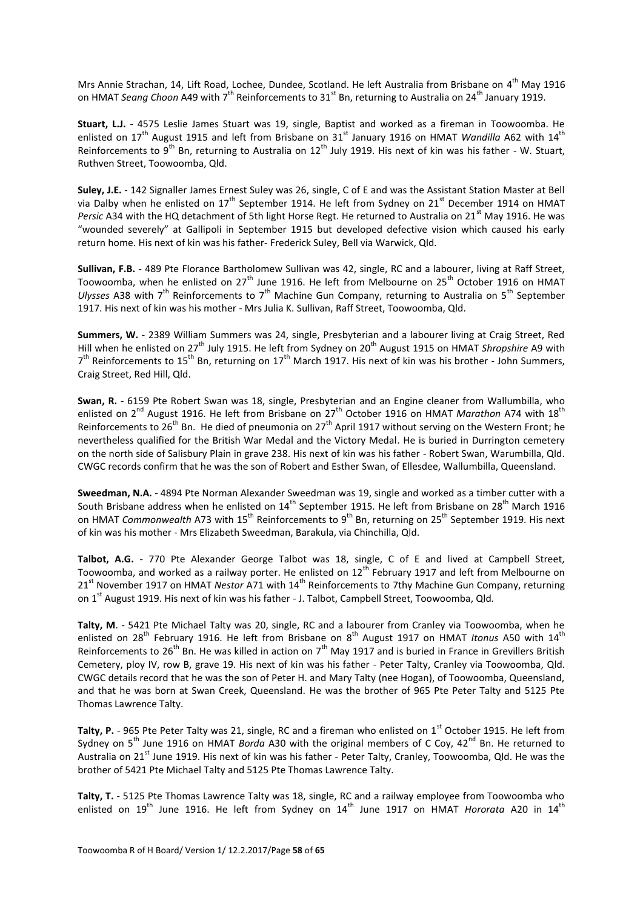Mrs Annie Strachan, 14, Lift Road, Lochee, Dundee, Scotland. He left Australia from Brisbane on 4<sup>th</sup> May 1916 on HMAT *Seang Choon* A49 with 7<sup>th</sup> Reinforcements to 31<sup>st</sup> Bn, returning to Australia on 24<sup>th</sup> January 1919.

**Stuart, L.J.** - 4575 Leslie James Stuart was 19, single, Baptist and worked as a fireman in Toowoomba. He enlisted on 17<sup>th</sup> August 1915 and left from Brisbane on 31<sup>st</sup> January 1916 on HMAT *Wandilla* A62 with 14<sup>th</sup> Reinforcements to  $9^{th}$  Bn, returning to Australia on 12<sup>th</sup> July 1919. His next of kin was his father - W. Stuart, Ruthven Street, Toowoomba, Qld.

**Suley, J.E.** - 142 Signaller James Ernest Suley was 26, single, C of E and was the Assistant Station Master at Bell via Dalby when he enlisted on  $17^{th}$  September 1914. He left from Sydney on  $21^{st}$  December 1914 on HMAT *Persic* A34 with the HQ detachment of 5th light Horse Regt. He returned to Australia on 21<sup>st</sup> May 1916. He was "wounded severely" at Gallipoli in September 1915 but developed defective vision which caused his early return home. His next of kin was his father- Frederick Suley, Bell via Warwick, Qld.

**Sullivan, F.B.** - 489 Pte Florance Bartholomew Sullivan was 42, single, RC and a labourer, living at Raff Street, Toowoomba, when he enlisted on 27<sup>th</sup> June 1916. He left from Melbourne on 25<sup>th</sup> October 1916 on HMAT *Ulysses* A38 with 7<sup>th</sup> Reinforcements to 7<sup>th</sup> Machine Gun Company, returning to Australia on 5<sup>th</sup> September 1917. His next of kin was his mother - Mrs Julia K. Sullivan, Raff Street, Toowoomba, Qld.

**Summers, W.** - 2389 William Summers was 24, single, Presbyterian and a labourer living at Craig Street, Red Hill when he enlisted on 27<sup>th</sup> July 1915. He left from Sydney on 20<sup>th</sup> August 1915 on HMAT *Shropshire* A9 with 7<sup>th</sup> Reinforcements to 15<sup>th</sup> Bn, returning on 17<sup>th</sup> March 1917. His next of kin was his brother - John Summers, Craig Street, Red Hill, Qld.

**Swan, R.** - 6159 Pte Robert Swan was 18, single, Presbyterian and an Engine cleaner from Wallumbilla, who enlisted on 2<sup>nd</sup> August 1916. He left from Brisbane on 27<sup>th</sup> October 1916 on HMAT *Marathon* A74 with 18<sup>th</sup> Reinforcements to 26<sup>th</sup> Bn. He died of pneumonia on 27<sup>th</sup> April 1917 without serving on the Western Front; he nevertheless qualified for the British War Medal and the Victory Medal. He is buried in Durrington cemetery on the north side of Salisbury Plain in grave 238. His next of kin was his father - Robert Swan, Warumbilla, Qld. CWGC records confirm that he was the son of Robert and Esther Swan, of Ellesdee, Wallumbilla, Queensland.

**Sweedman, N.A.** - 4894 Pte Norman Alexander Sweedman was 19, single and worked as a timber cutter with a South Brisbane address when he enlisted on 14<sup>th</sup> September 1915. He left from Brisbane on 28<sup>th</sup> March 1916 on HMAT *Commonwealth* A73 with 15<sup>th</sup> Reinforcements to 9<sup>th</sup> Bn, returning on 25<sup>th</sup> September 1919. His next of kin was his mother - Mrs Elizabeth Sweedman, Barakula, via Chinchilla, Qld.

**Talbot, A.G.** - 770 Pte Alexander George Talbot was 18, single, C of E and lived at Campbell Street, Toowoomba, and worked as a railway porter. He enlisted on  $12^{th}$  February 1917 and left from Melbourne on 21<sup>st</sup> November 1917 on HMAT *Nestor* A71 with 14<sup>th</sup> Reinforcements to 7thy Machine Gun Company, returning on 1<sup>st</sup> August 1919. His next of kin was his father - J. Talbot, Campbell Street, Toowoomba, Qld.

**Talty, M**. - 5421 Pte Michael Talty was 20, single, RC and a labourer from Cranley via Toowoomba, when he enlisted on 28<sup>th</sup> February 1916. He left from Brisbane on 8<sup>th</sup> August 1917 on HMAT *Itonus* A50 with 14<sup>th</sup> Reinforcements to 26<sup>th</sup> Bn. He was killed in action on 7<sup>th</sup> May 1917 and is buried in France in Grevillers British Cemetery, ploy IV, row B, grave 19. His next of kin was his father - Peter Talty, Cranley via Toowoomba, Qld. CWGC details record that he was the son of Peter H. and Mary Talty (nee Hogan), of Toowoomba, Queensland, and that he was born at Swan Creek, Queensland. He was the brother of 965 Pte Peter Talty and 5125 Pte Thomas Lawrence Talty.

Talty, P. - 965 Pte Peter Talty was 21, single, RC and a fireman who enlisted on 1<sup>st</sup> October 1915. He left from Sydney on 5<sup>th</sup> June 1916 on HMAT *Borda* A30 with the original members of C Coy, 42<sup>nd</sup> Bn. He returned to Australia on 21<sup>st</sup> June 1919. His next of kin was his father - Peter Talty, Cranley, Toowoomba, Qld. He was the brother of 5421 Pte Michael Talty and 5125 Pte Thomas Lawrence Talty.

**Talty, T.** - 5125 Pte Thomas Lawrence Talty was 18, single, RC and a railway employee from Toowoomba who enlisted on 19<sup>th</sup> June 1916. He left from Sydney on 14<sup>th</sup> June 1917 on HMAT *Hororata* A20 in 14<sup>th</sup>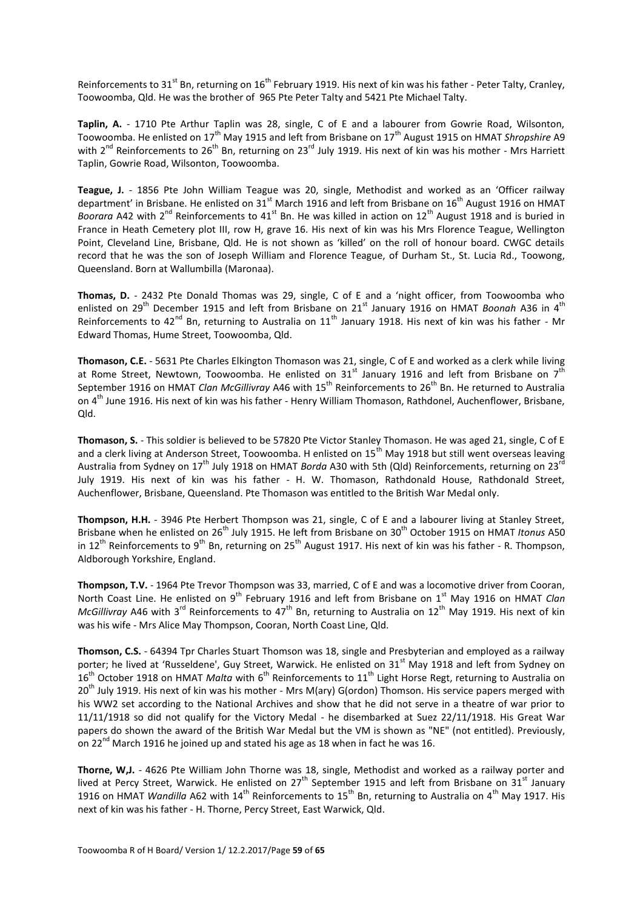Reinforcements to 31<sup>st</sup> Bn, returning on 16<sup>th</sup> February 1919. His next of kin was his father - Peter Talty, Cranley, Toowoomba, Qld. He was the brother of 965 Pte Peter Talty and 5421 Pte Michael Talty.

**Taplin, A.** - 1710 Pte Arthur Taplin was 28, single, C of E and a labourer from Gowrie Road, Wilsonton, Toowoomba. He enlisted on 17<sup>th</sup> May 1915 and left from Brisbane on 17<sup>th</sup> August 1915 on HMAT *Shropshire* A9 with 2<sup>nd</sup> Reinforcements to 26<sup>th</sup> Bn, returning on 23<sup>rd</sup> July 1919. His next of kin was his mother - Mrs Harriett Taplin, Gowrie Road, Wilsonton, Toowoomba.

**Teague, J.** - 1856 Pte John William Teague was 20, single, Methodist and worked as an 'Officer railway department' in Brisbane. He enlisted on 31<sup>st</sup> March 1916 and left from Brisbane on 16<sup>th</sup> August 1916 on HMAT *Boorara* A42 with 2<sup>nd</sup> Reinforcements to 41<sup>st</sup> Bn. He was killed in action on 12<sup>th</sup> August 1918 and is buried in France in Heath Cemetery plot III, row H, grave 16. His next of kin was his Mrs Florence Teague, Wellington Point, Cleveland Line, Brisbane, Qld. He is not shown as 'killed' on the roll of honour board. CWGC details record that he was the son of Joseph William and Florence Teague, of Durham St., St. Lucia Rd., Toowong, Queensland. Born at Wallumbilla (Maronaa).

**Thomas, D.** - 2432 Pte Donald Thomas was 29, single, C of E and a 'night officer, from Toowoomba who enlisted on 29<sup>th</sup> December 1915 and left from Brisbane on 21<sup>st</sup> January 1916 on HMAT *Boonah* A36 in 4<sup>th</sup> Reinforcements to 42<sup>nd</sup> Bn, returning to Australia on  $11<sup>th</sup>$  January 1918. His next of kin was his father - Mr Edward Thomas, Hume Street, Toowoomba, Qld.

**Thomason, C.E.** - 5631 Pte Charles Elkington Thomason was 21, single, C of E and worked as a clerk while living at Rome Street, Newtown, Toowoomba. He enlisted on 31<sup>st</sup> January 1916 and left from Brisbane on 7<sup>th</sup> September 1916 on HMAT *Clan McGillivray* A46 with 15<sup>th</sup> Reinforcements to 26<sup>th</sup> Bn. He returned to Australia on 4<sup>th</sup> June 1916. His next of kin was his father - Henry William Thomason, Rathdonel, Auchenflower, Brisbane, Qld.

**Thomason, S.** - This soldier is believed to be 57820 Pte Victor Stanley Thomason. He was aged 21, single, C of E and a clerk living at Anderson Street, Toowoomba. H enlisted on 15<sup>th</sup> May 1918 but still went overseas leaving Australia from Sydney on 17<sup>th</sup> July 1918 on HMAT *Borda* A30 with 5th (Qld) Reinforcements, returning on 23<sup>rd</sup> July 1919. His next of kin was his father - H. W. Thomason, Rathdonald House, Rathdonald Street, Auchenflower, Brisbane, Queensland. Pte Thomason was entitled to the British War Medal only.

**Thompson, H.H.** - 3946 Pte Herbert Thompson was 21, single, C of E and a labourer living at Stanley Street, Brisbane when he enlisted on 26<sup>th</sup> July 1915. He left from Brisbane on 30<sup>th</sup> October 1915 on HMAT *Itonus* A50 in 12<sup>th</sup> Reinforcements to 9<sup>th</sup> Bn, returning on 25<sup>th</sup> August 1917. His next of kin was his father - R. Thompson, Aldborough Yorkshire, England.

**Thompson, T.V.** - 1964 Pte Trevor Thompson was 33, married, C of E and was a locomotive driver from Cooran, North Coast Line. He enlisted on 9<sup>th</sup> February 1916 and left from Brisbane on 1<sup>st</sup> May 1916 on HMAT *Clan McGillivray* A46 with 3<sup>rd</sup> Reinforcements to 47<sup>th</sup> Bn, returning to Australia on 12<sup>th</sup> May 1919. His next of kin was his wife - Mrs Alice May Thompson, Cooran, North Coast Line, Qld.

**Thomson, C.S.** - 64394 Tpr Charles Stuart Thomson was 18, single and Presbyterian and employed as a railway porter; he lived at 'Russeldene', Guy Street, Warwick. He enlisted on 31<sup>st</sup> May 1918 and left from Sydney on 16<sup>th</sup> October 1918 on HMAT *Malta* with 6<sup>th</sup> Reinforcements to 11<sup>th</sup> Light Horse Regt, returning to Australia on 20<sup>th</sup> July 1919. His next of kin was his mother - Mrs M(ary) G(ordon) Thomson. His service papers merged with his WW2 set according to the National Archives and show that he did not serve in a theatre of war prior to 11/11/1918 so did not qualify for the Victory Medal - he disembarked at Suez 22/11/1918. His Great War papers do shown the award of the British War Medal but the VM is shown as "NE" (not entitled). Previously, on 22 $^{\text{nd}}$  March 1916 he joined up and stated his age as 18 when in fact he was 16.

**Thorne, W,J.** - 4626 Pte William John Thorne was 18, single, Methodist and worked as a railway porter and lived at Percy Street, Warwick. He enlisted on 27<sup>th</sup> September 1915 and left from Brisbane on 31<sup>st</sup> January 1916 on HMAT *Wandilla* A62 with 14<sup>th</sup> Reinforcements to 15<sup>th</sup> Bn, returning to Australia on 4<sup>th</sup> May 1917. His next of kin was his father - H. Thorne, Percy Street, East Warwick, Qld.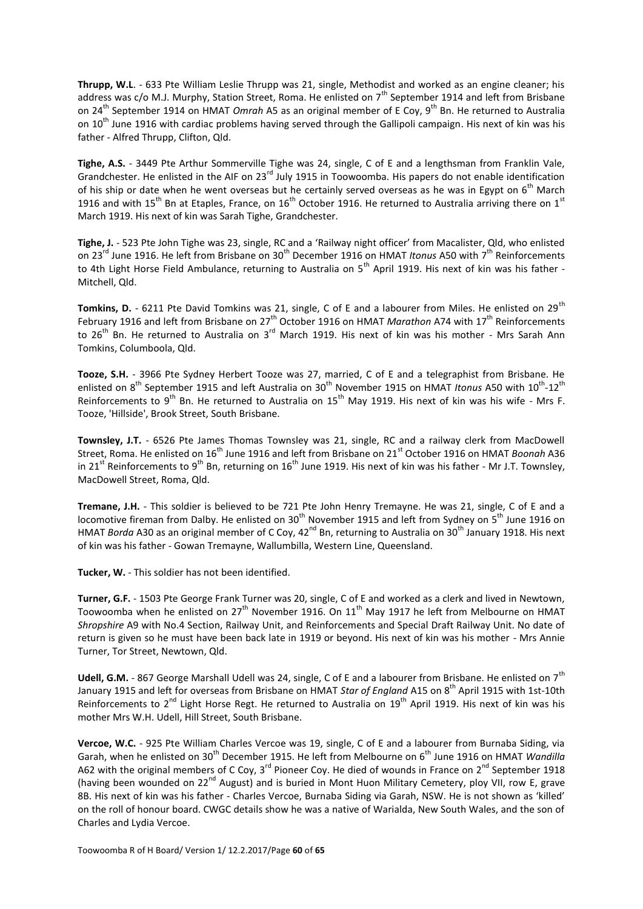**Thrupp, W.L**. - 633 Pte William Leslie Thrupp was 21, single, Methodist and worked as an engine cleaner; his address was  $c$ /o M.J. Murphy, Station Street, Roma. He enlisted on  $7<sup>th</sup>$  September 1914 and left from Brisbane on 24<sup>th</sup> September 1914 on HMAT *Omrah* A5 as an original member of E Coy, 9<sup>th</sup> Bn. He returned to Australia on 10<sup>th</sup> June 1916 with cardiac problems having served through the Gallipoli campaign. His next of kin was his father - Alfred Thrupp, Clifton, Qld.

**Tighe, A.S.** - 3449 Pte Arthur Sommerville Tighe was 24, single, C of E and a lengthsman from Franklin Vale, Grandchester. He enlisted in the AIF on 23rd July 1915 in Toowoomba. His papers do not enable identification of his ship or date when he went overseas but he certainly served overseas as he was in Egypt on  $6<sup>th</sup>$  March 1916 and with 15<sup>th</sup> Bn at Etaples, France, on 16<sup>th</sup> October 1916. He returned to Australia arriving there on 1<sup>st</sup> March 1919. His next of kin was Sarah Tighe, Grandchester.

**Tighe, J.** - 523 Pte John Tighe was 23, single, RC and a 'Railway night officer' from Macalister, Qld, who enlisted on 23<sup>rd</sup> June 1916. He left from Brisbane on 30<sup>th</sup> December 1916 on HMAT *Itonus* A50 with 7<sup>th</sup> Reinforcements to 4th Light Horse Field Ambulance, returning to Australia on 5<sup>th</sup> April 1919. His next of kin was his father -Mitchell, Qld.

**Tomkins, D.** - 6211 Pte David Tomkins was 21, single, C of E and a labourer from Miles. He enlisted on 29<sup>th</sup> February 1916 and left from Brisbane on 27<sup>th</sup> October 1916 on HMAT *Marathon* A74 with 17<sup>th</sup> Reinforcements to 26<sup>th</sup> Bn. He returned to Australia on 3<sup>rd</sup> March 1919. His next of kin was his mother - Mrs Sarah Ann Tomkins, Columboola, Qld.

**Tooze, S.H.** - 3966 Pte Sydney Herbert Tooze was 27, married, C of E and a telegraphist from Brisbane. He enlisted on 8<sup>th</sup> September 1915 and left Australia on 30<sup>th</sup> November 1915 on HMAT Itonus A50 with 10<sup>th</sup>-12<sup>th</sup> Reinforcements to 9<sup>th</sup> Bn. He returned to Australia on  $15<sup>th</sup>$  May 1919. His next of kin was his wife - Mrs F. Tooze, 'Hillside', Brook Street, South Brisbane.

**Townsley, J.T.** - 6526 Pte James Thomas Townsley was 21, single, RC and a railway clerk from MacDowell Street, Roma. He enlisted on 16<sup>th</sup> June 1916 and left from Brisbane on 21<sup>st</sup> October 1916 on HMAT *Boonah* A36 in 21<sup>st</sup> Reinforcements to 9<sup>th</sup> Bn, returning on 16<sup>th</sup> June 1919. His next of kin was his father - Mr J.T. Townsley, MacDowell Street, Roma, Qld.

**Tremane, J.H.** - This soldier is believed to be 721 Pte John Henry Tremayne. He was 21, single, C of E and a locomotive fireman from Dalby. He enlisted on 30<sup>th</sup> November 1915 and left from Sydney on 5<sup>th</sup> June 1916 on HMAT *Borda* A30 as an original member of C Coy, 42<sup>nd</sup> Bn, returning to Australia on 30<sup>th</sup> January 1918. His next of kin was his father - Gowan Tremayne, Wallumbilla, Western Line, Queensland.

**Tucker, W.** - This soldier has not been identified.

**Turner, G.F.** - 1503 Pte George Frank Turner was 20, single, C of E and worked as a clerk and lived in Newtown, Toowoomba when he enlisted on 27<sup>th</sup> November 1916. On 11<sup>th</sup> May 1917 he left from Melbourne on HMAT *Shropshire* A9 with No.4 Section, Railway Unit, and Reinforcements and Special Draft Railway Unit. No date of return is given so he must have been back late in 1919 or beyond. His next of kin was his mother - Mrs Annie Turner, Tor Street, Newtown, Qld.

Udell, G.M. - 867 George Marshall Udell was 24, single, C of E and a labourer from Brisbane. He enlisted on 7<sup>th</sup> January 1915 and left for overseas from Brisbane on HMAT *Star of England* A15 on 8th April 1915 with 1st-10th Reinforcements to 2<sup>nd</sup> Light Horse Regt. He returned to Australia on 19<sup>th</sup> April 1919. His next of kin was his mother Mrs W.H. Udell, Hill Street, South Brisbane.

**Vercoe, W.C.** - 925 Pte William Charles Vercoe was 19, single, C of E and a labourer from Burnaba Siding, via Garah, when he enlisted on 30<sup>th</sup> December 1915. He left from Melbourne on 6<sup>th</sup> June 1916 on HMAT *Wandilla* A62 with the original members of C Coy, 3<sup>rd</sup> Pioneer Coy. He died of wounds in France on 2<sup>nd</sup> September 1918 (having been wounded on 22<sup>nd</sup> August) and is buried in Mont Huon Military Cemetery, ploy VII, row E, grave 8B. His next of kin was his father - Charles Vercoe, Burnaba Siding via Garah, NSW. He is not shown as 'killed' on the roll of honour board. CWGC details show he was a native of Warialda, New South Wales, and the son of Charles and Lydia Vercoe.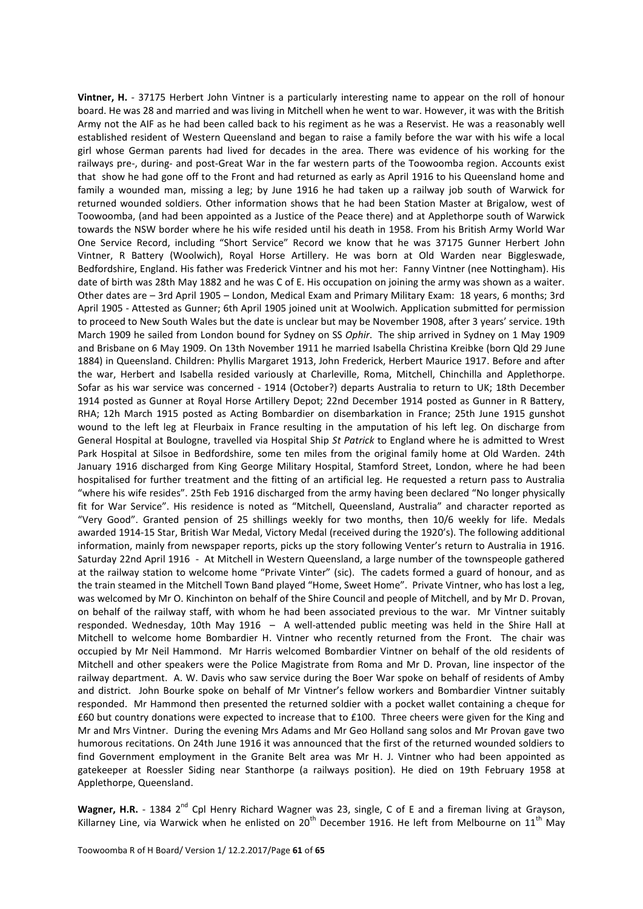**Vintner, H.** - 37175 Herbert John Vintner is a particularly interesting name to appear on the roll of honour board. He was 28 and married and was living in Mitchell when he went to war. However, it was with the British Army not the AIF as he had been called back to his regiment as he was a Reservist. He was a reasonably well established resident of Western Queensland and began to raise a family before the war with his wife a local girl whose German parents had lived for decades in the area. There was evidence of his working for the railways pre-, during- and post-Great War in the far western parts of the Toowoomba region. Accounts exist that show he had gone off to the Front and had returned as early as April 1916 to his Queensland home and family a wounded man, missing a leg; by June 1916 he had taken up a railway job south of Warwick for returned wounded soldiers. Other information shows that he had been Station Master at Brigalow, west of Toowoomba, (and had been appointed as a Justice of the Peace there) and at Applethorpe south of Warwick towards the NSW border where he his wife resided until his death in 1958. From his British Army World War One Service Record, including "Short Service" Record we know that he was 37175 Gunner Herbert John Vintner, R Battery (Woolwich), Royal Horse Artillery. He was born at Old Warden near Biggleswade, Bedfordshire, England. His father was Frederick Vintner and his mot her: Fanny Vintner (nee Nottingham). His date of birth was 28th May 1882 and he was C of E. His occupation on joining the army was shown as a waiter. Other dates are – 3rd April 1905 – London, Medical Exam and Primary Military Exam: 18 years, 6 months; 3rd April 1905 - Attested as Gunner; 6th April 1905 joined unit at Woolwich. Application submitted for permission to proceed to New South Wales but the date is unclear but may be November 1908, after 3 years' service. 19th March 1909 he sailed from London bound for Sydney on SS *Ophir*. The ship arrived in Sydney on 1 May 1909 and Brisbane on 6 May 1909. On 13th November 1911 he married Isabella Christina Kreibke (born Qld 29 June 1884) in Queensland. Children: Phyllis Margaret 1913, John Frederick, Herbert Maurice 1917. Before and after the war, Herbert and Isabella resided variously at Charleville, Roma, Mitchell, Chinchilla and Applethorpe. Sofar as his war service was concerned - 1914 (October?) departs Australia to return to UK; 18th December 1914 posted as Gunner at Royal Horse Artillery Depot; 22nd December 1914 posted as Gunner in R Battery, RHA; 12h March 1915 posted as Acting Bombardier on disembarkation in France; 25th June 1915 gunshot wound to the left leg at Fleurbaix in France resulting in the amputation of his left leg. On discharge from General Hospital at Boulogne, travelled via Hospital Ship *St Patrick* to England where he is admitted to Wrest Park Hospital at Silsoe in Bedfordshire, some ten miles from the original family home at Old Warden. 24th January 1916 discharged from King George Military Hospital, Stamford Street, London, where he had been hospitalised for further treatment and the fitting of an artificial leg. He requested a return pass to Australia "where his wife resides". 25th Feb 1916 discharged from the army having been declared "No longer physically fit for War Service". His residence is noted as "Mitchell, Queensland, Australia" and character reported as "Very Good". Granted pension of 25 shillings weekly for two months, then 10/6 weekly for life. Medals awarded 1914-15 Star, British War Medal, Victory Medal (received during the 1920's). The following additional information, mainly from newspaper reports, picks up the story following Venter's return to Australia in 1916. Saturday 22nd April 1916 - At Mitchell in Western Queensland, a large number of the townspeople gathered at the railway station to welcome home "Private Vinter" (sic). The cadets formed a guard of honour, and as the train steamed in the Mitchell Town Band played "Home, Sweet Home". Private Vintner, who has lost a leg, was welcomed by Mr O. Kinchinton on behalf of the Shire Council and people of Mitchell, and by Mr D. Provan, on behalf of the railway staff, with whom he had been associated previous to the war. Mr Vintner suitably responded. Wednesday, 10th May 1916 – A well-attended public meeting was held in the Shire Hall at Mitchell to welcome home Bombardier H. Vintner who recently returned from the Front. The chair was occupied by Mr Neil Hammond. Mr Harris welcomed Bombardier Vintner on behalf of the old residents of Mitchell and other speakers were the Police Magistrate from Roma and Mr D. Provan, line inspector of the railway department. A. W. Davis who saw service during the Boer War spoke on behalf of residents of Amby and district. John Bourke spoke on behalf of Mr Vintner's fellow workers and Bombardier Vintner suitably responded. Mr Hammond then presented the returned soldier with a pocket wallet containing a cheque for £60 but country donations were expected to increase that to £100. Three cheers were given for the King and Mr and Mrs Vintner. During the evening Mrs Adams and Mr Geo Holland sang solos and Mr Provan gave two humorous recitations. On 24th June 1916 it was announced that the first of the returned wounded soldiers to find Government employment in the Granite Belt area was Mr H. J. Vintner who had been appointed as gatekeeper at Roessler Siding near Stanthorpe (a railways position). He died on 19th February 1958 at Applethorpe, Queensland.

Wagner, H.R. - 1384 2<sup>nd</sup> Cpl Henry Richard Wagner was 23, single, C of E and a fireman living at Grayson, Killarney Line, via Warwick when he enlisted on 20<sup>th</sup> December 1916. He left from Melbourne on 11<sup>th</sup> May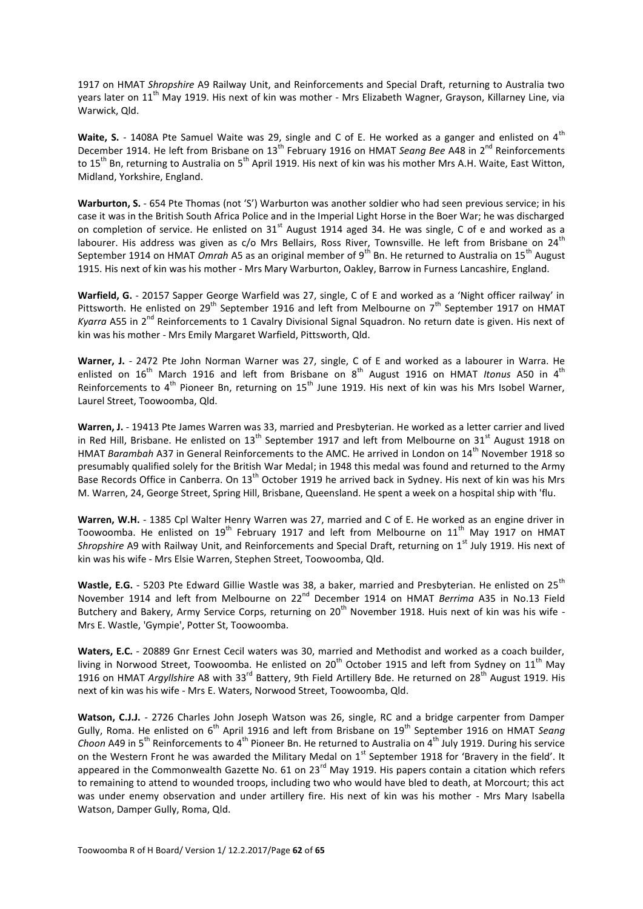1917 on HMAT *Shropshire* A9 Railway Unit, and Reinforcements and Special Draft, returning to Australia two years later on 11<sup>th</sup> May 1919. His next of kin was mother - Mrs Elizabeth Wagner, Grayson, Killarney Line, via Warwick, Qld.

Waite, S. - 1408A Pte Samuel Waite was 29, single and C of E. He worked as a ganger and enlisted on 4<sup>th</sup> December 1914. He left from Brisbane on 13<sup>th</sup> February 1916 on HMAT *Seang Bee* A48 in 2<sup>nd</sup> Reinforcements to 15<sup>th</sup> Bn, returning to Australia on 5<sup>th</sup> April 1919. His next of kin was his mother Mrs A.H. Waite, East Witton, Midland, Yorkshire, England.

**Warburton, S.** - 654 Pte Thomas (not 'S') Warburton was another soldier who had seen previous service; in his case it was in the British South Africa Police and in the Imperial Light Horse in the Boer War; he was discharged on completion of service. He enlisted on  $31<sup>st</sup>$  August 1914 aged 34. He was single, C of e and worked as a labourer. His address was given as c/o Mrs Bellairs, Ross River, Townsville. He left from Brisbane on 24<sup>th</sup> September 1914 on HMAT *Omrah* A5 as an original member of 9<sup>th</sup> Bn. He returned to Australia on 15<sup>th</sup> August 1915. His next of kin was his mother - Mrs Mary Warburton, Oakley, Barrow in Furness Lancashire, England.

**Warfield, G.** - 20157 Sapper George Warfield was 27, single, C of E and worked as a 'Night officer railway' in Pittsworth. He enlisted on 29<sup>th</sup> September 1916 and left from Melbourne on 7<sup>th</sup> September 1917 on HMAT *Kyarra* A55 in 2<sup>nd</sup> Reinforcements to 1 Cavalry Divisional Signal Squadron. No return date is given. His next of kin was his mother - Mrs Emily Margaret Warfield, Pittsworth, Qld.

**Warner, J.** - 2472 Pte John Norman Warner was 27, single, C of E and worked as a labourer in Warra. He enlisted on 16<sup>th</sup> March 1916 and left from Brisbane on 8<sup>th</sup> August 1916 on HMAT *Itonus* A50 in 4<sup>th</sup> Reinforcements to  $4^{\text{th}}$  Pioneer Bn, returning on  $15^{\text{th}}$  June 1919. His next of kin was his Mrs Isobel Warner, Laurel Street, Toowoomba, Qld.

**Warren, J.** - 19413 Pte James Warren was 33, married and Presbyterian. He worked as a letter carrier and lived in Red Hill, Brisbane. He enlisted on  $13<sup>th</sup>$  September 1917 and left from Melbourne on  $31<sup>st</sup>$  August 1918 on HMAT *Barambah* A37 in General Reinforcements to the AMC. He arrived in London on 14th November 1918 so presumably qualified solely for the British War Medal; in 1948 this medal was found and returned to the Army Base Records Office in Canberra. On 13<sup>th</sup> October 1919 he arrived back in Sydney. His next of kin was his Mrs M. Warren, 24, George Street, Spring Hill, Brisbane, Queensland. He spent a week on a hospital ship with 'flu.

**Warren, W.H.** - 1385 Cpl Walter Henry Warren was 27, married and C of E. He worked as an engine driver in Toowoomba. He enlisted on  $19^{th}$  February 1917 and left from Melbourne on  $11^{th}$  May 1917 on HMAT *Shropshire* A9 with Railway Unit, and Reinforcements and Special Draft, returning on 1<sup>st</sup> July 1919. His next of kin was his wife - Mrs Elsie Warren, Stephen Street, Toowoomba, Qld.

Wastle, E.G. - 5203 Pte Edward Gillie Wastle was 38, a baker, married and Presbyterian. He enlisted on 25<sup>th</sup> November 1914 and left from Melbourne on 22<sup>nd</sup> December 1914 on HMAT *Berrima* A35 in No.13 Field Butchery and Bakery, Army Service Corps, returning on 20<sup>th</sup> November 1918. Huis next of kin was his wife -Mrs E. Wastle, 'Gympie', Potter St, Toowoomba.

**Waters, E.C.** - 20889 Gnr Ernest Cecil waters was 30, married and Methodist and worked as a coach builder, living in Norwood Street, Toowoomba. He enlisted on 20<sup>th</sup> October 1915 and left from Sydney on 11<sup>th</sup> May 1916 on HMAT *Argyllshire* A8 with 33rd Battery, 9th Field Artillery Bde. He returned on 28th August 1919. His next of kin was his wife - Mrs E. Waters, Norwood Street, Toowoomba, Qld.

**Watson, C.J.J.** - 2726 Charles John Joseph Watson was 26, single, RC and a bridge carpenter from Damper Gully, Roma. He enlisted on 6<sup>th</sup> April 1916 and left from Brisbane on 19<sup>th</sup> September 1916 on HMAT *Seang Choon* A49 in 5<sup>th</sup> Reinforcements to 4<sup>th</sup> Pioneer Bn. He returned to Australia on 4<sup>th</sup> July 1919. During his service on the Western Front he was awarded the Military Medal on 1<sup>st</sup> September 1918 for 'Bravery in the field'. It appeared in the Commonwealth Gazette No. 61 on  $23^{rd}$  May 1919. His papers contain a citation which refers to remaining to attend to wounded troops, including two who would have bled to death, at Morcourt; this act was under enemy observation and under artillery fire. His next of kin was his mother - Mrs Mary Isabella Watson, Damper Gully, Roma, Qld.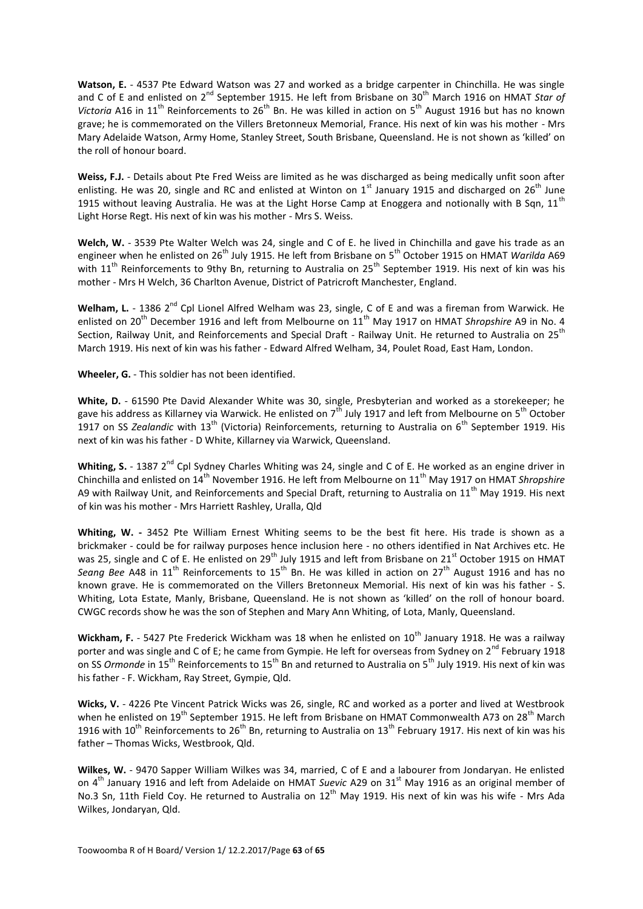**Watson, E.** - 4537 Pte Edward Watson was 27 and worked as a bridge carpenter in Chinchilla. He was single and C of E and enlisted on 2<sup>nd</sup> September 1915. He left from Brisbane on 30<sup>th</sup> March 1916 on HMAT *Star of* Victoria A16 in 11<sup>th</sup> Reinforcements to 26<sup>th</sup> Bn. He was killed in action on 5<sup>th</sup> August 1916 but has no known grave; he is commemorated on the Villers Bretonneux Memorial, France. His next of kin was his mother - Mrs Mary Adelaide Watson, Army Home, Stanley Street, South Brisbane, Queensland. He is not shown as 'killed' on the roll of honour board.

**Weiss, F.J.** - Details about Pte Fred Weiss are limited as he was discharged as being medically unfit soon after enlisting. He was 20, single and RC and enlisted at Winton on  $1<sup>st</sup>$  January 1915 and discharged on  $26<sup>th</sup>$  June 1915 without leaving Australia. He was at the Light Horse Camp at Enoggera and notionally with B Sqn,  $11<sup>th</sup>$ Light Horse Regt. His next of kin was his mother - Mrs S. Weiss.

**Welch, W.** - 3539 Pte Walter Welch was 24, single and C of E. he lived in Chinchilla and gave his trade as an engineer when he enlisted on 26<sup>th</sup> July 1915. He left from Brisbane on 5<sup>th</sup> October 1915 on HMAT *Warilda* A69 with 11<sup>th</sup> Reinforcements to 9thy Bn, returning to Australia on 25<sup>th</sup> September 1919. His next of kin was his mother - Mrs H Welch, 36 Charlton Avenue, District of Patricroft Manchester, England.

Welham, L. - 1386 2<sup>nd</sup> Cpl Lionel Alfred Welham was 23, single, C of E and was a fireman from Warwick. He enlisted on 20<sup>th</sup> December 1916 and left from Melbourne on 11<sup>th</sup> May 1917 on HMAT *Shropshire* A9 in No. 4 Section, Railway Unit, and Reinforcements and Special Draft - Railway Unit. He returned to Australia on 25<sup>th</sup> March 1919. His next of kin was his father - Edward Alfred Welham, 34, Poulet Road, East Ham, London.

**Wheeler, G.** - This soldier has not been identified.

**White, D.** - 61590 Pte David Alexander White was 30, single, Presbyterian and worked as a storekeeper; he gave his address as Killarney via Warwick. He enlisted on  $7^{\text{th}}$  July 1917 and left from Melbourne on  $5^{\text{th}}$  October 1917 on SS *Zealandic* with 13<sup>th</sup> (Victoria) Reinforcements, returning to Australia on 6<sup>th</sup> September 1919. His next of kin was his father - D White, Killarney via Warwick, Queensland.

Whiting, S. - 1387 2<sup>nd</sup> Cpl Sydney Charles Whiting was 24, single and C of E. He worked as an engine driver in Chinchilla and enlisted on 14th November 1916. He left from Melbourne on 11th May 1917 on HMAT *Shropshire* A9 with Railway Unit, and Reinforcements and Special Draft, returning to Australia on 11<sup>th</sup> May 1919. His next of kin was his mother - Mrs Harriett Rashley, Uralla, Qld

**Whiting, W. -** 3452 Pte William Ernest Whiting seems to be the best fit here. His trade is shown as a brickmaker - could be for railway purposes hence inclusion here - no others identified in Nat Archives etc. He was 25, single and C of E. He enlisted on 29<sup>th</sup> July 1915 and left from Brisbane on 21<sup>st</sup> October 1915 on HMAT Seang Bee A48 in 11<sup>th</sup> Reinforcements to 15<sup>th</sup> Bn. He was killed in action on 27<sup>th</sup> August 1916 and has no known grave. He is commemorated on the Villers Bretonneux Memorial. His next of kin was his father - S. Whiting, Lota Estate, Manly, Brisbane, Queensland. He is not shown as 'killed' on the roll of honour board. CWGC records show he was the son of Stephen and Mary Ann Whiting, of Lota, Manly, Queensland.

Wickham, F. - 5427 Pte Frederick Wickham was 18 when he enlisted on 10<sup>th</sup> January 1918. He was a railway porter and was single and C of E; he came from Gympie. He left for overseas from Sydney on 2<sup>nd</sup> February 1918 on SS *Ormonde* in 15<sup>th</sup> Reinforcements to 15<sup>th</sup> Bn and returned to Australia on 5<sup>th</sup> July 1919. His next of kin was his father - F. Wickham, Ray Street, Gympie, Qld.

**Wicks, V.** - 4226 Pte Vincent Patrick Wicks was 26, single, RC and worked as a porter and lived at Westbrook when he enlisted on 19<sup>th</sup> September 1915. He left from Brisbane on HMAT Commonwealth A73 on 28<sup>th</sup> March 1916 with  $10^{th}$  Reinforcements to  $26^{th}$  Bn, returning to Australia on  $13^{th}$  February 1917. His next of kin was his father – Thomas Wicks, Westbrook, Qld.

**Wilkes, W.** - 9470 Sapper William Wilkes was 34, married, C of E and a labourer from Jondaryan. He enlisted on 4<sup>th</sup> January 1916 and left from Adelaide on HMAT Suevic A29 on 31<sup>st</sup> May 1916 as an original member of No.3 Sn, 11th Field Coy. He returned to Australia on 12<sup>th</sup> May 1919. His next of kin was his wife - Mrs Ada Wilkes, Jondaryan, Qld.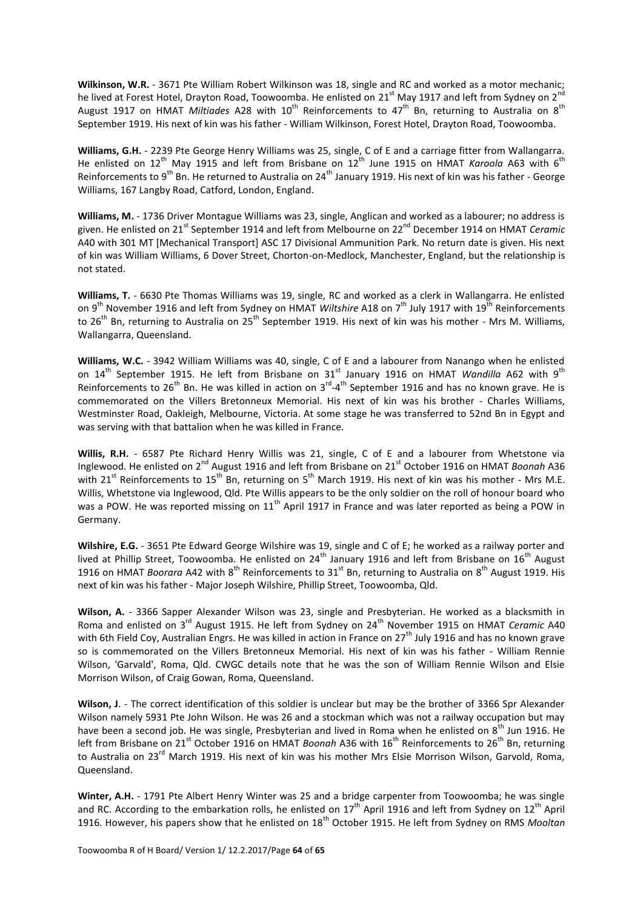**Wilkinson, W.R.** - 3671 Pte William Robert Wilkinson was 18, single and RC and worked as a motor mechanic; he lived at Forest Hotel, Drayton Road, Toowoomba. He enlisted on  $21^{st}$  May 1917 and left from Sydney on  $2^{r}$ August 1917 on HMAT *Miltiades* A28 with 10<sup>th</sup> Reinforcements to 47<sup>th</sup> Bn, returning to Australia on 8<sup>th</sup> September 1919. His next of kin was his father - William Wilkinson, Forest Hotel, Drayton Road, Toowoomba.

**Williams, G.H.** - 2239 Pte George Henry Williams was 25, single, C of E and a carriage fitter from Wallangarra. He enlisted on 12<sup>th</sup> May 1915 and left from Brisbane on 12<sup>th</sup> June 1915 on HMAT *Karoola* A63 with 6<sup>th</sup> Reinforcements to 9<sup>th</sup> Bn. He returned to Australia on 24<sup>th</sup> January 1919. His next of kin was his father - George Williams, 167 Langby Road, Catford, London, England.

**Williams, M.** - 1736 Driver Montague Williams was 23, single, Anglican and worked as a labourer; no address is given. He enlisted on 21<sup>st</sup> September 1914 and left from Melbourne on 22<sup>nd</sup> December 1914 on HMAT *Ceramic* A40 with 301 MT [Mechanical Transport] ASC 17 Divisional Ammunition Park. No return date is given. His next of kin was William Williams, 6 Dover Street, Chorton-on-Medlock, Manchester, England, but the relationship is not stated.

**Williams, T.** - 6630 Pte Thomas Williams was 19, single, RC and worked as a clerk in Wallangarra. He enlisted on 9<sup>th</sup> November 1916 and left from Sydney on HMAT *Wiltshire* A18 on 7<sup>th</sup> July 1917 with 19<sup>th</sup> Reinforcements to 26<sup>th</sup> Bn, returning to Australia on 25<sup>th</sup> September 1919. His next of kin was his mother - Mrs M. Williams, Wallangarra, Queensland.

**Williams, W.C.** - 3942 William Williams was 40, single, C of E and a labourer from Nanango when he enlisted on 14<sup>th</sup> September 1915. He left from Brisbane on 31<sup>st</sup> January 1916 on HMAT *Wandilla* A62 with 9<sup>th</sup> Reinforcements to 26<sup>th</sup> Bn. He was killed in action on 3<sup>rd</sup>-4<sup>th</sup> September 1916 and has no known grave. He is commemorated on the Villers Bretonneux Memorial. His next of kin was his brother - Charles Williams, Westminster Road, Oakleigh, Melbourne, Victoria. At some stage he was transferred to 52nd Bn in Egypt and was serving with that battalion when he was killed in France.

**Willis, R.H.** - 6587 Pte Richard Henry Willis was 21, single, C of E and a labourer from Whetstone via Inglewood. He enlisted on 2nd August 1916 and left from Brisbane on 21st October 1916 on HMAT *Boonah* A36 with 21<sup>st</sup> Reinforcements to 15<sup>th</sup> Bn, returning on 5<sup>th</sup> March 1919. His next of kin was his mother - Mrs M.E. Willis, Whetstone via Inglewood, Qld. Pte Willis appears to be the only soldier on the roll of honour board who was a POW. He was reported missing on  $11<sup>th</sup>$  April 1917 in France and was later reported as being a POW in Germany.

**Wilshire, E.G.** - 3651 Pte Edward George Wilshire was 19, single and C of E; he worked as a railway porter and lived at Phillip Street, Toowoomba. He enlisted on 24<sup>th</sup> January 1916 and left from Brisbane on 16<sup>th</sup> August 1916 on HMAT *Boorara* A42 with 8<sup>th</sup> Reinforcements to 31<sup>st</sup> Bn, returning to Australia on 8<sup>th</sup> August 1919. His next of kin was his father - Major Joseph Wilshire, Phillip Street, Toowoomba, Qld.

**Wilson, A.** - 3366 Sapper Alexander Wilson was 23, single and Presbyterian. He worked as a blacksmith in Roma and enlisted on 3<sup>rd</sup> August 1915. He left from Sydney on 24<sup>th</sup> November 1915 on HMAT *Ceramic* A40 with 6th Field Coy, Australian Engrs. He was killed in action in France on 27<sup>th</sup> July 1916 and has no known grave so is commemorated on the Villers Bretonneux Memorial. His next of kin was his father - William Rennie Wilson, 'Garvald', Roma, Qld. CWGC details note that he was the son of William Rennie Wilson and Elsie Morrison Wilson, of Craig Gowan, Roma, Queensland.

**Wilson, J**. - The correct identification of this soldier is unclear but may be the brother of 3366 Spr Alexander Wilson namely 5931 Pte John Wilson. He was 26 and a stockman which was not a railway occupation but may have been a second job. He was single, Presbyterian and lived in Roma when he enlisted on 8<sup>th</sup> Jun 1916. He left from Brisbane on 21<sup>st</sup> October 1916 on HMAT *Boonah* A36 with 16<sup>th</sup> Reinforcements to 26<sup>th</sup> Bn, returning to Australia on 23rd March 1919. His next of kin was his mother Mrs Elsie Morrison Wilson, Garvold, Roma, Queensland.

**Winter, A.H.** - 1791 Pte Albert Henry Winter was 25 and a bridge carpenter from Toowoomba; he was single and RC. According to the embarkation rolls, he enlisted on  $17^{th}$  April 1916 and left from Sydney on  $12^{th}$  April 1916. However, his papers show that he enlisted on 18<sup>th</sup> October 1915. He left from Sydney on RMS Mooltan